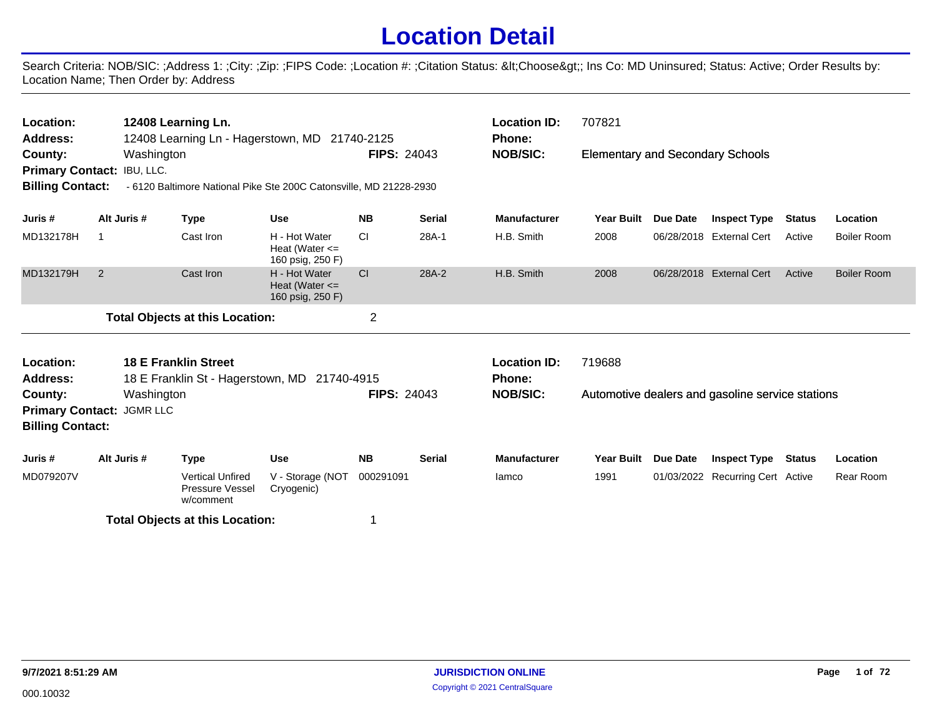## **Location Detail**

Search Criteria: NOB/SIC: ;Address 1: ;City: ;Zip: ;FIPS Code: ;Location #: ;Citation Status: <Choose&gt;; Ins Co: MD Uninsured; Status: Active; Order Results by: Location Name; Then Order by: Address

| Location:<br><b>Address:</b><br>County:<br>Primary Contact: IBU, LLC.<br><b>Billing Contact:</b>                              |                                                                                                                                 | 12408 Learning Ln.<br>Washington |                                        | 12408 Learning Ln - Hagerstown, MD 21740-2125<br>- 6120 Baltimore National Pike Ste 200C Catonsville, MD 21228-2930 | <b>FIPS: 24043</b> |               | <b>Location ID:</b><br><b>Phone:</b><br><b>NOB/SIC:</b> | 707821<br><b>Elementary and Secondary Schools</b> |                 |                                                  |               |                    |
|-------------------------------------------------------------------------------------------------------------------------------|---------------------------------------------------------------------------------------------------------------------------------|----------------------------------|----------------------------------------|---------------------------------------------------------------------------------------------------------------------|--------------------|---------------|---------------------------------------------------------|---------------------------------------------------|-----------------|--------------------------------------------------|---------------|--------------------|
| Juris #                                                                                                                       | Alt Juris #                                                                                                                     |                                  | <b>Type</b>                            | <b>Use</b>                                                                                                          | <b>NB</b>          | <b>Serial</b> | <b>Manufacturer</b>                                     | Year Built                                        | Due Date        | <b>Inspect Type</b>                              | <b>Status</b> | Location           |
| MD132178H                                                                                                                     | $\mathbf 1$                                                                                                                     |                                  | Cast Iron                              | H - Hot Water<br>Heat (Water $\leq$<br>160 psig, 250 F)                                                             | <b>CI</b>          | 28A-1         | H.B. Smith                                              | 2008                                              |                 | 06/28/2018 External Cert                         | Active        | <b>Boiler Room</b> |
| MD132179H                                                                                                                     | 2                                                                                                                               |                                  | Cast Iron                              | H - Hot Water<br>Heat (Water $\leq$<br>160 psig, 250 F)                                                             | CI                 | 28A-2         | H.B. Smith                                              | 2008                                              |                 | 06/28/2018 External Cert                         | Active        | <b>Boiler Room</b> |
|                                                                                                                               |                                                                                                                                 |                                  | <b>Total Objects at this Location:</b> |                                                                                                                     | $\overline{2}$     |               |                                                         |                                                   |                 |                                                  |               |                    |
| Location:<br><b>Address:</b>                                                                                                  |                                                                                                                                 |                                  | <b>18 E Franklin Street</b>            |                                                                                                                     |                    |               | <b>Location ID:</b><br>Phone:                           | 719688                                            |                 |                                                  |               |                    |
| 18 E Franklin St - Hagerstown, MD 21740-4915<br>Washington<br>County:<br>Primary Contact: JGMR LLC<br><b>Billing Contact:</b> |                                                                                                                                 |                                  |                                        |                                                                                                                     | <b>FIPS: 24043</b> |               | <b>NOB/SIC:</b>                                         |                                                   |                 | Automotive dealers and gasoline service stations |               |                    |
| Juris #                                                                                                                       |                                                                                                                                 |                                  |                                        | <b>Use</b>                                                                                                          | <b>NB</b>          | <b>Serial</b> | <b>Manufacturer</b>                                     | Year Built                                        | <b>Due Date</b> | <b>Inspect Type</b>                              | <b>Status</b> | Location           |
| MD079207V                                                                                                                     |                                                                                                                                 |                                  |                                        | V - Storage (NOT<br>Cryogenic)                                                                                      | 000291091          |               | lamco                                                   | 1991                                              |                 | 01/03/2022 Recurring Cert Active                 |               | Rear Room          |
|                                                                                                                               | Alt Juris #<br><b>Type</b><br><b>Vertical Unfired</b><br>Pressure Vessel<br>w/comment<br><b>Total Objects at this Location:</b> |                                  |                                        |                                                                                                                     |                    |               |                                                         |                                                   |                 |                                                  |               |                    |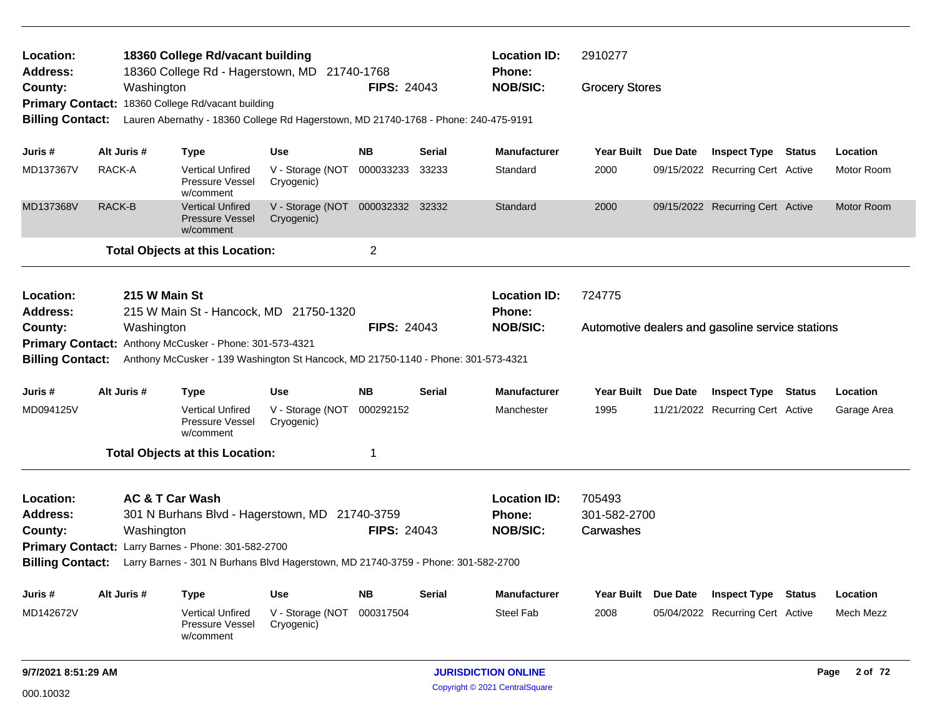| Location:<br><b>Address:</b> |             |                            | 18360 College Rd/vacant building                               | 18360 College Rd - Hagerstown, MD 21740-1768                                        |                    |               | <b>Location ID:</b><br><b>Phone:</b> | 2910277               |                                                  |                 |
|------------------------------|-------------|----------------------------|----------------------------------------------------------------|-------------------------------------------------------------------------------------|--------------------|---------------|--------------------------------------|-----------------------|--------------------------------------------------|-----------------|
| County:                      |             | Washington                 |                                                                |                                                                                     | <b>FIPS: 24043</b> |               | <b>NOB/SIC:</b>                      | <b>Grocery Stores</b> |                                                  |                 |
|                              |             |                            | Primary Contact: 18360 College Rd/vacant building              |                                                                                     |                    |               |                                      |                       |                                                  |                 |
| <b>Billing Contact:</b>      |             |                            |                                                                | Lauren Abernathy - 18360 College Rd Hagerstown, MD 21740-1768 - Phone: 240-475-9191 |                    |               |                                      |                       |                                                  |                 |
| Juris #                      | Alt Juris # |                            | <b>Type</b>                                                    | <b>Use</b>                                                                          | NΒ                 | Serial        | <b>Manufacturer</b>                  | Year Built Due Date   | <b>Inspect Type Status</b>                       | Location        |
| MD137367V                    | RACK-A      |                            | <b>Vertical Unfired</b><br><b>Pressure Vessel</b><br>w/comment | V - Storage (NOT<br>Cryogenic)                                                      | 000033233          | 33233         | Standard                             | 2000                  | 09/15/2022 Recurring Cert Active                 | Motor Room      |
| MD137368V                    | RACK-B      |                            | <b>Vertical Unfired</b><br><b>Pressure Vessel</b><br>w/comment | V - Storage (NOT 000032332 32332<br>Cryogenic)                                      |                    |               | Standard                             | 2000                  | 09/15/2022 Recurring Cert Active                 | Motor Room      |
|                              |             |                            | <b>Total Objects at this Location:</b>                         |                                                                                     | 2                  |               |                                      |                       |                                                  |                 |
| Location:<br><b>Address:</b> |             | 215 W Main St              |                                                                | 215 W Main St - Hancock, MD 21750-1320                                              |                    |               | <b>Location ID:</b><br>Phone:        | 724775                |                                                  |                 |
| County:                      |             | Washington                 |                                                                |                                                                                     | <b>FIPS: 24043</b> |               | <b>NOB/SIC:</b>                      |                       | Automotive dealers and gasoline service stations |                 |
|                              |             |                            | Primary Contact: Anthony McCusker - Phone: 301-573-4321        |                                                                                     |                    |               |                                      |                       |                                                  |                 |
| <b>Billing Contact:</b>      |             |                            |                                                                | Anthony McCusker - 139 Washington St Hancock, MD 21750-1140 - Phone: 301-573-4321   |                    |               |                                      |                       |                                                  |                 |
| Juris #                      | Alt Juris # |                            | <b>Type</b>                                                    | <b>Use</b>                                                                          | NΒ                 | <b>Serial</b> | <b>Manufacturer</b>                  | Year Built Due Date   | <b>Inspect Type Status</b>                       | Location        |
| MD094125V                    |             |                            | <b>Vertical Unfired</b><br>Pressure Vessel<br>w/comment        | V - Storage (NOT<br>Cryogenic)                                                      | 000292152          |               | Manchester                           | 1995                  | 11/21/2022 Recurring Cert Active                 | Garage Area     |
|                              |             |                            | <b>Total Objects at this Location:</b>                         |                                                                                     | 1                  |               |                                      |                       |                                                  |                 |
| Location:                    |             | <b>AC &amp; T Car Wash</b> |                                                                |                                                                                     |                    |               | <b>Location ID:</b>                  | 705493                |                                                  |                 |
| <b>Address:</b>              |             |                            |                                                                | 301 N Burhans Blvd - Hagerstown, MD 21740-3759                                      |                    |               | <b>Phone:</b>                        | 301-582-2700          |                                                  |                 |
| County:                      |             | Washington                 |                                                                |                                                                                     | <b>FIPS: 24043</b> |               | <b>NOB/SIC:</b>                      | Carwashes             |                                                  |                 |
|                              |             |                            | Primary Contact: Larry Barnes - Phone: 301-582-2700            |                                                                                     |                    |               |                                      |                       |                                                  |                 |
| <b>Billing Contact:</b>      |             |                            |                                                                | Larry Barnes - 301 N Burhans Blvd Hagerstown, MD 21740-3759 - Phone: 301-582-2700   |                    |               |                                      |                       |                                                  |                 |
| Juris #                      | Alt Juris # |                            | <b>Type</b>                                                    | <b>Use</b>                                                                          | <b>NB</b>          | <b>Serial</b> | Manufacturer                         | Year Built Due Date   | <b>Inspect Type Status</b>                       | Location        |
| MD142672V                    |             |                            | <b>Vertical Unfired</b><br>Pressure Vessel<br>w/comment        | V - Storage (NOT<br>Cryogenic)                                                      | 000317504          |               | <b>Steel Fab</b>                     | 2008                  | 05/04/2022 Recurring Cert Active                 | Mech Mezz       |
| 9/7/2021 8:51:29 AM          |             |                            |                                                                |                                                                                     |                    |               | <b>JURISDICTION ONLINE</b>           |                       |                                                  | 2 of 72<br>Page |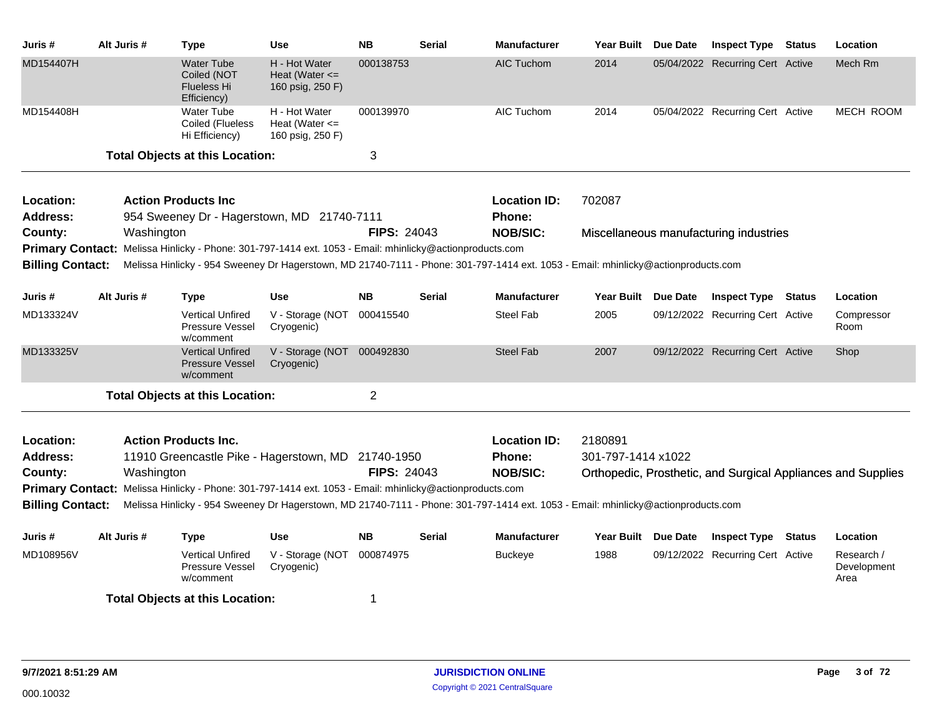| Juris #                                                                                                                                                      | Alt Juris #                                                                                                                                                                                              | Type                                                                                                    | <b>Use</b>                                                | <b>NB</b>          | <b>Serial</b> | <b>Manufacturer</b>           | Year Built Due Date |          | <b>Inspect Type Status</b>             | Location                                                     |
|--------------------------------------------------------------------------------------------------------------------------------------------------------------|----------------------------------------------------------------------------------------------------------------------------------------------------------------------------------------------------------|---------------------------------------------------------------------------------------------------------|-----------------------------------------------------------|--------------------|---------------|-------------------------------|---------------------|----------|----------------------------------------|--------------------------------------------------------------|
| MD154407H                                                                                                                                                    |                                                                                                                                                                                                          | <b>Water Tube</b><br>Coiled (NOT<br><b>Flueless Hi</b><br>Efficiency)                                   | H - Hot Water<br>Heat (Water $\leq$<br>160 psig, 250 F)   | 000138753          |               | <b>AIC Tuchom</b>             | 2014                |          | 05/04/2022 Recurring Cert Active       | Mech Rm                                                      |
| MD154408H                                                                                                                                                    |                                                                                                                                                                                                          | <b>Water Tube</b><br>Coiled (Flueless<br>Hi Efficiency)                                                 | H - Hot Water<br>Heat (Water $\leq$ =<br>160 psig, 250 F) | 000139970          |               | AIC Tuchom                    | 2014                |          | 05/04/2022 Recurring Cert Active       | MECH ROOM                                                    |
|                                                                                                                                                              |                                                                                                                                                                                                          | <b>Total Objects at this Location:</b>                                                                  |                                                           | 3                  |               |                               |                     |          |                                        |                                                              |
| Location:<br><b>Address:</b>                                                                                                                                 |                                                                                                                                                                                                          | <b>Action Products Inc</b><br>954 Sweeney Dr - Hagerstown, MD 21740-7111                                |                                                           |                    |               | <b>Location ID:</b><br>Phone: | 702087              |          |                                        |                                                              |
| County:                                                                                                                                                      | Washington                                                                                                                                                                                               |                                                                                                         |                                                           | <b>FIPS: 24043</b> |               | <b>NOB/SIC:</b>               |                     |          | Miscellaneous manufacturing industries |                                                              |
| <b>Primary Contact:</b>                                                                                                                                      |                                                                                                                                                                                                          | Melissa Hinlicky - Phone: 301-797-1414 ext. 1053 - Email: mhinlicky@actionproducts.com                  |                                                           |                    |               |                               |                     |          |                                        |                                                              |
|                                                                                                                                                              | <b>Billing Contact:</b><br>Melissa Hinlicky - 954 Sweeney Dr Hagerstown, MD 21740-7111 - Phone: 301-797-1414 ext. 1053 - Email: mhinlicky@actionproducts.com<br>Alt Juris #<br><b>Type</b><br><b>Use</b> |                                                                                                         |                                                           |                    |               |                               |                     |          |                                        |                                                              |
| Juris #                                                                                                                                                      |                                                                                                                                                                                                          |                                                                                                         |                                                           | <b>NB</b>          | <b>Serial</b> | <b>Manufacturer</b>           | <b>Year Built</b>   | Due Date | <b>Inspect Type Status</b>             | Location                                                     |
| MD133324V                                                                                                                                                    |                                                                                                                                                                                                          | <b>Vertical Unfired</b><br>Pressure Vessel<br>w/comment                                                 | V - Storage (NOT<br>Cryogenic)                            | 000415540          |               | Steel Fab                     | 2005                |          | 09/12/2022 Recurring Cert Active       | Compressor<br>Room                                           |
| MD133325V                                                                                                                                                    |                                                                                                                                                                                                          | <b>Vertical Unfired</b><br><b>Pressure Vessel</b><br>w/comment                                          | V - Storage (NOT<br>Cryogenic)                            | 000492830          |               | <b>Steel Fab</b>              | 2007                |          | 09/12/2022 Recurring Cert Active       | Shop                                                         |
|                                                                                                                                                              |                                                                                                                                                                                                          | <b>Total Objects at this Location:</b>                                                                  |                                                           | $\overline{2}$     |               |                               |                     |          |                                        |                                                              |
| Location:                                                                                                                                                    |                                                                                                                                                                                                          | <b>Action Products Inc.</b>                                                                             |                                                           |                    |               | <b>Location ID:</b>           | 2180891             |          |                                        |                                                              |
| <b>Address:</b>                                                                                                                                              |                                                                                                                                                                                                          | 11910 Greencastle Pike - Hagerstown, MD 21740-1950                                                      |                                                           |                    |               | Phone:                        | 301-797-1414 x1022  |          |                                        |                                                              |
| County:                                                                                                                                                      | Washington                                                                                                                                                                                               |                                                                                                         |                                                           | <b>FIPS: 24043</b> |               | <b>NOB/SIC:</b>               |                     |          |                                        | Orthopedic, Prosthetic, and Surgical Appliances and Supplies |
|                                                                                                                                                              |                                                                                                                                                                                                          | Primary Contact: Melissa Hinlicky - Phone: 301-797-1414 ext. 1053 - Email: mhinlicky@actionproducts.com |                                                           |                    |               |                               |                     |          |                                        |                                                              |
| <b>Billing Contact:</b><br>Melissa Hinlicky - 954 Sweeney Dr Hagerstown, MD 21740-7111 - Phone: 301-797-1414 ext. 1053 - Email: mhinlicky@actionproducts.com |                                                                                                                                                                                                          |                                                                                                         |                                                           |                    |               |                               |                     |          |                                        |                                                              |
| Juris #                                                                                                                                                      | Alt Juris #                                                                                                                                                                                              | Type                                                                                                    | <b>Use</b>                                                | <b>NB</b>          | <b>Serial</b> | <b>Manufacturer</b>           | Year Built Due Date |          | <b>Inspect Type Status</b>             | Location                                                     |
| MD108956V                                                                                                                                                    |                                                                                                                                                                                                          | <b>Vertical Unfired</b><br>Pressure Vessel<br>w/comment                                                 | V - Storage (NOT<br>Cryogenic)                            | 000874975          |               | <b>Buckeye</b>                | 1988                |          | 09/12/2022 Recurring Cert Active       | Research /<br>Development<br>Area                            |
|                                                                                                                                                              |                                                                                                                                                                                                          | <b>Total Objects at this Location:</b>                                                                  |                                                           | -1                 |               |                               |                     |          |                                        |                                                              |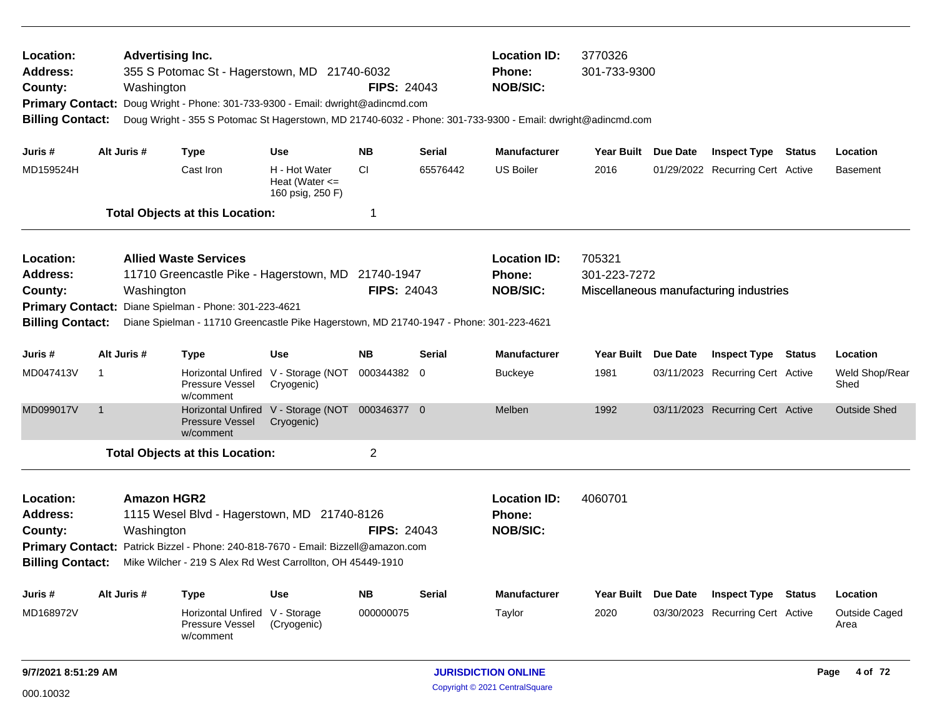| Location:<br>Address:<br>County:<br><b>Primary Contact:</b><br><b>Billing Contact:</b> |                | <b>Advertising Inc.</b><br>Washington | 355 S Potomac St - Hagerstown, MD 21740-6032<br>Doug Wright - Phone: 301-733-9300 - Email: dwright@adincmd.com                                                                 |                                                               | <b>FIPS: 24043</b> |               | <b>Location ID:</b><br>Phone:<br><b>NOB/SIC:</b><br>Doug Wright - 355 S Potomac St Hagerstown, MD 21740-6032 - Phone: 301-733-9300 - Email: dwright@adincmd.com | 3770326<br>301-733-9300 |                 |                                        |               |                        |
|----------------------------------------------------------------------------------------|----------------|---------------------------------------|--------------------------------------------------------------------------------------------------------------------------------------------------------------------------------|---------------------------------------------------------------|--------------------|---------------|-----------------------------------------------------------------------------------------------------------------------------------------------------------------|-------------------------|-----------------|----------------------------------------|---------------|------------------------|
| Juris #                                                                                |                | Alt Juris #                           | <b>Type</b>                                                                                                                                                                    | <b>Use</b>                                                    | <b>NB</b>          | <b>Serial</b> | <b>Manufacturer</b>                                                                                                                                             | Year Built Due Date     |                 | <b>Inspect Type Status</b>             |               | Location               |
| MD159524H                                                                              |                |                                       | Cast Iron                                                                                                                                                                      | H - Hot Water<br>Heat (Water $\leq$<br>160 psig, 250 F)       | <b>CI</b>          | 65576442      | <b>US Boiler</b>                                                                                                                                                | 2016                    |                 | 01/29/2022 Recurring Cert Active       |               | <b>Basement</b>        |
|                                                                                        |                |                                       | <b>Total Objects at this Location:</b>                                                                                                                                         |                                                               | 1                  |               |                                                                                                                                                                 |                         |                 |                                        |               |                        |
| Location:<br><b>Address:</b><br>County:<br><b>Primary Contact:</b>                     |                | Washington                            | <b>Allied Waste Services</b><br>11710 Greencastle Pike - Hagerstown, MD 21740-1947<br>Diane Spielman - Phone: 301-223-4621                                                     |                                                               | <b>FIPS: 24043</b> |               | <b>Location ID:</b><br>Phone:<br><b>NOB/SIC:</b>                                                                                                                | 705321<br>301-223-7272  |                 | Miscellaneous manufacturing industries |               |                        |
| <b>Billing Contact:</b>                                                                |                |                                       | Diane Spielman - 11710 Greencastle Pike Hagerstown, MD 21740-1947 - Phone: 301-223-4621                                                                                        |                                                               |                    |               |                                                                                                                                                                 |                         |                 |                                        |               |                        |
| Juris#                                                                                 |                | Alt Juris #                           | Type                                                                                                                                                                           | <b>Use</b>                                                    | <b>NB</b>          | <b>Serial</b> | <b>Manufacturer</b>                                                                                                                                             | <b>Year Built</b>       | <b>Due Date</b> | <b>Inspect Type</b>                    | Status        | Location               |
| MD047413V                                                                              | -1             |                                       | Pressure Vessel<br>w/comment                                                                                                                                                   | Horizontal Unfired V - Storage (NOT<br>Cryogenic)             | 000344382 0        |               | <b>Buckeye</b>                                                                                                                                                  | 1981                    |                 | 03/11/2023 Recurring Cert Active       |               | Weld Shop/Rear<br>Shed |
| MD099017V                                                                              | $\overline{1}$ |                                       | <b>Pressure Vessel</b><br>w/comment                                                                                                                                            | Horizontal Unfired V - Storage (NOT 000346377 0<br>Cryogenic) |                    |               | Melben                                                                                                                                                          | 1992                    |                 | 03/11/2023 Recurring Cert Active       |               | <b>Outside Shed</b>    |
|                                                                                        |                |                                       | <b>Total Objects at this Location:</b>                                                                                                                                         |                                                               | $\overline{c}$     |               |                                                                                                                                                                 |                         |                 |                                        |               |                        |
| Location:<br>Address:<br>County:<br><b>Primary Contact:</b><br><b>Billing Contact:</b> |                | <b>Amazon HGR2</b><br>Washington      | 1115 Wesel Blvd - Hagerstown, MD 21740-8126<br>Patrick Bizzel - Phone: 240-818-7670 - Email: Bizzell@amazon.com<br>Mike Wilcher - 219 S Alex Rd West Carrollton, OH 45449-1910 |                                                               | <b>FIPS: 24043</b> |               | <b>Location ID:</b><br><b>Phone:</b><br><b>NOB/SIC:</b>                                                                                                         | 4060701                 |                 |                                        |               |                        |
| Juris #                                                                                |                | Alt Juris #                           | <b>Type</b>                                                                                                                                                                    | Use                                                           | <b>NB</b>          | <b>Serial</b> | <b>Manufacturer</b>                                                                                                                                             | <b>Year Built</b>       | Due Date        | <b>Inspect Type</b>                    | <b>Status</b> | Location               |
| MD168972V                                                                              |                |                                       | Horizontal Unfired V - Storage<br>Pressure Vessel<br>w/comment                                                                                                                 | (Cryogenic)                                                   | 000000075          |               | Taylor                                                                                                                                                          | 2020                    |                 | 03/30/2023 Recurring Cert Active       |               | Outside Caged<br>Area  |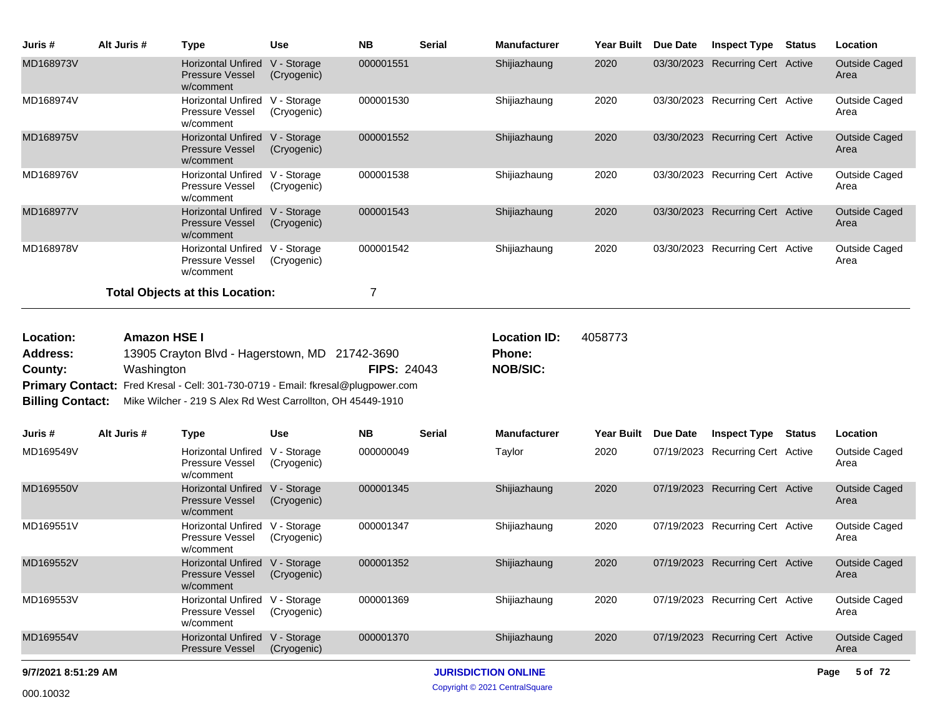| Juris #   | Alt Juris # | Type                                                             | <b>Use</b>                 | <b>NB</b> | <b>Serial</b> | <b>Manufacturer</b> | <b>Year Built</b> | Due Date   | <b>Inspect Type</b>          | <b>Status</b> | Location                     |
|-----------|-------------|------------------------------------------------------------------|----------------------------|-----------|---------------|---------------------|-------------------|------------|------------------------------|---------------|------------------------------|
| MD168973V |             | <b>Horizontal Unfired</b><br><b>Pressure Vessel</b><br>w/comment | V - Storage<br>(Cryogenic) | 000001551 |               | Shijiazhaung        | 2020              | 03/30/2023 | <b>Recurring Cert Active</b> |               | <b>Outside Caged</b><br>Area |
| MD168974V |             | <b>Horizontal Unfired</b><br><b>Pressure Vessel</b><br>w/comment | V - Storage<br>(Cryogenic) | 000001530 |               | Shijiazhaung        | 2020              | 03/30/2023 | Recurring Cert Active        |               | Outside Caged<br>Area        |
| MD168975V |             | <b>Horizontal Unfired</b><br><b>Pressure Vessel</b><br>w/comment | V - Storage<br>(Cryogenic) | 000001552 |               | Shijiazhaung        | 2020              | 03/30/2023 | <b>Recurring Cert Active</b> |               | <b>Outside Caged</b><br>Area |
| MD168976V |             | Horizontal Unfired<br><b>Pressure Vessel</b><br>w/comment        | V - Storage<br>(Cryogenic) | 000001538 |               | Shijiazhaung        | 2020              | 03/30/2023 | Recurring Cert Active        |               | Outside Caged<br>Area        |
| MD168977V |             | <b>Horizontal Unfired</b><br><b>Pressure Vessel</b><br>w/comment | V - Storage<br>(Cryogenic) | 000001543 |               | Shijiazhaung        | 2020              | 03/30/2023 | <b>Recurring Cert Active</b> |               | <b>Outside Caged</b><br>Area |
| MD168978V |             | <b>Horizontal Unfired</b><br>Pressure Vessel<br>w/comment        | V - Storage<br>(Cryogenic) | 000001542 |               | Shijiazhaung        | 2020              | 03/30/2023 | Recurring Cert Active        |               | Outside Caged<br>Area        |
|           |             | <b>Total Objects at this Location:</b>                           |                            | 7         |               |                     |                   |            |                              |               |                              |

| <b>Location:</b> | <b>Amazon HSE I</b>                                                                 |                    | <b>Location ID:</b> | 4058773 |
|------------------|-------------------------------------------------------------------------------------|--------------------|---------------------|---------|
| Address:         | 13905 Crayton Blvd - Hagerstown, MD 21742-3690                                      |                    | <b>Phone:</b>       |         |
| County:          | Washington                                                                          | <b>FIPS: 24043</b> | <b>NOB/SIC:</b>     |         |
|                  | Primary Contact: Fred Kresal - Cell: 301-730-0719 - Email: fkresal@plugpower.com    |                    |                     |         |
|                  | <b>Billing Contact:</b> Mike Wilcher - 219 S Alex Rd West Carrollton, OH 45449-1910 |                    |                     |         |

| Juris #             | Alt Juris # | Type                                                             | <b>Use</b>                 | <b>NB</b> | Serial                     | <b>Manufacturer</b> | Year Built | Due Date   | <b>Inspect Type</b>          | <b>Status</b> | Location              |
|---------------------|-------------|------------------------------------------------------------------|----------------------------|-----------|----------------------------|---------------------|------------|------------|------------------------------|---------------|-----------------------|
| MD169549V           |             | Horizontal Unfired<br><b>Pressure Vessel</b><br>w/comment        | V - Storage<br>(Cryogenic) | 000000049 |                            | Taylor              | 2020       | 07/19/2023 | Recurring Cert Active        |               | Outside Caged<br>Area |
| MD169550V           |             | <b>Horizontal Unfired</b><br><b>Pressure Vessel</b><br>w/comment | V - Storage<br>(Cryogenic) | 000001345 |                            | Shijiazhaung        | 2020       | 07/19/2023 | <b>Recurring Cert Active</b> |               | Outside Caged<br>Area |
| MD169551V           |             | <b>Horizontal Unfired</b><br><b>Pressure Vessel</b><br>w/comment | V - Storage<br>(Cryogenic) | 000001347 |                            | Shijiazhaung        | 2020       | 07/19/2023 | Recurring Cert Active        |               | Outside Caged<br>Area |
| MD169552V           |             | <b>Horizontal Unfired</b><br><b>Pressure Vessel</b><br>w/comment | V - Storage<br>(Cryogenic) | 000001352 |                            | Shijiazhaung        | 2020       | 07/19/2023 | <b>Recurring Cert Active</b> |               | Outside Caged<br>Area |
| MD169553V           |             | <b>Horizontal Unfired</b><br><b>Pressure Vessel</b><br>w/comment | V - Storage<br>(Cryogenic) | 000001369 |                            | Shijiazhaung        | 2020       | 07/19/2023 | Recurring Cert Active        |               | Outside Caged<br>Area |
| MD169554V           |             | <b>Horizontal Unfired</b><br><b>Pressure Vessel</b>              | V - Storage<br>(Cryogenic) | 000001370 |                            | Shijiazhaung        | 2020       | 07/19/2023 | <b>Recurring Cert Active</b> |               | Outside Caged<br>Area |
| 9/7/2021 8:51:29 AM |             |                                                                  |                            |           | <b>JURISDICTION ONLINE</b> |                     |            |            |                              | Page          | 5 of 72               |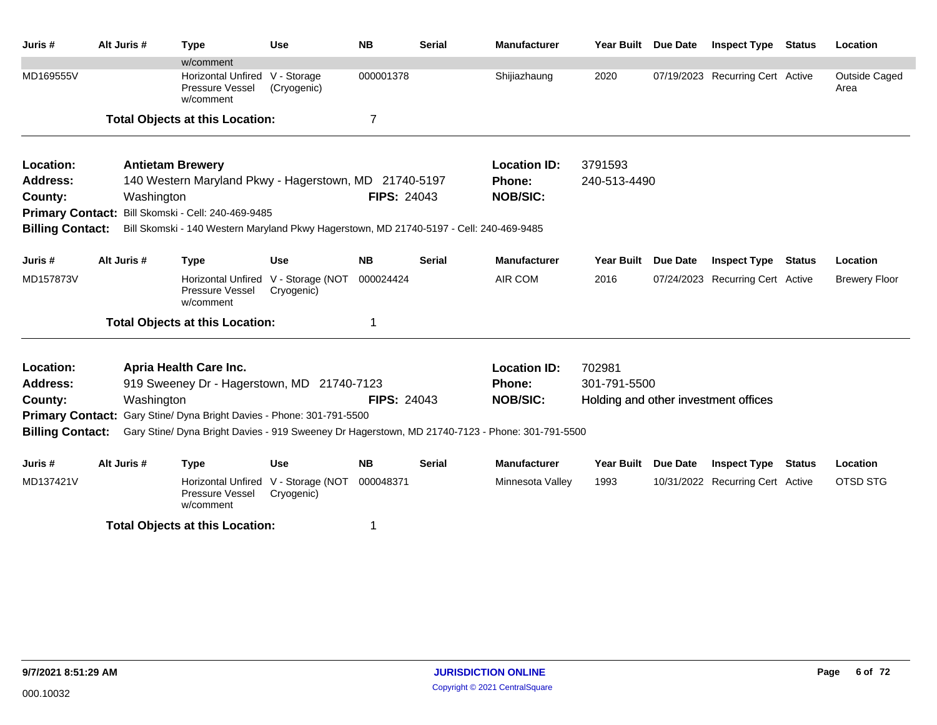| Juris #                 | Alt Juris #             | <b>Type</b>                                                                                     | <b>Use</b>                     | <b>NB</b>          | Serial        | <b>Manufacturer</b> | Year Built                           | <b>Due Date</b> | <b>Inspect Type</b>              | <b>Status</b> | Location              |
|-------------------------|-------------------------|-------------------------------------------------------------------------------------------------|--------------------------------|--------------------|---------------|---------------------|--------------------------------------|-----------------|----------------------------------|---------------|-----------------------|
|                         |                         | w/comment                                                                                       |                                |                    |               |                     |                                      |                 |                                  |               |                       |
| MD169555V               |                         | <b>Horizontal Unfired</b><br>Pressure Vessel<br>w/comment                                       | V - Storage<br>(Cryogenic)     | 000001378          |               | Shijiazhaung        | 2020                                 |                 | 07/19/2023 Recurring Cert Active |               | Outside Caged<br>Area |
|                         |                         | <b>Total Objects at this Location:</b>                                                          |                                | 7                  |               |                     |                                      |                 |                                  |               |                       |
| Location:               | <b>Antietam Brewery</b> |                                                                                                 |                                |                    |               | <b>Location ID:</b> | 3791593                              |                 |                                  |               |                       |
| <b>Address:</b>         |                         | 140 Western Maryland Pkwy - Hagerstown, MD 21740-5197                                           |                                |                    |               | Phone:              | 240-513-4490                         |                 |                                  |               |                       |
| County:                 | Washington              |                                                                                                 |                                | <b>FIPS: 24043</b> |               | <b>NOB/SIC:</b>     |                                      |                 |                                  |               |                       |
| <b>Primary Contact:</b> |                         | Bill Skomski - Cell: 240-469-9485                                                               |                                |                    |               |                     |                                      |                 |                                  |               |                       |
| <b>Billing Contact:</b> |                         | Bill Skomski - 140 Western Maryland Pkwy Hagerstown, MD 21740-5197 - Cell: 240-469-9485         |                                |                    |               |                     |                                      |                 |                                  |               |                       |
| Juris #                 | Alt Juris #             | <b>Type</b>                                                                                     | Use                            | <b>NB</b>          | <b>Serial</b> | <b>Manufacturer</b> | <b>Year Built</b>                    | <b>Due Date</b> | <b>Inspect Type</b>              | <b>Status</b> | Location              |
| MD157873V               |                         | <b>Horizontal Unfired</b><br>Pressure Vessel<br>w/comment                                       | V - Storage (NOT<br>Cryogenic) | 000024424          |               | AIR COM             | 2016                                 | 07/24/2023      | <b>Recurring Cert Active</b>     |               | <b>Brewery Floor</b>  |
|                         |                         | <b>Total Objects at this Location:</b>                                                          |                                | 1                  |               |                     |                                      |                 |                                  |               |                       |
| Location:               |                         | Apria Health Care Inc.                                                                          |                                |                    |               | <b>Location ID:</b> | 702981                               |                 |                                  |               |                       |
| <b>Address:</b>         |                         | 919 Sweeney Dr - Hagerstown, MD 21740-7123                                                      |                                |                    |               | Phone:              | 301-791-5500                         |                 |                                  |               |                       |
| County:                 | Washington              |                                                                                                 |                                | <b>FIPS: 24043</b> |               | <b>NOB/SIC:</b>     | Holding and other investment offices |                 |                                  |               |                       |
| <b>Primary Contact:</b> |                         | Gary Stine/ Dyna Bright Davies - Phone: 301-791-5500                                            |                                |                    |               |                     |                                      |                 |                                  |               |                       |
| <b>Billing Contact:</b> |                         | Gary Stine/ Dyna Bright Davies - 919 Sweeney Dr Hagerstown, MD 21740-7123 - Phone: 301-791-5500 |                                |                    |               |                     |                                      |                 |                                  |               |                       |
| Juris #                 | Alt Juris #             | <b>Type</b>                                                                                     | <b>Use</b>                     | <b>NB</b>          | <b>Serial</b> | <b>Manufacturer</b> | <b>Year Built</b>                    | <b>Due Date</b> | <b>Inspect Type</b>              | Status        | Location              |
| MD137421V               |                         | <b>Horizontal Unfired</b><br>Pressure Vessel<br>w/comment                                       | V - Storage (NOT<br>Cryogenic) | 000048371          |               | Minnesota Valley    | 1993                                 |                 | 10/31/2022 Recurring Cert Active |               | OTSD STG              |
|                         |                         | <b>Total Objects at this Location:</b>                                                          |                                | 1                  |               |                     |                                      |                 |                                  |               |                       |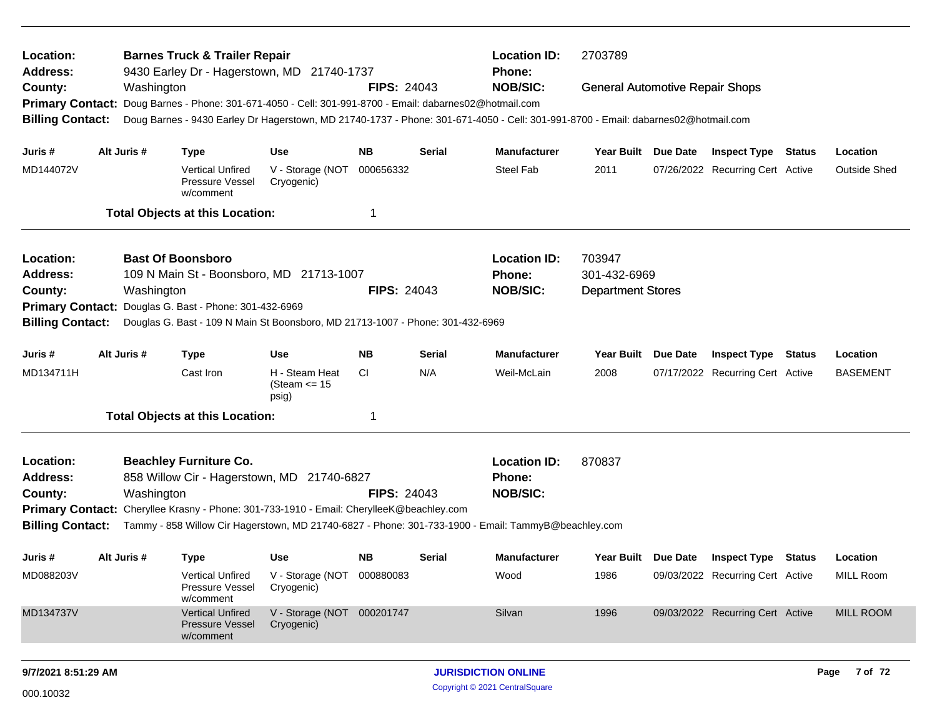| Location:<br><b>Address:</b>                                                         |  |             | <b>Barnes Truck &amp; Trailer Repair</b><br>9430 Earley Dr - Hagerstown, MD 21740-1737   |                                             |                    |        | <b>Location ID:</b><br><b>Phone:</b>                                                                                              | 2703789                                |                 |                                  |               |                     |
|--------------------------------------------------------------------------------------|--|-------------|------------------------------------------------------------------------------------------|---------------------------------------------|--------------------|--------|-----------------------------------------------------------------------------------------------------------------------------------|----------------------------------------|-----------------|----------------------------------|---------------|---------------------|
| County:                                                                              |  | Washington  |                                                                                          |                                             | <b>FIPS: 24043</b> |        | <b>NOB/SIC:</b>                                                                                                                   | <b>General Automotive Repair Shops</b> |                 |                                  |               |                     |
| <b>Primary Contact:</b>                                                              |  |             | Doug Barnes - Phone: 301-671-4050 - Cell: 301-991-8700 - Email: dabarnes02@hotmail.com   |                                             |                    |        |                                                                                                                                   |                                        |                 |                                  |               |                     |
| <b>Billing Contact:</b>                                                              |  |             |                                                                                          |                                             |                    |        | Doug Barnes - 9430 Earley Dr Hagerstown, MD 21740-1737 - Phone: 301-671-4050 - Cell: 301-991-8700 - Email: dabarnes02@hotmail.com |                                        |                 |                                  |               |                     |
| Juris #                                                                              |  | Alt Juris # | <b>Type</b>                                                                              | <b>Use</b>                                  | NB.                | Serial | <b>Manufacturer</b>                                                                                                               | Year Built                             | <b>Due Date</b> | <b>Inspect Type Status</b>       |               | Location            |
| MD144072V                                                                            |  |             | <b>Vertical Unfired</b><br>Pressure Vessel<br>w/comment                                  | V - Storage (NOT<br>Cryogenic)              | 000656332          |        | <b>Steel Fab</b>                                                                                                                  | 2011                                   |                 | 07/26/2022 Recurring Cert Active |               | <b>Outside Shed</b> |
|                                                                                      |  |             | <b>Total Objects at this Location:</b>                                                   |                                             |                    |        |                                                                                                                                   |                                        |                 |                                  |               |                     |
| Location:                                                                            |  |             | <b>Bast Of Boonsboro</b>                                                                 |                                             |                    |        | <b>Location ID:</b>                                                                                                               | 703947                                 |                 |                                  |               |                     |
| <b>Address:</b>                                                                      |  |             | 109 N Main St - Boonsboro, MD 21713-1007                                                 |                                             |                    |        | <b>Phone:</b>                                                                                                                     | 301-432-6969                           |                 |                                  |               |                     |
| Washington<br><b>FIPS: 24043</b><br>County:<br>Douglas G. Bast - Phone: 301-432-6969 |  |             |                                                                                          |                                             |                    |        | <b>NOB/SIC:</b>                                                                                                                   | <b>Department Stores</b>               |                 |                                  |               |                     |
| <b>Primary Contact:</b>                                                              |  |             |                                                                                          |                                             |                    |        |                                                                                                                                   |                                        |                 |                                  |               |                     |
| <b>Billing Contact:</b>                                                              |  |             | Douglas G. Bast - 109 N Main St Boonsboro, MD 21713-1007 - Phone: 301-432-6969           |                                             |                    |        |                                                                                                                                   |                                        |                 |                                  |               |                     |
| Juris #                                                                              |  | Alt Juris # | <b>Type</b>                                                                              | <b>Use</b>                                  | <b>NB</b>          | Serial | <b>Manufacturer</b>                                                                                                               | <b>Year Built</b>                      | <b>Due Date</b> | <b>Inspect Type</b>              | <b>Status</b> | Location            |
| MD134711H                                                                            |  |             | Cast Iron                                                                                | H - Steam Heat<br>(Steam $\leq$ 15<br>psig) | CI.                | N/A    | Weil-McLain                                                                                                                       | 2008                                   |                 | 07/17/2022 Recurring Cert Active |               | <b>BASEMENT</b>     |
|                                                                                      |  |             | <b>Total Objects at this Location:</b>                                                   |                                             | 1                  |        |                                                                                                                                   |                                        |                 |                                  |               |                     |
| Location:                                                                            |  |             | <b>Beachley Furniture Co.</b>                                                            |                                             |                    |        | <b>Location ID:</b>                                                                                                               | 870837                                 |                 |                                  |               |                     |
| <b>Address:</b>                                                                      |  |             | 858 Willow Cir - Hagerstown, MD 21740-6827                                               |                                             |                    |        | Phone:                                                                                                                            |                                        |                 |                                  |               |                     |
| County:                                                                              |  | Washington  |                                                                                          |                                             | <b>FIPS: 24043</b> |        | <b>NOB/SIC:</b>                                                                                                                   |                                        |                 |                                  |               |                     |
|                                                                                      |  |             | Primary Contact: Cheryllee Krasny - Phone: 301-733-1910 - Email: CherylleeK@beachley.com |                                             |                    |        |                                                                                                                                   |                                        |                 |                                  |               |                     |
| <b>Billing Contact:</b>                                                              |  |             |                                                                                          |                                             |                    |        | Tammy - 858 Willow Cir Hagerstown, MD 21740-6827 - Phone: 301-733-1900 - Email: TammyB@beachley.com                               |                                        |                 |                                  |               |                     |
| Juris #                                                                              |  | Alt Juris # | <b>Type</b>                                                                              | <b>Use</b>                                  | NB.                | Serial | <b>Manufacturer</b>                                                                                                               | Year Built Due Date                    |                 | <b>Inspect Type</b>              | Status        | Location            |
| MD088203V                                                                            |  |             | <b>Vertical Unfired</b><br>Pressure Vessel<br>w/comment                                  | V - Storage (NOT 000880083<br>Cryogenic)    |                    |        | Wood                                                                                                                              | 1986                                   |                 | 09/03/2022 Recurring Cert Active |               | <b>MILL Room</b>    |
| MD134737V                                                                            |  |             | <b>Vertical Unfired</b><br><b>Pressure Vessel</b><br>w/comment                           | V - Storage (NOT 000201747<br>Cryogenic)    |                    |        | Silvan                                                                                                                            | 1996                                   |                 | 09/03/2022 Recurring Cert Active |               | <b>MILL ROOM</b>    |
| 9/7/2021 8:51:29 AM                                                                  |  |             |                                                                                          |                                             |                    |        | <b>JURISDICTION ONLINE</b>                                                                                                        |                                        |                 |                                  |               | Page 7 of 72        |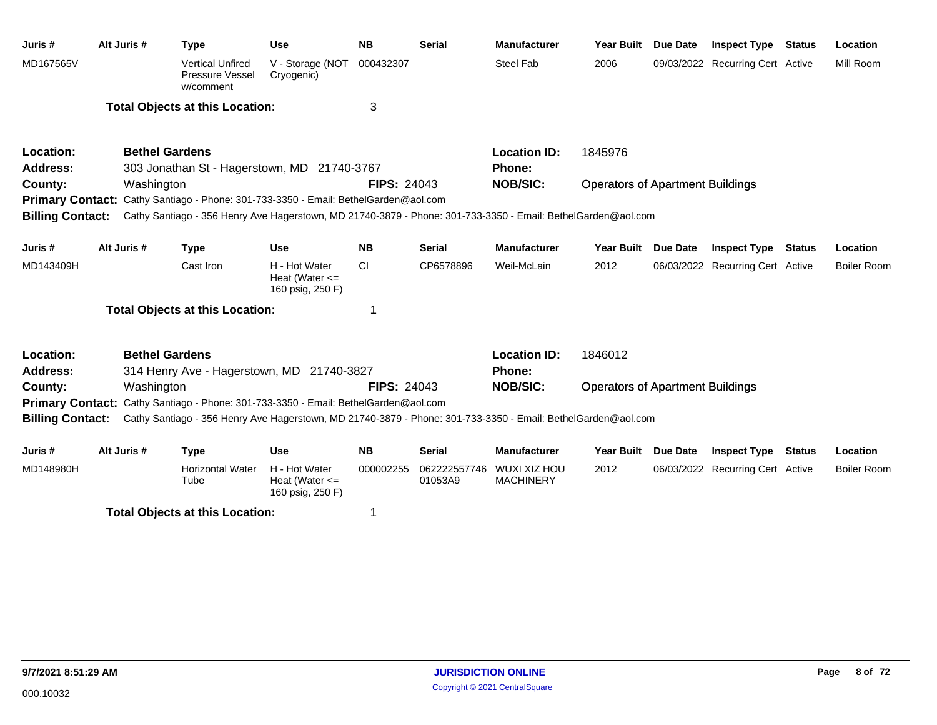| Juris#                  | Alt Juris # | <b>Type</b>                                                                                                                                                                                         | <b>Use</b>                                              | <b>NB</b>          | <b>Serial</b>           | <b>Manufacturer</b>                     | <b>Year Built</b>                       | <b>Due Date</b> | <b>Inspect Type</b>              | <b>Status</b> | Location           |
|-------------------------|-------------|-----------------------------------------------------------------------------------------------------------------------------------------------------------------------------------------------------|---------------------------------------------------------|--------------------|-------------------------|-----------------------------------------|-----------------------------------------|-----------------|----------------------------------|---------------|--------------------|
| MD167565V               |             | <b>Vertical Unfired</b><br>Pressure Vessel<br>w/comment                                                                                                                                             | V - Storage (NOT<br>Cryogenic)                          | 000432307          |                         | <b>Steel Fab</b>                        | 2006                                    |                 | 09/03/2022 Recurring Cert Active |               | Mill Room          |
|                         |             | <b>Total Objects at this Location:</b>                                                                                                                                                              |                                                         | 3                  |                         |                                         |                                         |                 |                                  |               |                    |
| Location:               |             | <b>Bethel Gardens</b>                                                                                                                                                                               |                                                         |                    |                         | <b>Location ID:</b>                     | 1845976                                 |                 |                                  |               |                    |
| Address:                |             | 303 Jonathan St - Hagerstown, MD 21740-3767                                                                                                                                                         |                                                         |                    |                         | <b>Phone:</b>                           |                                         |                 |                                  |               |                    |
| County:                 | Washington  |                                                                                                                                                                                                     |                                                         | <b>FIPS: 24043</b> |                         | <b>NOB/SIC:</b>                         | <b>Operators of Apartment Buildings</b> |                 |                                  |               |                    |
| <b>Billing Contact:</b> |             | Primary Contact: Cathy Santiago - Phone: 301-733-3350 - Email: BethelGarden@aol.com<br>Cathy Santiago - 356 Henry Ave Hagerstown, MD 21740-3879 - Phone: 301-733-3350 - Email: BethelGarden@aol.com |                                                         |                    |                         |                                         |                                         |                 |                                  |               |                    |
|                         |             |                                                                                                                                                                                                     |                                                         |                    |                         |                                         |                                         |                 |                                  |               |                    |
| Juris #                 | Alt Juris # | <b>Type</b>                                                                                                                                                                                         | <b>Use</b>                                              | <b>NB</b>          | <b>Serial</b>           | <b>Manufacturer</b>                     | Year Built Due Date                     |                 | <b>Inspect Type Status</b>       |               | Location           |
| MD143409H               |             | Cast Iron                                                                                                                                                                                           | H - Hot Water<br>Heat (Water $\leq$<br>160 psig, 250 F) | <b>CI</b>          | CP6578896               | Weil-McLain                             | 2012                                    |                 | 06/03/2022 Recurring Cert Active |               | <b>Boiler Room</b> |
|                         |             | <b>Total Objects at this Location:</b>                                                                                                                                                              |                                                         | 1                  |                         |                                         |                                         |                 |                                  |               |                    |
| Location:               |             | <b>Bethel Gardens</b>                                                                                                                                                                               |                                                         |                    |                         | <b>Location ID:</b>                     | 1846012                                 |                 |                                  |               |                    |
| Address:                |             | 314 Henry Ave - Hagerstown, MD 21740-3827                                                                                                                                                           |                                                         |                    |                         | <b>Phone:</b>                           |                                         |                 |                                  |               |                    |
| County:                 | Washington  |                                                                                                                                                                                                     |                                                         | <b>FIPS: 24043</b> |                         | <b>NOB/SIC:</b>                         | <b>Operators of Apartment Buildings</b> |                 |                                  |               |                    |
|                         |             | <b>Primary Contact:</b> Cathy Santiago - Phone: 301-733-3350 - Email: BethelGarden@aol.com                                                                                                          |                                                         |                    |                         |                                         |                                         |                 |                                  |               |                    |
| <b>Billing Contact:</b> |             | Cathy Santiago - 356 Henry Ave Hagerstown, MD 21740-3879 - Phone: 301-733-3350 - Email: BethelGarden@aol.com                                                                                        |                                                         |                    |                         |                                         |                                         |                 |                                  |               |                    |
| Juris #                 | Alt Juris # | <b>Type</b>                                                                                                                                                                                         | <b>Use</b>                                              | <b>NB</b>          | <b>Serial</b>           | <b>Manufacturer</b>                     | <b>Year Built</b>                       | <b>Due Date</b> | <b>Inspect Type</b>              | <b>Status</b> | Location           |
| MD148980H               |             | <b>Horizontal Water</b><br>Tube                                                                                                                                                                     | H - Hot Water<br>Heat (Water $\leq$<br>160 psig, 250 F) | 000002255          | 062222557746<br>01053A9 | <b>WUXI XIZ HOU</b><br><b>MACHINERY</b> | 2012                                    |                 | 06/03/2022 Recurring Cert Active |               | <b>Boiler Room</b> |

**Total Objects at this Location:** 1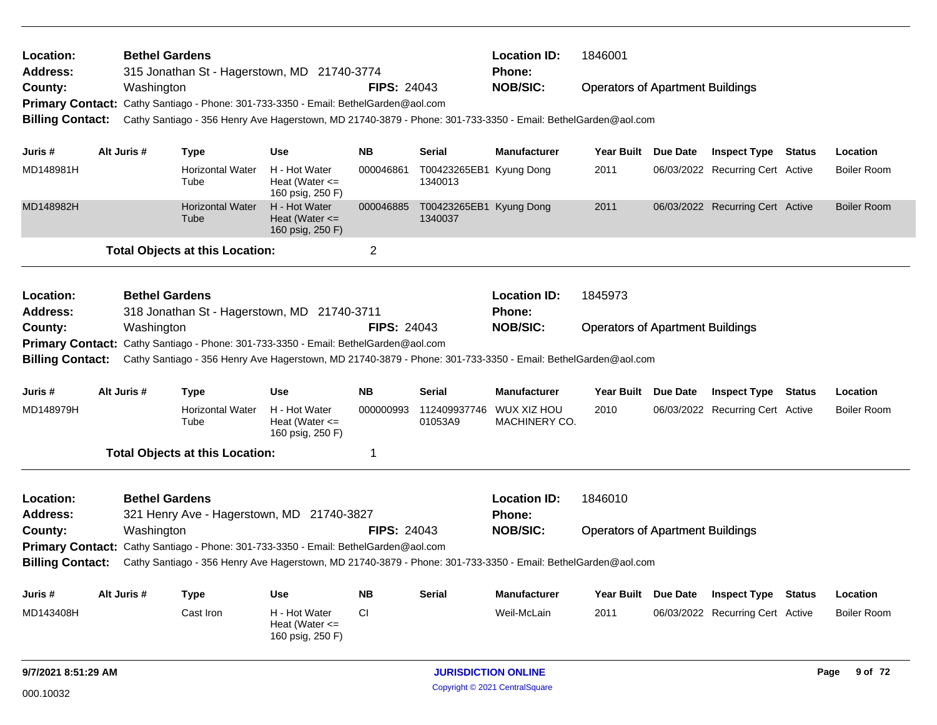| Location:<br><b>Address:</b> | <b>Bethel Gardens</b> | 315 Jonathan St - Hagerstown, MD 21740-3774                                                                  |                                                         |                    |                                    | <b>Location ID:</b><br>Phone: | 1846001                                 |                 |                                  |               |                    |
|------------------------------|-----------------------|--------------------------------------------------------------------------------------------------------------|---------------------------------------------------------|--------------------|------------------------------------|-------------------------------|-----------------------------------------|-----------------|----------------------------------|---------------|--------------------|
| County:                      | Washington            |                                                                                                              |                                                         | <b>FIPS: 24043</b> |                                    | <b>NOB/SIC:</b>               | <b>Operators of Apartment Buildings</b> |                 |                                  |               |                    |
|                              |                       | Primary Contact: Cathy Santiago - Phone: 301-733-3350 - Email: BethelGarden@aol.com                          |                                                         |                    |                                    |                               |                                         |                 |                                  |               |                    |
| <b>Billing Contact:</b>      |                       | Cathy Santiago - 356 Henry Ave Hagerstown, MD 21740-3879 - Phone: 301-733-3350 - Email: BethelGarden@aol.com |                                                         |                    |                                    |                               |                                         |                 |                                  |               |                    |
|                              |                       |                                                                                                              |                                                         |                    |                                    |                               |                                         |                 |                                  |               |                    |
| Juris #                      | Alt Juris #           | <b>Type</b>                                                                                                  | <b>Use</b>                                              | <b>NB</b>          | <b>Serial</b>                      | <b>Manufacturer</b>           | Year Built Due Date                     |                 | <b>Inspect Type Status</b>       |               | Location           |
| MD148981H                    |                       | <b>Horizontal Water</b><br>Tube                                                                              | H - Hot Water<br>Heat (Water $\leq$<br>160 psig, 250 F) | 000046861          | T00423265EB1 Kyung Dong<br>1340013 |                               | 2011                                    |                 | 06/03/2022 Recurring Cert Active |               | <b>Boiler Room</b> |
| MD148982H                    |                       | <b>Horizontal Water</b><br>Tube                                                                              | H - Hot Water<br>Heat (Water $\leq$<br>160 psig, 250 F) | 000046885          | T00423265EB1 Kyung Dong<br>1340037 |                               | 2011                                    |                 | 06/03/2022 Recurring Cert Active |               | <b>Boiler Room</b> |
|                              |                       | <b>Total Objects at this Location:</b>                                                                       |                                                         | $\overline{2}$     |                                    |                               |                                         |                 |                                  |               |                    |
| Location:<br><b>Address:</b> | <b>Bethel Gardens</b> | 318 Jonathan St - Hagerstown, MD 21740-3711                                                                  |                                                         |                    |                                    | <b>Location ID:</b><br>Phone: | 1845973                                 |                 |                                  |               |                    |
| County:                      | Washington            |                                                                                                              |                                                         | <b>FIPS: 24043</b> |                                    | <b>NOB/SIC:</b>               | <b>Operators of Apartment Buildings</b> |                 |                                  |               |                    |
|                              |                       | Primary Contact: Cathy Santiago - Phone: 301-733-3350 - Email: BethelGarden@aol.com                          |                                                         |                    |                                    |                               |                                         |                 |                                  |               |                    |
| <b>Billing Contact:</b>      |                       | Cathy Santiago - 356 Henry Ave Hagerstown, MD 21740-3879 - Phone: 301-733-3350 - Email: BethelGarden@aol.com |                                                         |                    |                                    |                               |                                         |                 |                                  |               |                    |
|                              |                       |                                                                                                              |                                                         |                    |                                    |                               |                                         |                 |                                  |               |                    |
| Juris#                       | Alt Juris #           | <b>Type</b>                                                                                                  | <b>Use</b>                                              | <b>NB</b>          | <b>Serial</b>                      | <b>Manufacturer</b>           | <b>Year Built</b>                       | <b>Due Date</b> | <b>Inspect Type</b>              | <b>Status</b> | Location           |
| MD148979H                    |                       | <b>Horizontal Water</b><br>Tube                                                                              | H - Hot Water<br>Heat (Water $\leq$<br>160 psig, 250 F) | 000000993          | 112409937746<br>01053A9            | WUX XIZ HOU<br>MACHINERY CO.  | 2010                                    |                 | 06/03/2022 Recurring Cert Active |               | <b>Boiler Room</b> |
|                              |                       | <b>Total Objects at this Location:</b>                                                                       |                                                         | 1                  |                                    |                               |                                         |                 |                                  |               |                    |
| Location:                    | <b>Bethel Gardens</b> |                                                                                                              |                                                         |                    |                                    | <b>Location ID:</b>           | 1846010                                 |                 |                                  |               |                    |
| <b>Address:</b>              |                       | 321 Henry Ave - Hagerstown, MD 21740-3827                                                                    |                                                         |                    |                                    | Phone:                        |                                         |                 |                                  |               |                    |
| County:                      | Washington            |                                                                                                              |                                                         | <b>FIPS: 24043</b> |                                    | <b>NOB/SIC:</b>               | <b>Operators of Apartment Buildings</b> |                 |                                  |               |                    |
|                              |                       | <b>Primary Contact:</b> Cathy Santiago - Phone: 301-733-3350 - Email: BethelGarden@aol.com                   |                                                         |                    |                                    |                               |                                         |                 |                                  |               |                    |
| <b>Billing Contact:</b>      |                       | Cathy Santiago - 356 Henry Ave Hagerstown, MD 21740-3879 - Phone: 301-733-3350 - Email: BethelGarden@aol.com |                                                         |                    |                                    |                               |                                         |                 |                                  |               |                    |
| Juris #                      | Alt Juris #           | <b>Type</b>                                                                                                  | <b>Use</b>                                              | <b>NB</b>          | <b>Serial</b>                      | <b>Manufacturer</b>           | Year Built Due Date                     |                 | <b>Inspect Type</b>              | <b>Status</b> | Location           |
| MD143408H                    |                       | Cast Iron                                                                                                    | H - Hot Water<br>Heat (Water $\leq$<br>160 psig, 250 F) | <b>CI</b>          |                                    | Weil-McLain                   | 2011                                    |                 | 06/03/2022 Recurring Cert Active |               | <b>Boiler Room</b> |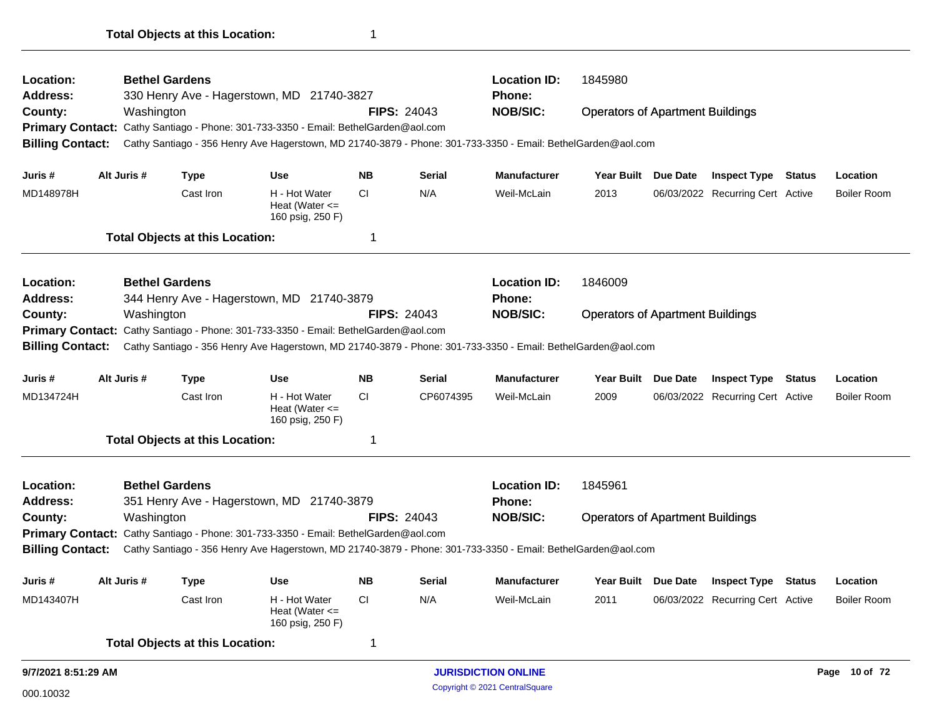| Location:<br>Address:                              | <b>Location ID:</b><br><b>Bethel Gardens</b><br>1845980<br>330 Henry Ave - Hagerstown, MD 21740-3827<br><b>Phone:</b> |             |                                        |                                                                                                                                                                                                     |           |                                                                                            |                            |                                         |                 |                                  |               |                    |
|----------------------------------------------------|-----------------------------------------------------------------------------------------------------------------------|-------------|----------------------------------------|-----------------------------------------------------------------------------------------------------------------------------------------------------------------------------------------------------|-----------|--------------------------------------------------------------------------------------------|----------------------------|-----------------------------------------|-----------------|----------------------------------|---------------|--------------------|
| County:                                            |                                                                                                                       | Washington  |                                        |                                                                                                                                                                                                     |           | <b>FIPS: 24043</b>                                                                         | <b>NOB/SIC:</b>            | <b>Operators of Apartment Buildings</b> |                 |                                  |               |                    |
|                                                    |                                                                                                                       |             |                                        | Primary Contact: Cathy Santiago - Phone: 301-733-3350 - Email: BethelGarden@aol.com                                                                                                                 |           |                                                                                            |                            |                                         |                 |                                  |               |                    |
| <b>Billing Contact:</b>                            |                                                                                                                       |             |                                        | Cathy Santiago - 356 Henry Ave Hagerstown, MD 21740-3879 - Phone: 301-733-3350 - Email: BethelGarden@aol.com                                                                                        |           |                                                                                            |                            |                                         |                 |                                  |               |                    |
| Juris #                                            |                                                                                                                       | Alt Juris # | <b>Type</b>                            | <b>Use</b>                                                                                                                                                                                          | <b>NB</b> | <b>Serial</b>                                                                              | <b>Manufacturer</b>        | Year Built Due Date                     |                 | <b>Inspect Type Status</b>       |               | Location           |
| MD148978H                                          |                                                                                                                       |             | Cast Iron                              | H - Hot Water<br>Heat (Water $\leq$<br>160 psig, 250 F)                                                                                                                                             | <b>CI</b> | N/A                                                                                        | Weil-McLain                | 2013                                    |                 | 06/03/2022 Recurring Cert Active |               | <b>Boiler Room</b> |
|                                                    |                                                                                                                       |             | <b>Total Objects at this Location:</b> |                                                                                                                                                                                                     | 1         |                                                                                            |                            |                                         |                 |                                  |               |                    |
| Location:                                          |                                                                                                                       |             | <b>Bethel Gardens</b>                  |                                                                                                                                                                                                     |           |                                                                                            | <b>Location ID:</b>        | 1846009                                 |                 |                                  |               |                    |
| <b>Address:</b>                                    |                                                                                                                       |             |                                        | 344 Henry Ave - Hagerstown, MD 21740-3879                                                                                                                                                           |           | Phone:<br><b>NOB/SIC:</b><br><b>FIPS: 24043</b><br><b>Operators of Apartment Buildings</b> |                            |                                         |                 |                                  |               |                    |
| County:                                            |                                                                                                                       | Washington  |                                        |                                                                                                                                                                                                     |           |                                                                                            |                            |                                         |                 |                                  |               |                    |
| <b>Primary Contact:</b><br><b>Billing Contact:</b> |                                                                                                                       |             |                                        | Cathy Santiago - Phone: 301-733-3350 - Email: BethelGarden@aol.com<br>Cathy Santiago - 356 Henry Ave Hagerstown, MD 21740-3879 - Phone: 301-733-3350 - Email: BethelGarden@aol.com                  |           |                                                                                            |                            |                                         |                 |                                  |               |                    |
| Juris #                                            |                                                                                                                       | Alt Juris # | <b>Type</b>                            | <b>Use</b>                                                                                                                                                                                          | <b>NB</b> | <b>Serial</b>                                                                              | <b>Manufacturer</b>        | Year Built                              | <b>Due Date</b> | <b>Inspect Type</b>              | <b>Status</b> | Location           |
| MD134724H                                          |                                                                                                                       |             | Cast Iron                              | H - Hot Water<br>Heat (Water $\leq$<br>160 psig, 250 F)                                                                                                                                             | СI        | CP6074395                                                                                  | Weil-McLain                | 2009                                    |                 | 06/03/2022 Recurring Cert Active |               | <b>Boiler Room</b> |
|                                                    |                                                                                                                       |             | <b>Total Objects at this Location:</b> |                                                                                                                                                                                                     | 1         |                                                                                            |                            |                                         |                 |                                  |               |                    |
| Location:                                          |                                                                                                                       |             | <b>Bethel Gardens</b>                  |                                                                                                                                                                                                     |           |                                                                                            | <b>Location ID:</b>        | 1845961                                 |                 |                                  |               |                    |
| <b>Address:</b>                                    |                                                                                                                       |             |                                        | 351 Henry Ave - Hagerstown, MD 21740-3879                                                                                                                                                           |           |                                                                                            | Phone:                     |                                         |                 |                                  |               |                    |
| County:                                            |                                                                                                                       | Washington  |                                        |                                                                                                                                                                                                     |           | <b>FIPS: 24043</b>                                                                         | <b>NOB/SIC:</b>            | <b>Operators of Apartment Buildings</b> |                 |                                  |               |                    |
| <b>Billing Contact:</b>                            |                                                                                                                       |             |                                        | Primary Contact: Cathy Santiago - Phone: 301-733-3350 - Email: BethelGarden@aol.com<br>Cathy Santiago - 356 Henry Ave Hagerstown, MD 21740-3879 - Phone: 301-733-3350 - Email: BethelGarden@aol.com |           |                                                                                            |                            |                                         |                 |                                  |               |                    |
| Juris #                                            |                                                                                                                       | Alt Juris # | Type                                   | Use                                                                                                                                                                                                 | <b>NB</b> | <b>Serial</b>                                                                              | <b>Manufacturer</b>        | Year Built Due Date                     |                 | <b>Inspect Type Status</b>       |               | Location           |
| MD143407H                                          |                                                                                                                       |             | Cast Iron                              | H - Hot Water<br>Heat (Water $\leq$<br>160 psig, 250 F)                                                                                                                                             | CI.       | N/A                                                                                        | Weil-McLain                | 2011                                    |                 | 06/03/2022 Recurring Cert Active |               | <b>Boiler Room</b> |
|                                                    |                                                                                                                       |             | <b>Total Objects at this Location:</b> |                                                                                                                                                                                                     | 1         |                                                                                            |                            |                                         |                 |                                  |               |                    |
| 9/7/2021 8:51:29 AM                                |                                                                                                                       |             |                                        |                                                                                                                                                                                                     |           |                                                                                            | <b>JURISDICTION ONLINE</b> |                                         |                 |                                  |               | Page 10 of 72      |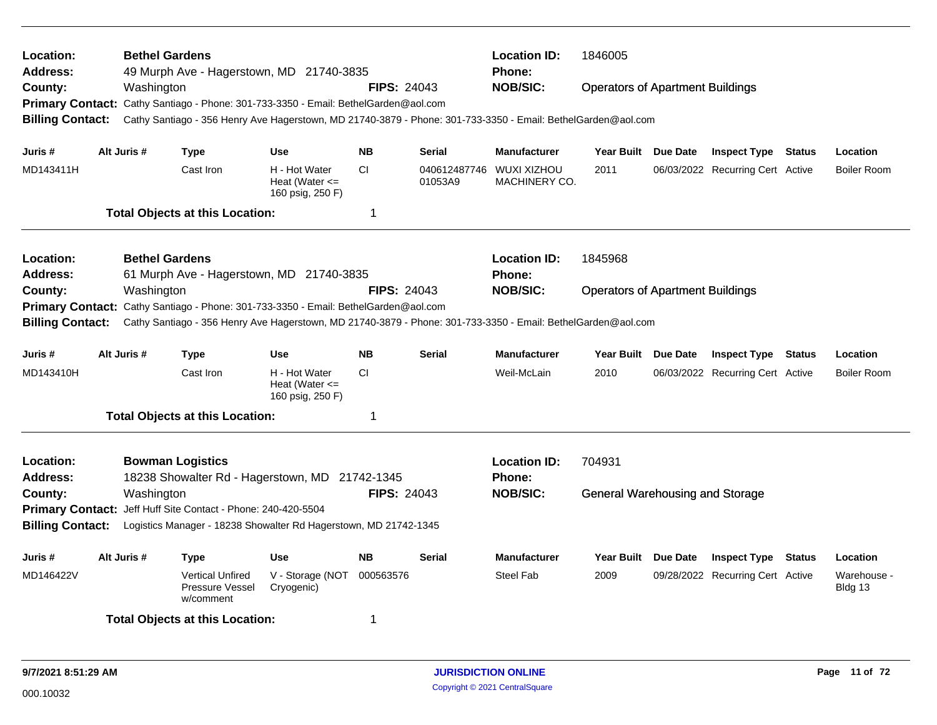| Location:<br>Address:<br>County:<br><b>Primary Contact:</b><br><b>Billing Contact:</b>        | <b>Bethel Gardens</b><br>Washington |                                                                         | 49 Murph Ave - Hagerstown, MD 21740-3835<br>Cathy Santiago - Phone: 301-733-3350 - Email: BethelGarden@aol.com                  | <b>FIPS: 24043</b> |                         | <b>Location ID:</b><br><b>Phone:</b><br><b>NOB/SIC:</b><br>Cathy Santiago - 356 Henry Ave Hagerstown, MD 21740-3879 - Phone: 301-733-3350 - Email: BethelGarden@aol.com | 1846005<br><b>Operators of Apartment Buildings</b> |          |                                  |                        |
|-----------------------------------------------------------------------------------------------|-------------------------------------|-------------------------------------------------------------------------|---------------------------------------------------------------------------------------------------------------------------------|--------------------|-------------------------|-------------------------------------------------------------------------------------------------------------------------------------------------------------------------|----------------------------------------------------|----------|----------------------------------|------------------------|
| Juris #                                                                                       | Alt Juris #                         | <b>Type</b>                                                             | <b>Use</b>                                                                                                                      | <b>NB</b>          | <b>Serial</b>           | <b>Manufacturer</b>                                                                                                                                                     | <b>Year Built</b>                                  | Due Date | <b>Inspect Type Status</b>       | Location               |
| MD143411H                                                                                     |                                     | Cast Iron                                                               | H - Hot Water<br>Heat (Water $\leq$<br>160 psig, 250 F)                                                                         | CI.                | 040612487746<br>01053A9 | <b>WUXI XIZHOU</b><br>MACHINERY CO.                                                                                                                                     | 2011                                               |          | 06/03/2022 Recurring Cert Active | <b>Boiler Room</b>     |
|                                                                                               |                                     | <b>Total Objects at this Location:</b>                                  |                                                                                                                                 | 1                  |                         |                                                                                                                                                                         |                                                    |          |                                  |                        |
| Location:<br>Address:<br>County:<br><b>Billing Contact:</b>                                   | <b>Bethel Gardens</b><br>Washington |                                                                         | 61 Murph Ave - Hagerstown, MD 21740-3835<br>Primary Contact: Cathy Santiago - Phone: 301-733-3350 - Email: BethelGarden@aol.com | <b>FIPS: 24043</b> |                         | <b>Location ID:</b><br><b>Phone:</b><br><b>NOB/SIC:</b><br>Cathy Santiago - 356 Henry Ave Hagerstown, MD 21740-3879 - Phone: 301-733-3350 - Email: BethelGarden@aol.com | 1845968<br><b>Operators of Apartment Buildings</b> |          |                                  |                        |
| Juris #                                                                                       | Alt Juris #                         | Type                                                                    | <b>Use</b>                                                                                                                      | <b>NB</b>          | <b>Serial</b>           | <b>Manufacturer</b>                                                                                                                                                     | Year Built Due Date                                |          | <b>Inspect Type Status</b>       | Location               |
| MD143410H                                                                                     |                                     | Cast Iron                                                               | H - Hot Water<br>Heat (Water $\leq$<br>160 psig, 250 F)                                                                         | <b>CI</b>          |                         | Weil-McLain                                                                                                                                                             | 2010                                               |          | 06/03/2022 Recurring Cert Active | <b>Boiler Room</b>     |
|                                                                                               |                                     | <b>Total Objects at this Location:</b>                                  |                                                                                                                                 | $\mathbf 1$        |                         |                                                                                                                                                                         |                                                    |          |                                  |                        |
| Location:<br><b>Address:</b><br>County:<br><b>Primary Contact:</b><br><b>Billing Contact:</b> | Washington                          | <b>Bowman Logistics</b><br>Jeff Huff Site Contact - Phone: 240-420-5504 | 18238 Showalter Rd - Hagerstown, MD 21742-1345<br>Logistics Manager - 18238 Showalter Rd Hagerstown, MD 21742-1345              | <b>FIPS: 24043</b> |                         | <b>Location ID:</b><br><b>Phone:</b><br><b>NOB/SIC:</b>                                                                                                                 | 704931<br><b>General Warehousing and Storage</b>   |          |                                  |                        |
| Juris #                                                                                       | Alt Juris #                         | <b>Type</b>                                                             | <b>Use</b>                                                                                                                      | <b>NB</b>          | <b>Serial</b>           | <b>Manufacturer</b>                                                                                                                                                     | Year Built Due Date                                |          | <b>Inspect Type Status</b>       | Location               |
| MD146422V                                                                                     |                                     | <b>Vertical Unfired</b><br>Pressure Vessel<br>w/comment                 | V - Storage (NOT<br>Cryogenic)                                                                                                  | 000563576          |                         | <b>Steel Fab</b>                                                                                                                                                        | 2009                                               |          | 09/28/2022 Recurring Cert Active | Warehouse -<br>Bldg 13 |
|                                                                                               |                                     | <b>Total Objects at this Location:</b>                                  |                                                                                                                                 | 1                  |                         |                                                                                                                                                                         |                                                    |          |                                  |                        |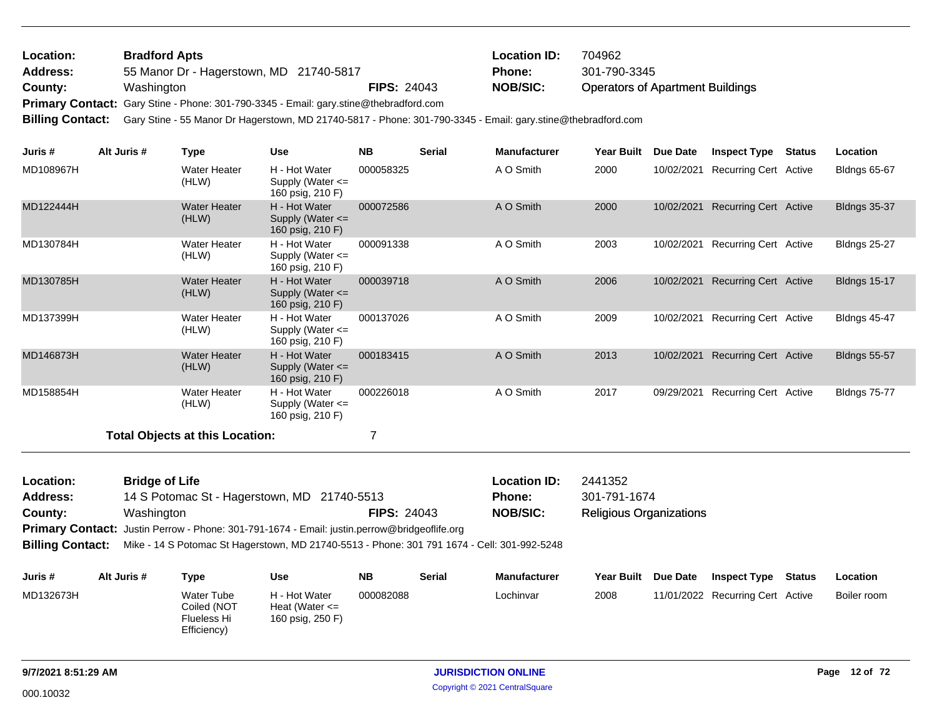| Location: | <b>Bradford Apts</b>                                                                  |                    | <b>Location ID:</b> | 704962                                  |
|-----------|---------------------------------------------------------------------------------------|--------------------|---------------------|-----------------------------------------|
| Address:  | 55 Manor Dr - Hagerstown, MD 21740-5817                                               |                    | <b>Phone:</b>       | 301-790-3345                            |
| County:   | Washington                                                                            | <b>FIPS: 24043</b> | <b>NOB/SIC:</b>     | <b>Operators of Apartment Buildings</b> |
|           | Primary Contact: Gary Stine - Phone: 301-790-3345 - Email: gary.stine@thebradford.com |                    |                     |                                         |

**Billing Contact:** Gary Stine - 55 Manor Dr Hagerstown, MD 21740-5817 - Phone: 301-790-3345 - Email: gary.stine@thebradford.com

| Juris #   | Alt Juris # | <b>Type</b>                            | <b>Use</b>                                                | <b>NB</b> | <b>Serial</b> | <b>Manufacturer</b> | <b>Year Built</b> | Due Date   | <b>Inspect Type</b>          | Status | Location            |
|-----------|-------------|----------------------------------------|-----------------------------------------------------------|-----------|---------------|---------------------|-------------------|------------|------------------------------|--------|---------------------|
| MD108967H |             | Water Heater<br>(HLW)                  | H - Hot Water<br>Supply (Water $\leq$<br>160 psig, 210 F) | 000058325 |               | A O Smith           | 2000              | 10/02/2021 | <b>Recurring Cert Active</b> |        | <b>Bldngs 65-67</b> |
| MD122444H |             | Water Heater<br>(HLW)                  | H - Hot Water<br>Supply (Water $\leq$<br>160 psig, 210 F) | 000072586 |               | A O Smith           | 2000              | 10/02/2021 | <b>Recurring Cert Active</b> |        | <b>Bldngs 35-37</b> |
| MD130784H |             | Water Heater<br>(HLW)                  | H - Hot Water<br>Supply (Water $\leq$<br>160 psig, 210 F) | 000091338 |               | A O Smith           | 2003              | 10/02/2021 | <b>Recurring Cert Active</b> |        | <b>Bldngs 25-27</b> |
| MD130785H |             | Water Heater<br>(HLW)                  | H - Hot Water<br>Supply (Water $\leq$<br>160 psig, 210 F) | 000039718 |               | A O Smith           | 2006              | 10/02/2021 | <b>Recurring Cert Active</b> |        | <b>Bldngs 15-17</b> |
| MD137399H |             | Water Heater<br>(HLW)                  | H - Hot Water<br>Supply (Water $\leq$<br>160 psig, 210 F) | 000137026 |               | A O Smith           | 2009              | 10/02/2021 | <b>Recurring Cert Active</b> |        | <b>Bldngs 45-47</b> |
| MD146873H |             | <b>Water Heater</b><br>(HLW)           | H - Hot Water<br>Supply (Water $\leq$<br>160 psig, 210 F) | 000183415 |               | A O Smith           | 2013              | 10/02/2021 | <b>Recurring Cert Active</b> |        | <b>Bldngs 55-57</b> |
| MD158854H |             | <b>Water Heater</b><br>(HLW)           | H - Hot Water<br>Supply (Water $\leq$<br>160 psig, 210 F) | 000226018 |               | A O Smith           | 2017              | 09/29/2021 | Recurring Cert Active        |        | <b>Bldngs 75-77</b> |
|           |             | <b>Total Objects at this Location:</b> |                                                           |           |               |                     |                   |            |                              |        |                     |

| <b>Location:</b>        | <b>Bridge of Life</b>                                                                        |                    | <b>Location ID:</b> | 2441352                        |
|-------------------------|----------------------------------------------------------------------------------------------|--------------------|---------------------|--------------------------------|
| <b>Address:</b>         | 14 S Potomac St - Hagerstown, MD 21740-5513                                                  |                    | <b>Phone:</b>       | 301-791-1674                   |
| County:                 | Washington                                                                                   | <b>FIPS: 24043</b> | <b>NOB/SIC:</b>     | <b>Religious Organizations</b> |
|                         | Primary Contact: Justin Perrow - Phone: 301-791-1674 - Email: justin.perrow@bridgeoflife.org |                    |                     |                                |
| <b>Billing Contact:</b> | Mike - 14 S Potomac St Hagerstown, MD 21740-5513 - Phone: 301 791 1674 - Cell: 301-992-5248  |                    |                     |                                |

| Juris#    | Alt Juris # | Type                                                           | Use                                                     | <b>NB</b> | Serial | <b>Manufacturer</b> | <b>Year Built</b> | <b>Due Date</b> | <b>Inspect Type</b>              | Status | Location    |
|-----------|-------------|----------------------------------------------------------------|---------------------------------------------------------|-----------|--------|---------------------|-------------------|-----------------|----------------------------------|--------|-------------|
| MD132673H |             | <b>Water Tube</b><br>Coiled (NOT<br>Flueless Hi<br>Efficiency) | H - Hot Water<br>Heat (Water $\leq$<br>160 psig, 250 F) | 000082088 |        | Lochinvar           | 2008              |                 | 11/01/2022 Recurring Cert Active |        | Boiler room |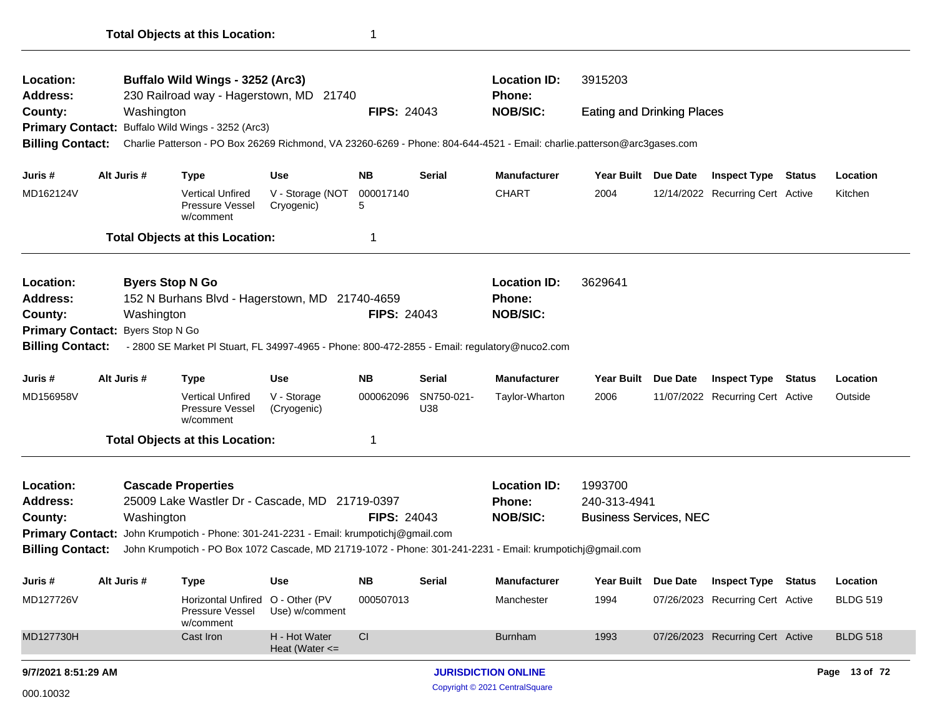| Location:                                                          |  |                 | Buffalo Wild Wings - 3252 (Arc3)                                                                                        |                                     |                    |                   | <b>Location ID:</b>        | 3915203                           |                 |                                  |               |                 |
|--------------------------------------------------------------------|--|-----------------|-------------------------------------------------------------------------------------------------------------------------|-------------------------------------|--------------------|-------------------|----------------------------|-----------------------------------|-----------------|----------------------------------|---------------|-----------------|
| Address:                                                           |  |                 | 230 Railroad way - Hagerstown, MD 21740                                                                                 |                                     |                    |                   | <b>Phone:</b>              |                                   |                 |                                  |               |                 |
| County:                                                            |  | Washington      |                                                                                                                         |                                     | <b>FIPS: 24043</b> |                   | <b>NOB/SIC:</b>            | <b>Eating and Drinking Places</b> |                 |                                  |               |                 |
|                                                                    |  |                 | Primary Contact: Buffalo Wild Wings - 3252 (Arc3)                                                                       |                                     |                    |                   |                            |                                   |                 |                                  |               |                 |
| <b>Billing Contact:</b>                                            |  |                 | Charlie Patterson - PO Box 26269 Richmond, VA 23260-6269 - Phone: 804-644-4521 - Email: charlie.patterson@arc3gases.com |                                     |                    |                   |                            |                                   |                 |                                  |               |                 |
| Juris #                                                            |  | Alt Juris #     | Type                                                                                                                    | Use                                 | <b>NB</b>          | Serial            | <b>Manufacturer</b>        | <b>Year Built</b>                 | <b>Due Date</b> | <b>Inspect Type</b>              | Status        | Location        |
| MD162124V                                                          |  |                 | <b>Vertical Unfired</b><br>Pressure Vessel<br>w/comment                                                                 | V - Storage (NOT<br>Cryogenic)      | 000017140<br>5     |                   | <b>CHART</b>               | 2004                              |                 | 12/14/2022 Recurring Cert Active |               | Kitchen         |
|                                                                    |  |                 | <b>Total Objects at this Location:</b>                                                                                  |                                     | -1                 |                   |                            |                                   |                 |                                  |               |                 |
| Location:                                                          |  |                 | <b>Byers Stop N Go</b>                                                                                                  |                                     |                    |                   | <b>Location ID:</b>        | 3629641                           |                 |                                  |               |                 |
| <b>Address:</b>                                                    |  |                 | 152 N Burhans Blvd - Hagerstown, MD 21740-4659                                                                          |                                     |                    |                   | <b>Phone:</b>              |                                   |                 |                                  |               |                 |
| County:                                                            |  | Washington      |                                                                                                                         |                                     | <b>FIPS: 24043</b> |                   | <b>NOB/SIC:</b>            |                                   |                 |                                  |               |                 |
| <b>Primary Contact:</b>                                            |  | Byers Stop N Go |                                                                                                                         |                                     |                    |                   |                            |                                   |                 |                                  |               |                 |
| <b>Billing Contact:</b>                                            |  |                 | - 2800 SE Market PI Stuart, FL 34997-4965 - Phone: 800-472-2855 - Email: regulatory@nuco2.com                           |                                     |                    |                   |                            |                                   |                 |                                  |               |                 |
| Juris #                                                            |  | Alt Juris #     | <b>Type</b>                                                                                                             | <b>Use</b>                          | <b>NB</b>          | <b>Serial</b>     | <b>Manufacturer</b>        | Year Built Due Date               |                 | Inspect Type                     | <b>Status</b> | Location        |
| MD156958V                                                          |  |                 | <b>Vertical Unfired</b><br>Pressure Vessel<br>w/comment                                                                 | V - Storage<br>(Cryogenic)          | 000062096          | SN750-021-<br>U38 | Taylor-Wharton             | 2006                              |                 | 11/07/2022 Recurring Cert Active |               | Outside         |
|                                                                    |  |                 | <b>Total Objects at this Location:</b>                                                                                  |                                     | 1                  |                   |                            |                                   |                 |                                  |               |                 |
| Location:                                                          |  |                 | <b>Cascade Properties</b>                                                                                               |                                     |                    |                   | <b>Location ID:</b>        | 1993700                           |                 |                                  |               |                 |
| <b>Address:</b>                                                    |  |                 | 25009 Lake Wastler Dr - Cascade, MD 21719-0397                                                                          |                                     |                    |                   | <b>Phone:</b>              | 240-313-4941                      |                 |                                  |               |                 |
| County:                                                            |  | Washington      |                                                                                                                         |                                     | <b>FIPS: 24043</b> |                   | <b>NOB/SIC:</b>            | <b>Business Services, NEC</b>     |                 |                                  |               |                 |
| <b>Primary Contact:</b>                                            |  |                 | John Krumpotich - Phone: 301-241-2231 - Email: krumpotichj@gmail.com                                                    |                                     |                    |                   |                            |                                   |                 |                                  |               |                 |
| <b>Billing Contact:</b>                                            |  |                 | John Krumpotich - PO Box 1072 Cascade, MD 21719-1072 - Phone: 301-241-2231 - Email: krumpotichj@gmail.com               |                                     |                    |                   |                            |                                   |                 |                                  |               |                 |
| Juris #                                                            |  | Alt Juris #     | Type                                                                                                                    | Use                                 | <b>NB</b>          | <b>Serial</b>     | Manufacturer               | Year Built Due Date               |                 | <b>Inspect Type Status</b>       |               | Location        |
| MD127726V                                                          |  |                 | Horizontal Unfired<br>Pressure Vessel<br>w/comment                                                                      | O - Other (PV<br>Use) w/comment     | 000507013          |                   | Manchester                 | 1994                              |                 | 07/26/2023 Recurring Cert Active |               | <b>BLDG 519</b> |
| MD127730H                                                          |  |                 | Cast Iron                                                                                                               | H - Hot Water<br>Heat (Water $\leq$ | CI                 |                   | <b>Burnham</b>             | 1993                              |                 | 07/26/2023 Recurring Cert Active |               | <b>BLDG 518</b> |
|                                                                    |  |                 |                                                                                                                         |                                     |                    |                   | <b>JURISDICTION ONLINE</b> |                                   |                 |                                  |               | Page 13 of 72   |
| 9/7/2021 8:51:29 AM<br>Copyright © 2021 CentralSquare<br>000.10032 |  |                 |                                                                                                                         |                                     |                    |                   |                            |                                   |                 |                                  |               |                 |

**Total Objects at this Location:** 1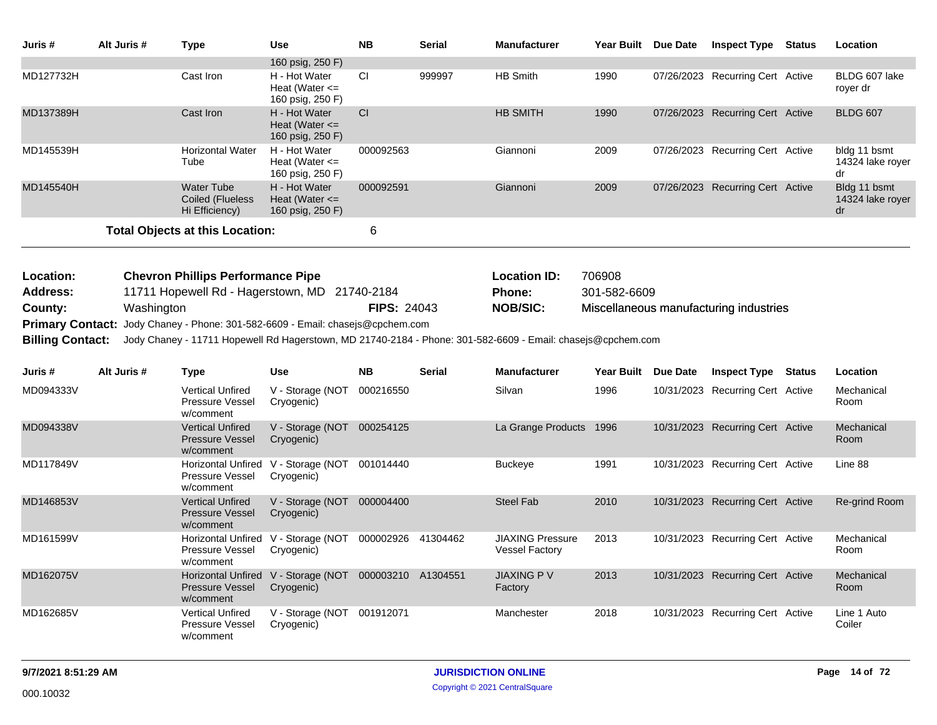| Juris #                 | Alt Juris # | <b>Type</b>                                                      | <b>Use</b>                                                  | <b>NB</b>          | <b>Serial</b> | <b>Manufacturer</b>                                                                                         | Year Built Due Date |                 | <b>Inspect Type</b>                    | <b>Status</b> | Location                               |
|-------------------------|-------------|------------------------------------------------------------------|-------------------------------------------------------------|--------------------|---------------|-------------------------------------------------------------------------------------------------------------|---------------------|-----------------|----------------------------------------|---------------|----------------------------------------|
|                         |             |                                                                  | 160 psig, 250 F)                                            |                    |               |                                                                                                             |                     |                 |                                        |               |                                        |
| MD127732H               |             | Cast Iron                                                        | H - Hot Water<br>Heat (Water $\leq$<br>160 psig, 250 F)     | СI                 | 999997        | <b>HB Smith</b>                                                                                             | 1990                |                 | 07/26/2023 Recurring Cert Active       |               | BLDG 607 lake<br>royer dr              |
| MD137389H               |             | Cast Iron                                                        | H - Hot Water<br>Heat (Water $\leq$<br>160 psig, 250 F)     | CI                 |               | <b>HB SMITH</b>                                                                                             | 1990                |                 | 07/26/2023 Recurring Cert Active       |               | <b>BLDG 607</b>                        |
| MD145539H               |             | <b>Horizontal Water</b><br>Tube                                  | H - Hot Water<br>Heat (Water $\leq$<br>160 psig, 250 F)     | 000092563          |               | Giannoni                                                                                                    | 2009                |                 | 07/26/2023 Recurring Cert Active       |               | bldg 11 bsmt<br>14324 lake royer<br>dr |
| MD145540H               |             | <b>Water Tube</b><br>Coiled (Flueless<br>Hi Efficiency)          | H - Hot Water<br>Heat (Water $\leq$<br>160 psig, 250 F)     | 000092591          |               | Giannoni                                                                                                    | 2009                |                 | 07/26/2023 Recurring Cert Active       |               | Bldg 11 bsmt<br>14324 lake royer<br>dr |
|                         |             | <b>Total Objects at this Location:</b>                           |                                                             | $\,6$              |               |                                                                                                             |                     |                 |                                        |               |                                        |
| Location:               |             | <b>Chevron Phillips Performance Pipe</b>                         |                                                             |                    |               | <b>Location ID:</b>                                                                                         | 706908              |                 |                                        |               |                                        |
| Address:                |             | 11711 Hopewell Rd - Hagerstown, MD 21740-2184                    |                                                             |                    |               | <b>Phone:</b>                                                                                               | 301-582-6609        |                 |                                        |               |                                        |
| County:                 | Washington  |                                                                  |                                                             | <b>FIPS: 24043</b> |               | <b>NOB/SIC:</b>                                                                                             |                     |                 | Miscellaneous manufacturing industries |               |                                        |
| <b>Primary Contact:</b> |             | Jody Chaney - Phone: 301-582-6609 - Email: chasejs@cpchem.com    |                                                             |                    |               |                                                                                                             |                     |                 |                                        |               |                                        |
| <b>Billing Contact:</b> |             |                                                                  |                                                             |                    |               | Jody Chaney - 11711 Hopewell Rd Hagerstown, MD 21740-2184 - Phone: 301-582-6609 - Email: chasejs@cpchem.com |                     |                 |                                        |               |                                        |
|                         |             |                                                                  |                                                             |                    |               |                                                                                                             |                     |                 |                                        |               |                                        |
| Juris #                 | Alt Juris # | Type                                                             | <b>Use</b>                                                  | <b>NB</b>          | <b>Serial</b> | <b>Manufacturer</b>                                                                                         | Year Built          | <b>Due Date</b> | <b>Inspect Type</b>                    | <b>Status</b> | Location                               |
| MD094333V               |             | <b>Vertical Unfired</b><br>Pressure Vessel<br>w/comment          | V - Storage (NOT<br>Cryogenic)                              | 000216550          |               | Silvan                                                                                                      | 1996                |                 | 10/31/2023 Recurring Cert Active       |               | Mechanical<br>Room                     |
| MD094338V               |             | <b>Vertical Unfired</b><br><b>Pressure Vessel</b><br>w/comment   | V - Storage (NOT 000254125<br>Cryogenic)                    |                    |               | La Grange Products 1996                                                                                     |                     |                 | 10/31/2023 Recurring Cert Active       |               | Mechanical<br>Room                     |
| MD117849V               |             | Pressure Vessel<br>w/comment                                     | Horizontal Unfired V - Storage (NOT 001014440<br>Cryogenic) |                    |               | <b>Buckeye</b>                                                                                              | 1991                |                 | 10/31/2023 Recurring Cert Active       |               | Line 88                                |
| MD146853V               |             | <b>Vertical Unfired</b><br><b>Pressure Vessel</b><br>w/comment   | V - Storage (NOT 000004400<br>Cryogenic)                    |                    |               | <b>Steel Fab</b>                                                                                            | 2010                |                 | 10/31/2023 Recurring Cert Active       |               | Re-grind Room                          |
| MD161599V               |             | <b>Horizontal Unfired</b><br>Pressure Vessel<br>w/comment        | V - Storage (NOT<br>Cryogenic)                              | 000002926          | 41304462      | <b>JIAXING Pressure</b><br><b>Vessel Factory</b>                                                            | 2013                |                 | 10/31/2023 Recurring Cert Active       |               | Mechanical<br>Room                     |
| MD162075V               |             | <b>Horizontal Unfired</b><br><b>Pressure Vessel</b><br>w/comment | V - Storage (NOT<br>Cryogenic)                              | 000003210          | A1304551      | <b>JIAXING PV</b><br>Factory                                                                                | 2013                |                 | 10/31/2023 Recurring Cert Active       |               | Mechanical<br>Room                     |
| MD162685V               |             | <b>Vertical Unfired</b><br>Pressure Vessel<br>w/comment          | V - Storage (NOT<br>Cryogenic)                              | 001912071          |               | Manchester                                                                                                  | 2018                |                 | 10/31/2023 Recurring Cert Active       |               | Line 1 Auto<br>Coiler                  |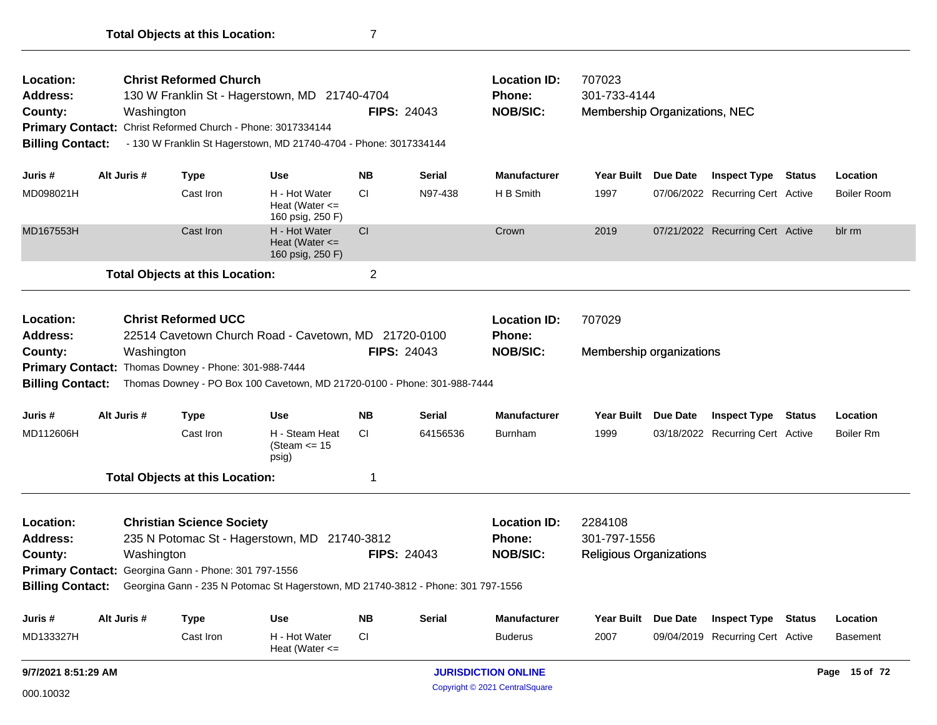| Location:<br><b>Address:</b><br>County:<br><b>Billing Contact:</b> |             | Washington | <b>Christ Reformed Church</b><br>Primary Contact: Christ Reformed Church - Phone: 3017334144 | 130 W Franklin St - Hagerstown, MD 21740-4704<br>- 130 W Franklin St Hagerstown, MD 21740-4704 - Phone: 3017334144               | <b>FIPS: 24043</b> |               | <b>Location ID:</b><br><b>Phone:</b><br><b>NOB/SIC:</b> | 707023<br>301-733-4144<br>Membership Organizations, NEC   |                 |                                  |               |                    |
|--------------------------------------------------------------------|-------------|------------|----------------------------------------------------------------------------------------------|----------------------------------------------------------------------------------------------------------------------------------|--------------------|---------------|---------------------------------------------------------|-----------------------------------------------------------|-----------------|----------------------------------|---------------|--------------------|
| Juris #                                                            | Alt Juris # |            | <b>Type</b>                                                                                  | <b>Use</b>                                                                                                                       | <b>NB</b>          | <b>Serial</b> | <b>Manufacturer</b>                                     | <b>Year Built</b>                                         | <b>Due Date</b> | <b>Inspect Type Status</b>       |               | Location           |
| MD098021H                                                          |             |            | Cast Iron                                                                                    | H - Hot Water<br>Heat (Water $\leq$<br>160 psig, 250 F)                                                                          | <b>CI</b>          | N97-438       | H B Smith                                               | 1997                                                      |                 | 07/06/2022 Recurring Cert Active |               | <b>Boiler Room</b> |
| MD167553H                                                          |             |            | Cast Iron                                                                                    | H - Hot Water<br>Heat (Water $\leq$<br>160 psig, 250 F)                                                                          | <b>CI</b>          |               | Crown                                                   | 2019                                                      |                 | 07/21/2022 Recurring Cert Active |               | blr rm             |
|                                                                    |             |            | <b>Total Objects at this Location:</b>                                                       |                                                                                                                                  | $\overline{2}$     |               |                                                         |                                                           |                 |                                  |               |                    |
| Location:<br><b>Address:</b><br>County:<br><b>Billing Contact:</b> |             | Washington | <b>Christ Reformed UCC</b><br>Primary Contact: Thomas Downey - Phone: 301-988-7444           | 22514 Cavetown Church Road - Cavetown, MD 21720-0100<br>Thomas Downey - PO Box 100 Cavetown, MD 21720-0100 - Phone: 301-988-7444 | <b>FIPS: 24043</b> |               | <b>Location ID:</b><br><b>Phone:</b><br><b>NOB/SIC:</b> | 707029<br>Membership organizations                        |                 |                                  |               |                    |
| Juris #                                                            | Alt Juris # |            | <b>Type</b>                                                                                  | <b>Use</b>                                                                                                                       | <b>NB</b>          | <b>Serial</b> | <b>Manufacturer</b>                                     | <b>Year Built</b>                                         | Due Date        | <b>Inspect Type Status</b>       |               | Location           |
| MD112606H                                                          |             |            | Cast Iron                                                                                    | H - Steam Heat<br>(Steam $\le$ 15<br>psig)                                                                                       | CI                 | 64156536      | <b>Burnham</b>                                          | 1999                                                      |                 | 03/18/2022 Recurring Cert Active |               | <b>Boiler Rm</b>   |
|                                                                    |             |            | <b>Total Objects at this Location:</b>                                                       |                                                                                                                                  | 1                  |               |                                                         |                                                           |                 |                                  |               |                    |
| Location:<br><b>Address:</b><br>County:<br><b>Billing Contact:</b> |             | Washington | <b>Christian Science Society</b><br>Primary Contact: Georgina Gann - Phone: 301 797-1556     | 235 N Potomac St - Hagerstown, MD 21740-3812<br>Georgina Gann - 235 N Potomac St Hagerstown, MD 21740-3812 - Phone: 301 797-1556 | <b>FIPS: 24043</b> |               | <b>Location ID:</b><br><b>Phone:</b><br><b>NOB/SIC:</b> | 2284108<br>301-797-1556<br><b>Religious Organizations</b> |                 |                                  |               |                    |
| Juris #                                                            | Alt Juris # |            | Type                                                                                         | <b>Use</b>                                                                                                                       | <b>NB</b>          | <b>Serial</b> | <b>Manufacturer</b>                                     | <b>Year Built</b>                                         | <b>Due Date</b> | <b>Inspect Type</b>              | <b>Status</b> | Location           |
| MD133327H                                                          |             |            | Cast Iron                                                                                    | H - Hot Water<br>Heat (Water $\leq$                                                                                              | <b>CI</b>          |               | <b>Buderus</b>                                          | 2007                                                      |                 | 09/04/2019 Recurring Cert Active |               | <b>Basement</b>    |
| 9/7/2021 8:51:29 AM                                                |             |            |                                                                                              |                                                                                                                                  |                    |               | <b>JURISDICTION ONLINE</b>                              |                                                           |                 |                                  |               | Page 15 of 72      |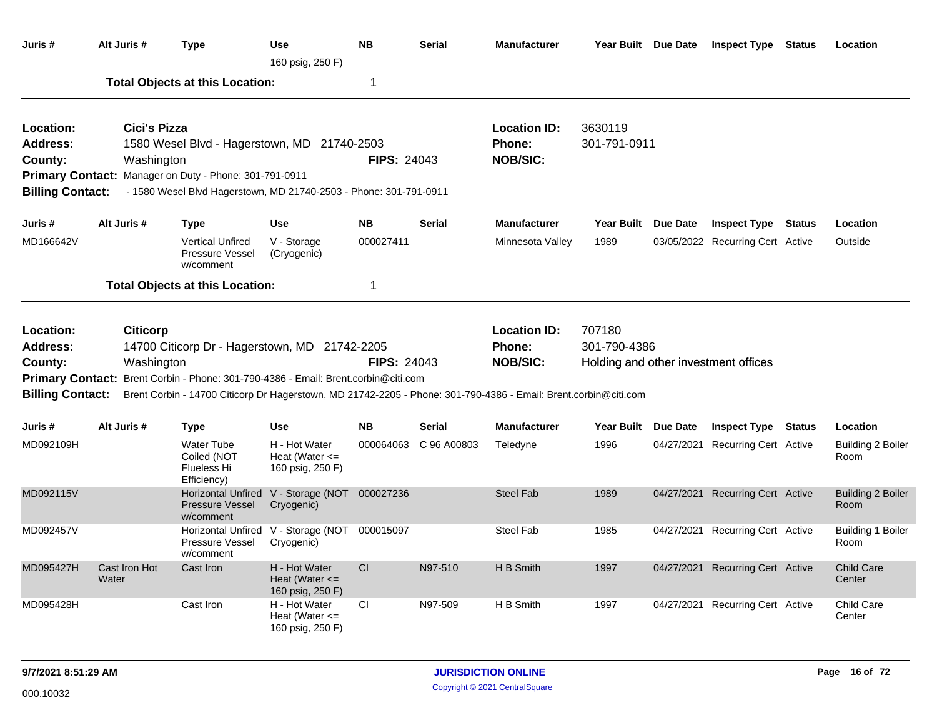| Juris #                                                                                                                                                                                                                                                                                                                                                                      | Alt Juris #                | <b>Type</b>                                                                                                                                                                | Use<br>160 psig, 250 F)                                 | <b>NB</b>          | <b>Serial</b> | <b>Manufacturer</b>                                     | Year Built Due Date     |                 | <b>Inspect Type Status</b>           |               | Location                         |
|------------------------------------------------------------------------------------------------------------------------------------------------------------------------------------------------------------------------------------------------------------------------------------------------------------------------------------------------------------------------------|----------------------------|----------------------------------------------------------------------------------------------------------------------------------------------------------------------------|---------------------------------------------------------|--------------------|---------------|---------------------------------------------------------|-------------------------|-----------------|--------------------------------------|---------------|----------------------------------|
|                                                                                                                                                                                                                                                                                                                                                                              |                            | <b>Total Objects at this Location:</b>                                                                                                                                     |                                                         | 1                  |               |                                                         |                         |                 |                                      |               |                                  |
| Location:<br>Address:<br>County:<br><b>Billing Contact:</b>                                                                                                                                                                                                                                                                                                                  | Cici's Pizza<br>Washington | 1580 Wesel Blvd - Hagerstown, MD 21740-2503<br>Primary Contact: Manager on Duty - Phone: 301-791-0911<br>- 1580 Wesel Blvd Hagerstown, MD 21740-2503 - Phone: 301-791-0911 |                                                         | <b>FIPS: 24043</b> |               | <b>Location ID:</b><br><b>Phone:</b><br><b>NOB/SIC:</b> | 3630119<br>301-791-0911 |                 |                                      |               |                                  |
| Juris #                                                                                                                                                                                                                                                                                                                                                                      | Alt Juris #                | <b>Type</b>                                                                                                                                                                | <b>Use</b>                                              | <b>NB</b>          | <b>Serial</b> | <b>Manufacturer</b>                                     | <b>Year Built</b>       | <b>Due Date</b> | <b>Inspect Type</b>                  | <b>Status</b> | Location                         |
| MD166642V                                                                                                                                                                                                                                                                                                                                                                    |                            | <b>Vertical Unfired</b><br>Pressure Vessel<br>w/comment                                                                                                                    | V - Storage<br>(Cryogenic)                              | 000027411          |               | Minnesota Valley                                        | 1989                    |                 | 03/05/2022 Recurring Cert Active     |               | Outside                          |
|                                                                                                                                                                                                                                                                                                                                                                              |                            | <b>Total Objects at this Location:</b>                                                                                                                                     |                                                         | 1                  |               |                                                         |                         |                 |                                      |               |                                  |
| Location:<br><b>Citicorp</b><br>14700 Citicorp Dr - Hagerstown, MD 21742-2205<br>Address:<br><b>FIPS: 24043</b><br>Washington<br>County:<br>Primary Contact: Brent Corbin - Phone: 301-790-4386 - Email: Brent.corbin@citi.com<br><b>Billing Contact:</b><br>Brent Corbin - 14700 Citicorp Dr Hagerstown, MD 21742-2205 - Phone: 301-790-4386 - Email: Brent.corbin@citi.com |                            |                                                                                                                                                                            |                                                         |                    |               | <b>Location ID:</b><br><b>Phone:</b><br><b>NOB/SIC:</b> | 707180<br>301-790-4386  |                 | Holding and other investment offices |               |                                  |
| Juris #                                                                                                                                                                                                                                                                                                                                                                      | Alt Juris #                | <b>Type</b>                                                                                                                                                                | <b>Use</b>                                              | <b>NB</b>          | <b>Serial</b> | <b>Manufacturer</b>                                     | <b>Year Built</b>       | <b>Due Date</b> | <b>Inspect Type</b>                  | <b>Status</b> | Location                         |
| MD092109H                                                                                                                                                                                                                                                                                                                                                                    |                            | <b>Water Tube</b><br>Coiled (NOT<br>Flueless Hi<br>Efficiency)                                                                                                             | H - Hot Water<br>Heat (Water $\leq$<br>160 psig, 250 F) | 000064063          | C 96 A00803   | Teledyne                                                | 1996                    | 04/27/2021      | Recurring Cert Active                |               | <b>Building 2 Boiler</b><br>Room |
| MD092115V                                                                                                                                                                                                                                                                                                                                                                    |                            | <b>Horizontal Unfired</b><br><b>Pressure Vessel</b><br>w/comment                                                                                                           | V - Storage (NOT<br>Cryogenic)                          | 000027236          |               | <b>Steel Fab</b>                                        | 1989                    |                 | 04/27/2021 Recurring Cert Active     |               | <b>Building 2 Boiler</b><br>Room |
| MD092457V                                                                                                                                                                                                                                                                                                                                                                    |                            | Pressure Vessel<br>w/comment                                                                                                                                               | Horizontal Unfired V - Storage (NOT<br>Cryogenic)       | 000015097          |               | <b>Steel Fab</b>                                        | 1985                    |                 | 04/27/2021 Recurring Cert Active     |               | <b>Building 1 Boiler</b><br>Room |
| MD095427H                                                                                                                                                                                                                                                                                                                                                                    | Cast Iron Hot<br>Water     | Cast Iron                                                                                                                                                                  | H - Hot Water<br>Heat (Water $\leq$<br>160 psig, 250 F) | CI                 | N97-510       | H B Smith                                               | 1997                    | 04/27/2021      | <b>Recurring Cert Active</b>         |               | <b>Child Care</b><br>Center      |
| MD095428H                                                                                                                                                                                                                                                                                                                                                                    |                            | Cast Iron                                                                                                                                                                  | H - Hot Water<br>Heat (Water $\leq$<br>160 psig, 250 F) | CI.                | N97-509       | H B Smith                                               | 1997                    |                 | 04/27/2021 Recurring Cert Active     |               | Child Care<br>Center             |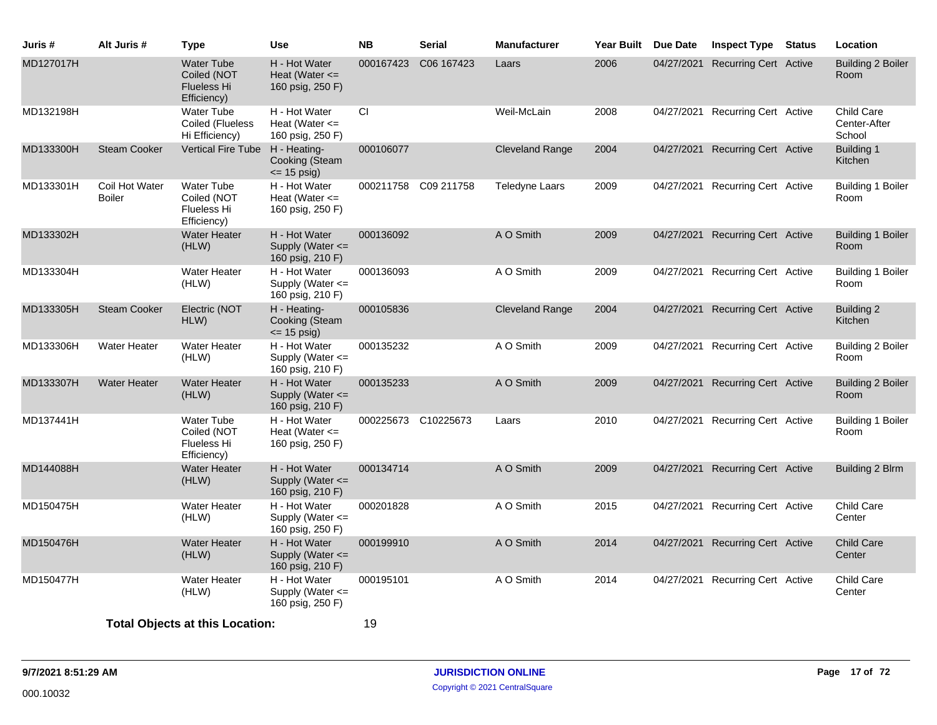| Juris #   | Alt Juris #                     | <b>Type</b>                                                           | <b>Use</b>                                                | <b>NB</b> | <b>Serial</b>        | <b>Manufacturer</b>    | <b>Year Built</b> | <b>Due Date</b> | <b>Inspect Type</b>              | <b>Status</b> | Location                             |
|-----------|---------------------------------|-----------------------------------------------------------------------|-----------------------------------------------------------|-----------|----------------------|------------------------|-------------------|-----------------|----------------------------------|---------------|--------------------------------------|
| MD127017H |                                 | <b>Water Tube</b><br>Coiled (NOT<br><b>Flueless Hi</b><br>Efficiency) | H - Hot Water<br>Heat (Water $\leq$<br>160 psig, 250 F)   | 000167423 | C06 167423           | Laars                  | 2006              | 04/27/2021      | <b>Recurring Cert Active</b>     |               | Building 2 Boiler<br>Room            |
| MD132198H |                                 | <b>Water Tube</b><br>Coiled (Flueless<br>Hi Efficiency)               | H - Hot Water<br>Heat (Water $\leq$<br>160 psig, 250 F)   | CI        |                      | Weil-McLain            | 2008              |                 | 04/27/2021 Recurring Cert Active |               | Child Care<br>Center-After<br>School |
| MD133300H | <b>Steam Cooker</b>             | <b>Vertical Fire Tube</b>                                             | H - Heating-<br>Cooking (Steam<br>$\le$ 15 psig)          | 000106077 |                      | <b>Cleveland Range</b> | 2004              |                 | 04/27/2021 Recurring Cert Active |               | Building 1<br>Kitchen                |
| MD133301H | Coil Hot Water<br><b>Boiler</b> | <b>Water Tube</b><br>Coiled (NOT<br>Flueless Hi<br>Efficiency)        | H - Hot Water<br>Heat (Water $\leq$<br>160 psig, 250 F)   |           | 000211758 C09 211758 | <b>Teledyne Laars</b>  | 2009              |                 | 04/27/2021 Recurring Cert Active |               | Building 1 Boiler<br>Room            |
| MD133302H |                                 | <b>Water Heater</b><br>(HLW)                                          | H - Hot Water<br>Supply (Water <=<br>160 psig, 210 F)     | 000136092 |                      | A O Smith              | 2009              |                 | 04/27/2021 Recurring Cert Active |               | <b>Building 1 Boiler</b><br>Room     |
| MD133304H |                                 | <b>Water Heater</b><br>(HLW)                                          | H - Hot Water<br>Supply (Water $\leq$<br>160 psig, 210 F) | 000136093 |                      | A O Smith              | 2009              |                 | 04/27/2021 Recurring Cert Active |               | <b>Building 1 Boiler</b><br>Room     |
| MD133305H | <b>Steam Cooker</b>             | Electric (NOT<br>HLW)                                                 | H - Heating-<br>Cooking (Steam<br>$\le$ 15 psig)          | 000105836 |                      | <b>Cleveland Range</b> | 2004              |                 | 04/27/2021 Recurring Cert Active |               | Building 2<br>Kitchen                |
| MD133306H | <b>Water Heater</b>             | Water Heater<br>(HLW)                                                 | H - Hot Water<br>Supply (Water $\leq$<br>160 psig, 210 F) | 000135232 |                      | A O Smith              | 2009              |                 | 04/27/2021 Recurring Cert Active |               | Building 2 Boiler<br>Room            |
| MD133307H | <b>Water Heater</b>             | <b>Water Heater</b><br>(HLW)                                          | H - Hot Water<br>Supply (Water <=<br>160 psig, 210 F)     | 000135233 |                      | A O Smith              | 2009              |                 | 04/27/2021 Recurring Cert Active |               | <b>Building 2 Boiler</b><br>Room     |
| MD137441H |                                 | Water Tube<br>Coiled (NOT<br>Flueless Hi<br>Efficiency)               | H - Hot Water<br>Heat (Water $\leq$<br>160 psig, 250 F)   |           | 000225673 C10225673  | Laars                  | 2010              |                 | 04/27/2021 Recurring Cert Active |               | Building 1 Boiler<br>Room            |
| MD144088H |                                 | <b>Water Heater</b><br>(HLW)                                          | H - Hot Water<br>Supply (Water $\leq$<br>160 psig, 210 F) | 000134714 |                      | A O Smith              | 2009              |                 | 04/27/2021 Recurring Cert Active |               | Building 2 Blrm                      |
| MD150475H |                                 | Water Heater<br>(HLW)                                                 | H - Hot Water<br>Supply (Water $\leq$<br>160 psig, 250 F) | 000201828 |                      | A O Smith              | 2015              |                 | 04/27/2021 Recurring Cert Active |               | Child Care<br>Center                 |
| MD150476H |                                 | <b>Water Heater</b><br>(HLW)                                          | H - Hot Water<br>Supply (Water $\leq$<br>160 psig, 210 F) | 000199910 |                      | A O Smith              | 2014              | 04/27/2021      | <b>Recurring Cert Active</b>     |               | <b>Child Care</b><br>Center          |
| MD150477H |                                 | <b>Water Heater</b><br>(HLW)                                          | H - Hot Water<br>Supply (Water <=<br>160 psig, 250 F)     | 000195101 |                      | A O Smith              | 2014              |                 | 04/27/2021 Recurring Cert Active |               | Child Care<br>Center                 |
|           |                                 | <b>Total Objects at this Location:</b>                                |                                                           | 19        |                      |                        |                   |                 |                                  |               |                                      |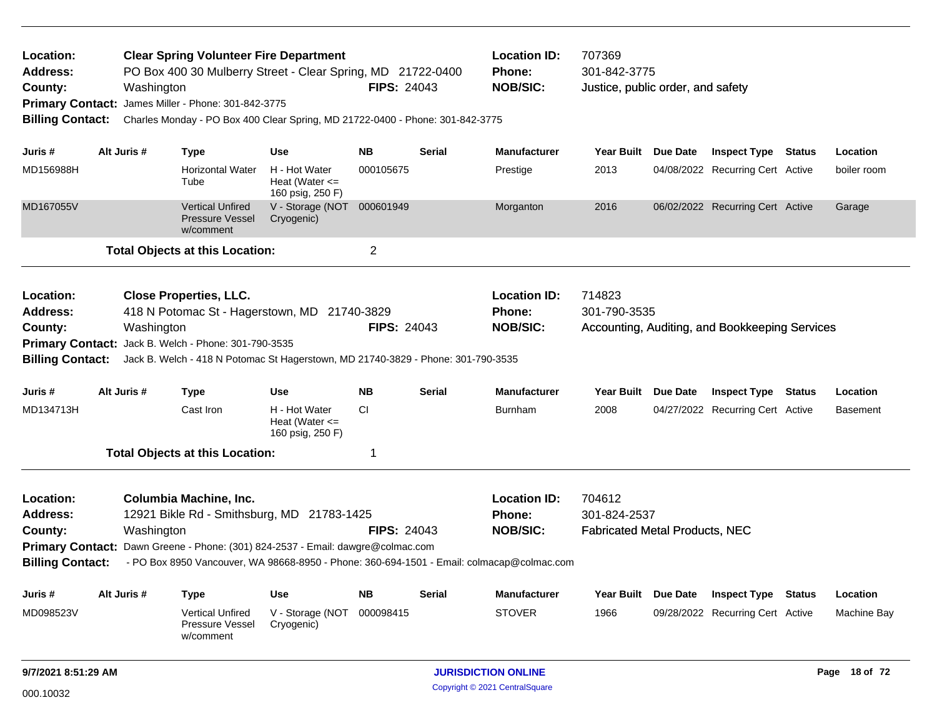| Location:<br><b>Address:</b><br>County:<br><b>Primary Contact:</b><br><b>Billing Contact:</b> |                                                                                                                                                                                   | Washington  | <b>Clear Spring Volunteer Fire Department</b><br>PO Box 400 30 Mulberry Street - Clear Spring, MD 21722-0400<br>James Miller - Phone: 301-842-3775<br>Charles Monday - PO Box 400 Clear Spring, MD 21722-0400 - Phone: 301-842-3775 |                                                         | <b>FIPS: 24043</b>      |        | <b>Location ID:</b><br><b>Phone:</b><br><b>NOB/SIC:</b>                                   | 707369<br>301-842-3775<br>Justice, public order, and safety |                                                                |                         |
|-----------------------------------------------------------------------------------------------|-----------------------------------------------------------------------------------------------------------------------------------------------------------------------------------|-------------|-------------------------------------------------------------------------------------------------------------------------------------------------------------------------------------------------------------------------------------|---------------------------------------------------------|-------------------------|--------|-------------------------------------------------------------------------------------------|-------------------------------------------------------------|----------------------------------------------------------------|-------------------------|
|                                                                                               |                                                                                                                                                                                   | Alt Juris # |                                                                                                                                                                                                                                     |                                                         |                         |        | <b>Manufacturer</b>                                                                       |                                                             |                                                                |                         |
| Juris #<br>MD156988H                                                                          |                                                                                                                                                                                   |             | <b>Type</b><br><b>Horizontal Water</b>                                                                                                                                                                                              | <b>Use</b><br>H - Hot Water                             | NΒ<br>000105675         | Serial | Prestige                                                                                  | Year Built Due Date<br>2013                                 | <b>Inspect Type Status</b><br>04/08/2022 Recurring Cert Active | Location<br>boiler room |
|                                                                                               |                                                                                                                                                                                   |             | Tube                                                                                                                                                                                                                                | Heat (Water $\leq$<br>160 psig, 250 F)                  |                         |        |                                                                                           |                                                             |                                                                |                         |
| MD167055V                                                                                     |                                                                                                                                                                                   |             | Vertical Unfired<br><b>Pressure Vessel</b><br>w/comment                                                                                                                                                                             | V - Storage (NOT 000601949<br>Cryogenic)                |                         |        | Morganton                                                                                 | 2016                                                        | 06/02/2022 Recurring Cert Active                               | Garage                  |
|                                                                                               |                                                                                                                                                                                   |             | <b>Total Objects at this Location:</b>                                                                                                                                                                                              |                                                         | $\overline{\mathbf{c}}$ |        |                                                                                           |                                                             |                                                                |                         |
| Location:<br><b>Address:</b><br>County:                                                       |                                                                                                                                                                                   |             | <b>Close Properties, LLC.</b><br>418 N Potomac St - Hagerstown, MD 21740-3829                                                                                                                                                       |                                                         | <b>FIPS: 24043</b>      |        | <b>Location ID:</b><br>Phone:<br><b>NOB/SIC:</b>                                          | 714823<br>301-790-3535                                      | Accounting, Auditing, and Bookkeeping Services                 |                         |
|                                                                                               | Washington<br>Primary Contact: Jack B. Welch - Phone: 301-790-3535<br><b>Billing Contact:</b><br>Jack B. Welch - 418 N Potomac St Hagerstown, MD 21740-3829 - Phone: 301-790-3535 |             |                                                                                                                                                                                                                                     |                                                         |                         |        |                                                                                           |                                                             |                                                                |                         |
| Juris #                                                                                       |                                                                                                                                                                                   | Alt Juris # | <b>Type</b>                                                                                                                                                                                                                         | Use                                                     | <b>NB</b>               | Serial | <b>Manufacturer</b>                                                                       | Year Built Due Date                                         | <b>Inspect Type Status</b>                                     | Location                |
| MD134713H                                                                                     |                                                                                                                                                                                   |             | Cast Iron                                                                                                                                                                                                                           | H - Hot Water<br>Heat (Water $\leq$<br>160 psig, 250 F) | <b>CI</b>               |        | <b>Burnham</b>                                                                            | 2008                                                        | 04/27/2022 Recurring Cert Active                               | <b>Basement</b>         |
|                                                                                               |                                                                                                                                                                                   |             | <b>Total Objects at this Location:</b>                                                                                                                                                                                              |                                                         | 1                       |        |                                                                                           |                                                             |                                                                |                         |
| Location:                                                                                     |                                                                                                                                                                                   |             | <b>Columbia Machine, Inc.</b>                                                                                                                                                                                                       |                                                         |                         |        | <b>Location ID:</b>                                                                       | 704612                                                      |                                                                |                         |
| <b>Address:</b>                                                                               |                                                                                                                                                                                   |             | 12921 Bikle Rd - Smithsburg, MD 21783-1425                                                                                                                                                                                          |                                                         |                         |        | <b>Phone:</b>                                                                             | 301-824-2537                                                |                                                                |                         |
| County:                                                                                       |                                                                                                                                                                                   | Washington  |                                                                                                                                                                                                                                     |                                                         | <b>FIPS: 24043</b>      |        | <b>NOB/SIC:</b>                                                                           | <b>Fabricated Metal Products, NEC</b>                       |                                                                |                         |
| <b>Primary Contact:</b>                                                                       |                                                                                                                                                                                   |             | Dawn Greene - Phone: (301) 824-2537 - Email: dawgre@colmac.com                                                                                                                                                                      |                                                         |                         |        |                                                                                           |                                                             |                                                                |                         |
| <b>Billing Contact:</b>                                                                       |                                                                                                                                                                                   |             |                                                                                                                                                                                                                                     |                                                         |                         |        | - PO Box 8950 Vancouver, WA 98668-8950 - Phone: 360-694-1501 - Email: colmacap@colmac.com |                                                             |                                                                |                         |
| Juris #                                                                                       |                                                                                                                                                                                   | Alt Juris # | <b>Type</b>                                                                                                                                                                                                                         | <b>Use</b>                                              | <b>NB</b>               | Serial | <b>Manufacturer</b>                                                                       | Year Built Due Date                                         | <b>Inspect Type Status</b>                                     | Location                |
| MD098523V                                                                                     |                                                                                                                                                                                   |             | <b>Vertical Unfired</b><br><b>Pressure Vessel</b><br>w/comment                                                                                                                                                                      | V - Storage (NOT<br>Cryogenic)                          | 000098415               |        | <b>STOVER</b>                                                                             | 1966                                                        | 09/28/2022 Recurring Cert Active                               | Machine Bay             |
| 9/7/2021 8:51:29 AM                                                                           |                                                                                                                                                                                   |             |                                                                                                                                                                                                                                     |                                                         |                         |        | <b>JURISDICTION ONLINE</b>                                                                |                                                             |                                                                | Page 18 of 72           |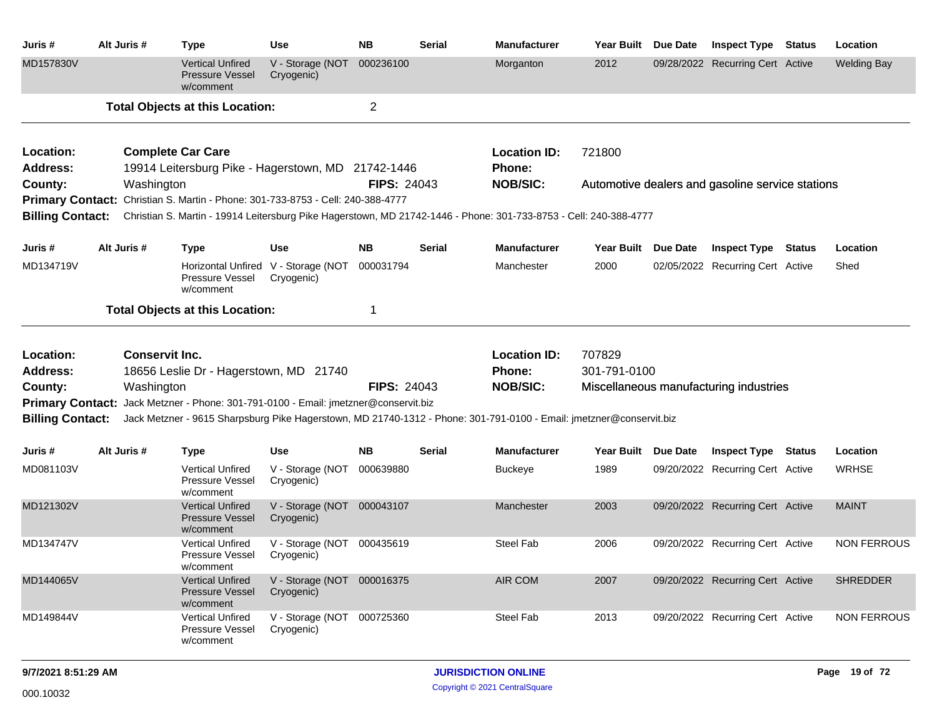| Juris #                 | Alt Juris # | <b>Type</b>                                                                                                         | Use                                               | <b>NB</b>          | <b>Serial</b> | <b>Manufacturer</b>              | Year Built          | <b>Due Date</b> | <b>Inspect Type</b>                              | <b>Status</b> | Location           |
|-------------------------|-------------|---------------------------------------------------------------------------------------------------------------------|---------------------------------------------------|--------------------|---------------|----------------------------------|---------------------|-----------------|--------------------------------------------------|---------------|--------------------|
| MD157830V               |             | <b>Vertical Unfired</b><br><b>Pressure Vessel</b><br>w/comment                                                      | V - Storage (NOT<br>Cryogenic)                    | 000236100          |               | Morganton                        | 2012                |                 | 09/28/2022 Recurring Cert Active                 |               | <b>Welding Bay</b> |
|                         |             | <b>Total Objects at this Location:</b>                                                                              |                                                   | $\overline{2}$     |               |                                  |                     |                 |                                                  |               |                    |
| Location:               |             | <b>Complete Car Care</b>                                                                                            |                                                   |                    |               | <b>Location ID:</b>              | 721800              |                 |                                                  |               |                    |
| Address:                |             | 19914 Leitersburg Pike - Hagerstown, MD 21742-1446                                                                  |                                                   | <b>FIPS: 24043</b> |               | <b>Phone:</b><br><b>NOB/SIC:</b> |                     |                 |                                                  |               |                    |
| County:                 | Washington  | Primary Contact: Christian S. Martin - Phone: 301-733-8753 - Cell: 240-388-4777                                     |                                                   |                    |               |                                  |                     |                 | Automotive dealers and gasoline service stations |               |                    |
| <b>Billing Contact:</b> |             | Christian S. Martin - 19914 Leitersburg Pike Hagerstown, MD 21742-1446 - Phone: 301-733-8753 - Cell: 240-388-4777   |                                                   |                    |               |                                  |                     |                 |                                                  |               |                    |
|                         |             |                                                                                                                     |                                                   |                    |               |                                  |                     |                 |                                                  |               |                    |
| Juris #                 | Alt Juris # | <b>Type</b>                                                                                                         | <b>Use</b>                                        | <b>NB</b>          | Serial        | <b>Manufacturer</b>              | Year Built Due Date |                 | <b>Inspect Type Status</b>                       |               | Location           |
| MD134719V               |             | Pressure Vessel<br>w/comment                                                                                        | Horizontal Unfired V - Storage (NOT<br>Cryogenic) | 000031794          |               | Manchester                       | 2000                |                 | 02/05/2022 Recurring Cert Active                 |               | Shed               |
|                         |             | <b>Total Objects at this Location:</b>                                                                              |                                                   | 1                  |               |                                  |                     |                 |                                                  |               |                    |
| Location:               |             | <b>Conservit Inc.</b>                                                                                               |                                                   |                    |               | <b>Location ID:</b>              | 707829              |                 |                                                  |               |                    |
| <b>Address:</b>         |             | 18656 Leslie Dr - Hagerstown, MD 21740                                                                              |                                                   |                    |               | <b>Phone:</b>                    | 301-791-0100        |                 |                                                  |               |                    |
| County:                 | Washington  |                                                                                                                     |                                                   | <b>FIPS: 24043</b> |               | <b>NOB/SIC:</b>                  |                     |                 | Miscellaneous manufacturing industries           |               |                    |
|                         |             | Primary Contact: Jack Metzner - Phone: 301-791-0100 - Email: jmetzner@conservit.biz                                 |                                                   |                    |               |                                  |                     |                 |                                                  |               |                    |
| <b>Billing Contact:</b> |             | Jack Metzner - 9615 Sharpsburg Pike Hagerstown, MD 21740-1312 - Phone: 301-791-0100 - Email: jmetzner@conservit.biz |                                                   |                    |               |                                  |                     |                 |                                                  |               |                    |
| Juris #                 | Alt Juris # | <b>Type</b>                                                                                                         | <b>Use</b>                                        | <b>NB</b>          | <b>Serial</b> | <b>Manufacturer</b>              | <b>Year Built</b>   | <b>Due Date</b> | <b>Inspect Type Status</b>                       |               | Location           |
| MD081103V               |             | <b>Vertical Unfired</b><br>Pressure Vessel<br>w/comment                                                             | V - Storage (NOT<br>Cryogenic)                    | 000639880          |               | Buckeye                          | 1989                |                 | 09/20/2022 Recurring Cert Active                 |               | <b>WRHSE</b>       |
| MD121302V               |             | <b>Vertical Unfired</b><br><b>Pressure Vessel</b><br>w/comment                                                      | V - Storage (NOT 000043107<br>Cryogenic)          |                    |               | Manchester                       | 2003                |                 | 09/20/2022 Recurring Cert Active                 |               | <b>MAINT</b>       |
| MD134747V               |             | <b>Vertical Unfired</b><br>Pressure Vessel<br>w/comment                                                             | V - Storage (NOT 000435619<br>Cryogenic)          |                    |               | <b>Steel Fab</b>                 | 2006                |                 | 09/20/2022 Recurring Cert Active                 |               | <b>NON FERROUS</b> |
| MD144065V               |             | <b>Vertical Unfired</b><br>Pressure Vessel<br>w/comment                                                             | V - Storage (NOT 000016375<br>Cryogenic)          |                    |               | AIR COM                          | 2007                |                 | 09/20/2022 Recurring Cert Active                 |               | <b>SHREDDER</b>    |
| MD149844V               |             | Vertical Unfired<br>Pressure Vessel<br>w/comment                                                                    | V - Storage (NOT 000725360<br>Cryogenic)          |                    |               | Steel Fab                        | 2013                |                 | 09/20/2022 Recurring Cert Active                 |               | <b>NON FERROUS</b> |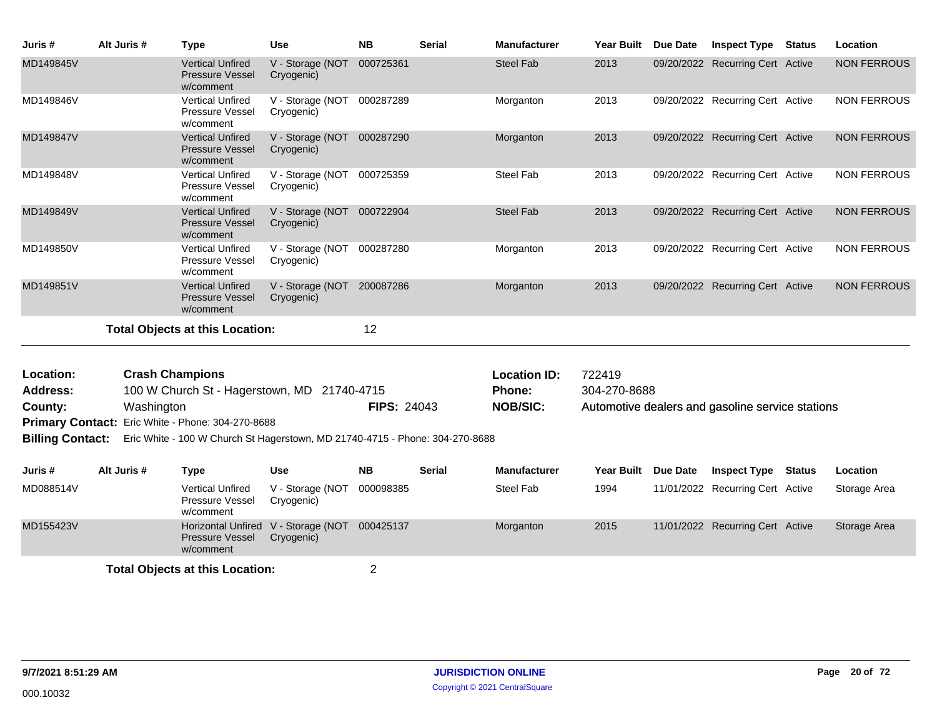| Juris #                      | Alt Juris #                                                                                                                                                                           | <b>Type</b>                                                    | <b>Use</b>                               | <b>NB</b>          | <b>Serial</b> | <b>Manufacturer</b>           | <b>Year Built</b>      | Due Date | <b>Inspect Type</b>                              | <b>Status</b> | Location           |
|------------------------------|---------------------------------------------------------------------------------------------------------------------------------------------------------------------------------------|----------------------------------------------------------------|------------------------------------------|--------------------|---------------|-------------------------------|------------------------|----------|--------------------------------------------------|---------------|--------------------|
| MD149845V                    |                                                                                                                                                                                       | <b>Vertical Unfired</b><br><b>Pressure Vessel</b><br>w/comment | V - Storage (NOT<br>Cryogenic)           | 000725361          |               | <b>Steel Fab</b>              | 2013                   |          | 09/20/2022 Recurring Cert Active                 |               | <b>NON FERROUS</b> |
| MD149846V                    |                                                                                                                                                                                       | <b>Vertical Unfired</b><br><b>Pressure Vessel</b><br>w/comment | V - Storage (NOT 000287289<br>Cryogenic) |                    |               | Morganton                     | 2013                   |          | 09/20/2022 Recurring Cert Active                 |               | <b>NON FERROUS</b> |
| MD149847V                    |                                                                                                                                                                                       | <b>Vertical Unfired</b><br><b>Pressure Vessel</b><br>w/comment | V - Storage (NOT<br>Cryogenic)           | 000287290          |               | Morganton                     | 2013                   |          | 09/20/2022 Recurring Cert Active                 |               | <b>NON FERROUS</b> |
| MD149848V                    |                                                                                                                                                                                       | <b>Vertical Unfired</b><br><b>Pressure Vessel</b><br>w/comment | V - Storage (NOT 000725359<br>Cryogenic) |                    |               | Steel Fab                     | 2013                   |          | 09/20/2022 Recurring Cert Active                 |               | <b>NON FERROUS</b> |
| MD149849V                    |                                                                                                                                                                                       | <b>Vertical Unfired</b><br><b>Pressure Vessel</b><br>w/comment | V - Storage (NOT<br>Cryogenic)           | 000722904          |               | <b>Steel Fab</b>              | 2013                   |          | 09/20/2022 Recurring Cert Active                 |               | <b>NON FERROUS</b> |
| MD149850V                    |                                                                                                                                                                                       | <b>Vertical Unfired</b><br>Pressure Vessel<br>w/comment        | V - Storage (NOT<br>Cryogenic)           | 000287280          |               | Morganton                     | 2013                   |          | 09/20/2022 Recurring Cert Active                 |               | <b>NON FERROUS</b> |
| MD149851V                    |                                                                                                                                                                                       | <b>Vertical Unfired</b><br><b>Pressure Vessel</b><br>w/comment | V - Storage (NOT 200087286<br>Cryogenic) |                    |               | Morganton                     | 2013                   |          | 09/20/2022 Recurring Cert Active                 |               | <b>NON FERROUS</b> |
|                              |                                                                                                                                                                                       | <b>Total Objects at this Location:</b>                         |                                          | 12                 |               |                               |                        |          |                                                  |               |                    |
| Location:<br><b>Address:</b> | <b>Crash Champions</b><br>100 W Church St - Hagerstown, MD 21740-4715                                                                                                                 |                                                                |                                          |                    |               | <b>Location ID:</b><br>Phone: | 722419<br>304-270-8688 |          |                                                  |               |                    |
|                              | Washington<br>County:<br>Primary Contact: Eric White - Phone: 304-270-8688<br><b>Billing Contact:</b><br>Eric White - 100 W Church St Hagerstown, MD 21740-4715 - Phone: 304-270-8688 |                                                                |                                          | <b>FIPS: 24043</b> |               | <b>NOB/SIC:</b>               |                        |          | Automotive dealers and gasoline service stations |               |                    |
| Juris #                      | Alt Juris #                                                                                                                                                                           | <b>Type</b>                                                    | <b>Use</b>                               | <b>NB</b>          | <b>Serial</b> | <b>Manufacturer</b>           | Year Built             | Due Date | <b>Inspect Type</b>                              | Status        | Location           |
| MD088514V                    |                                                                                                                                                                                       | <b>Vertical Unfired</b><br>Pressure Vessel<br>w/comment        | V - Storage (NOT<br>Cryogenic)           | 000098385          |               | Steel Fab                     | 1994                   |          | 11/01/2022 Recurring Cert Active                 |               | Storage Area       |
| MD155423V                    |                                                                                                                                                                                       | <b>Horizontal Unfired</b><br>Pressure Vessel<br>w/comment      | V - Storage (NOT<br>Cryogenic)           | 000425137          |               | Morganton                     | 2015                   |          | 11/01/2022 Recurring Cert Active                 |               | Storage Area       |
|                              | <b>Total Objects at this Location:</b>                                                                                                                                                |                                                                |                                          |                    |               |                               |                        |          |                                                  |               |                    |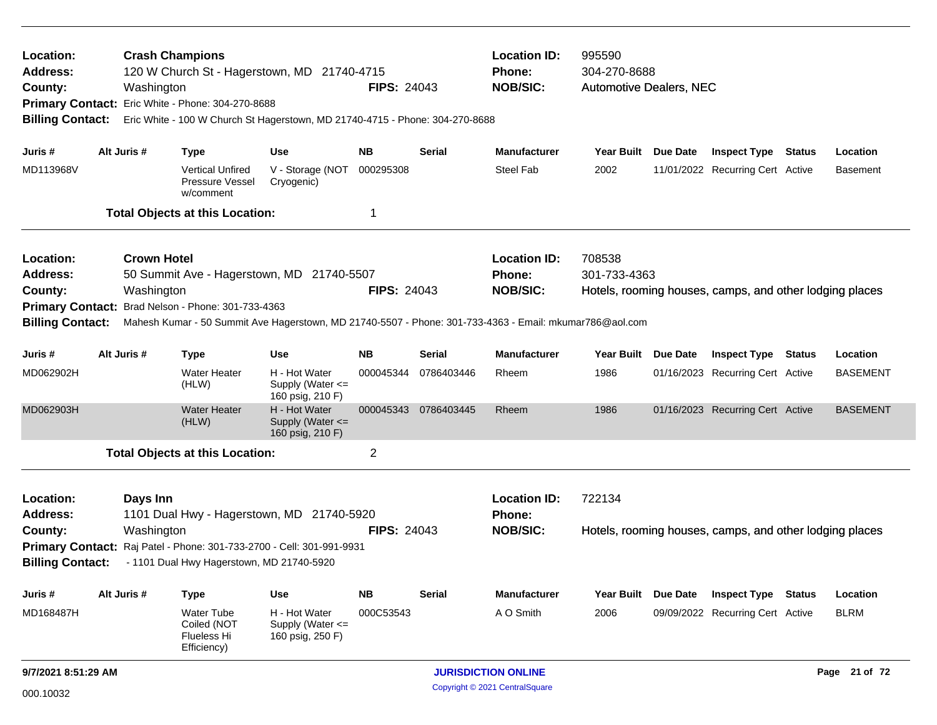| Location:<br><b>Address:</b><br>County:<br><b>Billing Contact:</b> |                                                                                                                                                                                                                                                                                     | Washington             | <b>Crash Champions</b><br>120 W Church St - Hagerstown, MD 21740-4715<br>Primary Contact: Eric White - Phone: 304-270-8688<br>Eric White - 100 W Church St Hagerstown, MD 21740-4715 - Phone: 304-270-8688 |                                                       | <b>FIPS: 24043</b> |                                             | <b>Location ID:</b><br>Phone:<br><b>NOB/SIC:</b> | 995590<br>304-270-8688<br><b>Automotive Dealers, NEC</b> |                 | <b>Inspect Type Status</b>                              |        |                 |
|--------------------------------------------------------------------|-------------------------------------------------------------------------------------------------------------------------------------------------------------------------------------------------------------------------------------------------------------------------------------|------------------------|------------------------------------------------------------------------------------------------------------------------------------------------------------------------------------------------------------|-------------------------------------------------------|--------------------|---------------------------------------------|--------------------------------------------------|----------------------------------------------------------|-----------------|---------------------------------------------------------|--------|-----------------|
| Juris #                                                            |                                                                                                                                                                                                                                                                                     | Alt Juris #            | <b>Type</b>                                                                                                                                                                                                | Use                                                   | <b>NB</b>          | <b>Serial</b>                               | Manufacturer                                     | Year Built Due Date                                      |                 |                                                         |        | Location        |
| MD113968V                                                          |                                                                                                                                                                                                                                                                                     |                        | <b>Vertical Unfired</b><br>Pressure Vessel<br>w/comment                                                                                                                                                    | V - Storage (NOT<br>Cryogenic)                        | 000295308          |                                             | <b>Steel Fab</b>                                 | 2002                                                     |                 | 11/01/2022 Recurring Cert Active                        |        | <b>Basement</b> |
|                                                                    |                                                                                                                                                                                                                                                                                     |                        | <b>Total Objects at this Location:</b>                                                                                                                                                                     |                                                       | -1                 |                                             |                                                  |                                                          |                 |                                                         |        |                 |
| Location:<br><b>Address:</b><br>County:                            | <b>Crown Hotel</b><br>50 Summit Ave - Hagerstown, MD 21740-5507<br>Washington<br>Brad Nelson - Phone: 301-733-4363<br><b>Primary Contact:</b><br><b>Billing Contact:</b><br>Mahesh Kumar - 50 Summit Ave Hagerstown, MD 21740-5507 - Phone: 301-733-4363 - Email: mkumar786@aol.com |                        |                                                                                                                                                                                                            |                                                       |                    | <b>FIPS: 24043</b>                          | <b>Location ID:</b><br>Phone:<br><b>NOB/SIC:</b> | 708538<br>301-733-4363                                   |                 | Hotels, rooming houses, camps, and other lodging places |        |                 |
|                                                                    |                                                                                                                                                                                                                                                                                     |                        |                                                                                                                                                                                                            |                                                       |                    |                                             |                                                  |                                                          |                 |                                                         |        |                 |
| Juris #                                                            |                                                                                                                                                                                                                                                                                     | Alt Juris #            | <b>Type</b>                                                                                                                                                                                                | <b>Use</b>                                            | NB.                | <b>Serial</b>                               | <b>Manufacturer</b>                              | <b>Year Built</b>                                        | <b>Due Date</b> | <b>Inspect Type</b>                                     | Status | Location        |
| MD062902H                                                          |                                                                                                                                                                                                                                                                                     |                        | <b>Water Heater</b><br>(HLW)                                                                                                                                                                               | H - Hot Water<br>Supply (Water <=<br>160 psig, 210 F) | 000045344          | 0786403446                                  | Rheem                                            | 1986                                                     |                 | 01/16/2023 Recurring Cert Active                        |        | <b>BASEMENT</b> |
| MD062903H                                                          |                                                                                                                                                                                                                                                                                     |                        | <b>Water Heater</b><br>(HLW)                                                                                                                                                                               | H - Hot Water<br>Supply (Water <=<br>160 psig, 210 F) |                    | 000045343 0786403445                        | Rheem                                            | 1986                                                     |                 | 01/16/2023 Recurring Cert Active                        |        | <b>BASEMENT</b> |
|                                                                    |                                                                                                                                                                                                                                                                                     |                        | <b>Total Objects at this Location:</b>                                                                                                                                                                     |                                                       | $\overline{2}$     |                                             |                                                  |                                                          |                 |                                                         |        |                 |
| Location:<br><b>Address:</b><br>County:<br><b>Billing Contact:</b> |                                                                                                                                                                                                                                                                                     | Days Inn<br>Washington | 1101 Dual Hwy - Hagerstown, MD 21740-5920<br>Primary Contact: Raj Patel - Phone: 301-733-2700 - Cell: 301-991-9931<br>- 1101 Dual Hwy Hagerstown, MD 21740-5920                                            |                                                       | <b>FIPS: 24043</b> |                                             | <b>Location ID:</b><br>Phone:<br><b>NOB/SIC:</b> | 722134                                                   |                 | Hotels, rooming houses, camps, and other lodging places |        |                 |
| Juris #                                                            |                                                                                                                                                                                                                                                                                     | Alt Juris #            | <b>Type</b>                                                                                                                                                                                                | Use                                                   | <b>NB</b>          | <b>Serial</b>                               | Manufacturer                                     | Year Built Due Date                                      |                 | <b>Inspect Type</b>                                     | Status | Location        |
| MD168487H                                                          |                                                                                                                                                                                                                                                                                     |                        | <b>Water Tube</b><br>Coiled (NOT<br>Flueless Hi<br>Efficiency)                                                                                                                                             | H - Hot Water<br>Supply (Water <=<br>160 psig, 250 F) | 000C53543          |                                             | A O Smith                                        | 2006                                                     |                 | 09/09/2022 Recurring Cert Active                        |        | <b>BLRM</b>     |
| 9/7/2021 8:51:29 AM                                                |                                                                                                                                                                                                                                                                                     |                        |                                                                                                                                                                                                            |                                                       |                    | <b>JURISDICTION ONLINE</b><br>Page 21 of 72 |                                                  |                                                          |                 |                                                         |        |                 |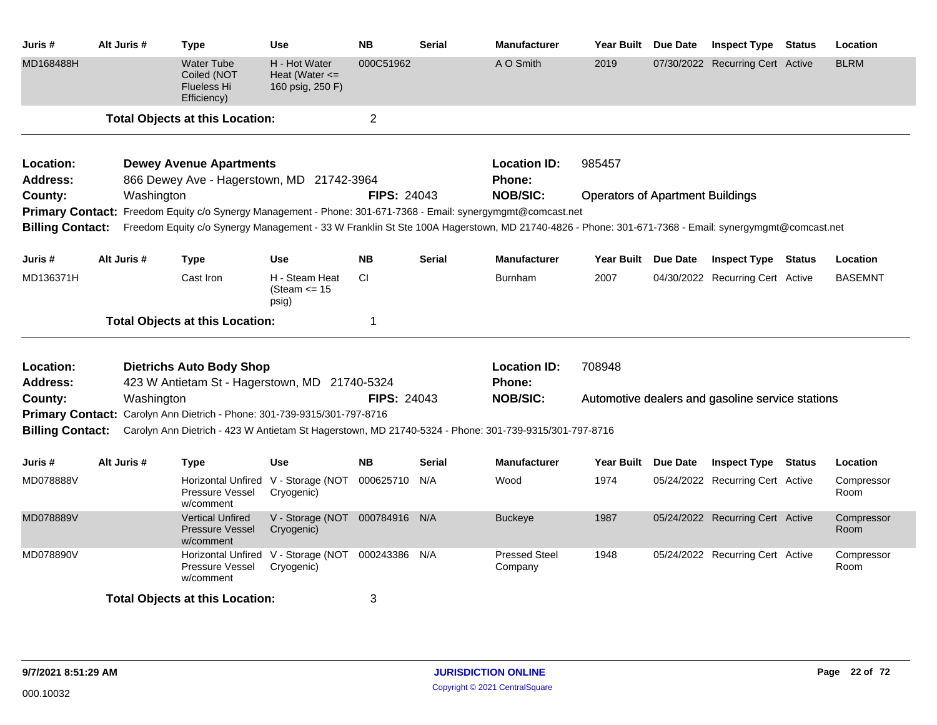| Juris #                 | Alt Juris # | Type                                                                     | <b>Use</b>                                              | <b>NB</b>          | <b>Serial</b> | <b>Manufacturer</b>                                                                                                                                | Year Built Due Date                              |          | <b>Inspect Type Status</b>       |  | Location           |  |
|-------------------------|-------------|--------------------------------------------------------------------------|---------------------------------------------------------|--------------------|---------------|----------------------------------------------------------------------------------------------------------------------------------------------------|--------------------------------------------------|----------|----------------------------------|--|--------------------|--|
| MD168488H               |             | <b>Water Tube</b><br>Coiled (NOT<br><b>Flueless Hi</b><br>Efficiency)    | H - Hot Water<br>Heat (Water $\leq$<br>160 psig, 250 F) | 000C51962          |               | A O Smith                                                                                                                                          | 2019                                             |          | 07/30/2022 Recurring Cert Active |  | <b>BLRM</b>        |  |
|                         |             | <b>Total Objects at this Location:</b>                                   |                                                         | $\overline{2}$     |               |                                                                                                                                                    |                                                  |          |                                  |  |                    |  |
| Location:               |             | <b>Dewey Avenue Apartments</b>                                           |                                                         |                    |               | <b>Location ID:</b>                                                                                                                                | 985457                                           |          |                                  |  |                    |  |
| <b>Address:</b>         |             | 866 Dewey Ave - Hagerstown, MD 21742-3964                                |                                                         |                    |               | <b>Phone:</b>                                                                                                                                      |                                                  |          |                                  |  |                    |  |
| County:                 | Washington  |                                                                          |                                                         | <b>FIPS: 24043</b> |               | <b>NOB/SIC:</b>                                                                                                                                    | <b>Operators of Apartment Buildings</b>          |          |                                  |  |                    |  |
|                         |             |                                                                          |                                                         |                    |               | Primary Contact: Freedom Equity c/o Synergy Management - Phone: 301-671-7368 - Email: synergymgmt@comcast.net                                      |                                                  |          |                                  |  |                    |  |
| <b>Billing Contact:</b> |             |                                                                          |                                                         |                    |               | Freedom Equity c/o Synergy Management - 33 W Franklin St Ste 100A Hagerstown, MD 21740-4826 - Phone: 301-671-7368 - Email: synergymgmt@comcast.net |                                                  |          |                                  |  |                    |  |
| Juris #                 | Alt Juris # | <b>Type</b>                                                              | <b>Use</b>                                              | <b>NB</b>          | <b>Serial</b> | <b>Manufacturer</b>                                                                                                                                | Year Built Due Date                              |          | <b>Inspect Type Status</b>       |  | Location           |  |
| MD136371H               |             | Cast Iron                                                                | H - Steam Heat<br>(Steam $\leq$ 15<br>psig)             | <b>CI</b>          |               | <b>Burnham</b>                                                                                                                                     | 2007                                             |          | 04/30/2022 Recurring Cert Active |  | <b>BASEMNT</b>     |  |
|                         |             | <b>Total Objects at this Location:</b>                                   |                                                         | -1                 |               |                                                                                                                                                    |                                                  |          |                                  |  |                    |  |
| Location:               |             | <b>Dietrichs Auto Body Shop</b>                                          |                                                         |                    |               | <b>Location ID:</b>                                                                                                                                | 708948                                           |          |                                  |  |                    |  |
| <b>Address:</b>         |             | 423 W Antietam St - Hagerstown, MD 21740-5324                            |                                                         |                    |               | <b>Phone:</b>                                                                                                                                      |                                                  |          |                                  |  |                    |  |
| County:                 | Washington  |                                                                          |                                                         | <b>FIPS: 24043</b> |               | <b>NOB/SIC:</b>                                                                                                                                    | Automotive dealers and gasoline service stations |          |                                  |  |                    |  |
|                         |             | Primary Contact: Carolyn Ann Dietrich - Phone: 301-739-9315/301-797-8716 |                                                         |                    |               |                                                                                                                                                    |                                                  |          |                                  |  |                    |  |
| <b>Billing Contact:</b> |             |                                                                          |                                                         |                    |               | Carolyn Ann Dietrich - 423 W Antietam St Hagerstown, MD 21740-5324 - Phone: 301-739-9315/301-797-8716                                              |                                                  |          |                                  |  |                    |  |
| Juris #                 | Alt Juris # | Type                                                                     | <b>Use</b>                                              | <b>NB</b>          | Serial        | <b>Manufacturer</b>                                                                                                                                | <b>Year Built</b>                                | Due Date | <b>Inspect Type Status</b>       |  | Location           |  |
| MD078888V               |             | Pressure Vessel<br>w/comment                                             | Horizontal Unfired V - Storage (NOT<br>Cryogenic)       | 000625710          | N/A           | Wood                                                                                                                                               | 1974                                             |          | 05/24/2022 Recurring Cert Active |  | Compressor<br>Room |  |
| MD078889V               |             | <b>Vertical Unfired</b><br><b>Pressure Vessel</b><br>w/comment           | V - Storage (NOT<br>Cryogenic)                          | 000784916 N/A      |               | <b>Buckeye</b>                                                                                                                                     | 1987                                             |          | 05/24/2022 Recurring Cert Active |  | Compressor<br>Room |  |
| MD078890V               |             | Horizontal Unfired<br>Pressure Vessel<br>w/comment                       | V - Storage (NOT 000243386 N/A<br>Cryogenic)            |                    |               | <b>Pressed Steel</b><br>Company                                                                                                                    | 1948                                             |          | 05/24/2022 Recurring Cert Active |  | Compressor<br>Room |  |
|                         |             | <b>Total Objects at this Location:</b>                                   |                                                         | 3                  |               |                                                                                                                                                    |                                                  |          |                                  |  |                    |  |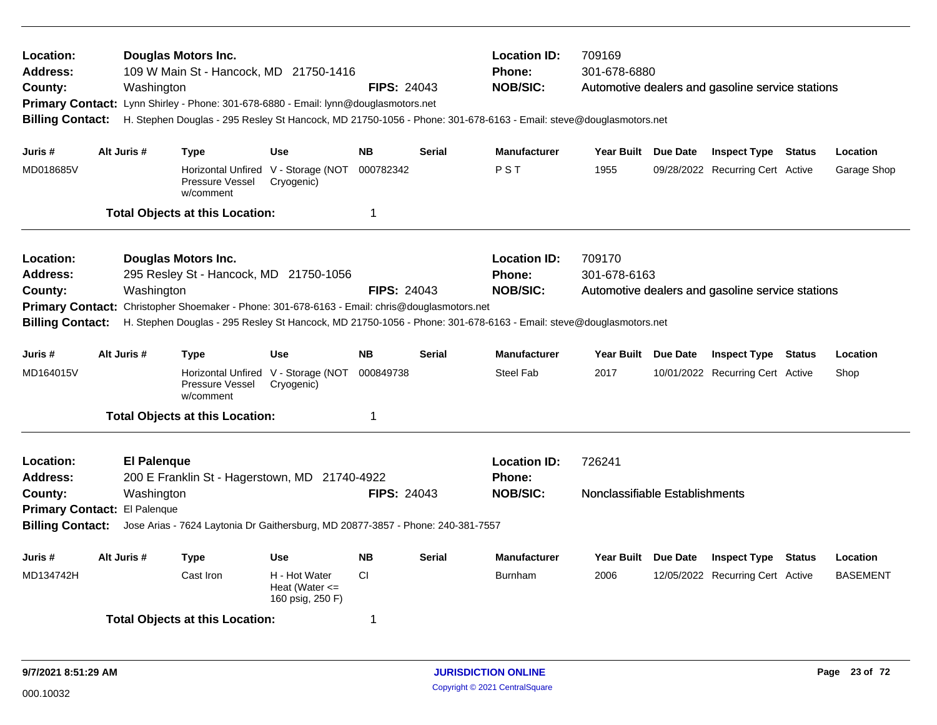| Location:<br><b>Address:</b><br>County:<br><b>Billing Contact:</b>                     | <b>Location ID:</b><br>709169<br><b>Douglas Motors Inc.</b><br>109 W Main St - Hancock, MD 21750-1416<br><b>Phone:</b><br>301-678-6880<br><b>NOB/SIC:</b><br><b>FIPS: 24043</b><br>Washington<br>Automotive dealers and gasoline service stations<br>Primary Contact: Lynn Shirley - Phone: 301-678-6880 - Email: lynn@douglasmotors.net<br>H. Stephen Douglas - 295 Resley St Hancock, MD 21750-1056 - Phone: 301-678-6163 - Email: steve@douglasmotors.net<br>Alt Juris #<br><b>Use</b><br><b>NB</b><br><b>Serial</b><br><b>Manufacturer</b><br>Year Built Due Date<br><b>Inspect Type Status</b><br>Type |                                                                                                                                                                                                                                                                          |                                                                       |                    |               |                                                  |                                          |                                                         |        |                             |
|----------------------------------------------------------------------------------------|-------------------------------------------------------------------------------------------------------------------------------------------------------------------------------------------------------------------------------------------------------------------------------------------------------------------------------------------------------------------------------------------------------------------------------------------------------------------------------------------------------------------------------------------------------------------------------------------------------------|--------------------------------------------------------------------------------------------------------------------------------------------------------------------------------------------------------------------------------------------------------------------------|-----------------------------------------------------------------------|--------------------|---------------|--------------------------------------------------|------------------------------------------|---------------------------------------------------------|--------|-----------------------------|
| Juris #                                                                                |                                                                                                                                                                                                                                                                                                                                                                                                                                                                                                                                                                                                             |                                                                                                                                                                                                                                                                          |                                                                       |                    |               |                                                  |                                          |                                                         |        | Location                    |
| MD018685V                                                                              |                                                                                                                                                                                                                                                                                                                                                                                                                                                                                                                                                                                                             | Pressure Vessel<br>w/comment                                                                                                                                                                                                                                             | Horizontal Unfired V - Storage (NOT<br>Cryogenic)                     | 000782342          |               | PST                                              | 1955                                     | 09/28/2022 Recurring Cert Active                        |        | Garage Shop                 |
|                                                                                        |                                                                                                                                                                                                                                                                                                                                                                                                                                                                                                                                                                                                             | <b>Total Objects at this Location:</b>                                                                                                                                                                                                                                   |                                                                       | $\mathbf 1$        |               |                                                  |                                          |                                                         |        |                             |
| Location:<br>Address:<br>County:<br><b>Primary Contact:</b><br><b>Billing Contact:</b> | Washington                                                                                                                                                                                                                                                                                                                                                                                                                                                                                                                                                                                                  | <b>Douglas Motors Inc.</b><br>295 Resley St - Hancock, MD 21750-1056<br>Christopher Shoemaker - Phone: 301-678-6163 - Email: chris@douglasmotors.net<br>H. Stephen Douglas - 295 Resley St Hancock, MD 21750-1056 - Phone: 301-678-6163 - Email: steve@douglasmotors.net |                                                                       | <b>FIPS: 24043</b> |               | <b>Location ID:</b><br>Phone:<br><b>NOB/SIC:</b> | 709170<br>301-678-6163                   | Automotive dealers and gasoline service stations        |        |                             |
| Juris #                                                                                | Alt Juris #                                                                                                                                                                                                                                                                                                                                                                                                                                                                                                                                                                                                 | <b>Type</b>                                                                                                                                                                                                                                                              | <b>Use</b>                                                            | <b>NB</b>          | <b>Serial</b> | <b>Manufacturer</b>                              | Year Built Due Date                      | <b>Inspect Type Status</b>                              |        | Location                    |
| MD164015V                                                                              |                                                                                                                                                                                                                                                                                                                                                                                                                                                                                                                                                                                                             | Pressure Vessel<br>w/comment                                                                                                                                                                                                                                             | Horizontal Unfired V - Storage (NOT<br>Cryogenic)                     | 000849738          |               | Steel Fab                                        | 2017                                     | 10/01/2022 Recurring Cert Active                        |        | Shop                        |
|                                                                                        |                                                                                                                                                                                                                                                                                                                                                                                                                                                                                                                                                                                                             | <b>Total Objects at this Location:</b>                                                                                                                                                                                                                                   |                                                                       | $\mathbf 1$        |               |                                                  |                                          |                                                         |        |                             |
| Location:<br><b>Address:</b><br>County:<br><b>Billing Contact:</b>                     | <b>El Palenque</b><br>Washington<br>Primary Contact: El Palenque                                                                                                                                                                                                                                                                                                                                                                                                                                                                                                                                            | 200 E Franklin St - Hagerstown, MD 21740-4922<br>Jose Arias - 7624 Laytonia Dr Gaithersburg, MD 20877-3857 - Phone: 240-381-7557                                                                                                                                         |                                                                       | <b>FIPS: 24043</b> |               | <b>Location ID:</b><br>Phone:<br><b>NOB/SIC:</b> | 726241<br>Nonclassifiable Establishments |                                                         |        |                             |
|                                                                                        | Alt Juris #                                                                                                                                                                                                                                                                                                                                                                                                                                                                                                                                                                                                 |                                                                                                                                                                                                                                                                          |                                                                       | <b>NB</b>          | <b>Serial</b> | <b>Manufacturer</b>                              |                                          |                                                         |        |                             |
| Juris #<br>MD134742H                                                                   |                                                                                                                                                                                                                                                                                                                                                                                                                                                                                                                                                                                                             | <b>Type</b><br>Cast Iron                                                                                                                                                                                                                                                 | <b>Use</b><br>H - Hot Water<br>Heat (Water $\leq$<br>160 psig, 250 F) | CI                 |               | Burnham                                          | Year Built Due Date<br>2006              | <b>Inspect Type</b><br>12/05/2022 Recurring Cert Active | Status | Location<br><b>BASEMENT</b> |
|                                                                                        |                                                                                                                                                                                                                                                                                                                                                                                                                                                                                                                                                                                                             | <b>Total Objects at this Location:</b>                                                                                                                                                                                                                                   |                                                                       | -1                 |               |                                                  |                                          |                                                         |        |                             |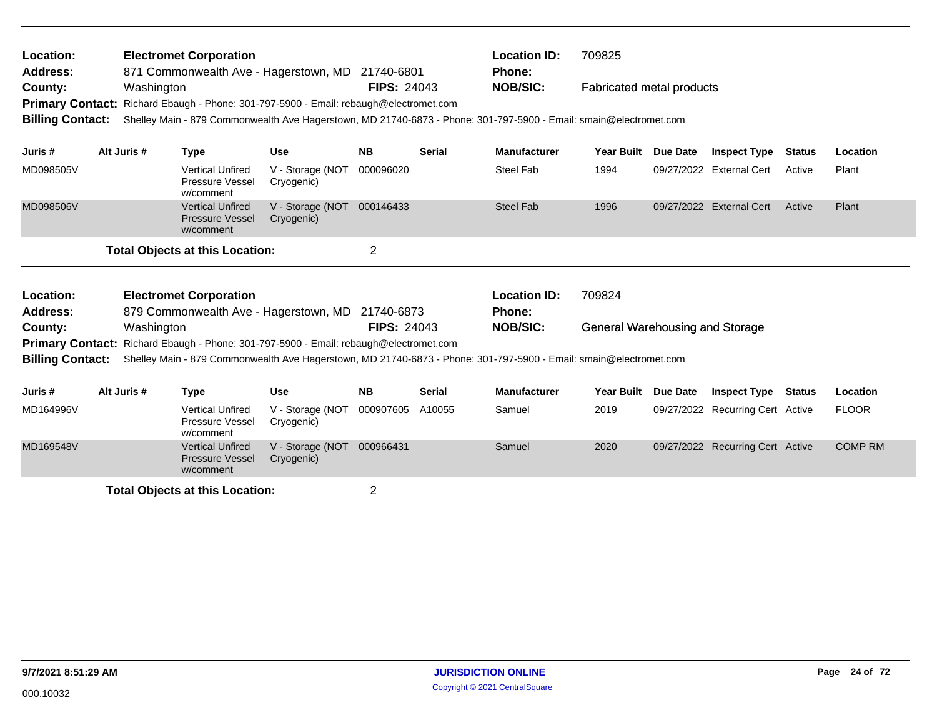| Location:<br><b>Address:</b><br>County:<br><b>Primary Contact:</b><br><b>Billing Contact:</b> | Washington  | <b>Electromet Corporation</b>                                  | 871 Commonwealth Ave - Hagerstown, MD 21740-6801<br>Richard Ebaugh - Phone: 301-797-5900 - Email: rebaugh@electromet.com                         | <b>FIPS: 24043</b> |               | <b>Location ID:</b><br><b>Phone:</b><br><b>NOB/SIC:</b><br>Shelley Main - 879 Commonwealth Ave Hagerstown, MD 21740-6873 - Phone: 301-797-5900 - Email: smain@electromet.com | 709825<br><b>Fabricated metal products</b>       |                 |                                  |               |                |
|-----------------------------------------------------------------------------------------------|-------------|----------------------------------------------------------------|--------------------------------------------------------------------------------------------------------------------------------------------------|--------------------|---------------|------------------------------------------------------------------------------------------------------------------------------------------------------------------------------|--------------------------------------------------|-----------------|----------------------------------|---------------|----------------|
| Juris #                                                                                       | Alt Juris # | <b>Type</b>                                                    | <b>Use</b>                                                                                                                                       | <b>NB</b>          | <b>Serial</b> | <b>Manufacturer</b>                                                                                                                                                          | <b>Year Built</b>                                | Due Date        | <b>Inspect Type</b>              | Status        | Location       |
| MD098505V                                                                                     |             | <b>Vertical Unfired</b><br>Pressure Vessel<br>w/comment        | V - Storage (NOT<br>Cryogenic)                                                                                                                   | 000096020          |               | Steel Fab                                                                                                                                                                    | 1994                                             |                 | 09/27/2022 External Cert         | Active        | Plant          |
| MD098506V                                                                                     |             | <b>Vertical Unfired</b><br><b>Pressure Vessel</b><br>w/comment | V - Storage (NOT<br>Cryogenic)                                                                                                                   | 000146433          |               | <b>Steel Fab</b>                                                                                                                                                             | 1996                                             |                 | 09/27/2022 External Cert         | Active        | Plant          |
|                                                                                               |             | <b>Total Objects at this Location:</b>                         |                                                                                                                                                  | $\overline{2}$     |               |                                                                                                                                                                              |                                                  |                 |                                  |               |                |
| Location:<br><b>Address:</b><br>County:<br><b>Billing Contact:</b>                            | Washington  | <b>Electromet Corporation</b>                                  | 879 Commonwealth Ave - Hagerstown, MD 21740-6873<br><b>Primary Contact:</b> Richard Ebaugh - Phone: 301-797-5900 - Email: rebaugh@electromet.com | <b>FIPS: 24043</b> |               | <b>Location ID:</b><br>Phone:<br><b>NOB/SIC:</b><br>Shelley Main - 879 Commonwealth Ave Hagerstown, MD 21740-6873 - Phone: 301-797-5900 - Email: smain@electromet.com        | 709824<br><b>General Warehousing and Storage</b> |                 |                                  |               |                |
| Juris #                                                                                       | Alt Juris # | <b>Type</b>                                                    | <b>Use</b>                                                                                                                                       | <b>NB</b>          | <b>Serial</b> | <b>Manufacturer</b>                                                                                                                                                          | <b>Year Built</b>                                | <b>Due Date</b> | <b>Inspect Type</b>              | <b>Status</b> | Location       |
| MD164996V                                                                                     |             | <b>Vertical Unfired</b><br>Pressure Vessel<br>w/comment        | V - Storage (NOT<br>Cryogenic)                                                                                                                   | 000907605          | A10055        | Samuel                                                                                                                                                                       | 2019                                             |                 | 09/27/2022 Recurring Cert Active |               | <b>FLOOR</b>   |
| MD169548V                                                                                     |             | <b>Vertical Unfired</b><br><b>Pressure Vessel</b>              | V - Storage (NOT<br>Cryogenic)                                                                                                                   | 000966431          |               | Samuel                                                                                                                                                                       | 2020                                             |                 | 09/27/2022 Recurring Cert Active |               | <b>COMP RM</b> |

w/comment **Total Objects at this Location:** 2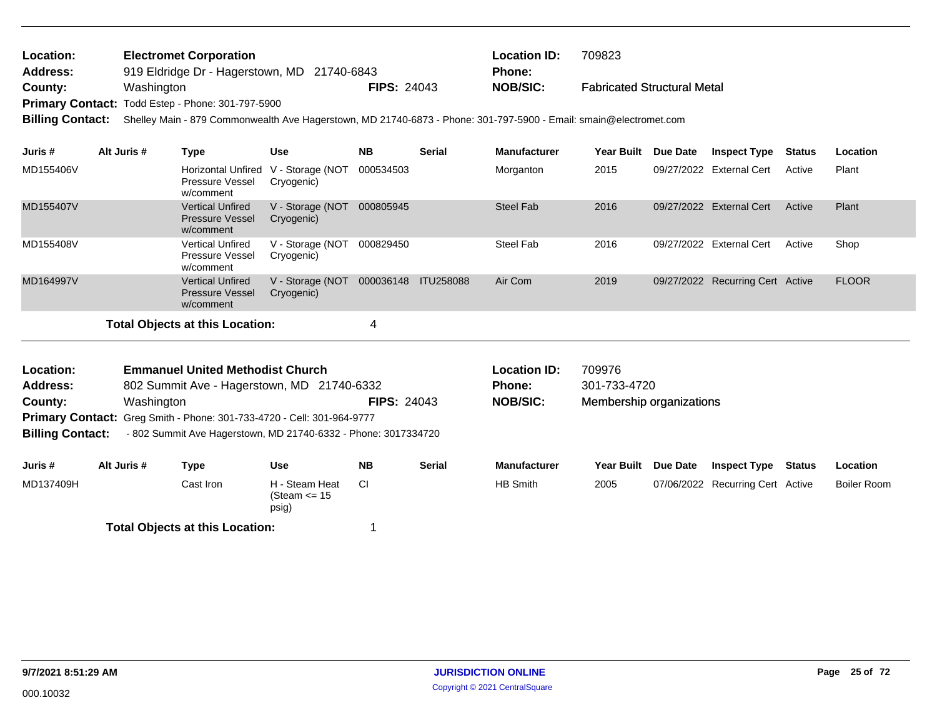| Location: | <b>Electromet Corporation</b>                     |                    | <b>Location ID:</b> | 709823                             |
|-----------|---------------------------------------------------|--------------------|---------------------|------------------------------------|
| Address:  | 919 Eldridge Dr - Hagerstown, MD 21740-6843       |                    | <b>Phone:</b>       |                                    |
| County:   | Washington                                        | <b>FIPS: 24043</b> | NOB/SIC:            | <b>Fabricated Structural Metal</b> |
|           | Primary Contact: Todd Estep - Phone: 301-797-5900 |                    |                     |                                    |

**Billing Contact:** Shelley Main - 879 Commonwealth Ave Hagerstown, MD 21740-6873 - Phone: 301-797-5900 - Email: smain@electromet.com

| Juris #   | Alt Juris # | Type                                                           | <b>Use</b>                      | <b>NB</b> | <b>Serial</b>    | <b>Manufacturer</b> | <b>Year Built</b> | Due Date   | <b>Inspect Type</b>              | <b>Status</b> | Location     |
|-----------|-------------|----------------------------------------------------------------|---------------------------------|-----------|------------------|---------------------|-------------------|------------|----------------------------------|---------------|--------------|
| MD155406V |             | Horizontal Unfired<br>Pressure Vessel<br>w/comment             | V - Storage (NOT<br>Cryogenic)  | 000534503 |                  | Morganton           | 2015              |            | 09/27/2022 External Cert         | Active        | Plant        |
| MD155407V |             | <b>Vertical Unfired</b><br><b>Pressure Vessel</b><br>w/comment | V - Storage (NOT)<br>Cryogenic) | 000805945 |                  | Steel Fab           | 2016              | 09/27/2022 | <b>External Cert</b>             | Active        | Plant        |
| MD155408V |             | <b>Vertical Unfired</b><br><b>Pressure Vessel</b><br>w/comment | V - Storage (NOT<br>Cryogenic)  | 000829450 |                  | Steel Fab           | 2016              |            | 09/27/2022 External Cert         | Active        | Shop         |
| MD164997V |             | <b>Vertical Unfired</b><br><b>Pressure Vessel</b><br>w/comment | V - Storage (NOT<br>Cryogenic)  | 000036148 | <b>ITU258088</b> | Air Com             | 2019              |            | 09/27/2022 Recurring Cert Active |               | <b>FLOOR</b> |
|           |             | Total Objects at this Location:                                |                                 |           |                  |                     |                   |            |                                  |               |              |

802 Summit Ave - Hagerstown, MD 21740-6332 **County:** Washington **NOB/SIC: NOB/SIC: NOB/SIC: NOB/SIC: NOB Primary Contact:** Greg Smith - Phone: 301-733-4720 - Cell: 301-964-9777 **Emmanuel United Methodist Church Location ID:** 709976 **Address: Location: FIPS:** 24043

**Billing Contact:** - 802 Summit Ave Hagerstown, MD 21740-6332 - Phone: 3017334720

| Juris#    | Alt Juris # | Type                                   | <b>Use</b>                                  | <b>NB</b> | Serial | <b>Manufacturer</b> | <b>Year Built</b> | <b>Due Date</b> | <b>Inspect Type</b>              | Status | Location    |
|-----------|-------------|----------------------------------------|---------------------------------------------|-----------|--------|---------------------|-------------------|-----------------|----------------------------------|--------|-------------|
| MD137409H |             | Cast Iron l                            | H - Steam Heat<br>(Steam $\leq$ 15<br>psig) | СI        |        | HB Smith            | 2005              |                 | 07/06/2022 Recurring Cert Active |        | Boiler Room |
|           |             | <b>Total Objects at this Location:</b> |                                             |           |        |                     |                   |                 |                                  |        |             |

Membership organizations

**Phone:** 301-733-4720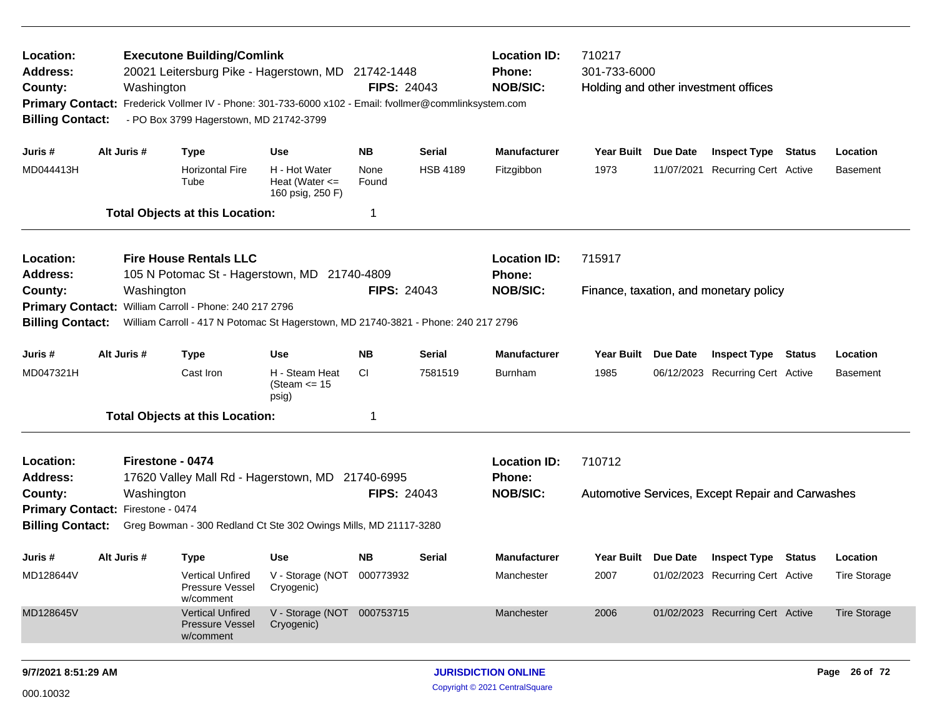| Location:<br><b>Address:</b><br>County:<br><b>Primary Contact:</b><br><b>Billing Contact:</b> | Washington                     | <b>Executone Building/Comlink</b><br>20021 Leitersburg Pike - Hagerstown, MD 21742-1448<br>Frederick Vollmer IV - Phone: 301-733-6000 x102 - Email: fvollmer@commlinksystem.com<br>- PO Box 3799 Hagerstown, MD 21742-3799 |                                                           | <b>FIPS: 24043</b> |                 | <b>Location ID:</b><br>Phone:<br><b>NOB/SIC:</b> | 710217<br>301-733-6000 | Holding and other investment offices             |                     |
|-----------------------------------------------------------------------------------------------|--------------------------------|----------------------------------------------------------------------------------------------------------------------------------------------------------------------------------------------------------------------------|-----------------------------------------------------------|--------------------|-----------------|--------------------------------------------------|------------------------|--------------------------------------------------|---------------------|
| Juris #                                                                                       | Alt Juris #                    | <b>Type</b>                                                                                                                                                                                                                | <b>Use</b>                                                | <b>NB</b>          | Serial          | <b>Manufacturer</b>                              | Year Built Due Date    | <b>Inspect Type Status</b>                       | Location            |
| MD044413H                                                                                     |                                | <b>Horizontal Fire</b><br>Tube                                                                                                                                                                                             | H - Hot Water<br>Heat (Water $\leq$<br>160 psig, 250 F)   | None<br>Found      | <b>HSB 4189</b> | Fitzgibbon                                       | 1973                   | 11/07/2021 Recurring Cert Active                 | <b>Basement</b>     |
|                                                                                               |                                | <b>Total Objects at this Location:</b>                                                                                                                                                                                     |                                                           | 1                  |                 |                                                  |                        |                                                  |                     |
| Location:<br><b>Address:</b>                                                                  |                                | <b>Fire House Rentals LLC</b><br>105 N Potomac St - Hagerstown, MD 21740-4809                                                                                                                                              |                                                           |                    |                 | <b>Location ID:</b><br>Phone:                    | 715917                 |                                                  |                     |
| County:<br><b>Primary Contact:</b><br><b>Billing Contact:</b>                                 | Washington                     | William Carroll - Phone: 240 217 2796<br>William Carroll - 417 N Potomac St Hagerstown, MD 21740-3821 - Phone: 240 217 2796                                                                                                |                                                           | <b>FIPS: 24043</b> |                 | <b>NOB/SIC:</b>                                  |                        | Finance, taxation, and monetary policy           |                     |
| Juris #                                                                                       | Alt Juris #                    | <b>Type</b>                                                                                                                                                                                                                | <b>Use</b>                                                | NB.                | Serial          | <b>Manufacturer</b>                              | Year Built Due Date    | <b>Inspect Type Status</b>                       | Location            |
| MD047321H                                                                                     |                                | Cast Iron                                                                                                                                                                                                                  | H - Steam Heat<br>(Steam <= 15<br>psig)                   | CI.                | 7581519         | <b>Burnham</b>                                   | 1985                   | 06/12/2023 Recurring Cert Active                 | <b>Basement</b>     |
|                                                                                               |                                | <b>Total Objects at this Location:</b>                                                                                                                                                                                     |                                                           | 1                  |                 |                                                  |                        |                                                  |                     |
| Location:<br><b>Address:</b><br>County:                                                       | Firestone - 0474<br>Washington | 17620 Valley Mall Rd - Hagerstown, MD 21740-6995                                                                                                                                                                           |                                                           | <b>FIPS: 24043</b> |                 | <b>Location ID:</b><br>Phone:<br><b>NOB/SIC:</b> | 710712                 | Automotive Services, Except Repair and Carwashes |                     |
| Primary Contact: Firestone - 0474                                                             |                                |                                                                                                                                                                                                                            |                                                           |                    |                 |                                                  |                        |                                                  |                     |
| <b>Billing Contact:</b>                                                                       |                                | Greg Bowman - 300 Redland Ct Ste 302 Owings Mills, MD 21117-3280                                                                                                                                                           |                                                           |                    |                 |                                                  |                        |                                                  |                     |
| Juris #                                                                                       | Alt Juris #                    | <b>Type</b>                                                                                                                                                                                                                | Use                                                       | <b>NB</b>          | Serial          | <b>Manufacturer</b>                              |                        | Year Built Due Date Inspect Type Status          | Location            |
| MD128644V                                                                                     |                                | Pressure Vessel<br>w/comment                                                                                                                                                                                               | Vertical Unfired V - Storage (NOT 000773932<br>Cryogenic) |                    |                 | Manchester                                       | 2007                   | 01/02/2023 Recurring Cert Active                 | <b>Tire Storage</b> |
| MD128645V                                                                                     |                                | <b>Vertical Unfired</b><br>Pressure Vessel<br>w/comment                                                                                                                                                                    | V - Storage (NOT 000753715<br>Cryogenic)                  |                    |                 | Manchester                                       | 2006                   | 01/02/2023 Recurring Cert Active                 | <b>Tire Storage</b> |
|                                                                                               |                                |                                                                                                                                                                                                                            |                                                           |                    |                 |                                                  |                        |                                                  |                     |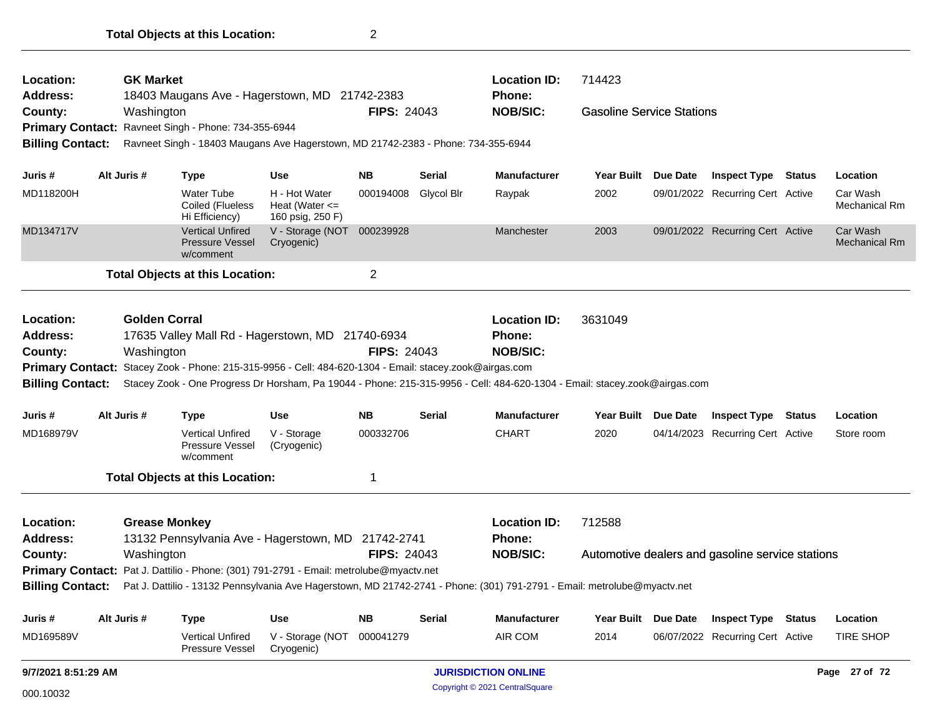| Location:<br><b>Address:</b>                                                                                                                                                                                                                                                                                                                                                                                                                                                                                                                                                                                                                                                                                                                                                                                                                                                                                                                                                                                                                                                                                                                                                                                                                                                                                                                                                                                                                                                                                                                                                                                                                                                                                                                                                                                                                                                                                                                                                                                                            |  |             |                                            |                                                                                                                          |                    | <b>Location ID:</b> | 714423                         |                   |          |                                                  |  |                                  |
|-----------------------------------------------------------------------------------------------------------------------------------------------------------------------------------------------------------------------------------------------------------------------------------------------------------------------------------------------------------------------------------------------------------------------------------------------------------------------------------------------------------------------------------------------------------------------------------------------------------------------------------------------------------------------------------------------------------------------------------------------------------------------------------------------------------------------------------------------------------------------------------------------------------------------------------------------------------------------------------------------------------------------------------------------------------------------------------------------------------------------------------------------------------------------------------------------------------------------------------------------------------------------------------------------------------------------------------------------------------------------------------------------------------------------------------------------------------------------------------------------------------------------------------------------------------------------------------------------------------------------------------------------------------------------------------------------------------------------------------------------------------------------------------------------------------------------------------------------------------------------------------------------------------------------------------------------------------------------------------------------------------------------------------------|--|-------------|--------------------------------------------|--------------------------------------------------------------------------------------------------------------------------|--------------------|---------------------|--------------------------------|-------------------|----------|--------------------------------------------------|--|----------------------------------|
| County:                                                                                                                                                                                                                                                                                                                                                                                                                                                                                                                                                                                                                                                                                                                                                                                                                                                                                                                                                                                                                                                                                                                                                                                                                                                                                                                                                                                                                                                                                                                                                                                                                                                                                                                                                                                                                                                                                                                                                                                                                                 |  |             |                                            |                                                                                                                          |                    |                     | <b>NOB/SIC:</b>                |                   |          |                                                  |  |                                  |
|                                                                                                                                                                                                                                                                                                                                                                                                                                                                                                                                                                                                                                                                                                                                                                                                                                                                                                                                                                                                                                                                                                                                                                                                                                                                                                                                                                                                                                                                                                                                                                                                                                                                                                                                                                                                                                                                                                                                                                                                                                         |  |             |                                            |                                                                                                                          |                    |                     |                                |                   |          |                                                  |  |                                  |
| <b>GK Market</b><br>18403 Maugans Ave - Hagerstown, MD 21742-2383<br>Phone:<br><b>FIPS: 24043</b><br><b>Gasoline Service Stations</b><br>Washington<br>Ravneet Singh - Phone: 734-355-6944<br><b>Primary Contact:</b><br><b>Billing Contact:</b><br>Ravneet Singh - 18403 Maugans Ave Hagerstown, MD 21742-2383 - Phone: 734-355-6944<br>Alt Juris #<br><b>NB</b><br><b>Manufacturer</b><br><b>Inspect Type Status</b><br>Use<br>Serial<br><b>Year Built</b><br>Due Date<br>Juris #<br>Type<br>MD118200H<br><b>Water Tube</b><br>H - Hot Water<br>000194008<br>Glycol Blr<br>2002<br>09/01/2022 Recurring Cert Active<br>Raypak<br>Coiled (Flueless<br>Heat (Water $\leq$<br>Hi Efficiency)<br>160 psig, 250 F)<br>V - Storage (NOT 000239928<br>MD134717V<br><b>Vertical Unfired</b><br>09/01/2022 Recurring Cert Active<br>Manchester<br>2003<br><b>Pressure Vessel</b><br>Cryogenic)<br>w/comment<br>$\overline{2}$<br><b>Total Objects at this Location:</b><br><b>Golden Corral</b><br>Location:<br><b>Location ID:</b><br>3631049<br>17635 Valley Mall Rd - Hagerstown, MD 21740-6934<br><b>Address:</b><br>Phone:<br>Washington<br><b>FIPS: 24043</b><br><b>NOB/SIC:</b><br>County:<br>Primary Contact: Stacey Zook - Phone: 215-315-9956 - Cell: 484-620-1304 - Email: stacey.zook@airgas.com<br><b>Billing Contact:</b><br>Stacey Zook - One Progress Dr Horsham, Pa 19044 - Phone: 215-315-9956 - Cell: 484-620-1304 - Email: stacey.zook@airgas.com<br>Alt Juris #<br><b>NB</b><br><b>Manufacturer</b><br>Use<br><b>Serial</b><br><b>Year Built</b><br>Due Date<br><b>Inspect Type Status</b><br>Juris #<br><b>Type</b><br>MD168979V<br><b>Vertical Unfired</b><br>V - Storage<br>000332706<br><b>CHART</b><br>2020<br>04/14/2023 Recurring Cert Active<br><b>Pressure Vessel</b><br>(Cryogenic)<br>w/comment<br><b>Total Objects at this Location:</b><br>1<br><b>Grease Monkey</b><br>712588<br>Location:<br><b>Location ID:</b><br><b>Address:</b><br>13132 Pennsylvania Ave - Hagerstown, MD 21742-2741<br><b>Phone:</b> |  |             |                                            |                                                                                                                          |                    |                     |                                |                   |          |                                                  |  |                                  |
|                                                                                                                                                                                                                                                                                                                                                                                                                                                                                                                                                                                                                                                                                                                                                                                                                                                                                                                                                                                                                                                                                                                                                                                                                                                                                                                                                                                                                                                                                                                                                                                                                                                                                                                                                                                                                                                                                                                                                                                                                                         |  |             |                                            |                                                                                                                          |                    |                     |                                |                   |          |                                                  |  | Location                         |
|                                                                                                                                                                                                                                                                                                                                                                                                                                                                                                                                                                                                                                                                                                                                                                                                                                                                                                                                                                                                                                                                                                                                                                                                                                                                                                                                                                                                                                                                                                                                                                                                                                                                                                                                                                                                                                                                                                                                                                                                                                         |  |             |                                            |                                                                                                                          |                    |                     |                                |                   |          |                                                  |  | Car Wash<br><b>Mechanical Rm</b> |
|                                                                                                                                                                                                                                                                                                                                                                                                                                                                                                                                                                                                                                                                                                                                                                                                                                                                                                                                                                                                                                                                                                                                                                                                                                                                                                                                                                                                                                                                                                                                                                                                                                                                                                                                                                                                                                                                                                                                                                                                                                         |  |             |                                            |                                                                                                                          |                    |                     |                                |                   |          |                                                  |  | Car Wash<br><b>Mechanical Rm</b> |
|                                                                                                                                                                                                                                                                                                                                                                                                                                                                                                                                                                                                                                                                                                                                                                                                                                                                                                                                                                                                                                                                                                                                                                                                                                                                                                                                                                                                                                                                                                                                                                                                                                                                                                                                                                                                                                                                                                                                                                                                                                         |  |             |                                            |                                                                                                                          |                    |                     |                                |                   |          |                                                  |  |                                  |
|                                                                                                                                                                                                                                                                                                                                                                                                                                                                                                                                                                                                                                                                                                                                                                                                                                                                                                                                                                                                                                                                                                                                                                                                                                                                                                                                                                                                                                                                                                                                                                                                                                                                                                                                                                                                                                                                                                                                                                                                                                         |  |             |                                            |                                                                                                                          |                    |                     |                                |                   |          |                                                  |  |                                  |
|                                                                                                                                                                                                                                                                                                                                                                                                                                                                                                                                                                                                                                                                                                                                                                                                                                                                                                                                                                                                                                                                                                                                                                                                                                                                                                                                                                                                                                                                                                                                                                                                                                                                                                                                                                                                                                                                                                                                                                                                                                         |  |             |                                            |                                                                                                                          |                    |                     |                                |                   |          |                                                  |  |                                  |
|                                                                                                                                                                                                                                                                                                                                                                                                                                                                                                                                                                                                                                                                                                                                                                                                                                                                                                                                                                                                                                                                                                                                                                                                                                                                                                                                                                                                                                                                                                                                                                                                                                                                                                                                                                                                                                                                                                                                                                                                                                         |  |             |                                            |                                                                                                                          |                    |                     |                                |                   |          |                                                  |  |                                  |
|                                                                                                                                                                                                                                                                                                                                                                                                                                                                                                                                                                                                                                                                                                                                                                                                                                                                                                                                                                                                                                                                                                                                                                                                                                                                                                                                                                                                                                                                                                                                                                                                                                                                                                                                                                                                                                                                                                                                                                                                                                         |  |             |                                            |                                                                                                                          |                    |                     |                                |                   |          |                                                  |  |                                  |
|                                                                                                                                                                                                                                                                                                                                                                                                                                                                                                                                                                                                                                                                                                                                                                                                                                                                                                                                                                                                                                                                                                                                                                                                                                                                                                                                                                                                                                                                                                                                                                                                                                                                                                                                                                                                                                                                                                                                                                                                                                         |  |             |                                            |                                                                                                                          |                    |                     |                                |                   |          |                                                  |  | Location                         |
|                                                                                                                                                                                                                                                                                                                                                                                                                                                                                                                                                                                                                                                                                                                                                                                                                                                                                                                                                                                                                                                                                                                                                                                                                                                                                                                                                                                                                                                                                                                                                                                                                                                                                                                                                                                                                                                                                                                                                                                                                                         |  |             |                                            |                                                                                                                          |                    |                     |                                |                   |          |                                                  |  | Store room                       |
|                                                                                                                                                                                                                                                                                                                                                                                                                                                                                                                                                                                                                                                                                                                                                                                                                                                                                                                                                                                                                                                                                                                                                                                                                                                                                                                                                                                                                                                                                                                                                                                                                                                                                                                                                                                                                                                                                                                                                                                                                                         |  |             |                                            |                                                                                                                          |                    |                     |                                |                   |          |                                                  |  |                                  |
|                                                                                                                                                                                                                                                                                                                                                                                                                                                                                                                                                                                                                                                                                                                                                                                                                                                                                                                                                                                                                                                                                                                                                                                                                                                                                                                                                                                                                                                                                                                                                                                                                                                                                                                                                                                                                                                                                                                                                                                                                                         |  |             |                                            |                                                                                                                          |                    |                     |                                |                   |          |                                                  |  |                                  |
| County:                                                                                                                                                                                                                                                                                                                                                                                                                                                                                                                                                                                                                                                                                                                                                                                                                                                                                                                                                                                                                                                                                                                                                                                                                                                                                                                                                                                                                                                                                                                                                                                                                                                                                                                                                                                                                                                                                                                                                                                                                                 |  | Washington  |                                            |                                                                                                                          | <b>FIPS: 24043</b> |                     | <b>NOB/SIC:</b>                |                   |          | Automotive dealers and gasoline service stations |  |                                  |
|                                                                                                                                                                                                                                                                                                                                                                                                                                                                                                                                                                                                                                                                                                                                                                                                                                                                                                                                                                                                                                                                                                                                                                                                                                                                                                                                                                                                                                                                                                                                                                                                                                                                                                                                                                                                                                                                                                                                                                                                                                         |  |             |                                            | Primary Contact: Pat J. Dattilio - Phone: (301) 791-2791 - Email: metrolube@myactv.net                                   |                    |                     |                                |                   |          |                                                  |  |                                  |
| <b>Billing Contact:</b>                                                                                                                                                                                                                                                                                                                                                                                                                                                                                                                                                                                                                                                                                                                                                                                                                                                                                                                                                                                                                                                                                                                                                                                                                                                                                                                                                                                                                                                                                                                                                                                                                                                                                                                                                                                                                                                                                                                                                                                                                 |  |             |                                            | Pat J. Dattilio - 13132 Pennsylvania Ave Hagerstown, MD 21742-2741 - Phone: (301) 791-2791 - Email: metrolube@myactv.net |                    |                     |                                |                   |          |                                                  |  |                                  |
| Juris#                                                                                                                                                                                                                                                                                                                                                                                                                                                                                                                                                                                                                                                                                                                                                                                                                                                                                                                                                                                                                                                                                                                                                                                                                                                                                                                                                                                                                                                                                                                                                                                                                                                                                                                                                                                                                                                                                                                                                                                                                                  |  | Alt Juris # | <b>Type</b>                                | <b>Use</b>                                                                                                               | <b>NB</b>          | <b>Serial</b>       | Manufacturer                   | <b>Year Built</b> | Due Date | <b>Inspect Type Status</b>                       |  | Location                         |
| MD169589V                                                                                                                                                                                                                                                                                                                                                                                                                                                                                                                                                                                                                                                                                                                                                                                                                                                                                                                                                                                                                                                                                                                                                                                                                                                                                                                                                                                                                                                                                                                                                                                                                                                                                                                                                                                                                                                                                                                                                                                                                               |  |             | <b>Vertical Unfired</b><br>Pressure Vessel | V - Storage (NOT<br>Cryogenic)                                                                                           | 000041279          |                     | AIR COM                        | 2014              |          | 06/07/2022 Recurring Cert Active                 |  | <b>TIRE SHOP</b>                 |
| 9/7/2021 8:51:29 AM                                                                                                                                                                                                                                                                                                                                                                                                                                                                                                                                                                                                                                                                                                                                                                                                                                                                                                                                                                                                                                                                                                                                                                                                                                                                                                                                                                                                                                                                                                                                                                                                                                                                                                                                                                                                                                                                                                                                                                                                                     |  |             |                                            |                                                                                                                          |                    |                     | <b>JURISDICTION ONLINE</b>     |                   |          |                                                  |  | Page 27 of 72                    |
| 000.10032                                                                                                                                                                                                                                                                                                                                                                                                                                                                                                                                                                                                                                                                                                                                                                                                                                                                                                                                                                                                                                                                                                                                                                                                                                                                                                                                                                                                                                                                                                                                                                                                                                                                                                                                                                                                                                                                                                                                                                                                                               |  |             |                                            |                                                                                                                          |                    |                     | Copyright © 2021 CentralSquare |                   |          |                                                  |  |                                  |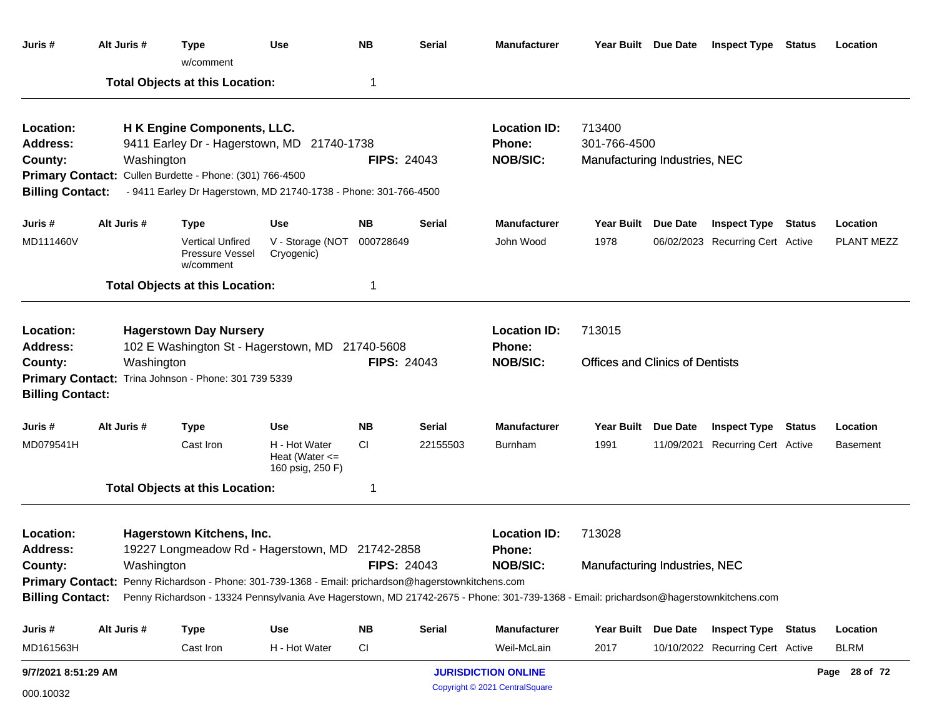| Juris #                                                            | Alt Juris #                                                                                                                                    | <b>Type</b><br>w/comment                                                                                                                                                                                  | <b>Use</b>                                              | <b>NB</b>          | <b>Serial</b> | <b>Manufacturer</b>                              |                                                         |                     | Year Built Due Date Inspect Type Status |        | Location        |
|--------------------------------------------------------------------|------------------------------------------------------------------------------------------------------------------------------------------------|-----------------------------------------------------------------------------------------------------------------------------------------------------------------------------------------------------------|---------------------------------------------------------|--------------------|---------------|--------------------------------------------------|---------------------------------------------------------|---------------------|-----------------------------------------|--------|-----------------|
|                                                                    |                                                                                                                                                | <b>Total Objects at this Location:</b>                                                                                                                                                                    |                                                         | -1                 |               |                                                  |                                                         |                     |                                         |        |                 |
| Location:<br><b>Address:</b><br>County:<br><b>Billing Contact:</b> | Washington                                                                                                                                     | H K Engine Components, LLC.<br>9411 Earley Dr - Hagerstown, MD 21740-1738<br>Primary Contact: Cullen Burdette - Phone: (301) 766-4500<br>- 9411 Earley Dr Hagerstown, MD 21740-1738 - Phone: 301-766-4500 |                                                         | <b>FIPS: 24043</b> |               | <b>Location ID:</b><br>Phone:<br><b>NOB/SIC:</b> | 713400<br>301-766-4500<br>Manufacturing Industries, NEC |                     |                                         |        |                 |
| Juris #                                                            | Alt Juris #                                                                                                                                    | <b>Type</b>                                                                                                                                                                                               | <b>Use</b>                                              | <b>NB</b>          | <b>Serial</b> | <b>Manufacturer</b>                              |                                                         | Year Built Due Date | <b>Inspect Type</b>                     | Status | Location        |
| MD111460V                                                          |                                                                                                                                                | <b>Vertical Unfired</b><br><b>Pressure Vessel</b><br>w/comment                                                                                                                                            | V - Storage (NOT<br>Cryogenic)                          | 000728649          |               | John Wood                                        | 1978                                                    |                     | 06/02/2023 Recurring Cert Active        |        | PLANT MEZZ      |
|                                                                    |                                                                                                                                                | <b>Total Objects at this Location:</b>                                                                                                                                                                    |                                                         | 1                  |               |                                                  |                                                         |                     |                                         |        |                 |
| Location:<br><b>Address:</b>                                       |                                                                                                                                                | <b>Hagerstown Day Nursery</b><br>102 E Washington St - Hagerstown, MD 21740-5608                                                                                                                          |                                                         |                    |               | <b>Location ID:</b><br>Phone:                    | 713015                                                  |                     |                                         |        |                 |
| County:<br><b>Billing Contact:</b>                                 | Washington                                                                                                                                     | Primary Contact: Trina Johnson - Phone: 301 739 5339                                                                                                                                                      |                                                         | <b>FIPS: 24043</b> |               | <b>NOB/SIC:</b>                                  | <b>Offices and Clinics of Dentists</b>                  |                     |                                         |        |                 |
| Juris #                                                            | Alt Juris #                                                                                                                                    | <b>Type</b>                                                                                                                                                                                               | <b>Use</b>                                              | <b>NB</b>          | <b>Serial</b> | <b>Manufacturer</b>                              | Year Built                                              | <b>Due Date</b>     | <b>Inspect Type Status</b>              |        | Location        |
| MD079541H                                                          |                                                                                                                                                | Cast Iron                                                                                                                                                                                                 | H - Hot Water<br>Heat (Water $\leq$<br>160 psig, 250 F) | <b>CI</b>          | 22155503      | <b>Burnham</b>                                   | 1991                                                    |                     | 11/09/2021 Recurring Cert Active        |        | <b>Basement</b> |
|                                                                    |                                                                                                                                                | <b>Total Objects at this Location:</b>                                                                                                                                                                    |                                                         | -1                 |               |                                                  |                                                         |                     |                                         |        |                 |
| Location:<br><b>Address:</b>                                       |                                                                                                                                                | Hagerstown Kitchens, Inc.<br>19227 Longmeadow Rd - Hagerstown, MD 21742-2858                                                                                                                              |                                                         |                    |               | <b>Location ID:</b><br>Phone:<br><b>NOB/SIC:</b> | 713028                                                  |                     |                                         |        |                 |
| County:                                                            | <b>FIPS: 24043</b><br>Washington<br><b>Primary Contact:</b> Penny Richardson - Phone: 301-739-1368 - Email: prichardson@hagerstownkitchens.com |                                                                                                                                                                                                           |                                                         |                    |               |                                                  | Manufacturing Industries, NEC                           |                     |                                         |        |                 |
| <b>Billing Contact:</b>                                            |                                                                                                                                                | Penny Richardson - 13324 Pennsylvania Ave Hagerstown, MD 21742-2675 - Phone: 301-739-1368 - Email: prichardson@hagerstownkitchens.com                                                                     |                                                         |                    |               |                                                  |                                                         |                     |                                         |        |                 |
| Juris #                                                            | Alt Juris #                                                                                                                                    | <b>Type</b>                                                                                                                                                                                               | <b>Use</b>                                              | <b>NB</b>          | <b>Serial</b> | <b>Manufacturer</b>                              |                                                         | Year Built Due Date | <b>Inspect Type Status</b>              |        | Location        |
| MD161563H                                                          |                                                                                                                                                | Cast Iron                                                                                                                                                                                                 | H - Hot Water                                           | <b>CI</b>          |               | Weil-McLain                                      | 2017                                                    |                     | 10/10/2022 Recurring Cert Active        |        | <b>BLRM</b>     |
| 9/7/2021 8:51:29 AM                                                |                                                                                                                                                |                                                                                                                                                                                                           |                                                         |                    |               | <b>JURISDICTION ONLINE</b>                       |                                                         |                     |                                         |        | Page 28 of 72   |
| 000.10032                                                          |                                                                                                                                                |                                                                                                                                                                                                           |                                                         |                    |               | Copyright © 2021 CentralSquare                   |                                                         |                     |                                         |        |                 |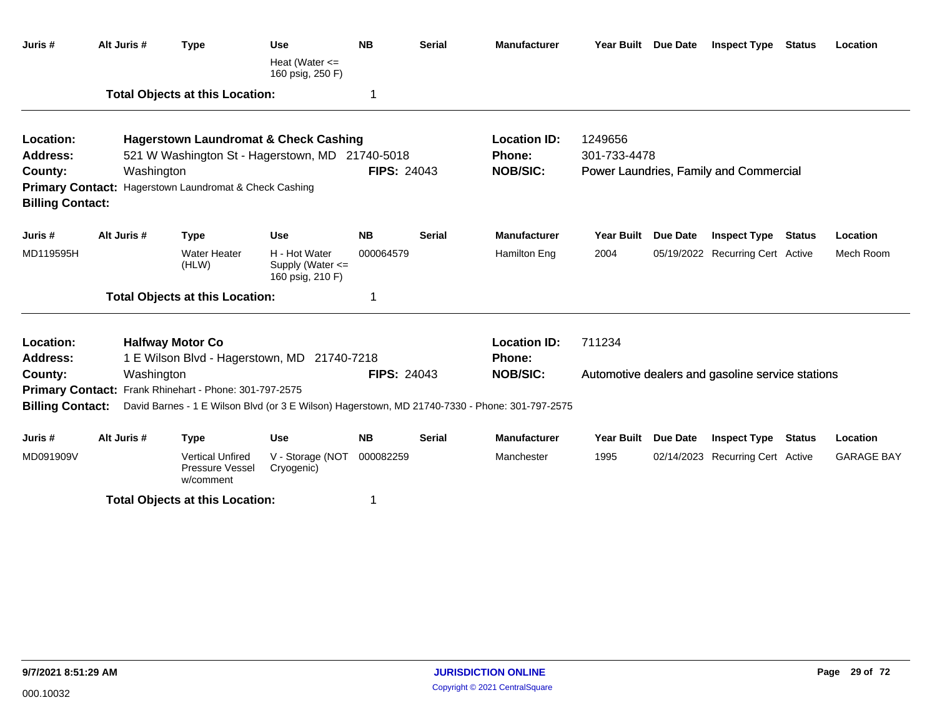| Juris#                                             | Alt Juris # | <b>Type</b>                                                                                    | <b>Use</b>                                                | <b>NB</b>          | <b>Serial</b> | <b>Manufacturer</b> | Year Built Due Date |                 | <b>Inspect Type</b>                              | <b>Status</b> | Location          |
|----------------------------------------------------|-------------|------------------------------------------------------------------------------------------------|-----------------------------------------------------------|--------------------|---------------|---------------------|---------------------|-----------------|--------------------------------------------------|---------------|-------------------|
|                                                    |             |                                                                                                | Heat (Water $\leq$<br>160 psig, 250 F)                    |                    |               |                     |                     |                 |                                                  |               |                   |
|                                                    |             | <b>Total Objects at this Location:</b>                                                         |                                                           | 1                  |               |                     |                     |                 |                                                  |               |                   |
| Location:                                          |             | <b>Hagerstown Laundromat &amp; Check Cashing</b>                                               |                                                           |                    |               | <b>Location ID:</b> | 1249656             |                 |                                                  |               |                   |
| <b>Address:</b>                                    |             | 521 W Washington St - Hagerstown, MD 21740-5018                                                |                                                           |                    |               | <b>Phone:</b>       | 301-733-4478        |                 |                                                  |               |                   |
| County:                                            | Washington  |                                                                                                |                                                           | <b>FIPS: 24043</b> |               | <b>NOB/SIC:</b>     |                     |                 | Power Laundries, Family and Commercial           |               |                   |
| <b>Primary Contact:</b><br><b>Billing Contact:</b> |             | Hagerstown Laundromat & Check Cashing                                                          |                                                           |                    |               |                     |                     |                 |                                                  |               |                   |
| Juris #                                            | Alt Juris # | <b>Type</b>                                                                                    | <b>Use</b>                                                | <b>NB</b>          | <b>Serial</b> | <b>Manufacturer</b> | <b>Year Built</b>   | <b>Due Date</b> | <b>Inspect Type</b>                              | <b>Status</b> | Location          |
| MD119595H                                          |             | <b>Water Heater</b><br>(HLW)                                                                   | H - Hot Water<br>Supply (Water $\leq$<br>160 psig, 210 F) | 000064579          |               | Hamilton Eng        | 2004                |                 | 05/19/2022 Recurring Cert Active                 |               | Mech Room         |
|                                                    |             | <b>Total Objects at this Location:</b>                                                         |                                                           | 1                  |               |                     |                     |                 |                                                  |               |                   |
| Location:                                          |             | <b>Halfway Motor Co</b>                                                                        |                                                           |                    |               | <b>Location ID:</b> | 711234              |                 |                                                  |               |                   |
| Address:                                           |             | 1 E Wilson Blvd - Hagerstown, MD 21740-7218                                                    |                                                           |                    |               | <b>Phone:</b>       |                     |                 |                                                  |               |                   |
| County:                                            | Washington  |                                                                                                |                                                           | <b>FIPS: 24043</b> |               | <b>NOB/SIC:</b>     |                     |                 | Automotive dealers and gasoline service stations |               |                   |
|                                                    |             | Primary Contact: Frank Rhinehart - Phone: 301-797-2575                                         |                                                           |                    |               |                     |                     |                 |                                                  |               |                   |
| <b>Billing Contact:</b>                            |             | David Barnes - 1 E Wilson Blvd (or 3 E Wilson) Hagerstown, MD 21740-7330 - Phone: 301-797-2575 |                                                           |                    |               |                     |                     |                 |                                                  |               |                   |
| Juris#                                             | Alt Juris # | <b>Type</b>                                                                                    | <b>Use</b>                                                | <b>NB</b>          | <b>Serial</b> | <b>Manufacturer</b> | <b>Year Built</b>   | <b>Due Date</b> | <b>Inspect Type</b>                              | <b>Status</b> | Location          |
| MD091909V                                          |             | <b>Vertical Unfired</b><br>Pressure Vessel<br>w/comment                                        | V - Storage (NOT<br>Cryogenic)                            | 000082259          |               | Manchester          | 1995                |                 | 02/14/2023 Recurring Cert Active                 |               | <b>GARAGE BAY</b> |
|                                                    |             | <b>Total Objects at this Location:</b>                                                         |                                                           | 1                  |               |                     |                     |                 |                                                  |               |                   |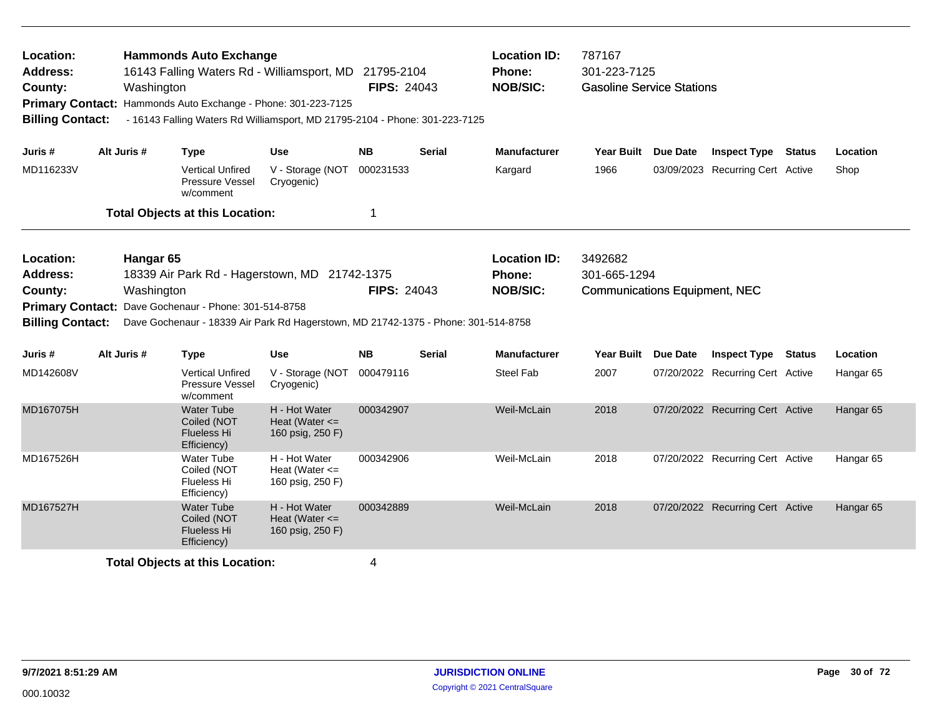| Location:<br><b>Address:</b><br>County:<br><b>Billing Contact:</b>                            | Washington                                                                                                                                                                                                        | <b>Hammonds Auto Exchange</b><br>16143 Falling Waters Rd - Williamsport, MD 21795-2104<br>Primary Contact: Hammonds Auto Exchange - Phone: 301-223-7125 |                                                         | <b>Location ID:</b><br>Phone:<br><b>NOB/SIC:</b><br><b>FIPS: 24043</b><br>- 16143 Falling Waters Rd Williamsport, MD 21795-2104 - Phone: 301-223-7125 |               |                     | 787167<br>301-223-7125<br><b>Gasoline Service Stations</b> |          |                                  |  |                      |  |
|-----------------------------------------------------------------------------------------------|-------------------------------------------------------------------------------------------------------------------------------------------------------------------------------------------------------------------|---------------------------------------------------------------------------------------------------------------------------------------------------------|---------------------------------------------------------|-------------------------------------------------------------------------------------------------------------------------------------------------------|---------------|---------------------|------------------------------------------------------------|----------|----------------------------------|--|----------------------|--|
| Juris #                                                                                       | Alt Juris #                                                                                                                                                                                                       | <b>Type</b>                                                                                                                                             | <b>Use</b>                                              | <b>NB</b>                                                                                                                                             | Serial        | <b>Manufacturer</b> | Year Built Due Date                                        |          | <b>Inspect Type Status</b>       |  | Location             |  |
| MD116233V                                                                                     |                                                                                                                                                                                                                   | <b>Vertical Unfired</b><br>Pressure Vessel<br>w/comment                                                                                                 | V - Storage (NOT<br>Cryogenic)                          | 000231533                                                                                                                                             |               | Kargard             | 1966                                                       |          | 03/09/2023 Recurring Cert Active |  | Shop                 |  |
|                                                                                               |                                                                                                                                                                                                                   | <b>Total Objects at this Location:</b>                                                                                                                  |                                                         | 1                                                                                                                                                     |               |                     |                                                            |          |                                  |  |                      |  |
| Location:<br><b>Address:</b><br>County:<br><b>Primary Contact:</b><br><b>Billing Contact:</b> | Hangar <sub>65</sub><br>18339 Air Park Rd - Hagerstown, MD 21742-1375<br>Washington<br>Dave Gochenaur - Phone: 301-514-8758<br>Dave Gochenaur - 18339 Air Park Rd Hagerstown, MD 21742-1375 - Phone: 301-514-8758 | <b>FIPS: 24043</b>                                                                                                                                      |                                                         | <b>Location ID:</b><br>3492682<br>301-665-1294<br>Phone:<br><b>NOB/SIC:</b><br><b>Communications Equipment, NEC</b>                                   |               |                     |                                                            |          |                                  |  |                      |  |
| Juris #                                                                                       | Alt Juris #                                                                                                                                                                                                       | <b>Type</b>                                                                                                                                             | <b>Use</b>                                              | <b>NB</b>                                                                                                                                             | <b>Serial</b> | <b>Manufacturer</b> | <b>Year Built</b>                                          | Due Date | <b>Inspect Type Status</b>       |  | Location             |  |
| MD142608V                                                                                     |                                                                                                                                                                                                                   | <b>Vertical Unfired</b><br><b>Pressure Vessel</b><br>w/comment                                                                                          | V - Storage (NOT<br>Cryogenic)                          | 000479116                                                                                                                                             |               | <b>Steel Fab</b>    | 2007                                                       |          | 07/20/2022 Recurring Cert Active |  | Hangar <sub>65</sub> |  |
| MD167075H                                                                                     |                                                                                                                                                                                                                   | <b>Water Tube</b><br>Coiled (NOT<br><b>Flueless Hi</b><br>Efficiency)                                                                                   | H - Hot Water<br>Heat (Water $\leq$<br>160 psig, 250 F) | 000342907                                                                                                                                             |               | Weil-McLain         | 2018                                                       |          | 07/20/2022 Recurring Cert Active |  | Hangar <sub>65</sub> |  |
| MD167526H                                                                                     |                                                                                                                                                                                                                   | <b>Water Tube</b><br>Coiled (NOT<br>Flueless Hi<br>Efficiency)                                                                                          | H - Hot Water<br>Heat (Water $\leq$<br>160 psig, 250 F) | 000342906                                                                                                                                             |               | Weil-McLain         | 2018                                                       |          | 07/20/2022 Recurring Cert Active |  | Hangar <sub>65</sub> |  |
| MD167527H                                                                                     |                                                                                                                                                                                                                   | <b>Water Tube</b><br>Coiled (NOT<br><b>Flueless Hi</b><br>Efficiency)                                                                                   | H - Hot Water<br>Heat (Water $\leq$<br>160 psig, 250 F) | 000342889                                                                                                                                             |               | Weil-McLain         | 2018                                                       |          | 07/20/2022 Recurring Cert Active |  | Hangar <sub>65</sub> |  |
|                                                                                               |                                                                                                                                                                                                                   | <b>Total Objects at this Location:</b>                                                                                                                  |                                                         | 4                                                                                                                                                     |               |                     |                                                            |          |                                  |  |                      |  |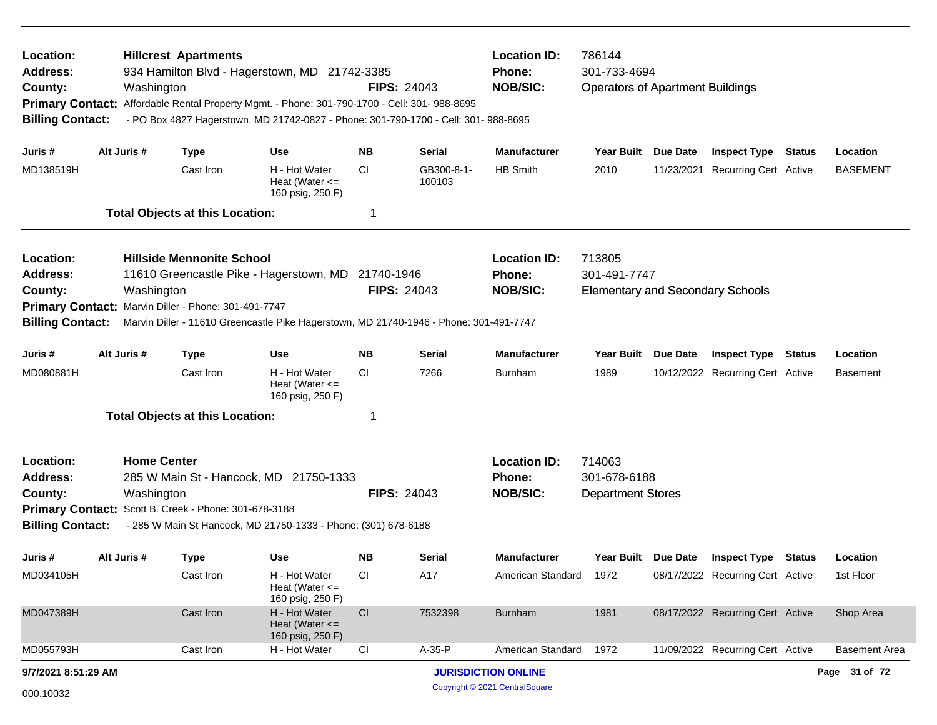| Location:<br><b>Address:</b><br>County:<br><b>Primary Contact:</b><br><b>Billing Contact:</b>                                                                                                                                                                                                                                                                |             | <b>Hillcrest Apartments</b><br>Washington                                                 | 934 Hamilton Blvd - Hagerstown, MD 21742-3385<br>Affordable Rental Property Mgmt. - Phone: 301-790-1700 - Cell: 301- 988-8695<br>- PO Box 4827 Hagerstown, MD 21742-0827 - Phone: 301-790-1700 - Cell: 301- 988-8695 | <b>FIPS: 24043</b> | <b>Location ID:</b><br><b>Phone:</b><br><b>NOB/SIC:</b> | 786144<br>301-733-4694<br><b>Operators of Apartment Buildings</b> |                                                                   |            |                                  |        |                      |
|--------------------------------------------------------------------------------------------------------------------------------------------------------------------------------------------------------------------------------------------------------------------------------------------------------------------------------------------------------------|-------------|-------------------------------------------------------------------------------------------|----------------------------------------------------------------------------------------------------------------------------------------------------------------------------------------------------------------------|--------------------|---------------------------------------------------------|-------------------------------------------------------------------|-------------------------------------------------------------------|------------|----------------------------------|--------|----------------------|
| Juris #                                                                                                                                                                                                                                                                                                                                                      | Alt Juris # | <b>Type</b>                                                                               | <b>Use</b>                                                                                                                                                                                                           | NB.                | <b>Serial</b>                                           | <b>Manufacturer</b>                                               | Year Built Due Date                                               |            | <b>Inspect Type Status</b>       |        | Location             |
| MD138519H                                                                                                                                                                                                                                                                                                                                                    |             | Cast Iron                                                                                 | H - Hot Water<br>Heat (Water $\leq$<br>160 psig, 250 F)                                                                                                                                                              | CI.                | GB300-8-1-<br>100103                                    | <b>HB Smith</b>                                                   | 2010                                                              | 11/23/2021 | <b>Recurring Cert Active</b>     |        | <b>BASEMENT</b>      |
|                                                                                                                                                                                                                                                                                                                                                              |             | <b>Total Objects at this Location:</b>                                                    |                                                                                                                                                                                                                      | -1                 |                                                         |                                                                   |                                                                   |            |                                  |        |                      |
| <b>Hillside Mennonite School</b><br>Location:<br>11610 Greencastle Pike - Hagerstown, MD 21740-1946<br><b>Address:</b><br><b>FIPS: 24043</b><br>County:<br>Washington<br>Marvin Diller - Phone: 301-491-7747<br><b>Primary Contact:</b><br><b>Billing Contact:</b><br>Marvin Diller - 11610 Greencastle Pike Hagerstown, MD 21740-1946 - Phone: 301-491-7747 |             |                                                                                           |                                                                                                                                                                                                                      |                    |                                                         | <b>Location ID:</b><br><b>Phone:</b><br><b>NOB/SIC:</b>           | 713805<br>301-491-7747<br><b>Elementary and Secondary Schools</b> |            |                                  |        |                      |
| Juris #                                                                                                                                                                                                                                                                                                                                                      | Alt Juris # | <b>Type</b>                                                                               | <b>Use</b>                                                                                                                                                                                                           | <b>NB</b>          | <b>Serial</b>                                           | <b>Manufacturer</b>                                               | Year Built                                                        | Due Date   | <b>Inspect Type</b>              | Status | Location             |
| MD080881H                                                                                                                                                                                                                                                                                                                                                    |             | Cast Iron                                                                                 | H - Hot Water<br>Heat (Water $\leq$<br>160 psig, 250 F)                                                                                                                                                              | CI.                | 7266                                                    | Burnham                                                           | 1989                                                              |            | 10/12/2022 Recurring Cert Active |        | <b>Basement</b>      |
|                                                                                                                                                                                                                                                                                                                                                              |             | <b>Total Objects at this Location:</b>                                                    |                                                                                                                                                                                                                      | -1                 |                                                         |                                                                   |                                                                   |            |                                  |        |                      |
| Location:<br><b>Address:</b><br>County:<br><b>Billing Contact:</b>                                                                                                                                                                                                                                                                                           |             | <b>Home Center</b><br>Washington<br>Primary Contact: Scott B. Creek - Phone: 301-678-3188 | 285 W Main St - Hancock, MD 21750-1333<br>- 285 W Main St Hancock, MD 21750-1333 - Phone: (301) 678-6188                                                                                                             |                    | <b>FIPS: 24043</b>                                      | <b>Location ID:</b><br><b>Phone:</b><br><b>NOB/SIC:</b>           | 714063<br>301-678-6188<br><b>Department Stores</b>                |            |                                  |        |                      |
| Juris #                                                                                                                                                                                                                                                                                                                                                      | Alt Juris # | <b>Type</b>                                                                               | <b>Use</b>                                                                                                                                                                                                           | <b>NB</b>          | <b>Serial</b>                                           | <b>Manufacturer</b>                                               | Year Built Due Date                                               |            | <b>Inspect Type Status</b>       |        | Location             |
| MD034105H                                                                                                                                                                                                                                                                                                                                                    |             | Cast Iron                                                                                 | H - Hot Water<br>Heat (Water $\leq$ =<br>160 psig, 250 F)                                                                                                                                                            | <sub>CI</sub>      | A17                                                     | American Standard                                                 | 1972                                                              |            | 08/17/2022 Recurring Cert Active |        | 1st Floor            |
| MD047389H                                                                                                                                                                                                                                                                                                                                                    |             | Cast Iron                                                                                 | H - Hot Water<br>Heat (Water $\leq$<br>160 psig, 250 F)                                                                                                                                                              | CI                 | 7532398                                                 | <b>Burnham</b>                                                    | 1981                                                              |            | 08/17/2022 Recurring Cert Active |        | Shop Area            |
| MD055793H                                                                                                                                                                                                                                                                                                                                                    |             | Cast Iron                                                                                 | H - Hot Water                                                                                                                                                                                                        | CI                 | A-35-P                                                  | American Standard                                                 | 1972                                                              |            | 11/09/2022 Recurring Cert Active |        | <b>Basement Area</b> |
| 9/7/2021 8:51:29 AM                                                                                                                                                                                                                                                                                                                                          |             |                                                                                           |                                                                                                                                                                                                                      |                    |                                                         | <b>JURISDICTION ONLINE</b>                                        |                                                                   |            |                                  |        | Page 31 of 72        |
| 000.10032                                                                                                                                                                                                                                                                                                                                                    |             |                                                                                           |                                                                                                                                                                                                                      |                    |                                                         | Copyright © 2021 CentralSquare                                    |                                                                   |            |                                  |        |                      |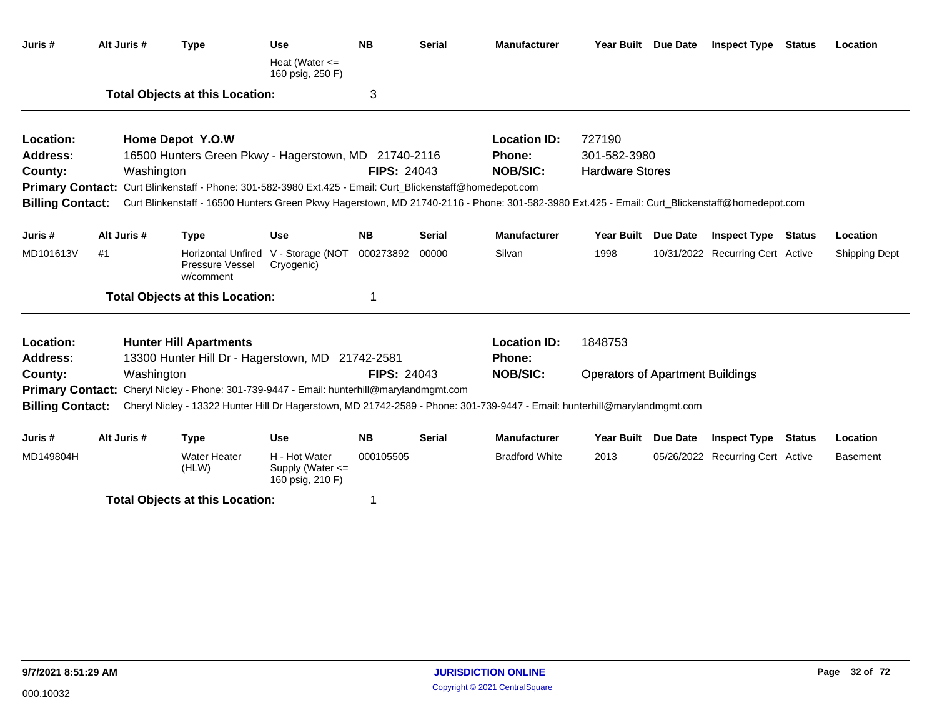| Juris #                 | Alt Juris # | <b>Type</b>                                                                                                                                   | <b>Use</b>                                                | <b>NB</b>          | <b>Serial</b> | <b>Manufacturer</b>   | Year Built Due Date                     | <b>Inspect Type Status</b>       | Location             |
|-------------------------|-------------|-----------------------------------------------------------------------------------------------------------------------------------------------|-----------------------------------------------------------|--------------------|---------------|-----------------------|-----------------------------------------|----------------------------------|----------------------|
|                         |             |                                                                                                                                               | Heat (Water $\leq$<br>160 psig, 250 F)                    |                    |               |                       |                                         |                                  |                      |
|                         |             | <b>Total Objects at this Location:</b>                                                                                                        |                                                           | 3                  |               |                       |                                         |                                  |                      |
| Location:               |             | Home Depot Y.O.W                                                                                                                              |                                                           |                    |               | <b>Location ID:</b>   | 727190                                  |                                  |                      |
| <b>Address:</b>         |             | 16500 Hunters Green Pkwy - Hagerstown, MD 21740-2116                                                                                          |                                                           |                    |               | Phone:                | 301-582-3980                            |                                  |                      |
| County:                 | Washington  |                                                                                                                                               |                                                           | <b>FIPS: 24043</b> |               | <b>NOB/SIC:</b>       | <b>Hardware Stores</b>                  |                                  |                      |
|                         |             | Primary Contact: Curt Blinkenstaff - Phone: 301-582-3980 Ext.425 - Email: Curt_Blickenstaff@homedepot.com                                     |                                                           |                    |               |                       |                                         |                                  |                      |
| <b>Billing Contact:</b> |             | Curt Blinkenstaff - 16500 Hunters Green Pkwy Hagerstown, MD 21740-2116 - Phone: 301-582-3980 Ext.425 - Email: Curt_Blickenstaff@homedepot.com |                                                           |                    |               |                       |                                         |                                  |                      |
| Juris #                 | Alt Juris # | <b>Type</b>                                                                                                                                   | <b>Use</b>                                                | <b>NB</b>          | <b>Serial</b> | <b>Manufacturer</b>   | Year Built Due Date                     | <b>Inspect Type Status</b>       | Location             |
| MD101613V               | #1          | Pressure Vessel<br>w/comment                                                                                                                  | Horizontal Unfired V - Storage (NOT<br>Cryogenic)         | 000273892          | 00000         | Silvan                | 1998                                    | 10/31/2022 Recurring Cert Active | <b>Shipping Dept</b> |
|                         |             | <b>Total Objects at this Location:</b>                                                                                                        |                                                           | 1                  |               |                       |                                         |                                  |                      |
| Location:               |             | <b>Hunter Hill Apartments</b>                                                                                                                 |                                                           |                    |               | <b>Location ID:</b>   | 1848753                                 |                                  |                      |
| <b>Address:</b>         |             | 13300 Hunter Hill Dr - Hagerstown, MD 21742-2581                                                                                              |                                                           |                    |               | <b>Phone:</b>         |                                         |                                  |                      |
| County:                 | Washington  |                                                                                                                                               |                                                           | <b>FIPS: 24043</b> |               | <b>NOB/SIC:</b>       | <b>Operators of Apartment Buildings</b> |                                  |                      |
|                         |             | Primary Contact: Cheryl Nicley - Phone: 301-739-9447 - Email: hunterhill@marylandmgmt.com                                                     |                                                           |                    |               |                       |                                         |                                  |                      |
| <b>Billing Contact:</b> |             | Cheryl Nicley - 13322 Hunter Hill Dr Hagerstown, MD 21742-2589 - Phone: 301-739-9447 - Email: hunterhill@marylandmgmt.com                     |                                                           |                    |               |                       |                                         |                                  |                      |
| Juris #                 | Alt Juris # | <b>Type</b>                                                                                                                                   | <b>Use</b>                                                | <b>NB</b>          | <b>Serial</b> | <b>Manufacturer</b>   | Year Built Due Date                     | <b>Inspect Type Status</b>       | Location             |
| MD149804H               |             | <b>Water Heater</b><br>(HLW)                                                                                                                  | H - Hot Water<br>Supply (Water $\leq$<br>160 psig, 210 F) | 000105505          |               | <b>Bradford White</b> | 2013                                    | 05/26/2022 Recurring Cert Active | <b>Basement</b>      |
|                         |             | <b>Total Objects at this Location:</b>                                                                                                        |                                                           | 1                  |               |                       |                                         |                                  |                      |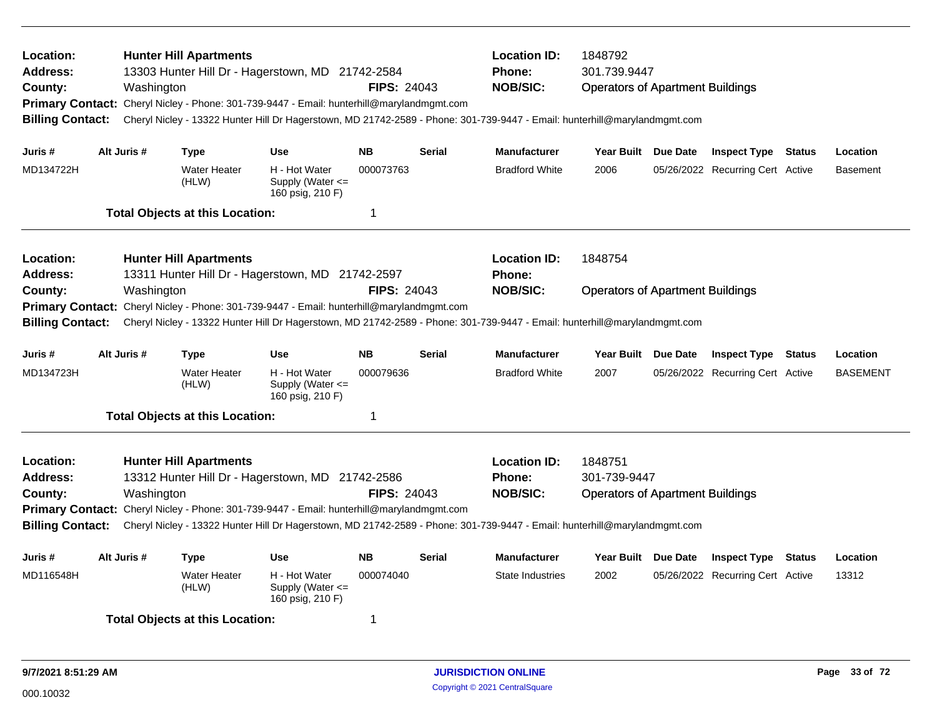| Location:<br>Address:<br>County:<br><b>Primary Contact:</b><br><b>Billing Contact:</b>        |             | Washington  | <b>Hunter Hill Apartments</b>          | 13303 Hunter Hill Dr - Hagerstown, MD 21742-2584<br>Cheryl Nicley - Phone: 301-739-9447 - Email: hunterhill@marylandmgmt.com                                                                                                                              | <b>FIPS: 24043</b> |               | <b>Location ID:</b><br><b>Phone:</b><br><b>NOB/SIC:</b> | 1848792<br>301.739.9447<br><b>Operators of Apartment Buildings</b><br>Cheryl Nicley - 13322 Hunter Hill Dr Hagerstown, MD 21742-2589 - Phone: 301-739-9447 - Email: hunterhill@marylandmgmt.com |  |                                  |               |                 |
|-----------------------------------------------------------------------------------------------|-------------|-------------|----------------------------------------|-----------------------------------------------------------------------------------------------------------------------------------------------------------------------------------------------------------------------------------------------------------|--------------------|---------------|---------------------------------------------------------|-------------------------------------------------------------------------------------------------------------------------------------------------------------------------------------------------|--|----------------------------------|---------------|-----------------|
| Juris #                                                                                       |             | Alt Juris # | <b>Type</b>                            | <b>Use</b>                                                                                                                                                                                                                                                | <b>NB</b>          | <b>Serial</b> | <b>Manufacturer</b>                                     | Year Built Due Date                                                                                                                                                                             |  | <b>Inspect Type Status</b>       |               | Location        |
| MD134722H                                                                                     |             |             | <b>Water Heater</b><br>(HLW)           | H - Hot Water<br>Supply (Water $\leq$<br>160 psig, 210 F)                                                                                                                                                                                                 | 000073763          |               | <b>Bradford White</b>                                   | 2006                                                                                                                                                                                            |  | 05/26/2022 Recurring Cert Active |               | <b>Basement</b> |
|                                                                                               |             |             | <b>Total Objects at this Location:</b> |                                                                                                                                                                                                                                                           | 1                  |               |                                                         |                                                                                                                                                                                                 |  |                                  |               |                 |
| Location:<br><b>Address:</b>                                                                  |             |             | <b>Hunter Hill Apartments</b>          | 13311 Hunter Hill Dr - Hagerstown, MD 21742-2597                                                                                                                                                                                                          |                    |               | <b>Location ID:</b><br><b>Phone:</b>                    | 1848754                                                                                                                                                                                         |  |                                  |               |                 |
| County:<br><b>Primary Contact:</b><br><b>Billing Contact:</b>                                 |             | Washington  |                                        | Cheryl Nicley - Phone: 301-739-9447 - Email: hunterhill@marylandmgmt.com<br>Cheryl Nicley - 13322 Hunter Hill Dr Hagerstown, MD 21742-2589 - Phone: 301-739-9447 - Email: hunterhill@marylandmgmt.com                                                     | <b>FIPS: 24043</b> |               | <b>NOB/SIC:</b>                                         | <b>Operators of Apartment Buildings</b>                                                                                                                                                         |  |                                  |               |                 |
| Juris #                                                                                       | Alt Juris # |             | <b>Type</b>                            | <b>Use</b>                                                                                                                                                                                                                                                | <b>NB</b>          | <b>Serial</b> | <b>Manufacturer</b>                                     | Year Built Due Date                                                                                                                                                                             |  | <b>Inspect Type</b>              | Status        | Location        |
| MD134723H                                                                                     |             |             | <b>Water Heater</b><br>(HLW)           | H - Hot Water<br>Supply (Water <=<br>160 psig, 210 F)                                                                                                                                                                                                     | 000079636          |               | <b>Bradford White</b>                                   | 2007                                                                                                                                                                                            |  | 05/26/2022 Recurring Cert Active |               | <b>BASEMENT</b> |
|                                                                                               |             |             | <b>Total Objects at this Location:</b> |                                                                                                                                                                                                                                                           | 1                  |               |                                                         |                                                                                                                                                                                                 |  |                                  |               |                 |
| Location:<br><b>Address:</b><br>County:<br><b>Primary Contact:</b><br><b>Billing Contact:</b> |             | Washington  | <b>Hunter Hill Apartments</b>          | 13312 Hunter Hill Dr - Hagerstown, MD 21742-2586<br>Cheryl Nicley - Phone: 301-739-9447 - Email: hunterhill@marylandmgmt.com<br>Cheryl Nicley - 13322 Hunter Hill Dr Hagerstown, MD 21742-2589 - Phone: 301-739-9447 - Email: hunterhill@marylandmgmt.com | <b>FIPS: 24043</b> |               | <b>Location ID:</b><br>Phone:<br><b>NOB/SIC:</b>        | 1848751<br>301-739-9447<br><b>Operators of Apartment Buildings</b>                                                                                                                              |  |                                  |               |                 |
| Juris #                                                                                       |             | Alt Juris # | <b>Type</b>                            | <b>Use</b>                                                                                                                                                                                                                                                | <b>NB</b>          | Serial        | <b>Manufacturer</b>                                     | Year Built Due Date                                                                                                                                                                             |  | <b>Inspect Type</b>              | <b>Status</b> | Location        |
| MD116548H                                                                                     |             |             | <b>Water Heater</b><br>(HLW)           | H - Hot Water<br>Supply (Water <=<br>160 psig, 210 F)                                                                                                                                                                                                     | 000074040          |               | State Industries                                        | 2002                                                                                                                                                                                            |  | 05/26/2022 Recurring Cert Active |               | 13312           |
|                                                                                               |             |             | <b>Total Objects at this Location:</b> |                                                                                                                                                                                                                                                           | 1                  |               |                                                         |                                                                                                                                                                                                 |  |                                  |               |                 |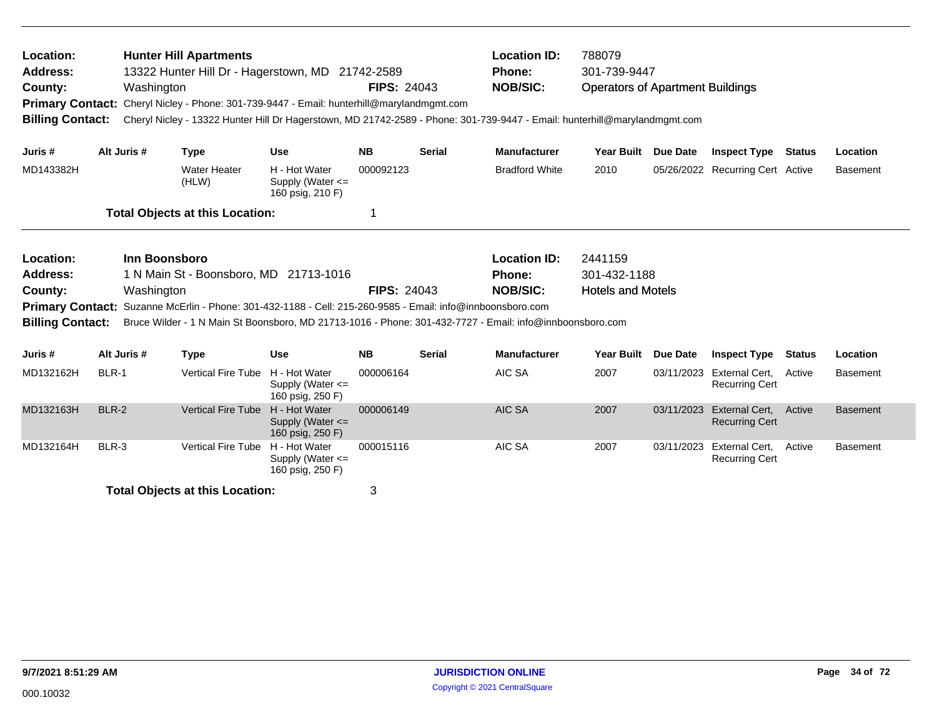| Location:<br><b>Hunter Hill Apartments</b><br>Address:<br>13322 Hunter Hill Dr - Hagerstown, MD 21742-2589<br><b>FIPS: 24043</b><br>County:<br>Washington<br><b>Primary Contact:</b><br>Cheryl Nicley - Phone: 301-739-9447 - Email: hunterhill@marylandmgmt.com<br><b>Billing Contact:</b><br>Cheryl Nicley - 13322 Hunter Hill Dr Hagerstown, MD 21742-2589 - Phone: 301-739-9447 - Email: hunterhill@marylandmgmt.com |       |             |                                                                                                                                                                                                       |                                                           |                    | <b>Location ID:</b><br><b>Phone:</b><br><b>NOB/SIC:</b> | 788079<br>301-739-9447<br><b>Operators of Apartment Buildings</b> |                          |                 |                                                    |               |                 |
|--------------------------------------------------------------------------------------------------------------------------------------------------------------------------------------------------------------------------------------------------------------------------------------------------------------------------------------------------------------------------------------------------------------------------|-------|-------------|-------------------------------------------------------------------------------------------------------------------------------------------------------------------------------------------------------|-----------------------------------------------------------|--------------------|---------------------------------------------------------|-------------------------------------------------------------------|--------------------------|-----------------|----------------------------------------------------|---------------|-----------------|
| Juris #                                                                                                                                                                                                                                                                                                                                                                                                                  |       | Alt Juris # | <b>Type</b>                                                                                                                                                                                           | <b>Use</b>                                                | <b>NB</b>          | <b>Serial</b>                                           | <b>Manufacturer</b>                                               | <b>Year Built</b>        | Due Date        | <b>Inspect Type</b>                                | Status        | Location        |
| MD143382H                                                                                                                                                                                                                                                                                                                                                                                                                |       |             | <b>Water Heater</b><br>(HLW)                                                                                                                                                                          | H - Hot Water<br>Supply (Water <=<br>160 psig, 210 F)     | 000092123          |                                                         | <b>Bradford White</b>                                             | 2010                     |                 | 05/26/2022 Recurring Cert Active                   |               | <b>Basement</b> |
|                                                                                                                                                                                                                                                                                                                                                                                                                          |       |             | <b>Total Objects at this Location:</b>                                                                                                                                                                |                                                           |                    |                                                         |                                                                   |                          |                 |                                                    |               |                 |
| Inn Boonsboro<br>Location:<br>Address:<br>1 N Main St - Boonsboro, MD 21713-1016                                                                                                                                                                                                                                                                                                                                         |       |             |                                                                                                                                                                                                       |                                                           |                    |                                                         | <b>Location ID:</b><br>Phone:                                     | 2441159<br>301-432-1188  |                 |                                                    |               |                 |
| County:<br><b>Primary Contact:</b><br><b>Billing Contact:</b>                                                                                                                                                                                                                                                                                                                                                            |       | Washington  | Suzanne McErlin - Phone: 301-432-1188 - Cell: 215-260-9585 - Email: info@innboonsboro.com<br>Bruce Wilder - 1 N Main St Boonsboro, MD 21713-1016 - Phone: 301-432-7727 - Email: info@innboonsboro.com |                                                           | <b>FIPS: 24043</b> |                                                         | <b>NOB/SIC:</b>                                                   | <b>Hotels and Motels</b> |                 |                                                    |               |                 |
| Juris #                                                                                                                                                                                                                                                                                                                                                                                                                  |       | Alt Juris # | <b>Type</b>                                                                                                                                                                                           | <b>Use</b>                                                | <b>NB</b>          | <b>Serial</b>                                           | <b>Manufacturer</b>                                               | <b>Year Built</b>        | <b>Due Date</b> | <b>Inspect Type</b>                                | <b>Status</b> | Location        |
| MD132162H                                                                                                                                                                                                                                                                                                                                                                                                                | BLR-1 |             | <b>Vertical Fire Tube</b>                                                                                                                                                                             | H - Hot Water<br>Supply (Water $\leq$<br>160 psig, 250 F) | 000006164          |                                                         | AIC SA                                                            | 2007                     |                 | 03/11/2023 External Cert.<br><b>Recurring Cert</b> | Active        | <b>Basement</b> |
| MD132163H                                                                                                                                                                                                                                                                                                                                                                                                                | BLR-2 |             | <b>Vertical Fire Tube</b>                                                                                                                                                                             | H - Hot Water<br>Supply (Water $\leq$<br>160 psig, 250 F) | 000006149          |                                                         | AIC SA                                                            | 2007                     | 03/11/2023      | External Cert,<br><b>Recurring Cert</b>            | Active        | <b>Basement</b> |
| MD132164H                                                                                                                                                                                                                                                                                                                                                                                                                | BLR-3 |             | <b>Vertical Fire Tube</b>                                                                                                                                                                             | H - Hot Water<br>Supply (Water $\leq$<br>160 psig, 250 F) | 000015116          |                                                         | AIC SA                                                            | 2007                     |                 | 03/11/2023 External Cert,<br><b>Recurring Cert</b> | Active        | <b>Basement</b> |

**Total Objects at this Location:** 3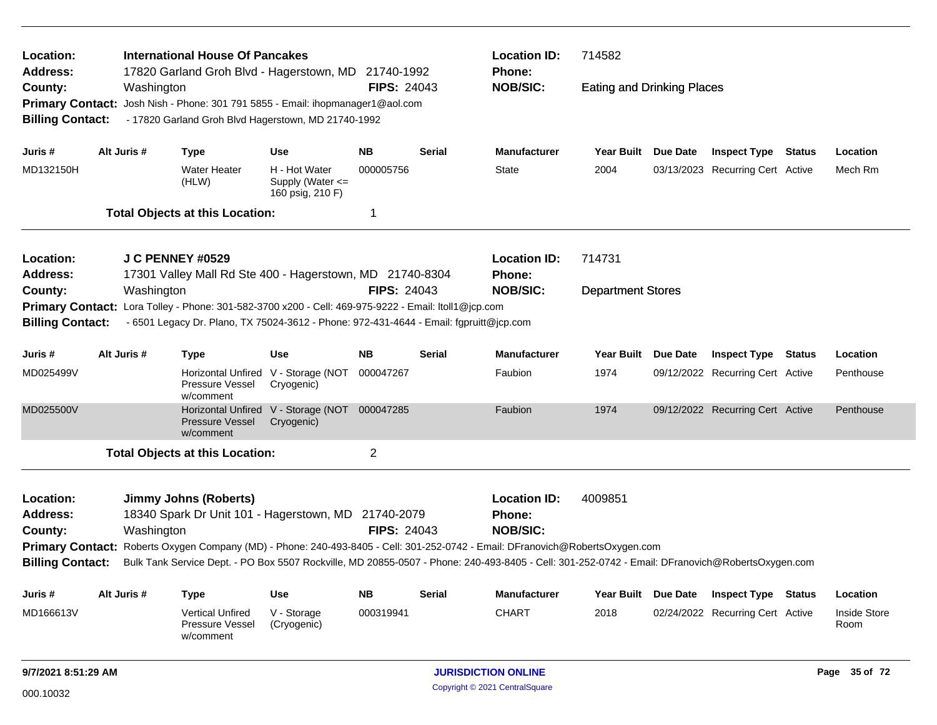| <b>International House Of Pancakes</b><br>Location:<br>17820 Garland Groh Blvd - Hagerstown, MD 21740-1992<br>Address: |  |             |                                                                                        |                                                       |                    |               | <b>Location ID:</b>                                                                                                                             | 714582                            |                 |                                  |        |                             |  |
|------------------------------------------------------------------------------------------------------------------------|--|-------------|----------------------------------------------------------------------------------------|-------------------------------------------------------|--------------------|---------------|-------------------------------------------------------------------------------------------------------------------------------------------------|-----------------------------------|-----------------|----------------------------------|--------|-----------------------------|--|
| County:                                                                                                                |  | Washington  |                                                                                        |                                                       | <b>FIPS: 24043</b> |               | <b>Phone:</b><br><b>NOB/SIC:</b>                                                                                                                | <b>Eating and Drinking Places</b> |                 |                                  |        |                             |  |
| <b>Primary Contact:</b>                                                                                                |  |             | Josh Nish - Phone: 301 791 5855 - Email: ihopmanager1@aol.com                          |                                                       |                    |               |                                                                                                                                                 |                                   |                 |                                  |        |                             |  |
| <b>Billing Contact:</b>                                                                                                |  |             | - 17820 Garland Groh Blvd Hagerstown, MD 21740-1992                                    |                                                       |                    |               |                                                                                                                                                 |                                   |                 |                                  |        |                             |  |
| Juris #                                                                                                                |  | Alt Juris # | <b>Type</b>                                                                            | <b>Use</b>                                            | <b>NB</b>          | <b>Serial</b> | <b>Manufacturer</b>                                                                                                                             | Year Built Due Date               |                 | <b>Inspect Type Status</b>       |        | Location                    |  |
| MD132150H                                                                                                              |  |             | Water Heater<br>(HLW)                                                                  | H - Hot Water<br>Supply (Water <=<br>160 psig, 210 F) | 000005756          |               | <b>State</b>                                                                                                                                    | 2004                              |                 | 03/13/2023 Recurring Cert Active |        | Mech Rm                     |  |
|                                                                                                                        |  |             | <b>Total Objects at this Location:</b>                                                 |                                                       | 1                  |               |                                                                                                                                                 |                                   |                 |                                  |        |                             |  |
| Location:                                                                                                              |  |             | <b>J C PENNEY #0529</b>                                                                |                                                       |                    |               | <b>Location ID:</b>                                                                                                                             | 714731                            |                 |                                  |        |                             |  |
| <b>Address:</b>                                                                                                        |  |             | 17301 Valley Mall Rd Ste 400 - Hagerstown, MD 21740-8304                               |                                                       |                    |               | Phone:                                                                                                                                          |                                   |                 |                                  |        |                             |  |
| County:                                                                                                                |  | Washington  |                                                                                        |                                                       | <b>FIPS: 24043</b> |               | <b>NOB/SIC:</b>                                                                                                                                 | <b>Department Stores</b>          |                 |                                  |        |                             |  |
| <b>Primary Contact:</b>                                                                                                |  |             | Lora Tolley - Phone: 301-582-3700 x200 - Cell: 469-975-9222 - Email: Itoll1@jcp.com    |                                                       |                    |               |                                                                                                                                                 |                                   |                 |                                  |        |                             |  |
| <b>Billing Contact:</b>                                                                                                |  |             | - 6501 Legacy Dr. Plano, TX 75024-3612 - Phone: 972-431-4644 - Email: fgpruitt@jcp.com |                                                       |                    |               |                                                                                                                                                 |                                   |                 |                                  |        |                             |  |
| Juris #                                                                                                                |  | Alt Juris # | <b>Type</b>                                                                            | <b>Use</b>                                            | NB.                | <b>Serial</b> | <b>Manufacturer</b>                                                                                                                             | Year Built                        | Due Date        | <b>Inspect Type Status</b>       |        | Location                    |  |
| MD025499V                                                                                                              |  |             | Pressure Vessel<br>w/comment                                                           | Horizontal Unfired V - Storage (NOT<br>Cryogenic)     | 000047267          |               | Faubion                                                                                                                                         | 1974                              |                 | 09/12/2022 Recurring Cert Active |        | Penthouse                   |  |
| MD025500V                                                                                                              |  |             | <b>Pressure Vessel</b><br>w/comment                                                    | Horizontal Unfired V - Storage (NOT<br>Cryogenic)     | 000047285          |               | Faubion                                                                                                                                         | 1974                              |                 | 09/12/2022 Recurring Cert Active |        | Penthouse                   |  |
|                                                                                                                        |  |             | <b>Total Objects at this Location:</b>                                                 |                                                       | $\overline{2}$     |               |                                                                                                                                                 |                                   |                 |                                  |        |                             |  |
| Location:                                                                                                              |  |             | <b>Jimmy Johns (Roberts)</b>                                                           |                                                       |                    |               | <b>Location ID:</b>                                                                                                                             | 4009851                           |                 |                                  |        |                             |  |
| <b>Address:</b>                                                                                                        |  |             | 18340 Spark Dr Unit 101 - Hagerstown, MD 21740-2079                                    |                                                       |                    |               | <b>Phone:</b>                                                                                                                                   |                                   |                 |                                  |        |                             |  |
| County:                                                                                                                |  | Washington  |                                                                                        |                                                       | <b>FIPS: 24043</b> |               | <b>NOB/SIC:</b>                                                                                                                                 |                                   |                 |                                  |        |                             |  |
| <b>Primary Contact:</b>                                                                                                |  |             |                                                                                        |                                                       |                    |               | Roberts Oxygen Company (MD) - Phone: 240-493-8405 - Cell: 301-252-0742 - Email: DFranovich@RobertsOxygen.com                                    |                                   |                 |                                  |        |                             |  |
| <b>Billing Contact:</b>                                                                                                |  |             |                                                                                        |                                                       |                    |               | Bulk Tank Service Dept. - PO Box 5507 Rockville, MD 20855-0507 - Phone: 240-493-8405 - Cell: 301-252-0742 - Email: DFranovich@RobertsOxygen.com |                                   |                 |                                  |        |                             |  |
| Juris #                                                                                                                |  | Alt Juris # | <b>Type</b>                                                                            | <b>Use</b>                                            | <b>NB</b>          | <b>Serial</b> | Manufacturer                                                                                                                                    | Year Built                        | <b>Due Date</b> | Inspect Type                     | Status | Location                    |  |
| MD166613V                                                                                                              |  |             | <b>Vertical Unfired</b><br>Pressure Vessel<br>w/comment                                | V - Storage<br>(Cryogenic)                            | 000319941          |               | <b>CHART</b>                                                                                                                                    | 2018                              |                 | 02/24/2022 Recurring Cert Active |        | <b>Inside Store</b><br>Room |  |
| 9/7/2021 8:51:29 AM                                                                                                    |  |             |                                                                                        |                                                       |                    |               | <b>JURISDICTION ONLINE</b>                                                                                                                      |                                   |                 |                                  |        | Page 35 of 72               |  |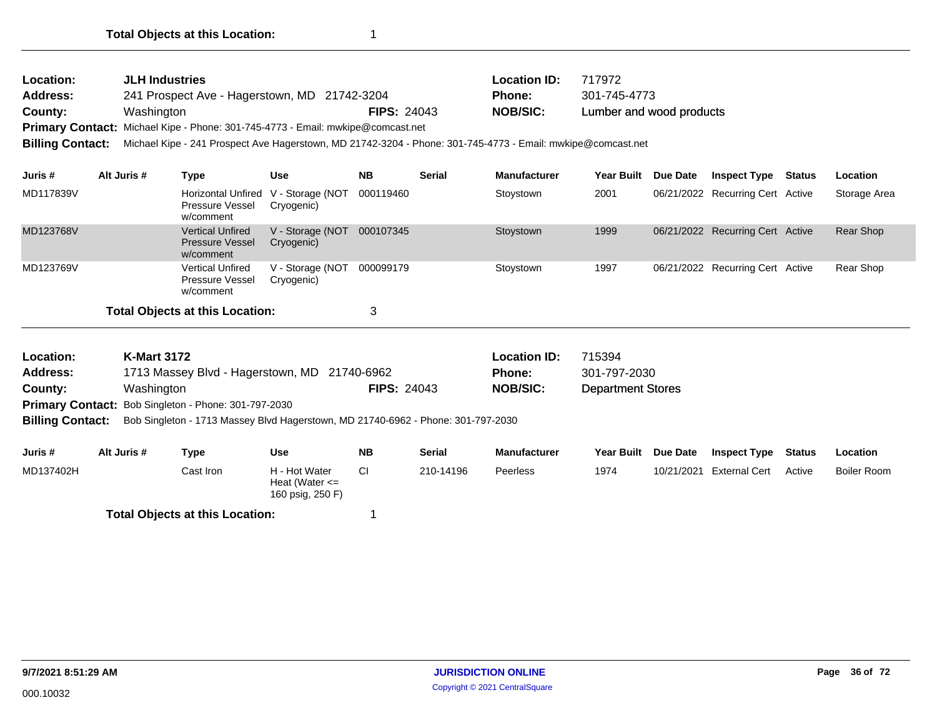| <b>Location:</b>        | <b>JLH Industries</b>                                                                                       |                    | <b>Location ID:</b> | 717972                   |  |  |  |  |
|-------------------------|-------------------------------------------------------------------------------------------------------------|--------------------|---------------------|--------------------------|--|--|--|--|
| <b>Address:</b>         | 241 Prospect Ave - Hagerstown, MD 21742-3204                                                                |                    | <b>Phone:</b>       | 301-745-4773             |  |  |  |  |
| County:                 | Washington                                                                                                  | <b>FIPS: 24043</b> | <b>NOB/SIC:</b>     | Lumber and wood products |  |  |  |  |
|                         | Primary Contact: Michael Kipe - Phone: 301-745-4773 - Email: mwkipe@comcast.net                             |                    |                     |                          |  |  |  |  |
| <b>Billing Contact:</b> | Michael Kipe - 241 Prospect Ave Hagerstown, MD 21742-3204 - Phone: 301-745-4773 - Email: mwkipe@comcast.net |                    |                     |                          |  |  |  |  |

| Juris #   | Alt Juris #                                 | Type                                                           | <b>Use</b>                     | <b>NB</b> | <b>Serial</b> | <b>Manufacturer</b> | Year Built | Due Date | <b>Inspect Type</b>              | Status | <b>Location</b> |
|-----------|---------------------------------------------|----------------------------------------------------------------|--------------------------------|-----------|---------------|---------------------|------------|----------|----------------------------------|--------|-----------------|
| MD117839V |                                             | <b>Horizontal Unfired</b><br>Pressure Vessel<br>w/comment      | V - Storage (NOT<br>Cryogenic) | 000119460 |               | Stoystown           | 2001       |          | 06/21/2022 Recurring Cert Active |        | Storage Area    |
| MD123768V |                                             | <b>Vertical Unfired</b><br><b>Pressure Vessel</b><br>w/comment | V - Storage (NOT<br>Cryogenic) | 000107345 |               | Stoystown           | 1999       |          | 06/21/2022 Recurring Cert Active |        | Rear Shop       |
| MD123769V |                                             | <b>Vertical Unfired</b><br>Pressure Vessel<br>w/comment        | V - Storage (NOT<br>Cryogenic) | 000099179 |               | Stoystown           | 1997       |          | 06/21/2022 Recurring Cert Active |        | Rear Shop       |
|           | <b>Total Objects at this Location:</b><br>3 |                                                                |                                |           |               |                     |            |          |                                  |        |                 |

| <b>Location:</b>        | <b>K-Mart 3172</b>                                                               |                    | <b>Location ID:</b> | 715394                   |
|-------------------------|----------------------------------------------------------------------------------|--------------------|---------------------|--------------------------|
| <b>Address:</b>         | 1713 Massey Blvd - Hagerstown, MD 21740-6962                                     |                    | <b>Phone:</b>       | 301-797-2030             |
| County:                 | Washington                                                                       | <b>FIPS: 24043</b> | <b>NOB/SIC:</b>     | <b>Department Stores</b> |
|                         | <b>Primary Contact:</b> Bob Singleton - Phone: 301-797-2030                      |                    |                     |                          |
| <b>Billing Contact:</b> | Bob Singleton - 1713 Massey Blvd Hagerstown, MD 21740-6962 - Phone: 301-797-2030 |                    |                     |                          |
|                         |                                                                                  |                    |                     |                          |

| Juris #   | Alt Juris # | Type                                   | Use                                                     | <b>NB</b> | <b>Serial</b> | <b>Manufacturer</b> | <b>Year Built</b> | <b>Due Date</b> | <b>Inspect Type</b>  | Status | Location    |
|-----------|-------------|----------------------------------------|---------------------------------------------------------|-----------|---------------|---------------------|-------------------|-----------------|----------------------|--------|-------------|
| MD137402H |             | Cast Iron                              | H - Hot Water<br>Heat (Water $\leq$<br>160 psig, 250 F) |           | 210-14196     | <b>Peerless</b>     | 1974              | 10/21/2021      | <b>External Cert</b> | Active | Boiler Room |
|           |             | <b>Total Objects at this Location:</b> |                                                         |           |               |                     |                   |                 |                      |        |             |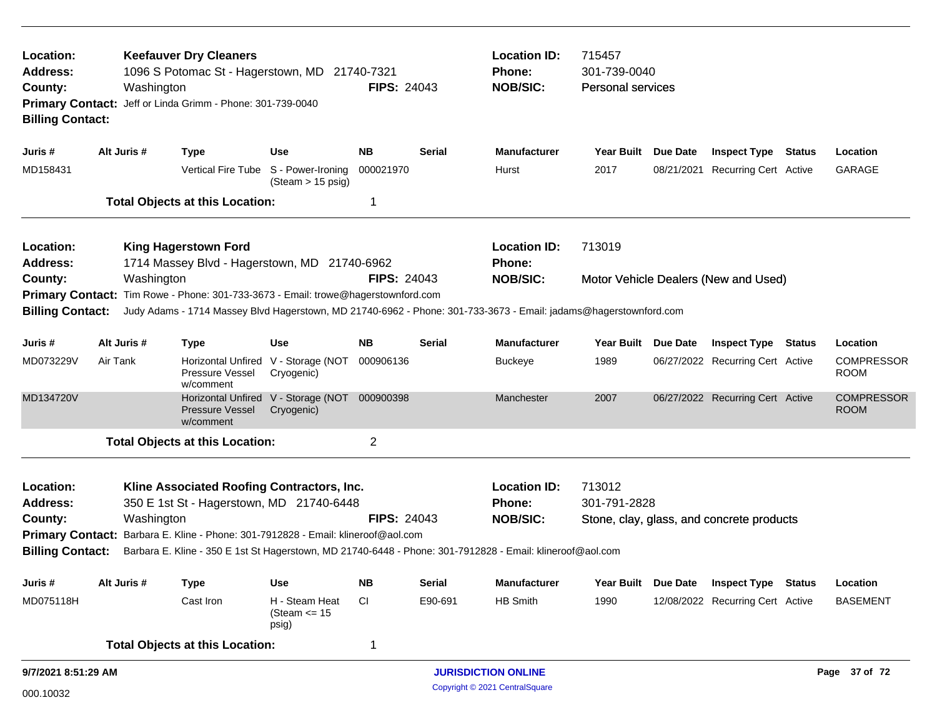| Location:<br><b>Address:</b><br>County:<br><b>Billing Contact:</b> |             | Washington | <b>Keefauver Dry Cleaners</b><br>1096 S Potomac St - Hagerstown, MD 21740-7321<br>Primary Contact: Jeff or Linda Grimm - Phone: 301-739-0040 |                                                           | <b>FIPS: 24043</b> |               | <b>Location ID:</b><br><b>Phone:</b><br><b>NOB/SIC:</b>                                                          | 715457<br>301-739-0040<br><b>Personal services</b>                                                 |          |                                           |  |                                  |
|--------------------------------------------------------------------|-------------|------------|----------------------------------------------------------------------------------------------------------------------------------------------|-----------------------------------------------------------|--------------------|---------------|------------------------------------------------------------------------------------------------------------------|----------------------------------------------------------------------------------------------------|----------|-------------------------------------------|--|----------------------------------|
| Juris #                                                            | Alt Juris # |            | <b>Type</b>                                                                                                                                  | <b>Use</b>                                                | <b>NB</b>          | <b>Serial</b> | <b>Manufacturer</b>                                                                                              | Year Built Due Date                                                                                |          | <b>Inspect Type Status</b>                |  | Location                         |
| MD158431                                                           |             |            |                                                                                                                                              | Vertical Fire Tube S - Power-Ironing<br>(Steam > 15 psig) | 000021970          |               | Hurst                                                                                                            | 2017                                                                                               |          | 08/21/2021 Recurring Cert Active          |  | GARAGE                           |
|                                                                    |             |            | <b>Total Objects at this Location:</b>                                                                                                       |                                                           | -1                 |               |                                                                                                                  |                                                                                                    |          |                                           |  |                                  |
| Location:<br>Address:                                              |             |            | <b>King Hagerstown Ford</b><br>1714 Massey Blvd - Hagerstown, MD 21740-6962                                                                  |                                                           |                    |               | <b>Location ID:</b><br><b>Phone:</b>                                                                             | 713019                                                                                             |          |                                           |  |                                  |
| County:                                                            |             | Washington |                                                                                                                                              |                                                           | <b>FIPS: 24043</b> |               | <b>NOB/SIC:</b>                                                                                                  |                                                                                                    |          | Motor Vehicle Dealers (New and Used)      |  |                                  |
| <b>Primary Contact:</b><br><b>Billing Contact:</b>                 |             |            | Tim Rowe - Phone: 301-733-3673 - Email: trowe@hagerstownford.com                                                                             |                                                           |                    |               | Judy Adams - 1714 Massey Blvd Hagerstown, MD 21740-6962 - Phone: 301-733-3673 - Email: jadams@hagerstownford.com |                                                                                                    |          |                                           |  |                                  |
| Juris #                                                            | Alt Juris # |            | <b>Type</b>                                                                                                                                  | Use                                                       | <b>NB</b>          | <b>Serial</b> | <b>Manufacturer</b>                                                                                              | <b>Year Built</b><br>Due Date<br><b>Inspect Type</b><br>Status<br>06/27/2022 Recurring Cert Active |          |                                           |  | Location                         |
| MD073229V                                                          | Air Tank    |            | Pressure Vessel<br>w/comment                                                                                                                 | Horizontal Unfired V - Storage (NOT<br>Cryogenic)         | 000906136          |               | <b>Buckeye</b>                                                                                                   | 1989                                                                                               |          |                                           |  | <b>COMPRESSOR</b><br><b>ROOM</b> |
| MD134720V                                                          |             |            | Pressure Vessel<br>w/comment                                                                                                                 | Horizontal Unfired V - Storage (NOT<br>Cryogenic)         | 000900398          |               | Manchester                                                                                                       | 2007                                                                                               |          | 06/27/2022 Recurring Cert Active          |  | <b>COMPRESSOR</b><br><b>ROOM</b> |
|                                                                    |             |            | <b>Total Objects at this Location:</b>                                                                                                       |                                                           | 2                  |               |                                                                                                                  |                                                                                                    |          |                                           |  |                                  |
| Location:<br><b>Address:</b>                                       |             |            | Kline Associated Roofing Contractors, Inc.<br>350 E 1st St - Hagerstown, MD 21740-6448                                                       |                                                           |                    |               | <b>Location ID:</b><br><b>Phone:</b>                                                                             | 713012<br>301-791-2828                                                                             |          |                                           |  |                                  |
| County:                                                            |             | Washington |                                                                                                                                              |                                                           | <b>FIPS: 24043</b> |               | <b>NOB/SIC:</b>                                                                                                  |                                                                                                    |          | Stone, clay, glass, and concrete products |  |                                  |
| <b>Primary Contact:</b>                                            |             |            | Barbara E. Kline - Phone: 301-7912828 - Email: klineroof@aol.com                                                                             |                                                           |                    |               |                                                                                                                  |                                                                                                    |          |                                           |  |                                  |
| <b>Billing Contact:</b>                                            |             |            |                                                                                                                                              |                                                           |                    |               | Barbara E. Kline - 350 E 1st St Hagerstown, MD 21740-6448 - Phone: 301-7912828 - Email: klineroof@aol.com        |                                                                                                    |          |                                           |  |                                  |
| Juris #                                                            | Alt Juris # |            | <b>Type</b>                                                                                                                                  | <b>Use</b>                                                | <b>NB</b>          | <b>Serial</b> | Manufacturer                                                                                                     | <b>Year Built</b>                                                                                  | Due Date | <b>Inspect Type Status</b>                |  | Location                         |
| MD075118H                                                          |             |            | Cast Iron                                                                                                                                    | H - Steam Heat<br>(Steam $<= 15$<br>psig)                 | <b>CI</b>          | E90-691       | <b>HB Smith</b>                                                                                                  | 1990                                                                                               |          | 12/08/2022 Recurring Cert Active          |  | <b>BASEMENT</b>                  |
|                                                                    |             |            | <b>Total Objects at this Location:</b>                                                                                                       |                                                           | $\mathbf 1$        |               |                                                                                                                  |                                                                                                    |          |                                           |  |                                  |
| 9/7/2021 8:51:29 AM                                                |             |            |                                                                                                                                              |                                                           |                    |               | <b>JURISDICTION ONLINE</b>                                                                                       |                                                                                                    |          |                                           |  | Page 37 of 72                    |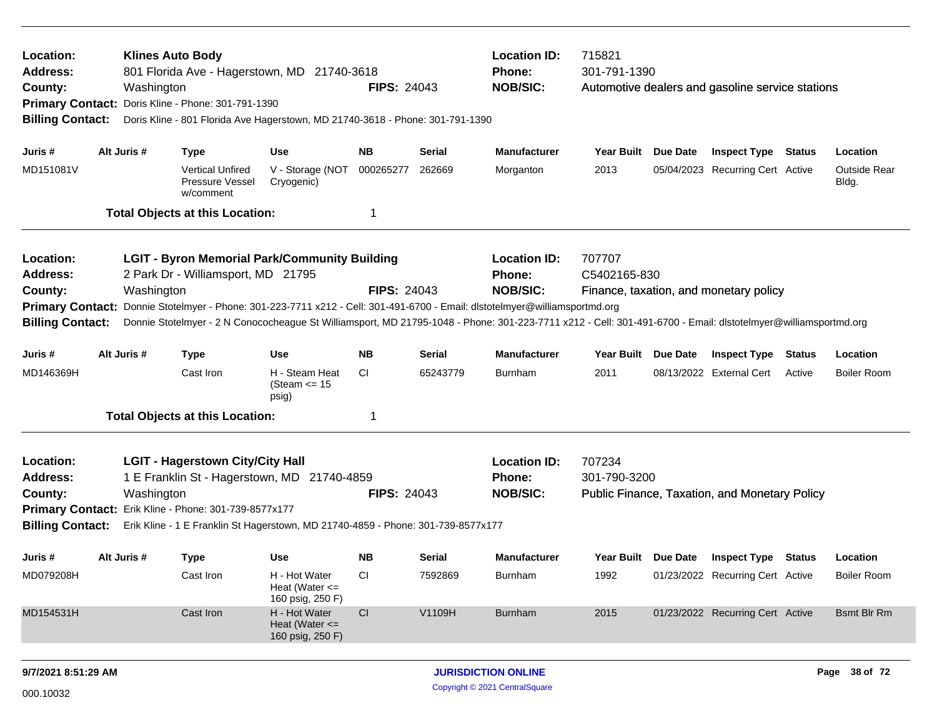| Location:<br><b>Address:</b><br>County:<br><b>Billing Contact:</b>                                                                                                                                                                                                                                                                   |  | Washington  | <b>Klines Auto Body</b><br>801 Florida Ave - Hagerstown, MD 21740-3618<br>Primary Contact: Doris Kline - Phone: 301-791-1390<br>Doris Kline - 801 Florida Ave Hagerstown, MD 21740-3618 - Phone: 301-791-1390                       |                                                         | <b>FIPS: 24043</b> |               | <b>Location ID:</b><br>Phone:<br><b>NOB/SIC:</b>                                                                                                               | 715821<br>301-791-1390 |  | Automotive dealers and gasoline service stations |        |                                |
|--------------------------------------------------------------------------------------------------------------------------------------------------------------------------------------------------------------------------------------------------------------------------------------------------------------------------------------|--|-------------|-------------------------------------------------------------------------------------------------------------------------------------------------------------------------------------------------------------------------------------|---------------------------------------------------------|--------------------|---------------|----------------------------------------------------------------------------------------------------------------------------------------------------------------|------------------------|--|--------------------------------------------------|--------|--------------------------------|
| Juris #                                                                                                                                                                                                                                                                                                                              |  | Alt Juris # | <b>Type</b>                                                                                                                                                                                                                         | Use                                                     | NB.                | <b>Serial</b> | <b>Manufacturer</b>                                                                                                                                            | Year Built Due Date    |  | <b>Inspect Type Status</b>                       |        | Location                       |
| MD151081V                                                                                                                                                                                                                                                                                                                            |  |             | <b>Vertical Unfired</b><br>Pressure Vessel<br>w/comment                                                                                                                                                                             | V - Storage (NOT<br>Cryogenic)                          | 000265277          | 262669        | Morganton                                                                                                                                                      | 2013                   |  | 05/04/2023 Recurring Cert Active                 |        | <b>Outside Rear</b><br>Bldg.   |
|                                                                                                                                                                                                                                                                                                                                      |  |             | <b>Total Objects at this Location:</b>                                                                                                                                                                                              |                                                         | -1                 |               |                                                                                                                                                                |                        |  |                                                  |        |                                |
| Location:<br>Address:<br>County:<br><b>Primary Contact:</b>                                                                                                                                                                                                                                                                          |  | Washington  | <b>LGIT - Byron Memorial Park/Community Building</b><br>2 Park Dr - Williamsport, MD 21795                                                                                                                                          |                                                         | <b>FIPS: 24043</b> |               | <b>Location ID:</b><br>Phone:<br><b>NOB/SIC:</b><br>Donnie Stotelmyer - Phone: 301-223-7711 x212 - Cell: 301-491-6700 - Email: dlstotelmyer@williamsportmd.org | 707707<br>C5402165-830 |  | Finance, taxation, and monetary policy           |        |                                |
| <b>Billing Contact:</b><br>Donnie Stotelmyer - 2 N Conococheague St Williamsport, MD 21795-1048 - Phone: 301-223-7711 x212 - Cell: 301-491-6700 - Email: dlstotelmyer@williamsportmd.org<br>Alt Juris #<br><b>Use</b><br>NB.<br><b>Serial</b><br><b>Manufacturer</b><br>Year Built Due Date<br><b>Inspect Type Status</b><br>Juris # |  |             |                                                                                                                                                                                                                                     |                                                         |                    |               |                                                                                                                                                                |                        |  |                                                  |        |                                |
| MD146369H                                                                                                                                                                                                                                                                                                                            |  |             | <b>Type</b><br>Cast Iron                                                                                                                                                                                                            | H - Steam Heat<br>(Steam <= 15<br>psig)                 | CI                 | 65243779      | <b>Burnham</b>                                                                                                                                                 | 2011                   |  | 08/13/2022 External Cert                         | Active | Location<br><b>Boiler Room</b> |
|                                                                                                                                                                                                                                                                                                                                      |  |             | <b>Total Objects at this Location:</b>                                                                                                                                                                                              |                                                         | -1                 |               |                                                                                                                                                                |                        |  |                                                  |        |                                |
| Location:<br><b>Address:</b><br>County:<br><b>Billing Contact:</b>                                                                                                                                                                                                                                                                   |  | Washington  | <b>LGIT - Hagerstown City/City Hall</b><br>1 E Franklin St - Hagerstown, MD 21740-4859<br>Primary Contact: Erik Kline - Phone: 301-739-8577x177<br>Erik Kline - 1 E Franklin St Hagerstown, MD 21740-4859 - Phone: 301-739-8577x177 |                                                         | <b>FIPS: 24043</b> |               | <b>Location ID:</b><br>Phone:<br><b>NOB/SIC:</b>                                                                                                               | 707234<br>301-790-3200 |  | Public Finance, Taxation, and Monetary Policy    |        |                                |
| Juris #                                                                                                                                                                                                                                                                                                                              |  | Alt Juris # | <b>Type</b>                                                                                                                                                                                                                         | Use                                                     | <b>NB</b>          | Serial        | <b>Manufacturer</b>                                                                                                                                            |                        |  | Year Built Due Date Inspect Type Status          |        | Location                       |
| MD079208H                                                                                                                                                                                                                                                                                                                            |  |             | Cast Iron                                                                                                                                                                                                                           | H - Hot Water<br>Heat (Water $\leq$<br>160 psig, 250 F) | CI                 | 7592869       | Burnham                                                                                                                                                        | 1992                   |  | 01/23/2022 Recurring Cert Active                 |        | <b>Boiler Room</b>             |
| MD154531H                                                                                                                                                                                                                                                                                                                            |  |             | Cast Iron                                                                                                                                                                                                                           | H - Hot Water<br>Heat (Water $\leq$<br>160 psig, 250 F) | CI                 | V1109H        | <b>Burnham</b>                                                                                                                                                 | 2015                   |  | 01/23/2022 Recurring Cert Active                 |        | <b>Bsmt Blr Rm</b>             |
| 9/7/2021 8:51:29 AM                                                                                                                                                                                                                                                                                                                  |  |             |                                                                                                                                                                                                                                     |                                                         |                    |               | <b>JURISDICTION ONLINE</b>                                                                                                                                     |                        |  |                                                  |        | Page 38 of 72                  |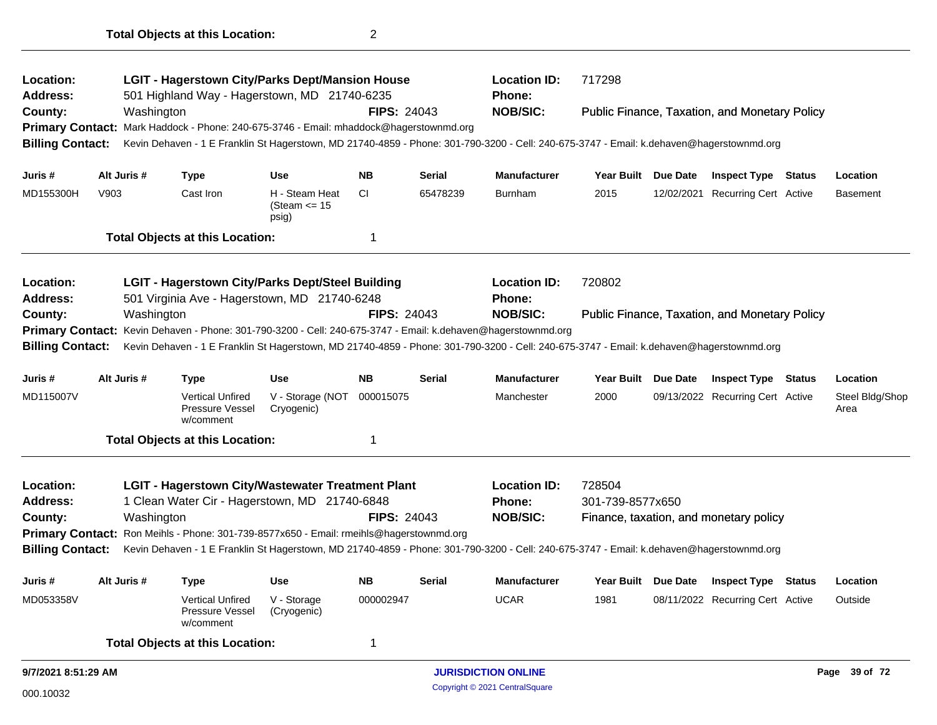| Location:<br><b>Address:</b> |      | <b>LGIT - Hagerstown City/Parks Dept/Mansion House</b> |                                                                                         |                                            |                    | <b>Location ID:</b> | 717298                                                                                                                                   |                     |          |                                                      |        |                         |
|------------------------------|------|--------------------------------------------------------|-----------------------------------------------------------------------------------------|--------------------------------------------|--------------------|---------------------|------------------------------------------------------------------------------------------------------------------------------------------|---------------------|----------|------------------------------------------------------|--------|-------------------------|
|                              |      |                                                        | 501 Highland Way - Hagerstown, MD 21740-6235                                            |                                            | <b>FIPS: 24043</b> |                     | Phone:<br><b>NOB/SIC:</b>                                                                                                                |                     |          |                                                      |        |                         |
| County:                      |      | Washington                                             | Primary Contact: Mark Haddock - Phone: 240-675-3746 - Email: mhaddock@hagerstownmd.org  |                                            |                    |                     |                                                                                                                                          |                     |          | Public Finance, Taxation, and Monetary Policy        |        |                         |
| <b>Billing Contact:</b>      |      |                                                        |                                                                                         |                                            |                    |                     | Kevin Dehaven - 1 E Franklin St Hagerstown, MD 21740-4859 - Phone: 301-790-3200 - Cell: 240-675-3747 - Email: k.dehaven@hagerstownmd.org |                     |          |                                                      |        |                         |
| Juris #                      |      | Alt Juris #                                            | <b>Type</b>                                                                             | <b>Use</b>                                 | <b>NB</b>          | <b>Serial</b>       | <b>Manufacturer</b>                                                                                                                      | Year Built Due Date |          | <b>Inspect Type Status</b>                           |        | Location                |
| MD155300H                    | V903 |                                                        | Cast Iron                                                                               | H - Steam Heat<br>(Steam $\le$ 15<br>psig) | <b>CI</b>          | 65478239            | <b>Burnham</b>                                                                                                                           | 2015                |          | 12/02/2021 Recurring Cert Active                     |        | <b>Basement</b>         |
|                              |      |                                                        | <b>Total Objects at this Location:</b>                                                  |                                            | 1                  |                     |                                                                                                                                          |                     |          |                                                      |        |                         |
| <b>Location:</b>             |      |                                                        | <b>LGIT - Hagerstown City/Parks Dept/Steel Building</b>                                 |                                            |                    |                     | <b>Location ID:</b>                                                                                                                      | 720802              |          |                                                      |        |                         |
| Address:                     |      |                                                        | 501 Virginia Ave - Hagerstown, MD 21740-6248                                            |                                            |                    |                     | <b>Phone:</b>                                                                                                                            |                     |          |                                                      |        |                         |
| County:                      |      | Washington                                             |                                                                                         |                                            | <b>FIPS: 24043</b> |                     | <b>NOB/SIC:</b>                                                                                                                          |                     |          | <b>Public Finance, Taxation, and Monetary Policy</b> |        |                         |
| <b>Primary Contact:</b>      |      |                                                        |                                                                                         |                                            |                    |                     | Kevin Dehaven - Phone: 301-790-3200 - Cell: 240-675-3747 - Email: k.dehaven@hagerstownmd.org                                             |                     |          |                                                      |        |                         |
| <b>Billing Contact:</b>      |      |                                                        |                                                                                         |                                            |                    |                     | Kevin Dehaven - 1 E Franklin St Hagerstown, MD 21740-4859 - Phone: 301-790-3200 - Cell: 240-675-3747 - Email: k.dehaven@hagerstownmd.org |                     |          |                                                      |        |                         |
| Juris #                      |      | Alt Juris #                                            | Type                                                                                    | Use                                        | <b>NB</b>          | <b>Serial</b>       | <b>Manufacturer</b>                                                                                                                      | <b>Year Built</b>   | Due Date | <b>Inspect Type</b>                                  | Status | Location                |
| MD115007V                    |      |                                                        | <b>Vertical Unfired</b><br>Pressure Vessel<br>w/comment                                 | V - Storage (NOT<br>Cryogenic)             | 000015075          |                     | Manchester                                                                                                                               | 2000                |          | 09/13/2022 Recurring Cert Active                     |        | Steel Bldg/Shop<br>Area |
|                              |      |                                                        | <b>Total Objects at this Location:</b>                                                  |                                            | 1                  |                     |                                                                                                                                          |                     |          |                                                      |        |                         |
| <b>Location:</b>             |      |                                                        | <b>LGIT - Hagerstown City/Wastewater Treatment Plant</b>                                |                                            |                    |                     | <b>Location ID:</b>                                                                                                                      | 728504              |          |                                                      |        |                         |
| Address:                     |      |                                                        | 1 Clean Water Cir - Hagerstown, MD 21740-6848                                           |                                            |                    |                     | Phone:                                                                                                                                   | 301-739-8577x650    |          |                                                      |        |                         |
| County:                      |      | Washington                                             |                                                                                         |                                            | <b>FIPS: 24043</b> |                     | <b>NOB/SIC:</b>                                                                                                                          |                     |          | Finance, taxation, and monetary policy               |        |                         |
|                              |      |                                                        | Primary Contact: Ron Meihls - Phone: 301-739-8577x650 - Email: rmeihls@hagerstownmd.org |                                            |                    |                     |                                                                                                                                          |                     |          |                                                      |        |                         |
| <b>Billing Contact:</b>      |      |                                                        |                                                                                         |                                            |                    |                     | Kevin Dehaven - 1 E Franklin St Hagerstown, MD 21740-4859 - Phone: 301-790-3200 - Cell: 240-675-3747 - Email: k.dehaven@hagerstownmd.org |                     |          |                                                      |        |                         |
| Juris #                      |      | Alt Juris #                                            | <b>Type</b>                                                                             | <b>Use</b>                                 | <b>NB</b>          | <b>Serial</b>       | Manufacturer                                                                                                                             | Year Built Due Date |          | <b>Inspect Type Status</b>                           |        | Location                |
| MD053358V                    |      |                                                        | <b>Vertical Unfired</b><br><b>Pressure Vessel</b><br>w/comment                          | V - Storage<br>(Cryogenic)                 | 000002947          |                     | <b>UCAR</b>                                                                                                                              | 1981                |          | 08/11/2022 Recurring Cert Active                     |        | Outside                 |
|                              |      |                                                        | <b>Total Objects at this Location:</b>                                                  |                                            | 1                  |                     |                                                                                                                                          |                     |          |                                                      |        |                         |
| 9/7/2021 8:51:29 AM          |      |                                                        |                                                                                         |                                            |                    |                     | <b>JURISDICTION ONLINE</b>                                                                                                               |                     |          |                                                      |        | Page 39 of 72           |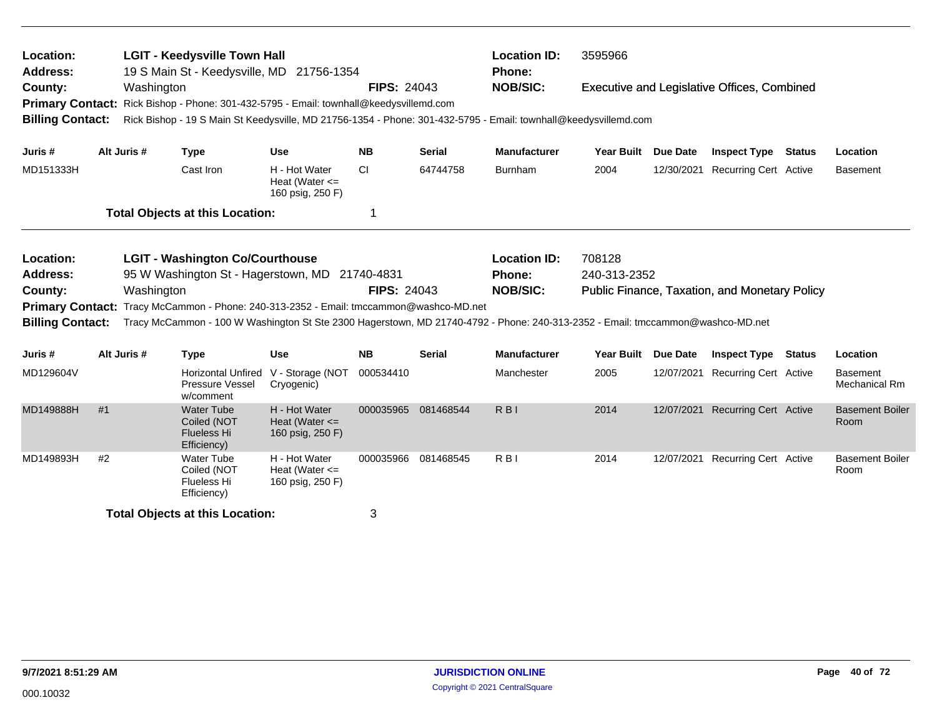| Location:<br><b>Address:</b><br>County:            |    | Washington  | <b>LGIT - Keedysville Town Hall</b><br>19 S Main St - Keedysville, MD 21756-1354                                                                                                                                         |                                                         | <b>FIPS: 24043</b> |                     | <b>Location ID:</b><br><b>Phone:</b><br><b>NOB/SIC:</b> | 3595966             |                 | <b>Executive and Legislative Offices, Combined</b>   |               |                                         |
|----------------------------------------------------|----|-------------|--------------------------------------------------------------------------------------------------------------------------------------------------------------------------------------------------------------------------|---------------------------------------------------------|--------------------|---------------------|---------------------------------------------------------|---------------------|-----------------|------------------------------------------------------|---------------|-----------------------------------------|
| <b>Primary Contact:</b><br><b>Billing Contact:</b> |    |             | Rick Bishop - Phone: 301-432-5795 - Email: townhall@keedysvillemd.com<br>Rick Bishop - 19 S Main St Keedysville, MD 21756-1354 - Phone: 301-432-5795 - Email: townhall@keedysvillemd.com                                 |                                                         |                    |                     |                                                         |                     |                 |                                                      |               |                                         |
| Juris#                                             |    | Alt Juris # | <b>Type</b>                                                                                                                                                                                                              | <b>Use</b>                                              | <b>NB</b>          | <b>Serial</b>       | <b>Manufacturer</b>                                     | Year Built Due Date |                 | <b>Inspect Type</b>                                  | <b>Status</b> | Location                                |
| MD151333H                                          |    |             | Cast Iron                                                                                                                                                                                                                | H - Hot Water<br>Heat (Water $\leq$<br>160 psig, 250 F) | <b>CI</b>          | 64744758            | <b>Burnham</b>                                          | 2004                |                 | 12/30/2021 Recurring Cert Active                     |               | <b>Basement</b>                         |
|                                                    |    |             | <b>Total Objects at this Location:</b>                                                                                                                                                                                   |                                                         | 1                  |                     |                                                         |                     |                 |                                                      |               |                                         |
| Location:                                          |    |             | <b>LGIT - Washington Co/Courthouse</b>                                                                                                                                                                                   |                                                         |                    |                     | <b>Location ID:</b>                                     | 708128              |                 |                                                      |               |                                         |
| <b>Address:</b>                                    |    |             | 95 W Washington St - Hagerstown, MD 21740-4831                                                                                                                                                                           |                                                         |                    |                     | Phone:                                                  | 240-313-2352        |                 |                                                      |               |                                         |
| County:                                            |    | Washington  |                                                                                                                                                                                                                          |                                                         | <b>FIPS: 24043</b> |                     | <b>NOB/SIC:</b>                                         |                     |                 | <b>Public Finance, Taxation, and Monetary Policy</b> |               |                                         |
| <b>Billing Contact:</b>                            |    |             | Primary Contact: Tracy McCammon - Phone: 240-313-2352 - Email: tmccammon@washco-MD.net<br>Tracy McCammon - 100 W Washington St Ste 2300 Hagerstown, MD 21740-4792 - Phone: 240-313-2352 - Email: tmccammon@washco-MD.net |                                                         |                    |                     |                                                         |                     |                 |                                                      |               |                                         |
| Juris#                                             |    | Alt Juris # | <b>Type</b>                                                                                                                                                                                                              | <b>Use</b>                                              | <b>NB</b>          | <b>Serial</b>       | <b>Manufacturer</b>                                     | <b>Year Built</b>   | <b>Due Date</b> | <b>Inspect Type</b>                                  | <b>Status</b> | Location                                |
| MD129604V                                          |    |             | <b>Horizontal Unfired</b><br>Pressure Vessel<br>w/comment                                                                                                                                                                | V - Storage (NOT<br>Cryogenic)                          | 000534410          |                     | Manchester                                              | 2005                |                 | 12/07/2021 Recurring Cert Active                     |               | <b>Basement</b><br><b>Mechanical Rm</b> |
| MD149888H                                          | #1 |             | <b>Water Tube</b><br>Coiled (NOT<br><b>Flueless Hi</b><br>Efficiency)                                                                                                                                                    | H - Hot Water<br>Heat (Water $\leq$<br>160 psig, 250 F) |                    | 000035965 081468544 | <b>RBI</b>                                              | 2014                |                 | 12/07/2021 Recurring Cert Active                     |               | <b>Basement Boiler</b><br>Room          |
| MD149893H                                          | #2 |             | <b>Water Tube</b><br>Coiled (NOT<br>Flueless Hi<br>Efficiency)                                                                                                                                                           | H - Hot Water<br>Heat (Water $\leq$<br>160 psig, 250 F) |                    | 000035966 081468545 | R <sub>B</sub>                                          | 2014                |                 | 12/07/2021 Recurring Cert Active                     |               | <b>Basement Boiler</b><br>Room          |
|                                                    |    |             | <b>Total Objects at this Location:</b>                                                                                                                                                                                   |                                                         | 3                  |                     |                                                         |                     |                 |                                                      |               |                                         |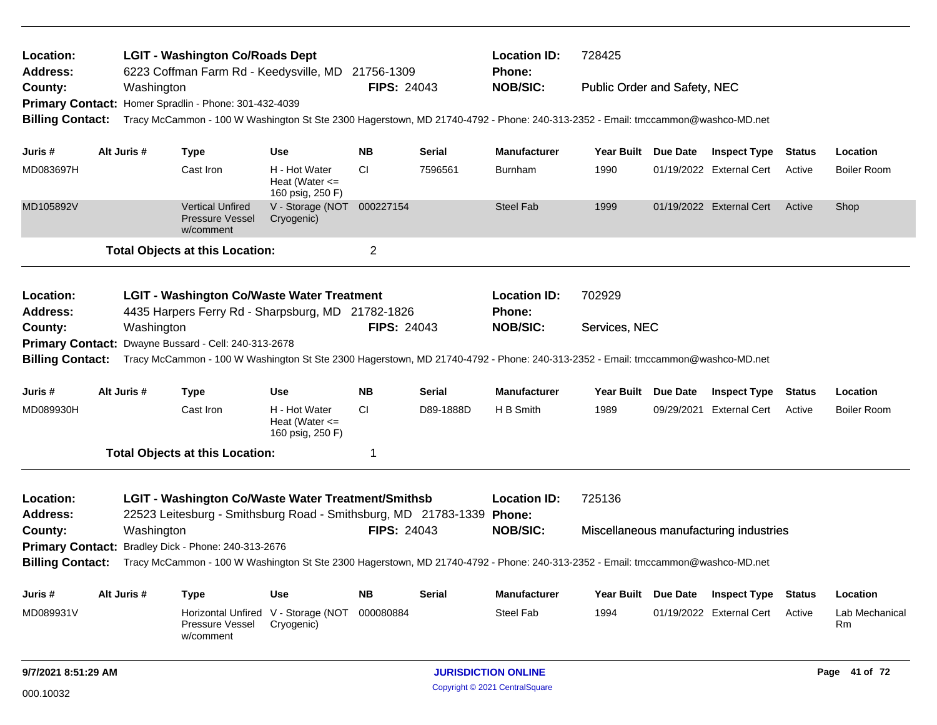| Location:<br><b>Address:</b><br>County: |  |             | <b>LGIT - Washington Co/Roads Dept</b><br>6223 Coffman Farm Rd - Keedysville, MD                                               |                                                         | 21756-1309         |           | <b>Location ID:</b><br><b>Phone:</b> | 728425                       |          |                                        |               |                      |
|-----------------------------------------|--|-------------|--------------------------------------------------------------------------------------------------------------------------------|---------------------------------------------------------|--------------------|-----------|--------------------------------------|------------------------------|----------|----------------------------------------|---------------|----------------------|
|                                         |  | Washington  |                                                                                                                                |                                                         | <b>FIPS: 24043</b> |           | <b>NOB/SIC:</b>                      | Public Order and Safety, NEC |          |                                        |               |                      |
|                                         |  |             | Primary Contact: Homer Spradlin - Phone: 301-432-4039                                                                          |                                                         |                    |           |                                      |                              |          |                                        |               |                      |
| <b>Billing Contact:</b>                 |  |             | Tracy McCammon - 100 W Washington St Ste 2300 Hagerstown, MD 21740-4792 - Phone: 240-313-2352 - Email: tmccammon@washco-MD.net |                                                         |                    |           |                                      |                              |          |                                        |               |                      |
| Juris #                                 |  | Alt Juris # | <b>Type</b>                                                                                                                    | Use                                                     | <b>NB</b>          | Serial    | <b>Manufacturer</b>                  | Year Built Due Date          |          | <b>Inspect Type Status</b>             |               | Location             |
| MD083697H                               |  |             | Cast Iron                                                                                                                      | H - Hot Water<br>Heat (Water $\leq$<br>160 psig, 250 F) | <b>CI</b>          | 7596561   | <b>Burnham</b>                       | 1990                         |          | 01/19/2022 External Cert               | Active        | <b>Boiler Room</b>   |
| MD105892V                               |  |             | <b>Vertical Unfired</b><br><b>Pressure Vessel</b><br>w/comment                                                                 | V - Storage (NOT 000227154<br>Cryogenic)                |                    |           | <b>Steel Fab</b>                     | 1999                         |          | 01/19/2022 External Cert               | Active        | Shop                 |
|                                         |  |             | <b>Total Objects at this Location:</b>                                                                                         |                                                         | $\overline{c}$     |           |                                      |                              |          |                                        |               |                      |
| Location:<br><b>Address:</b>            |  |             | <b>LGIT - Washington Co/Waste Water Treatment</b><br>4435 Harpers Ferry Rd - Sharpsburg, MD 21782-1826                         |                                                         |                    |           | <b>Location ID:</b><br>Phone:        | 702929                       |          |                                        |               |                      |
| County:                                 |  | Washington  |                                                                                                                                |                                                         | <b>FIPS: 24043</b> |           | <b>NOB/SIC:</b>                      | Services, NEC                |          |                                        |               |                      |
|                                         |  |             | Primary Contact: Dwayne Bussard - Cell: 240-313-2678                                                                           |                                                         |                    |           |                                      |                              |          |                                        |               |                      |
| <b>Billing Contact:</b>                 |  |             | Tracy McCammon - 100 W Washington St Ste 2300 Hagerstown, MD 21740-4792 - Phone: 240-313-2352 - Email: tmccammon@washco-MD.net |                                                         |                    |           |                                      |                              |          |                                        |               |                      |
| Juris #                                 |  | Alt Juris # | <b>Type</b>                                                                                                                    | Use                                                     | <b>NB</b>          | Serial    | <b>Manufacturer</b>                  | Year Built Due Date          |          | <b>Inspect Type</b>                    | <b>Status</b> | Location             |
| MD089930H                               |  |             | Cast Iron                                                                                                                      | H - Hot Water<br>Heat (Water $\leq$<br>160 psig, 250 F) | СI                 | D89-1888D | H B Smith                            | 1989                         |          | 09/29/2021 External Cert               | Active        | <b>Boiler Room</b>   |
|                                         |  |             | <b>Total Objects at this Location:</b>                                                                                         |                                                         | 1                  |           |                                      |                              |          |                                        |               |                      |
| Location:                               |  |             | <b>LGIT - Washington Co/Waste Water Treatment/Smithsb</b>                                                                      |                                                         |                    |           | <b>Location ID:</b>                  | 725136                       |          |                                        |               |                      |
| <b>Address:</b>                         |  |             | 22523 Leitesburg - Smithsburg Road - Smithsburg, MD 21783-1339 Phone:                                                          |                                                         |                    |           |                                      |                              |          |                                        |               |                      |
| County:                                 |  | Washington  |                                                                                                                                |                                                         | <b>FIPS: 24043</b> |           | <b>NOB/SIC:</b>                      |                              |          | Miscellaneous manufacturing industries |               |                      |
| <b>Primary Contact:</b>                 |  |             | Bradley Dick - Phone: 240-313-2676                                                                                             |                                                         |                    |           |                                      |                              |          |                                        |               |                      |
| <b>Billing Contact:</b>                 |  |             | Tracy McCammon - 100 W Washington St Ste 2300 Hagerstown, MD 21740-4792 - Phone: 240-313-2352 - Email: tmccammon@washco-MD.net |                                                         |                    |           |                                      |                              |          |                                        |               |                      |
| Juris #                                 |  | Alt Juris # | <b>Type</b>                                                                                                                    | <b>Use</b>                                              | <b>NB</b>          | Serial    | <b>Manufacturer</b>                  | Year Built                   | Due Date | <b>Inspect Type</b>                    | <b>Status</b> | Location             |
| MD089931V                               |  |             | Horizontal Unfired<br>Pressure Vessel<br>w/comment                                                                             | V - Storage (NOT<br>Cryogenic)                          | 000080884          |           | <b>Steel Fab</b>                     | 1994                         |          | 01/19/2022 External Cert               | Active        | Lab Mechanical<br>Rm |
| 9/7/2021 8:51:29 AM                     |  |             |                                                                                                                                |                                                         |                    |           | <b>JURISDICTION ONLINE</b>           |                              |          |                                        |               | Page 41 of 72        |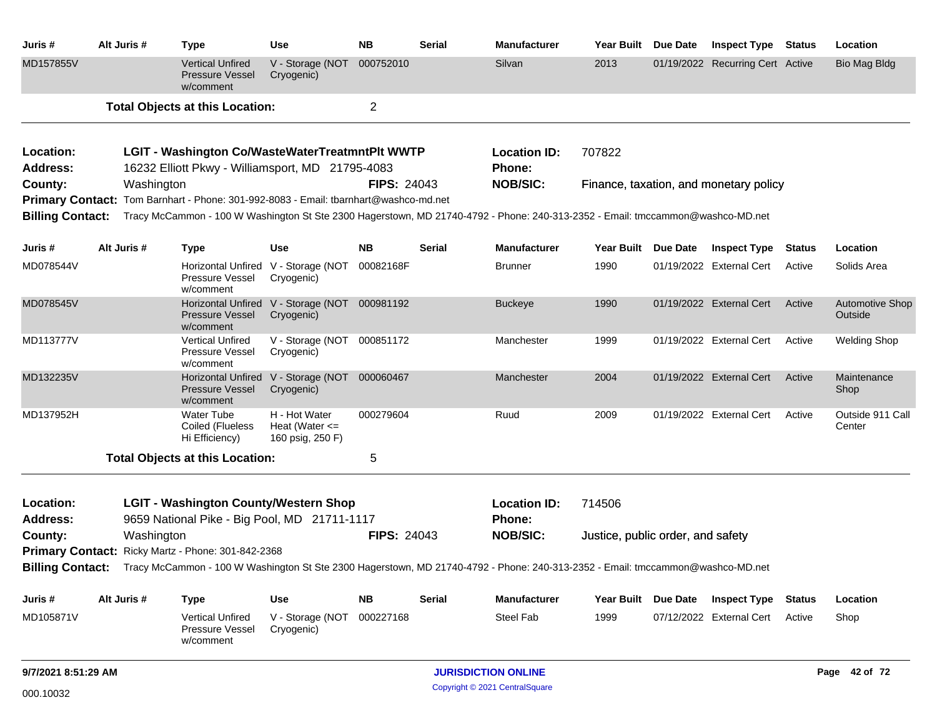| Juris #                                                                                             |  | Alt Juris # | <b>Type</b>                                                                                                | Use                                                         | <b>NB</b>          | <b>Serial</b> | <b>Manufacturer</b>                                                                                                                             |                   | Year Built Due Date | <b>Inspect Type Status</b>             |               | Location                          |
|-----------------------------------------------------------------------------------------------------|--|-------------|------------------------------------------------------------------------------------------------------------|-------------------------------------------------------------|--------------------|---------------|-------------------------------------------------------------------------------------------------------------------------------------------------|-------------------|---------------------|----------------------------------------|---------------|-----------------------------------|
| MD157855V                                                                                           |  |             | <b>Vertical Unfired</b><br><b>Pressure Vessel</b><br>w/comment                                             | V - Storage (NOT 000752010<br>Cryogenic)                    |                    |               | Silvan                                                                                                                                          | 2013              |                     | 01/19/2022 Recurring Cert Active       |               | <b>Bio Mag Bldg</b>               |
|                                                                                                     |  |             | <b>Total Objects at this Location:</b>                                                                     |                                                             | $\overline{2}$     |               |                                                                                                                                                 |                   |                     |                                        |               |                                   |
| Location:<br><b>Address:</b>                                                                        |  |             | <b>LGIT - Washington Co/WasteWaterTreatmntPlt WWTP</b><br>16232 Elliott Pkwy - Williamsport, MD 21795-4083 |                                                             |                    |               | <b>Location ID:</b><br><b>Phone:</b>                                                                                                            | 707822            |                     |                                        |               |                                   |
| County:                                                                                             |  | Washington  |                                                                                                            |                                                             | <b>FIPS: 24043</b> |               | <b>NOB/SIC:</b>                                                                                                                                 |                   |                     | Finance, taxation, and monetary policy |               |                                   |
|                                                                                                     |  |             | Primary Contact: Tom Barnhart - Phone: 301-992-8083 - Email: tbarnhart@washco-md.net                       |                                                             |                    |               |                                                                                                                                                 |                   |                     |                                        |               |                                   |
| <b>Billing Contact:</b>                                                                             |  |             |                                                                                                            |                                                             |                    |               | Tracy McCammon - 100 W Washington St Ste 2300 Hagerstown, MD 21740-4792 - Phone: 240-313-2352 - Email: tmccammon@washco-MD.net                  |                   |                     |                                        |               |                                   |
| Juris #                                                                                             |  | Alt Juris # | <b>Type</b>                                                                                                | Use                                                         | <b>NB</b>          | Serial        | <b>Manufacturer</b>                                                                                                                             |                   | Year Built Due Date | Inspect Type                           | Status        | Location                          |
| MD078544V                                                                                           |  |             | Pressure Vessel<br>w/comment                                                                               | Horizontal Unfired V - Storage (NOT 00082168F<br>Cryogenic) |                    |               | <b>Brunner</b>                                                                                                                                  | 1990              |                     | 01/19/2022 External Cert               | Active        | Solids Area                       |
| MD078545V                                                                                           |  |             | <b>Pressure Vessel</b><br>w/comment                                                                        | Horizontal Unfired V - Storage (NOT 000981192<br>Cryogenic) |                    |               | <b>Buckeye</b>                                                                                                                                  | 1990              |                     | 01/19/2022 External Cert               | Active        | <b>Automotive Shop</b><br>Outside |
| MD113777V                                                                                           |  |             | <b>Vertical Unfired</b><br>Pressure Vessel<br>w/comment                                                    | V - Storage (NOT 000851172<br>Cryogenic)                    |                    |               | Manchester                                                                                                                                      | 1999              |                     | 01/19/2022 External Cert               | Active        | <b>Welding Shop</b>               |
| MD132235V                                                                                           |  |             | <b>Pressure Vessel</b><br>w/comment                                                                        | Horizontal Unfired V - Storage (NOT 000060467<br>Cryogenic) |                    |               | Manchester                                                                                                                                      | 2004              |                     | 01/19/2022 External Cert               | Active        | Maintenance<br>Shop               |
| MD137952H                                                                                           |  |             | <b>Water Tube</b><br>Coiled (Flueless<br>Hi Efficiency)                                                    | H - Hot Water<br>Heat (Water $\leq$<br>160 psig, 250 F)     | 000279604          |               | Ruud                                                                                                                                            | 2009              |                     | 01/19/2022 External Cert               | Active        | Outside 911 Call<br>Center        |
|                                                                                                     |  |             | <b>Total Objects at this Location:</b>                                                                     |                                                             | 5                  |               |                                                                                                                                                 |                   |                     |                                        |               |                                   |
| Location:<br><b>Address:</b>                                                                        |  |             | <b>LGIT - Washington County/Western Shop</b><br>9659 National Pike - Big Pool, MD 21711-1117               |                                                             |                    |               | <b>Location ID:</b><br>Phone:                                                                                                                   | 714506            |                     |                                        |               |                                   |
| <b>FIPS: 24043</b><br><b>NOB/SIC:</b><br>County:<br>Washington<br>Justice, public order, and safety |  |             |                                                                                                            |                                                             |                    |               |                                                                                                                                                 |                   |                     |                                        |               |                                   |
|                                                                                                     |  |             | Primary Contact: Ricky Martz - Phone: 301-842-2368                                                         |                                                             |                    |               |                                                                                                                                                 |                   |                     |                                        |               |                                   |
|                                                                                                     |  |             |                                                                                                            |                                                             |                    |               | Billing Contact: Tracy McCammon - 100 W Washington St Ste 2300 Hagerstown, MD 21740-4792 - Phone: 240-313-2352 - Email: tmccammon@washco-MD.net |                   |                     |                                        |               |                                   |
| Juris #                                                                                             |  | Alt Juris # | <b>Type</b>                                                                                                | <b>Use</b>                                                  | <b>NB</b>          | <b>Serial</b> | <b>Manufacturer</b>                                                                                                                             | <b>Year Built</b> | Due Date            | <b>Inspect Type</b>                    | <b>Status</b> | Location                          |
| MD105871V                                                                                           |  |             | <b>Vertical Unfired</b><br><b>Pressure Vessel</b><br>w/comment                                             | V - Storage (NOT 000227168<br>Cryogenic)                    |                    |               | Steel Fab                                                                                                                                       | 1999              |                     | 07/12/2022 External Cert               | Active        | Shop                              |
| <b>JURISDICTION ONLINE</b><br>9/7/2021 8:51:29 AM                                                   |  |             |                                                                                                            |                                                             |                    |               |                                                                                                                                                 |                   | Page 42 of 72       |                                        |               |                                   |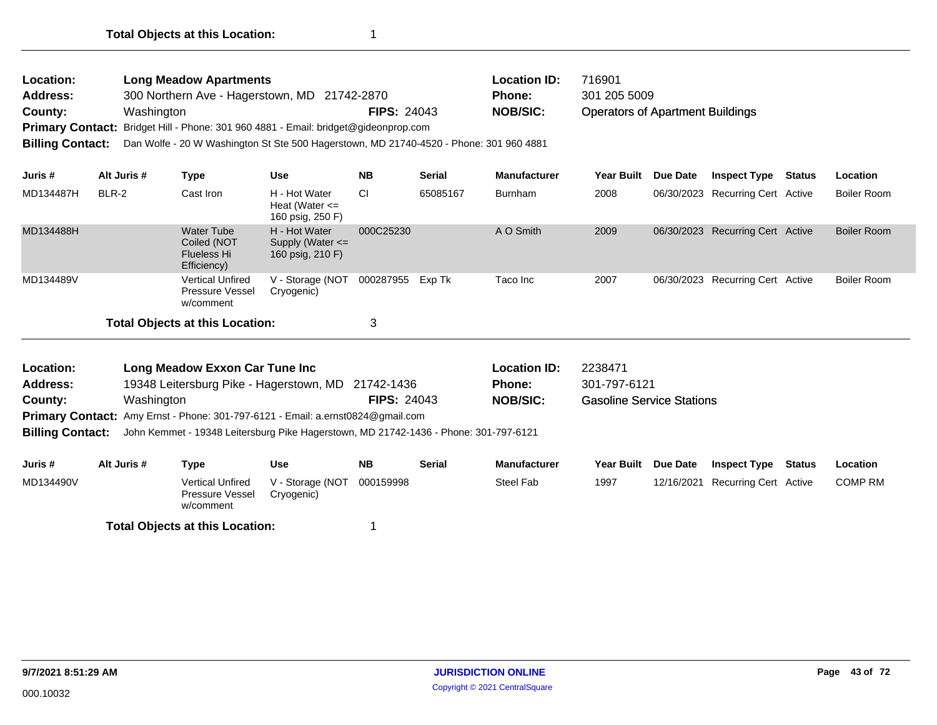| Location:<br><b>Address:</b><br>County:<br><b>Primary Contact:</b><br><b>Billing Contact:</b> |             | <b>Long Meadow Apartments</b><br>Washington                           | 300 Northern Ave - Hagerstown, MD 21742-2870<br>Bridget Hill - Phone: 301 960 4881 - Email: bridget@gideonprop.com<br>Dan Wolfe - 20 W Washington St Ste 500 Hagerstown, MD 21740-4520 - Phone: 301 960 4881 | <b>FIPS: 24043</b> |               | <b>Location ID:</b><br><b>Phone:</b><br><b>NOB/SIC:</b> | 716901<br>301 205 5009<br><b>Operators of Apartment Buildings</b> |            |                                  |        |                    |
|-----------------------------------------------------------------------------------------------|-------------|-----------------------------------------------------------------------|--------------------------------------------------------------------------------------------------------------------------------------------------------------------------------------------------------------|--------------------|---------------|---------------------------------------------------------|-------------------------------------------------------------------|------------|----------------------------------|--------|--------------------|
| Juris #                                                                                       | Alt Juris # | <b>Type</b>                                                           | <b>Use</b>                                                                                                                                                                                                   | <b>NB</b>          | <b>Serial</b> | <b>Manufacturer</b>                                     | Year Built                                                        | Due Date   | <b>Inspect Type</b>              | Status | Location           |
| MD134487H                                                                                     | BLR-2       | Cast Iron                                                             | H - Hot Water<br>Heat (Water $\leq$<br>160 psig, 250 F)                                                                                                                                                      | <b>CI</b>          | 65085167      | <b>Burnham</b>                                          | 2008                                                              |            | 06/30/2023 Recurring Cert Active |        | <b>Boiler Room</b> |
| MD134488H                                                                                     |             | <b>Water Tube</b><br>Coiled (NOT<br><b>Flueless Hi</b><br>Efficiency) | H - Hot Water<br>Supply (Water $\leq$<br>160 psig, 210 F)                                                                                                                                                    | 000C25230          |               | A O Smith                                               | 2009                                                              | 06/30/2023 | <b>Recurring Cert Active</b>     |        | <b>Boiler Room</b> |
| MD134489V                                                                                     |             | <b>Vertical Unfired</b><br>Pressure Vessel<br>w/comment               | V - Storage (NOT<br>Cryogenic)                                                                                                                                                                               | 000287955          | Exp Tk        | Taco Inc                                                | 2007                                                              |            | 06/30/2023 Recurring Cert Active |        | <b>Boiler Room</b> |
|                                                                                               |             | <b>Total Objects at this Location:</b>                                |                                                                                                                                                                                                              | 3                  |               |                                                         |                                                                   |            |                                  |        |                    |
| Location:                                                                                     |             | Long Meadow Exxon Car Tune Inc                                        |                                                                                                                                                                                                              |                    |               | <b>Location ID:</b>                                     | 2238471                                                           |            |                                  |        |                    |
| <b>Address:</b>                                                                               |             | 19348 Leitersburg Pike - Hagerstown, MD                               |                                                                                                                                                                                                              | 21742-1436         |               | <b>Phone:</b>                                           | 301-797-6121                                                      |            |                                  |        |                    |
| County:                                                                                       |             | Washington                                                            |                                                                                                                                                                                                              | <b>FIPS: 24043</b> |               | <b>NOB/SIC:</b>                                         | <b>Gasoline Service Stations</b>                                  |            |                                  |        |                    |
|                                                                                               |             |                                                                       | <b>Primary Contact:</b> Amy Ernst - Phone: 301-797-6121 - Email: a.ernst0824@gmail.com                                                                                                                       |                    |               |                                                         |                                                                   |            |                                  |        |                    |
| <b>Billing Contact:</b>                                                                       |             |                                                                       | John Kemmet - 19348 Leitersburg Pike Hagerstown, MD 21742-1436 - Phone: 301-797-6121                                                                                                                         |                    |               |                                                         |                                                                   |            |                                  |        |                    |
| Juris #                                                                                       | Alt Juris # | <b>Type</b>                                                           | <b>Use</b>                                                                                                                                                                                                   | <b>NB</b>          | <b>Serial</b> | <b>Manufacturer</b>                                     | Year Built                                                        | Due Date   | <b>Inspect Type</b>              | Status | Location           |
| MD134490V                                                                                     |             | <b>Vertical Unfired</b><br>Pressure Vessel                            | V - Storage (NOT<br>Cryogenic)                                                                                                                                                                               | 000159998          |               | <b>Steel Fab</b>                                        | 1997                                                              | 12/16/2021 | <b>Recurring Cert Active</b>     |        | <b>COMP RM</b>     |

w/comment

**Total Objects at this Location:** 1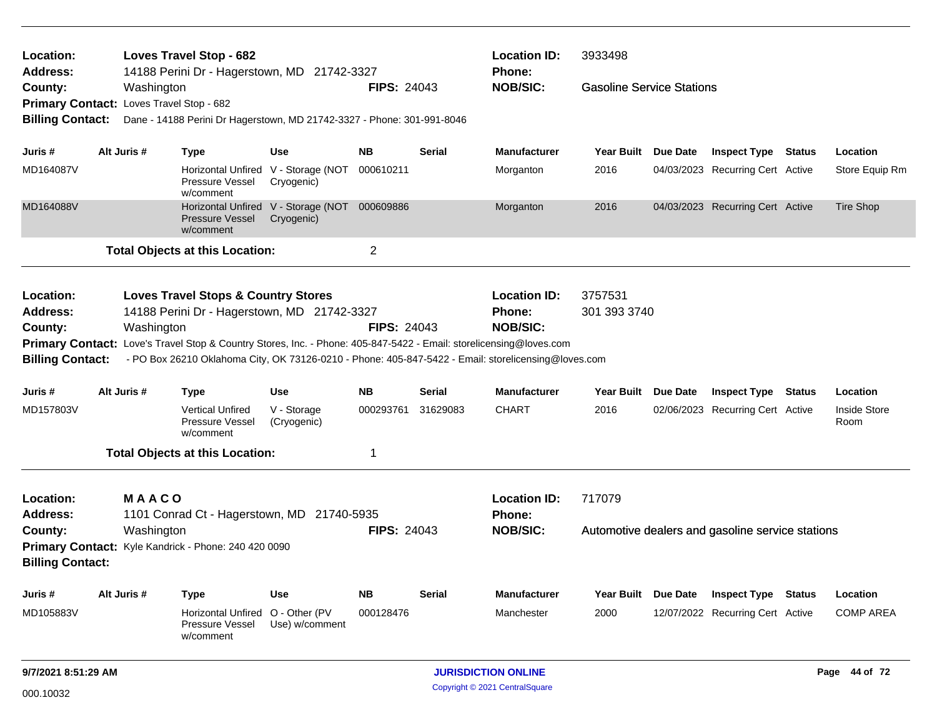| Location:<br>Address:                    |             | <b>Loves Travel Stop - 682</b><br>14188 Perini Dr - Hagerstown, MD 21742-3327                                                                                                                                       |                                                             |                    |               | <b>Location ID:</b><br><b>Phone:</b>                    | 3933498                          |          |                                                  |               |                      |
|------------------------------------------|-------------|---------------------------------------------------------------------------------------------------------------------------------------------------------------------------------------------------------------------|-------------------------------------------------------------|--------------------|---------------|---------------------------------------------------------|----------------------------------|----------|--------------------------------------------------|---------------|----------------------|
| County:                                  | Washington  |                                                                                                                                                                                                                     |                                                             | <b>FIPS: 24043</b> |               | <b>NOB/SIC:</b>                                         | <b>Gasoline Service Stations</b> |          |                                                  |               |                      |
| Primary Contact: Loves Travel Stop - 682 |             |                                                                                                                                                                                                                     |                                                             |                    |               |                                                         |                                  |          |                                                  |               |                      |
| <b>Billing Contact:</b>                  |             | Dane - 14188 Perini Dr Hagerstown, MD 21742-3327 - Phone: 301-991-8046                                                                                                                                              |                                                             |                    |               |                                                         |                                  |          |                                                  |               |                      |
| Juris #                                  | Alt Juris # | <b>Type</b>                                                                                                                                                                                                         | <b>Use</b>                                                  | <b>NB</b>          | <b>Serial</b> | <b>Manufacturer</b>                                     | <b>Year Built</b>                | Due Date | <b>Inspect Type Status</b>                       |               | Location             |
| MD164087V                                |             | Pressure Vessel<br>w/comment                                                                                                                                                                                        | Horizontal Unfired V - Storage (NOT 000610211<br>Cryogenic) |                    |               | Morganton                                               | 2016                             |          | 04/03/2023 Recurring Cert Active                 |               | Store Equip Rm       |
| MD164088V                                |             | <b>Pressure Vessel</b><br>w/comment                                                                                                                                                                                 | Horizontal Unfired V - Storage (NOT 000609886<br>Cryogenic) |                    |               | Morganton                                               | 2016                             |          | 04/03/2023 Recurring Cert Active                 |               | Tire Shop            |
|                                          |             | <b>Total Objects at this Location:</b>                                                                                                                                                                              |                                                             | $\overline{2}$     |               |                                                         |                                  |          |                                                  |               |                      |
| Location:<br><b>Address:</b><br>County:  | Washington  | <b>Loves Travel Stops &amp; Country Stores</b><br>14188 Perini Dr - Hagerstown, MD 21742-3327<br>Primary Contact: Love's Travel Stop & Country Stores, Inc. - Phone: 405-847-5422 - Email: storelicensing@loves.com |                                                             | <b>FIPS: 24043</b> |               | <b>Location ID:</b><br><b>Phone:</b><br><b>NOB/SIC:</b> | 3757531<br>301 393 3740          |          |                                                  |               |                      |
| <b>Billing Contact:</b>                  |             | - PO Box 26210 Oklahoma City, OK 73126-0210 - Phone: 405-847-5422 - Email: storelicensing@loves.com                                                                                                                 |                                                             |                    |               |                                                         |                                  |          |                                                  |               |                      |
| Juris #                                  | Alt Juris # | <b>Type</b>                                                                                                                                                                                                         | <b>Use</b>                                                  | <b>NB</b>          | <b>Serial</b> | <b>Manufacturer</b>                                     | <b>Year Built</b>                | Due Date | <b>Inspect Type</b>                              | <b>Status</b> | Location             |
| MD157803V                                |             | <b>Vertical Unfired</b><br>Pressure Vessel<br>w/comment                                                                                                                                                             | V - Storage<br>(Cryogenic)                                  | 000293761          | 31629083      | <b>CHART</b>                                            | 2016                             |          | 02/06/2023 Recurring Cert Active                 |               | Inside Store<br>Room |
|                                          |             | <b>Total Objects at this Location:</b>                                                                                                                                                                              |                                                             | 1                  |               |                                                         |                                  |          |                                                  |               |                      |
| Location:<br><b>Address:</b>             | MAACO       | 1101 Conrad Ct - Hagerstown, MD 21740-5935                                                                                                                                                                          |                                                             |                    |               | <b>Location ID:</b><br><b>Phone:</b>                    | 717079                           |          |                                                  |               |                      |
| County:                                  | Washington  |                                                                                                                                                                                                                     |                                                             | <b>FIPS: 24043</b> |               | <b>NOB/SIC:</b>                                         |                                  |          | Automotive dealers and gasoline service stations |               |                      |
| <b>Billing Contact:</b>                  |             | Primary Contact: Kyle Kandrick - Phone: 240 420 0090                                                                                                                                                                |                                                             |                    |               |                                                         |                                  |          |                                                  |               |                      |
| Juris #                                  | Alt Juris # | <b>Type</b>                                                                                                                                                                                                         | <b>Use</b>                                                  | <b>NB</b>          | <b>Serial</b> | <b>Manufacturer</b>                                     | <b>Year Built</b>                | Due Date | <b>Inspect Type</b>                              | Status        | Location             |
| MD105883V                                |             | <b>Horizontal Unfired</b><br><b>Pressure Vessel</b><br>w/comment                                                                                                                                                    | O - Other (PV<br>Use) w/comment                             | 000128476          |               | Manchester                                              | 2000                             |          | 12/07/2022 Recurring Cert Active                 |               | <b>COMP AREA</b>     |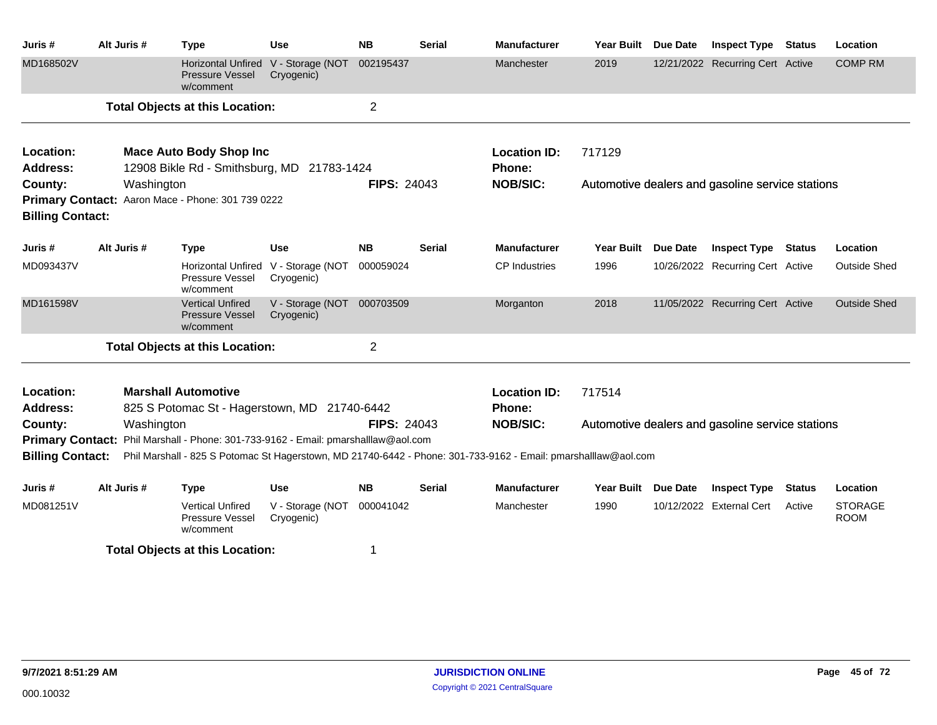| Juris #                                            | Alt Juris # | <b>Type</b>                                                                  | <b>Use</b>                               | <b>NB</b>          | <b>Serial</b> | <b>Manufacturer</b>                                                                                            | Year Built Due Date |          | <b>Inspect Type Status</b>                       |               | Location                      |
|----------------------------------------------------|-------------|------------------------------------------------------------------------------|------------------------------------------|--------------------|---------------|----------------------------------------------------------------------------------------------------------------|---------------------|----------|--------------------------------------------------|---------------|-------------------------------|
| MD168502V                                          |             | <b>Horizontal Unfired</b><br><b>Pressure Vessel</b><br>w/comment             | V - Storage (NOT<br>Cryogenic)           | 002195437          |               | Manchester                                                                                                     | 2019                |          | 12/21/2022 Recurring Cert Active                 |               | <b>COMP RM</b>                |
|                                                    |             | <b>Total Objects at this Location:</b>                                       |                                          | $\overline{2}$     |               |                                                                                                                |                     |          |                                                  |               |                               |
| Location:<br>Address:                              |             | <b>Mace Auto Body Shop Inc</b><br>12908 Bikle Rd - Smithsburg, MD 21783-1424 |                                          |                    |               | <b>Location ID:</b><br>Phone:                                                                                  | 717129              |          |                                                  |               |                               |
| County:<br><b>Billing Contact:</b>                 | Washington  | Primary Contact: Aaron Mace - Phone: 301 739 0222                            |                                          | <b>FIPS: 24043</b> |               | <b>NOB/SIC:</b>                                                                                                |                     |          | Automotive dealers and gasoline service stations |               |                               |
| Juris #                                            | Alt Juris # | <b>Type</b>                                                                  | <b>Use</b>                               | <b>NB</b>          | <b>Serial</b> | <b>Manufacturer</b>                                                                                            | <b>Year Built</b>   | Due Date | <b>Inspect Type Status</b>                       |               | Location                      |
| MD093437V                                          |             | <b>Horizontal Unfired</b><br>Pressure Vessel<br>w/comment                    | V - Storage (NOT<br>Cryogenic)           | 000059024          |               | <b>CP</b> Industries                                                                                           | 1996                |          | 10/26/2022 Recurring Cert Active                 |               | <b>Outside Shed</b>           |
| MD161598V                                          |             | <b>Vertical Unfired</b><br>Pressure Vessel<br>w/comment                      | V - Storage (NOT 000703509<br>Cryogenic) |                    |               | Morganton                                                                                                      | 2018                |          | 11/05/2022 Recurring Cert Active                 |               | <b>Outside Shed</b>           |
|                                                    |             | <b>Total Objects at this Location:</b>                                       |                                          | $\overline{2}$     |               |                                                                                                                |                     |          |                                                  |               |                               |
| Location:<br><b>Address:</b>                       |             | <b>Marshall Automotive</b><br>825 S Potomac St - Hagerstown, MD 21740-6442   |                                          |                    |               | <b>Location ID:</b><br><b>Phone:</b>                                                                           | 717514              |          |                                                  |               |                               |
| County:                                            | Washington  |                                                                              |                                          | <b>FIPS: 24043</b> |               | <b>NOB/SIC:</b>                                                                                                |                     |          | Automotive dealers and gasoline service stations |               |                               |
| <b>Primary Contact:</b><br><b>Billing Contact:</b> |             | Phil Marshall - Phone: 301-733-9162 - Email: pmarshalllaw@aol.com            |                                          |                    |               | Phil Marshall - 825 S Potomac St Hagerstown, MD 21740-6442 - Phone: 301-733-9162 - Email: pmarshalllaw@aol.com |                     |          |                                                  |               |                               |
| Juris #                                            | Alt Juris # | <b>Type</b>                                                                  | <b>Use</b>                               | <b>NB</b>          | Serial        | <b>Manufacturer</b>                                                                                            | Year Built Due Date |          | <b>Inspect Type</b>                              | <b>Status</b> | Location                      |
| MD081251V                                          |             | <b>Vertical Unfired</b><br><b>Pressure Vessel</b><br>w/comment               | V - Storage (NOT<br>Cryogenic)           | 000041042          |               | Manchester                                                                                                     | 1990                |          | 10/12/2022 External Cert                         | Active        | <b>STORAGE</b><br><b>ROOM</b> |
|                                                    |             | <b>Total Objects at this Location:</b>                                       |                                          | 1                  |               |                                                                                                                |                     |          |                                                  |               |                               |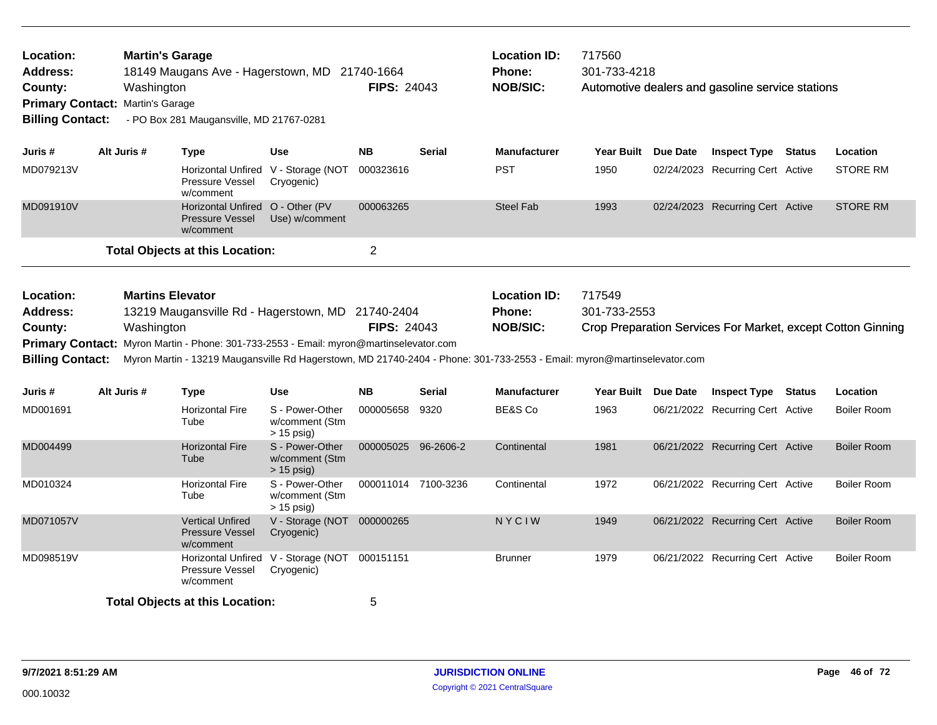| Location:<br><b>Address:</b><br>County:<br><b>Primary Contact:</b><br><b>Billing Contact:</b> | <b>Martin's Garage</b><br>Washington<br>Martin's Garage | - PO Box 281 Maugansville, MD 21767-0281                                | 18149 Maugans Ave - Hagerstown, MD 21740-1664                                                                                                      | <b>FIPS: 24043</b>  |               | <b>Location ID:</b><br><b>Phone:</b><br><b>NOB/SIC:</b>                                                                                                                     | 717560<br>301-733-4218 |          | Automotive dealers and gasoline service stations |               |                                                             |
|-----------------------------------------------------------------------------------------------|---------------------------------------------------------|-------------------------------------------------------------------------|----------------------------------------------------------------------------------------------------------------------------------------------------|---------------------|---------------|-----------------------------------------------------------------------------------------------------------------------------------------------------------------------------|------------------------|----------|--------------------------------------------------|---------------|-------------------------------------------------------------|
| Juris #                                                                                       | Alt Juris #                                             | <b>Type</b>                                                             | <b>Use</b>                                                                                                                                         | <b>NB</b>           | <b>Serial</b> | <b>Manufacturer</b>                                                                                                                                                         | Year Built Due Date    |          | <b>Inspect Type</b>                              | <b>Status</b> | Location                                                    |
| MD079213V                                                                                     |                                                         | Horizontal Unfired V - Storage (NOT<br>Pressure Vessel<br>w/comment     | Cryogenic)                                                                                                                                         | 000323616           |               | <b>PST</b>                                                                                                                                                                  | 1950                   |          | 02/24/2023 Recurring Cert Active                 |               | <b>STORE RM</b>                                             |
| MD091910V                                                                                     |                                                         | Horizontal Unfired O - Other (PV<br><b>Pressure Vessel</b><br>w/comment | Use) w/comment                                                                                                                                     | 000063265           |               | <b>Steel Fab</b>                                                                                                                                                            | 1993                   |          | 02/24/2023 Recurring Cert Active                 |               | <b>STORE RM</b>                                             |
|                                                                                               |                                                         | <b>Total Objects at this Location:</b>                                  |                                                                                                                                                    | $\overline{2}$      |               |                                                                                                                                                                             |                        |          |                                                  |               |                                                             |
| Location:<br><b>Address:</b><br>County:<br><b>Billing Contact:</b>                            | <b>Martins Elevator</b><br>Washington                   |                                                                         | 13219 Maugansville Rd - Hagerstown, MD 21740-2404<br><b>Primary Contact:</b> Myron Martin - Phone: 301-733-2553 - Email: myron@martinselevator.com | <b>FIPS: 24043</b>  |               | <b>Location ID:</b><br>Phone:<br><b>NOB/SIC:</b><br>Myron Martin - 13219 Maugansville Rd Hagerstown, MD 21740-2404 - Phone: 301-733-2553 - Email: myron@martinselevator.com | 717549<br>301-733-2553 |          |                                                  |               | Crop Preparation Services For Market, except Cotton Ginning |
| Juris #                                                                                       | Alt Juris #                                             | <b>Type</b>                                                             | <b>Use</b>                                                                                                                                         | <b>NB</b>           | <b>Serial</b> | <b>Manufacturer</b>                                                                                                                                                         | <b>Year Built</b>      | Due Date | <b>Inspect Type</b>                              | <b>Status</b> | Location                                                    |
| MD001691                                                                                      |                                                         | <b>Horizontal Fire</b><br>Tube                                          | S - Power-Other<br>w/comment (Stm<br>$> 15$ psig)                                                                                                  | 000005658           | 9320          | BE&S Co                                                                                                                                                                     | 1963                   |          | 06/21/2022 Recurring Cert Active                 |               | <b>Boiler Room</b>                                          |
| MD004499                                                                                      |                                                         | <b>Horizontal Fire</b><br>Tube                                          | S - Power-Other<br>w/comment (Stm<br>$> 15$ psig)                                                                                                  | 000005025 96-2606-2 |               | Continental                                                                                                                                                                 | 1981                   |          | 06/21/2022 Recurring Cert Active                 |               | <b>Boiler Room</b>                                          |
| MD010324                                                                                      |                                                         | <b>Horizontal Fire</b><br>Tube                                          | S - Power-Other<br>w/comment (Stm<br>$> 15$ psig)                                                                                                  | 000011014 7100-3236 |               | Continental                                                                                                                                                                 | 1972                   |          | 06/21/2022 Recurring Cert Active                 |               | <b>Boiler Room</b>                                          |
| MD071057V                                                                                     |                                                         | <b>Vertical Unfired</b><br><b>Pressure Vessel</b><br>w/comment          | V - Storage (NOT<br>Cryogenic)                                                                                                                     | 000000265           |               | NYCIW                                                                                                                                                                       | 1949                   |          | 06/21/2022 Recurring Cert Active                 |               | <b>Boiler Room</b>                                          |
| MD098519V                                                                                     |                                                         | Pressure Vessel<br>w/comment                                            | Horizontal Unfired V - Storage (NOT<br>Cryogenic)                                                                                                  | 000151151           |               | <b>Brunner</b>                                                                                                                                                              | 1979                   |          | 06/21/2022 Recurring Cert Active                 |               | <b>Boiler Room</b>                                          |
|                                                                                               |                                                         | <b>Total Objects at this Location:</b>                                  |                                                                                                                                                    | 5                   |               |                                                                                                                                                                             |                        |          |                                                  |               |                                                             |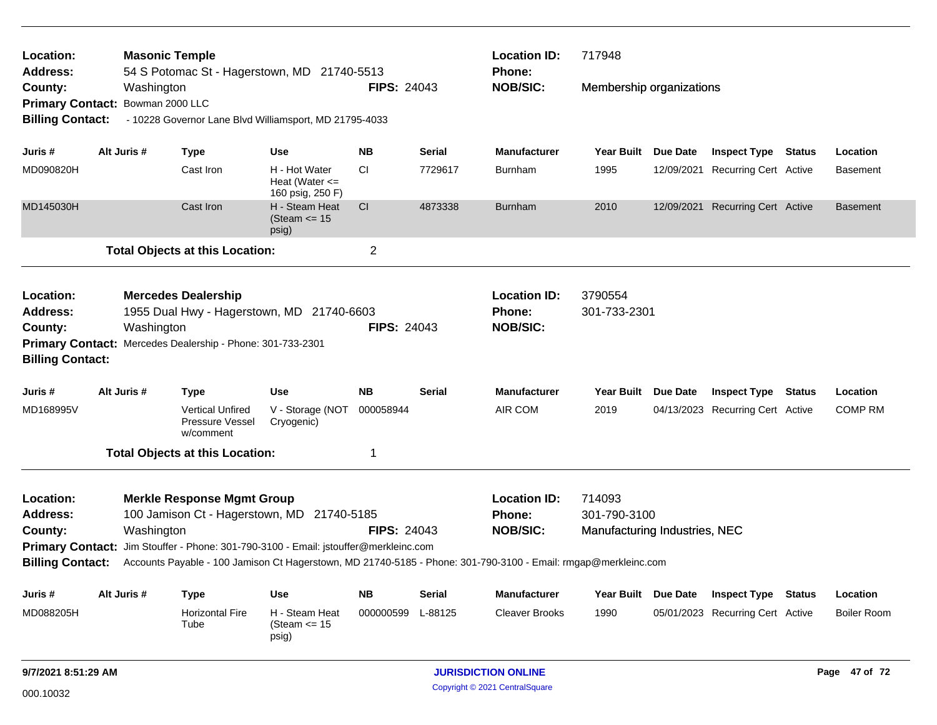| Location:<br><b>Address:</b>                       | <b>Masonic Temple</b> |                 |                                                                                      |                                                         |                    | <b>Location ID:</b> | 717948                                                                                                         |                               |                 |                                         |        |                    |
|----------------------------------------------------|-----------------------|-----------------|--------------------------------------------------------------------------------------|---------------------------------------------------------|--------------------|---------------------|----------------------------------------------------------------------------------------------------------------|-------------------------------|-----------------|-----------------------------------------|--------|--------------------|
| County:                                            |                       | Washington      | 54 S Potomac St - Hagerstown, MD 21740-5513                                          |                                                         | <b>FIPS: 24043</b> |                     | <b>Phone:</b><br><b>NOB/SIC:</b>                                                                               | Membership organizations      |                 |                                         |        |                    |
| <b>Primary Contact:</b><br><b>Billing Contact:</b> |                       | Bowman 2000 LLC | - 10228 Governor Lane Blvd Williamsport, MD 21795-4033                               |                                                         |                    |                     |                                                                                                                |                               |                 |                                         |        |                    |
| Juris #                                            |                       | Alt Juris #     | Type                                                                                 | <b>Use</b>                                              | <b>NB</b>          | <b>Serial</b>       | <b>Manufacturer</b>                                                                                            | <b>Year Built</b>             | <b>Due Date</b> | <b>Inspect Type Status</b>              |        | Location           |
| MD090820H                                          |                       |                 | Cast Iron                                                                            | H - Hot Water<br>Heat (Water $\leq$<br>160 psig, 250 F) | <b>CI</b>          | 7729617             | <b>Burnham</b>                                                                                                 | 1995                          |                 | 12/09/2021 Recurring Cert Active        |        | Basement           |
| MD145030H                                          |                       |                 | Cast Iron                                                                            | H - Steam Heat<br>(Steam $\le$ 15<br>psig)              | <b>CI</b>          | 4873338             | <b>Burnham</b>                                                                                                 | 2010                          |                 | 12/09/2021 Recurring Cert Active        |        | <b>Basement</b>    |
|                                                    |                       |                 | <b>Total Objects at this Location:</b>                                               |                                                         | $\overline{c}$     |                     |                                                                                                                |                               |                 |                                         |        |                    |
| Location:<br><b>Address:</b>                       |                       |                 | <b>Mercedes Dealership</b><br>1955 Dual Hwy - Hagerstown, MD 21740-6603              |                                                         |                    |                     | <b>Location ID:</b><br>Phone:                                                                                  | 3790554<br>301-733-2301       |                 |                                         |        |                    |
| County:                                            |                       | Washington      |                                                                                      |                                                         | <b>FIPS: 24043</b> |                     | <b>NOB/SIC:</b>                                                                                                |                               |                 |                                         |        |                    |
| <b>Billing Contact:</b>                            |                       |                 | Primary Contact: Mercedes Dealership - Phone: 301-733-2301                           |                                                         |                    |                     |                                                                                                                |                               |                 |                                         |        |                    |
| Juris #                                            |                       | Alt Juris #     | <b>Type</b>                                                                          | Use                                                     | <b>NB</b>          | Serial              | <b>Manufacturer</b>                                                                                            | Year Built Due Date           |                 | Inspect Type                            | Status | Location           |
| MD168995V                                          |                       |                 | <b>Vertical Unfired</b><br>Pressure Vessel<br>w/comment                              | V - Storage (NOT<br>Cryogenic)                          | 000058944          |                     | AIR COM                                                                                                        | 2019                          |                 | 04/13/2023 Recurring Cert Active        |        | <b>COMP RM</b>     |
|                                                    |                       |                 | <b>Total Objects at this Location:</b>                                               |                                                         | 1                  |                     |                                                                                                                |                               |                 |                                         |        |                    |
| Location:                                          |                       |                 | <b>Merkle Response Mgmt Group</b>                                                    |                                                         |                    |                     | <b>Location ID:</b>                                                                                            | 714093                        |                 |                                         |        |                    |
| <b>Address:</b>                                    |                       |                 | 100 Jamison Ct - Hagerstown, MD 21740-5185                                           |                                                         |                    |                     | <b>Phone:</b>                                                                                                  | 301-790-3100                  |                 |                                         |        |                    |
| County:                                            |                       | Washington      |                                                                                      |                                                         | <b>FIPS: 24043</b> |                     | <b>NOB/SIC:</b>                                                                                                | Manufacturing Industries, NEC |                 |                                         |        |                    |
| <b>Billing Contact:</b>                            |                       |                 | Primary Contact: Jim Stouffer - Phone: 301-790-3100 - Email: jstouffer@merkleinc.com |                                                         |                    |                     | Accounts Payable - 100 Jamison Ct Hagerstown, MD 21740-5185 - Phone: 301-790-3100 - Email: rmgap@merkleinc.com |                               |                 |                                         |        |                    |
| Juris #                                            |                       | Alt Juris #     | Type                                                                                 | <b>Use</b>                                              | NΒ                 | <b>Serial</b>       | <b>Manufacturer</b>                                                                                            |                               |                 | Year Built Due Date Inspect Type Status |        | Location           |
| MD088205H                                          |                       |                 | <b>Horizontal Fire</b><br>Tube                                                       | H - Steam Heat<br>(Steam $\le$ 15<br>psig)              | 000000599          | L-88125             | <b>Cleaver Brooks</b>                                                                                          | 1990                          |                 | 05/01/2023 Recurring Cert Active        |        | <b>Boiler Room</b> |
| 9/7/2021 8:51:29 AM                                |                       |                 |                                                                                      |                                                         |                    |                     | <b>JURISDICTION ONLINE</b>                                                                                     |                               |                 |                                         |        | Page 47 of 72      |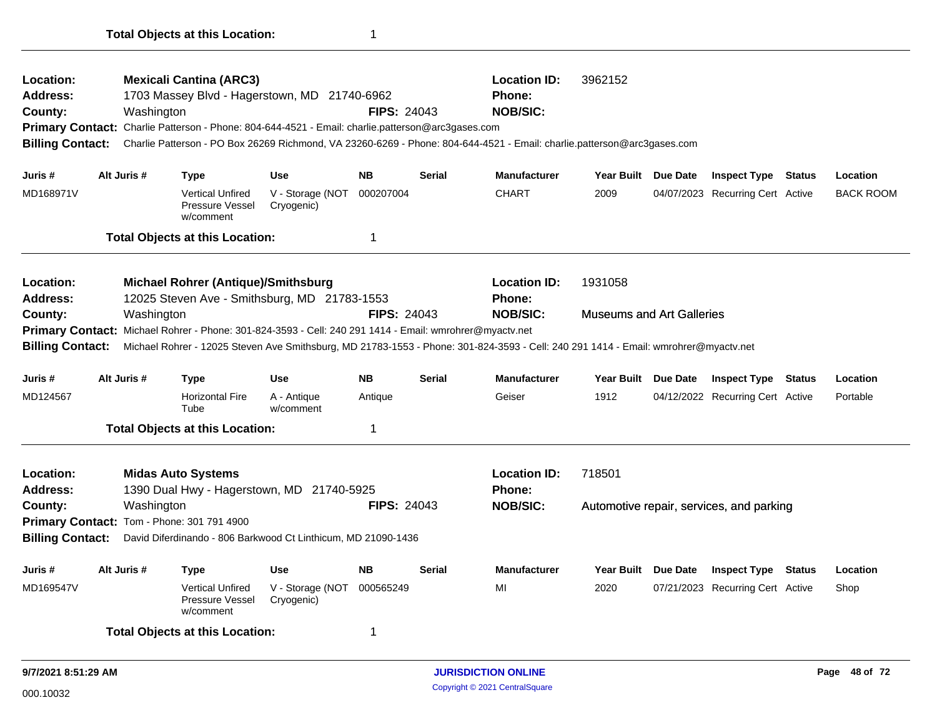| Location:<br><b>Address:</b><br>County:<br><b>Billing Contact:</b> | Washington  | <b>Mexicali Cantina (ARC3)</b><br>1703 Massey Blvd - Hagerstown, MD 21740-6962<br>Primary Contact: Charlie Patterson - Phone: 804-644-4521 - Email: charlie.patterson@arc3gases.com |                                | <b>FIPS: 24043</b> |               | <b>Location ID:</b><br>Phone:<br><b>NOB/SIC:</b><br>Charlie Patterson - PO Box 26269 Richmond, VA 23260-6269 - Phone: 804-644-4521 - Email: charlie.patterson@arc3gases.com | 3962152                          |                                          |               |                  |
|--------------------------------------------------------------------|-------------|-------------------------------------------------------------------------------------------------------------------------------------------------------------------------------------|--------------------------------|--------------------|---------------|-----------------------------------------------------------------------------------------------------------------------------------------------------------------------------|----------------------------------|------------------------------------------|---------------|------------------|
| Juris #                                                            | Alt Juris # | <b>Type</b>                                                                                                                                                                         | <b>Use</b>                     | <b>NB</b>          | <b>Serial</b> | <b>Manufacturer</b>                                                                                                                                                         | Year Built Due Date              | <b>Inspect Type</b>                      | <b>Status</b> | Location         |
| MD168971V                                                          |             | <b>Vertical Unfired</b><br>Pressure Vessel<br>w/comment                                                                                                                             | V - Storage (NOT<br>Cryogenic) | 000207004          |               | <b>CHART</b>                                                                                                                                                                | 2009                             | 04/07/2023 Recurring Cert Active         |               | <b>BACK ROOM</b> |
|                                                                    |             | <b>Total Objects at this Location:</b>                                                                                                                                              |                                | 1                  |               |                                                                                                                                                                             |                                  |                                          |               |                  |
| Location:<br><b>Address:</b>                                       |             | <b>Michael Rohrer (Antique)/Smithsburg</b><br>12025 Steven Ave - Smithsburg, MD 21783-1553                                                                                          |                                |                    |               | <b>Location ID:</b><br><b>Phone:</b>                                                                                                                                        | 1931058                          |                                          |               |                  |
| County:<br><b>Billing Contact:</b>                                 | Washington  | Primary Contact: Michael Rohrer - Phone: 301-824-3593 - Cell: 240 291 1414 - Email: wmrohrer@myactv.net                                                                             |                                | <b>FIPS: 24043</b> |               | <b>NOB/SIC:</b><br>Michael Rohrer - 12025 Steven Ave Smithsburg, MD 21783-1553 - Phone: 301-824-3593 - Cell: 240 291 1414 - Email: wmrohrer@myactv.net                      | <b>Museums and Art Galleries</b> |                                          |               |                  |
| Juris #                                                            | Alt Juris # | <b>Type</b>                                                                                                                                                                         | <b>Use</b>                     | <b>NB</b>          | <b>Serial</b> | <b>Manufacturer</b>                                                                                                                                                         | Year Built Due Date              | <b>Inspect Type Status</b>               |               | Location         |
| MD124567                                                           |             | <b>Horizontal Fire</b><br>Tube                                                                                                                                                      | A - Antique<br>w/comment       | Antique            |               | Geiser                                                                                                                                                                      | 1912                             | 04/12/2022 Recurring Cert Active         |               | Portable         |
|                                                                    |             | <b>Total Objects at this Location:</b>                                                                                                                                              |                                | 1                  |               |                                                                                                                                                                             |                                  |                                          |               |                  |
| Location:<br>Address:                                              |             | <b>Midas Auto Systems</b><br>1390 Dual Hwy - Hagerstown, MD 21740-5925                                                                                                              |                                |                    |               | <b>Location ID:</b><br><b>Phone:</b>                                                                                                                                        | 718501                           |                                          |               |                  |
| County:                                                            | Washington  |                                                                                                                                                                                     |                                | <b>FIPS: 24043</b> |               | <b>NOB/SIC:</b>                                                                                                                                                             |                                  | Automotive repair, services, and parking |               |                  |
|                                                                    |             | Primary Contact: Tom - Phone: 301 791 4900                                                                                                                                          |                                |                    |               |                                                                                                                                                                             |                                  |                                          |               |                  |
| <b>Billing Contact:</b>                                            |             | David Diferdinando - 806 Barkwood Ct Linthicum, MD 21090-1436                                                                                                                       |                                |                    |               |                                                                                                                                                                             |                                  |                                          |               |                  |
| Juris #                                                            | Alt Juris # | <b>Type</b>                                                                                                                                                                         | <b>Use</b>                     | <b>NB</b>          | <b>Serial</b> | <b>Manufacturer</b>                                                                                                                                                         | Year Built Due Date              | <b>Inspect Type Status</b>               |               | Location         |
| MD169547V                                                          |             | <b>Vertical Unfired</b><br>Pressure Vessel<br>w/comment                                                                                                                             | V - Storage (NOT<br>Cryogenic) | 000565249          |               | MI                                                                                                                                                                          | 2020                             | 07/21/2023 Recurring Cert Active         |               | Shop             |
|                                                                    |             | <b>Total Objects at this Location:</b>                                                                                                                                              |                                | 1                  |               |                                                                                                                                                                             |                                  |                                          |               |                  |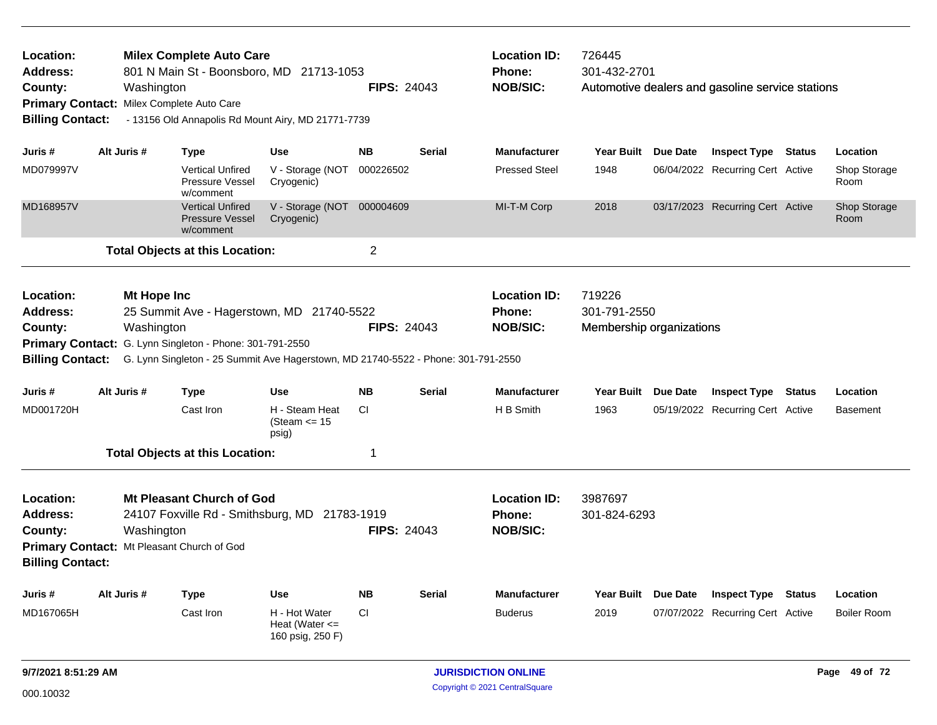| Location:<br>Address:<br>County:                                                                                                                                                                                                                                                                                                                                                                                                                                                                                                                                                                                                                                                                                                                                                                                                                                                                                                                                                                                              |                                                                                                                                                                          |             |                                                         | <b>FIPS: 24043</b> |                     | <b>Location ID:</b><br><b>Phone:</b><br><b>NOB/SIC:</b> | 726445<br>301-432-2701                             |                     | Automotive dealers and gasoline service stations |               |                      |
|-------------------------------------------------------------------------------------------------------------------------------------------------------------------------------------------------------------------------------------------------------------------------------------------------------------------------------------------------------------------------------------------------------------------------------------------------------------------------------------------------------------------------------------------------------------------------------------------------------------------------------------------------------------------------------------------------------------------------------------------------------------------------------------------------------------------------------------------------------------------------------------------------------------------------------------------------------------------------------------------------------------------------------|--------------------------------------------------------------------------------------------------------------------------------------------------------------------------|-------------|---------------------------------------------------------|--------------------|---------------------|---------------------------------------------------------|----------------------------------------------------|---------------------|--------------------------------------------------|---------------|----------------------|
| <b>Milex Complete Auto Care</b><br>801 N Main St - Boonsboro, MD 21713-1053<br>Washington<br>Milex Complete Auto Care<br><b>Primary Contact:</b><br><b>Billing Contact:</b><br>- 13156 Old Annapolis Rd Mount Airy, MD 21771-7739<br>Alt Juris #<br>Juris #<br><b>Type</b><br><b>Use</b><br>MD079997V<br>V - Storage (NOT<br><b>Vertical Unfired</b><br>Pressure Vessel<br>Cryogenic)<br>w/comment<br>MD168957V<br><b>Vertical Unfired</b><br>V - Storage (NOT<br><b>Pressure Vessel</b><br>Cryogenic)<br>w/comment<br><b>Total Objects at this Location:</b><br>Location:<br>Mt Hope Inc<br>25 Summit Ave - Hagerstown, MD 21740-5522<br>Address:<br>County:<br>Washington<br>Primary Contact: G. Lynn Singleton - Phone: 301-791-2550<br><b>Billing Contact:</b><br>G. Lynn Singleton - 25 Summit Ave Hagerstown, MD 21740-5522 - Phone: 301-791-2550<br>Juris #<br>Alt Juris #<br><b>Type</b><br><b>Use</b><br>MD001720H<br>Cast Iron<br>H - Steam Heat<br>(Steam <= 15<br>psig)<br><b>Total Objects at this Location:</b> |                                                                                                                                                                          |             | <b>NB</b>                                               | <b>Serial</b>      | <b>Manufacturer</b> | <b>Year Built</b>                                       | Due Date                                           | <b>Inspect Type</b> | Status                                           | Location      |                      |
|                                                                                                                                                                                                                                                                                                                                                                                                                                                                                                                                                                                                                                                                                                                                                                                                                                                                                                                                                                                                                               |                                                                                                                                                                          |             |                                                         | 000226502          |                     | <b>Pressed Steel</b>                                    | 1948                                               |                     | 06/04/2022 Recurring Cert Active                 |               | Shop Storage<br>Room |
|                                                                                                                                                                                                                                                                                                                                                                                                                                                                                                                                                                                                                                                                                                                                                                                                                                                                                                                                                                                                                               |                                                                                                                                                                          |             |                                                         | 000004609          |                     | MI-T-M Corp                                             | 2018                                               |                     | 03/17/2023 Recurring Cert Active                 |               | Shop Storage<br>Room |
|                                                                                                                                                                                                                                                                                                                                                                                                                                                                                                                                                                                                                                                                                                                                                                                                                                                                                                                                                                                                                               |                                                                                                                                                                          |             |                                                         | $\overline{2}$     |                     |                                                         |                                                    |                     |                                                  |               |                      |
|                                                                                                                                                                                                                                                                                                                                                                                                                                                                                                                                                                                                                                                                                                                                                                                                                                                                                                                                                                                                                               |                                                                                                                                                                          |             |                                                         | <b>FIPS: 24043</b> |                     | <b>Location ID:</b><br>Phone:<br><b>NOB/SIC:</b>        | 719226<br>301-791-2550<br>Membership organizations |                     |                                                  |               |                      |
|                                                                                                                                                                                                                                                                                                                                                                                                                                                                                                                                                                                                                                                                                                                                                                                                                                                                                                                                                                                                                               |                                                                                                                                                                          |             |                                                         | <b>NB</b>          | <b>Serial</b>       | <b>Manufacturer</b>                                     | Year Built                                         | Due Date            | <b>Inspect Type</b>                              | <b>Status</b> | Location             |
|                                                                                                                                                                                                                                                                                                                                                                                                                                                                                                                                                                                                                                                                                                                                                                                                                                                                                                                                                                                                                               |                                                                                                                                                                          |             |                                                         | <b>CI</b>          |                     | H B Smith                                               | 1963                                               |                     | 05/19/2022 Recurring Cert Active                 |               | <b>Basement</b>      |
|                                                                                                                                                                                                                                                                                                                                                                                                                                                                                                                                                                                                                                                                                                                                                                                                                                                                                                                                                                                                                               |                                                                                                                                                                          |             |                                                         | 1                  |                     |                                                         |                                                    |                     |                                                  |               |                      |
| Location:<br><b>Address:</b><br>County:                                                                                                                                                                                                                                                                                                                                                                                                                                                                                                                                                                                                                                                                                                                                                                                                                                                                                                                                                                                       | <b>Mt Pleasant Church of God</b><br>24107 Foxville Rd - Smithsburg, MD 21783-1919<br>Washington<br>Primary Contact: Mt Pleasant Church of God<br><b>Billing Contact:</b> |             |                                                         |                    | <b>FIPS: 24043</b>  | <b>Location ID:</b><br>Phone:<br><b>NOB/SIC:</b>        | 3987697<br>301-824-6293                            |                     |                                                  |               |                      |
| Juris #                                                                                                                                                                                                                                                                                                                                                                                                                                                                                                                                                                                                                                                                                                                                                                                                                                                                                                                                                                                                                       | Alt Juris #                                                                                                                                                              | <b>Type</b> | <b>Use</b>                                              | <b>NB</b>          | <b>Serial</b>       | <b>Manufacturer</b>                                     | <b>Year Built</b>                                  | <b>Due Date</b>     | <b>Inspect Type</b>                              | <b>Status</b> | Location             |
| MD167065H                                                                                                                                                                                                                                                                                                                                                                                                                                                                                                                                                                                                                                                                                                                                                                                                                                                                                                                                                                                                                     |                                                                                                                                                                          | Cast Iron   | H - Hot Water<br>Heat (Water $\leq$<br>160 psig, 250 F) | CI                 |                     | <b>Buderus</b>                                          | 2019                                               |                     | 07/07/2022 Recurring Cert Active                 |               | <b>Boiler Room</b>   |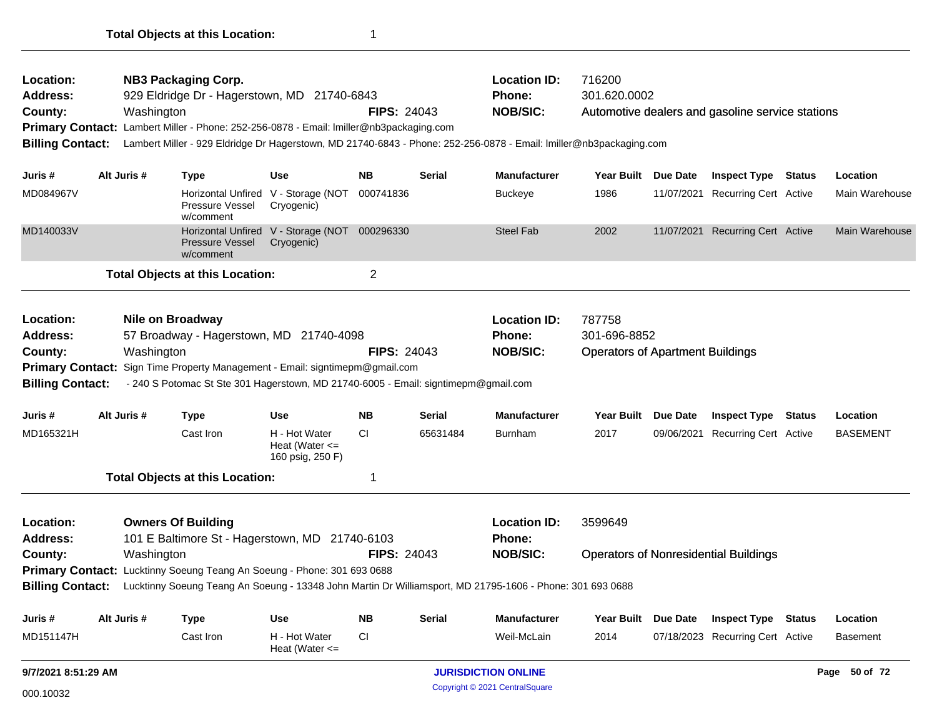| Location:<br>Address:<br>County:<br><b>Billing Contact:</b>                                                                                                                                                                                                                                                           |                                                                                                                                                                                                                                                                                 | Washington  | <b>NB3 Packaging Corp.</b><br>929 Eldridge Dr - Hagerstown, MD 21740-6843<br>Primary Contact: Lambert Miller - Phone: 252-256-0878 - Email: Imiller@nb3packaging.com |                                                             | <b>FIPS: 24043</b> |                    | <b>Location ID:</b><br>Phone:<br><b>NOB/SIC:</b><br>Lambert Miller - 929 Eldridge Dr Hagerstown, MD 21740-6843 - Phone: 252-256-0878 - Email: Imiller@nb3packaging.com | 716200<br>301.620.0002                                            |            | Automotive dealers and gasoline service stations |                 |
|-----------------------------------------------------------------------------------------------------------------------------------------------------------------------------------------------------------------------------------------------------------------------------------------------------------------------|---------------------------------------------------------------------------------------------------------------------------------------------------------------------------------------------------------------------------------------------------------------------------------|-------------|----------------------------------------------------------------------------------------------------------------------------------------------------------------------|-------------------------------------------------------------|--------------------|--------------------|------------------------------------------------------------------------------------------------------------------------------------------------------------------------|-------------------------------------------------------------------|------------|--------------------------------------------------|-----------------|
| Juris #                                                                                                                                                                                                                                                                                                               |                                                                                                                                                                                                                                                                                 | Alt Juris # | <b>Type</b>                                                                                                                                                          | <b>Use</b>                                                  | NB.                | <b>Serial</b>      | <b>Manufacturer</b>                                                                                                                                                    | Year Built Due Date                                               |            | <b>Inspect Type Status</b>                       | Location        |
| MD084967V                                                                                                                                                                                                                                                                                                             |                                                                                                                                                                                                                                                                                 |             | Pressure Vessel<br>w/comment                                                                                                                                         | Horizontal Unfired V - Storage (NOT<br>Cryogenic)           | 000741836          |                    | <b>Buckeye</b>                                                                                                                                                         | 1986                                                              | 11/07/2021 | Recurring Cert Active                            | Main Warehouse  |
| MD140033V                                                                                                                                                                                                                                                                                                             |                                                                                                                                                                                                                                                                                 |             | <b>Pressure Vessel</b><br>w/comment                                                                                                                                  | Horizontal Unfired V - Storage (NOT 000296330<br>Cryogenic) |                    |                    | <b>Steel Fab</b>                                                                                                                                                       | 2002                                                              |            | 11/07/2021 Recurring Cert Active                 | Main Warehouse  |
|                                                                                                                                                                                                                                                                                                                       |                                                                                                                                                                                                                                                                                 |             | <b>Total Objects at this Location:</b>                                                                                                                               |                                                             | 2                  |                    |                                                                                                                                                                        |                                                                   |            |                                                  |                 |
| Location:<br><b>Nile on Broadway</b><br>Address:<br>57 Broadway - Hagerstown, MD 21740-4098<br>Washington<br>County:<br>Primary Contact: Sign Time Property Management - Email: signtimepm@gmail.com<br><b>Billing Contact:</b><br>- 240 S Potomac St Ste 301 Hagerstown, MD 21740-6005 - Email: signtimepm@gmail.com |                                                                                                                                                                                                                                                                                 |             |                                                                                                                                                                      |                                                             | <b>FIPS: 24043</b> |                    | <b>Location ID:</b><br>Phone:<br><b>NOB/SIC:</b>                                                                                                                       | 787758<br>301-696-8852<br><b>Operators of Apartment Buildings</b> |            |                                                  |                 |
| Juris #                                                                                                                                                                                                                                                                                                               |                                                                                                                                                                                                                                                                                 | Alt Juris # | <b>Type</b>                                                                                                                                                          | Use                                                         | <b>NB</b>          | <b>Serial</b>      | <b>Manufacturer</b>                                                                                                                                                    | Year Built Due Date                                               |            | <b>Inspect Type Status</b>                       | Location        |
| MD165321H                                                                                                                                                                                                                                                                                                             |                                                                                                                                                                                                                                                                                 |             | Cast Iron                                                                                                                                                            | H - Hot Water<br>Heat (Water $\leq$<br>160 psig, 250 F)     | <b>CI</b>          | 65631484           | <b>Burnham</b>                                                                                                                                                         | 2017                                                              | 09/06/2021 | <b>Recurring Cert Active</b>                     | <b>BASEMENT</b> |
|                                                                                                                                                                                                                                                                                                                       |                                                                                                                                                                                                                                                                                 |             | <b>Total Objects at this Location:</b>                                                                                                                               |                                                             | 1                  |                    |                                                                                                                                                                        |                                                                   |            |                                                  |                 |
| Location:<br><b>Address:</b>                                                                                                                                                                                                                                                                                          |                                                                                                                                                                                                                                                                                 |             | <b>Owners Of Building</b>                                                                                                                                            |                                                             |                    |                    | <b>Location ID:</b><br><b>Phone:</b>                                                                                                                                   | 3599649                                                           |            |                                                  |                 |
| County:                                                                                                                                                                                                                                                                                                               | 101 E Baltimore St - Hagerstown, MD 21740-6103<br>Washington<br>Primary Contact: Lucktinny Soeung Teang An Soeung - Phone: 301 693 0688<br><b>Billing Contact:</b><br>Lucktinny Soeung Teang An Soeung - 13348 John Martin Dr Williamsport, MD 21795-1606 - Phone: 301 693 0688 |             |                                                                                                                                                                      |                                                             |                    | <b>FIPS: 24043</b> | <b>NOB/SIC:</b>                                                                                                                                                        |                                                                   |            | <b>Operators of Nonresidential Buildings</b>     |                 |
| Juris #                                                                                                                                                                                                                                                                                                               |                                                                                                                                                                                                                                                                                 | Alt Juris # | <b>Type</b>                                                                                                                                                          | <b>Use</b>                                                  | <b>NB</b>          | <b>Serial</b>      | <b>Manufacturer</b>                                                                                                                                                    | <b>Year Built</b>                                                 | Due Date   | <b>Inspect Type Status</b>                       | Location        |
| MD151147H                                                                                                                                                                                                                                                                                                             |                                                                                                                                                                                                                                                                                 |             | Cast Iron                                                                                                                                                            | H - Hot Water<br>Heat (Water $\leq$                         | СI                 |                    | Weil-McLain                                                                                                                                                            | 2014                                                              |            | 07/18/2023 Recurring Cert Active                 | <b>Basement</b> |
| 9/7/2021 8:51:29 AM                                                                                                                                                                                                                                                                                                   |                                                                                                                                                                                                                                                                                 |             |                                                                                                                                                                      |                                                             |                    |                    | <b>JURISDICTION ONLINE</b>                                                                                                                                             |                                                                   |            |                                                  | Page 50 of 72   |
| 000.10032                                                                                                                                                                                                                                                                                                             |                                                                                                                                                                                                                                                                                 |             |                                                                                                                                                                      |                                                             |                    |                    | Copyright © 2021 CentralSquare                                                                                                                                         |                                                                   |            |                                                  |                 |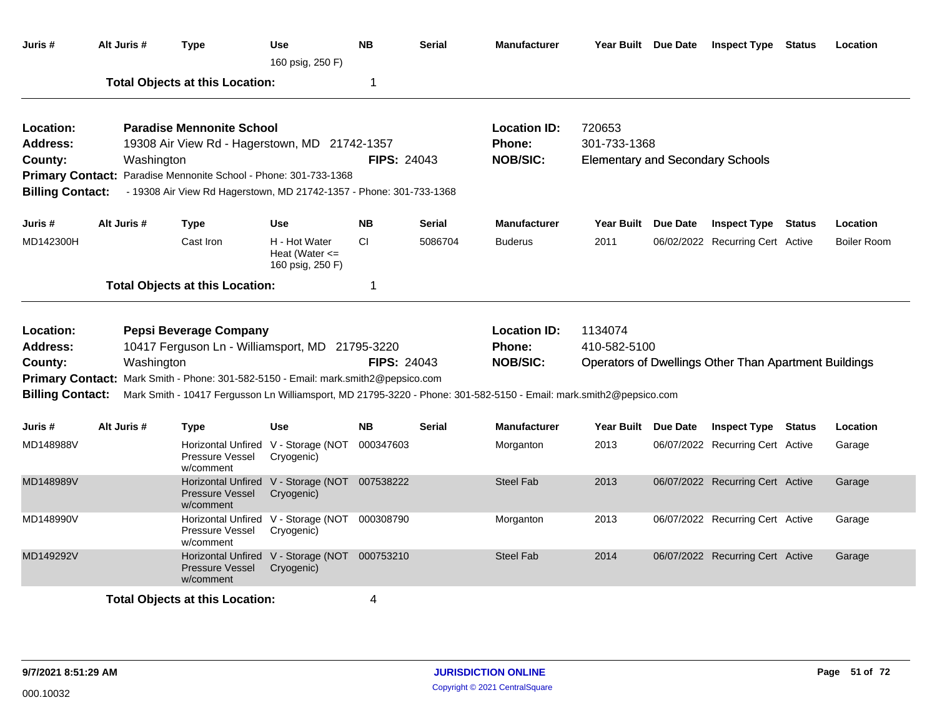| Juris #                 | Alt Juris # | <b>Type</b>                                                                                                        | <b>Use</b><br>160 psig, 250 F)                              | <b>NB</b>          | <b>Serial</b> | <b>Manufacturer</b> |                     | Year Built Due Date | <b>Inspect Type Status</b>                            | Location           |
|-------------------------|-------------|--------------------------------------------------------------------------------------------------------------------|-------------------------------------------------------------|--------------------|---------------|---------------------|---------------------|---------------------|-------------------------------------------------------|--------------------|
|                         |             | <b>Total Objects at this Location:</b>                                                                             |                                                             | 1                  |               |                     |                     |                     |                                                       |                    |
| Location:               |             | <b>Paradise Mennonite School</b>                                                                                   |                                                             |                    |               | <b>Location ID:</b> | 720653              |                     |                                                       |                    |
| <b>Address:</b>         |             | 19308 Air View Rd - Hagerstown, MD 21742-1357                                                                      |                                                             |                    |               | Phone:              | 301-733-1368        |                     |                                                       |                    |
| County:                 | Washington  |                                                                                                                    |                                                             | <b>FIPS: 24043</b> |               | <b>NOB/SIC:</b>     |                     |                     | <b>Elementary and Secondary Schools</b>               |                    |
|                         |             | Primary Contact: Paradise Mennonite School - Phone: 301-733-1368                                                   |                                                             |                    |               |                     |                     |                     |                                                       |                    |
| <b>Billing Contact:</b> |             | - 19308 Air View Rd Hagerstown, MD 21742-1357 - Phone: 301-733-1368                                                |                                                             |                    |               |                     |                     |                     |                                                       |                    |
| Juris #                 | Alt Juris # | Type                                                                                                               | Use                                                         | <b>NB</b>          | <b>Serial</b> | <b>Manufacturer</b> | Year Built          | Due Date            | <b>Inspect Type Status</b>                            | Location           |
| MD142300H               |             | Cast Iron                                                                                                          | H - Hot Water<br>Heat (Water $\leq$<br>160 psig, 250 F)     | CI.                | 5086704       | <b>Buderus</b>      | 2011                |                     | 06/02/2022 Recurring Cert Active                      | <b>Boiler Room</b> |
|                         |             | <b>Total Objects at this Location:</b>                                                                             |                                                             | 1                  |               |                     |                     |                     |                                                       |                    |
| Location:               |             | <b>Pepsi Beverage Company</b>                                                                                      |                                                             |                    |               | <b>Location ID:</b> | 1134074             |                     |                                                       |                    |
| <b>Address:</b>         |             | 10417 Ferguson Ln - Williamsport, MD 21795-3220                                                                    |                                                             |                    |               | <b>Phone:</b>       | 410-582-5100        |                     |                                                       |                    |
| County:                 | Washington  |                                                                                                                    |                                                             | <b>FIPS: 24043</b> |               | <b>NOB/SIC:</b>     |                     |                     | Operators of Dwellings Other Than Apartment Buildings |                    |
|                         |             | Primary Contact: Mark Smith - Phone: 301-582-5150 - Email: mark.smith2@pepsico.com                                 |                                                             |                    |               |                     |                     |                     |                                                       |                    |
| <b>Billing Contact:</b> |             | Mark Smith - 10417 Fergusson Ln Williamsport, MD 21795-3220 - Phone: 301-582-5150 - Email: mark.smith2@pepsico.com |                                                             |                    |               |                     |                     |                     |                                                       |                    |
|                         |             |                                                                                                                    |                                                             |                    |               |                     |                     |                     |                                                       |                    |
| Juris #                 | Alt Juris # | Type                                                                                                               | <b>Use</b>                                                  | <b>NB</b>          | <b>Serial</b> | <b>Manufacturer</b> | Year Built Due Date |                     | <b>Inspect Type Status</b>                            | Location           |
| MD148988V               |             | Pressure Vessel<br>w/comment                                                                                       | Horizontal Unfired V - Storage (NOT<br>Cryogenic)           | 000347603          |               | Morganton           | 2013                |                     | 06/07/2022 Recurring Cert Active                      | Garage             |
| MD148989V               |             | <b>Pressure Vessel</b><br>w/comment                                                                                | Horizontal Unfired V - Storage (NOT 007538222<br>Cryogenic) |                    |               | <b>Steel Fab</b>    | 2013                |                     | 06/07/2022 Recurring Cert Active                      | Garage             |
| MD148990V               |             | Pressure Vessel<br>w/comment                                                                                       | Horizontal Unfired V - Storage (NOT 000308790<br>Cryogenic) |                    |               | Morganton           | 2013                |                     | 06/07/2022 Recurring Cert Active                      | Garage             |
| MD149292V               |             | <b>Pressure Vessel</b><br>w/comment                                                                                | Horizontal Unfired V - Storage (NOT 000753210<br>Cryogenic) |                    |               | <b>Steel Fab</b>    | 2014                |                     | 06/07/2022 Recurring Cert Active                      | Garage             |
|                         |             | <b>Total Objects at this Location:</b>                                                                             |                                                             | 4                  |               |                     |                     |                     |                                                       |                    |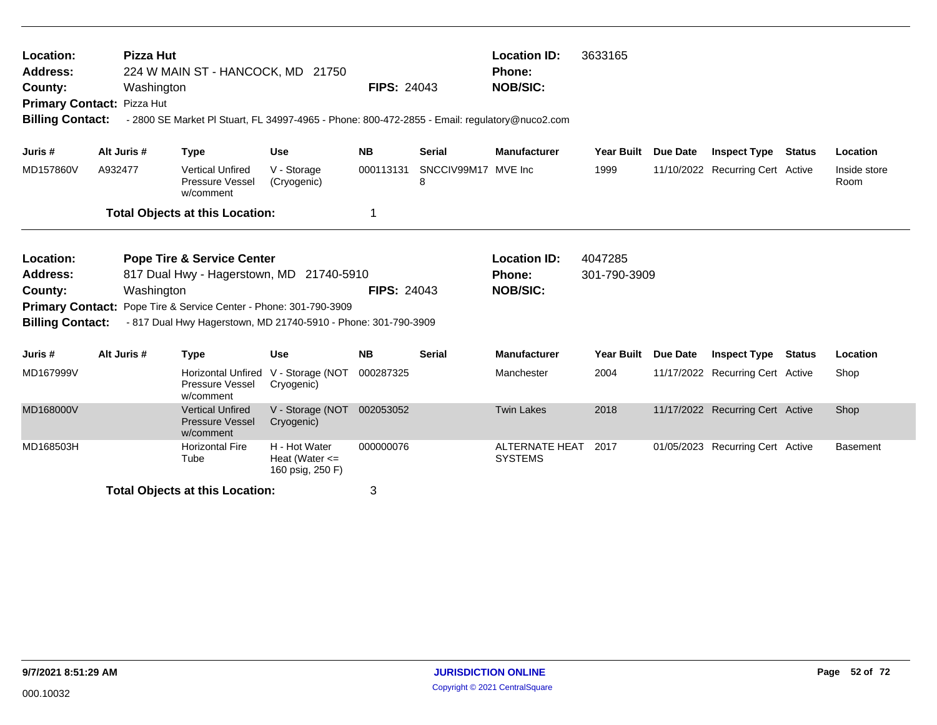| Location:<br><b>Address:</b><br>County:<br><b>Billing Contact:</b>                     | <b>Pizza Hut</b><br>Washington<br>Primary Contact: Pizza Hut                                                                                                                                                                                                                                                                                                  | 224 W MAIN ST - HANCOCK, MD 21750<br>- 2800 SE Market Pl Stuart, FL 34997-4965 - Phone: 800-472-2855 - Email: regulatory@nuco2.com |                                                         | <b>FIPS: 24043</b> |                          | <b>Location ID:</b><br><b>Phone:</b><br><b>NOB/SIC:</b> | 3633165                 |                 |                                  |               |                      |
|----------------------------------------------------------------------------------------|---------------------------------------------------------------------------------------------------------------------------------------------------------------------------------------------------------------------------------------------------------------------------------------------------------------------------------------------------------------|------------------------------------------------------------------------------------------------------------------------------------|---------------------------------------------------------|--------------------|--------------------------|---------------------------------------------------------|-------------------------|-----------------|----------------------------------|---------------|----------------------|
| Juris #                                                                                | Alt Juris #                                                                                                                                                                                                                                                                                                                                                   | <b>Type</b>                                                                                                                        | <b>Use</b>                                              | <b>NB</b>          | <b>Serial</b>            | <b>Manufacturer</b>                                     | Year Built              | <b>Due Date</b> | <b>Inspect Type Status</b>       |               | Location             |
| MD157860V                                                                              | A932477                                                                                                                                                                                                                                                                                                                                                       | <b>Vertical Unfired</b><br>Pressure Vessel<br>w/comment                                                                            | V - Storage<br>(Cryogenic)                              | 000113131          | SNCCIV99M17 MVE Inc<br>8 |                                                         | 1999                    |                 | 11/10/2022 Recurring Cert Active |               | Inside store<br>Room |
|                                                                                        |                                                                                                                                                                                                                                                                                                                                                               |                                                                                                                                    |                                                         | 1                  |                          |                                                         |                         |                 |                                  |               |                      |
| Location:<br>Address:<br>County:<br><b>Primary Contact:</b><br><b>Billing Contact:</b> |                                                                                                                                                                                                                                                                                                                                                               |                                                                                                                                    | 21740-5910                                              | <b>FIPS: 24043</b> |                          | <b>Location ID:</b><br>Phone:<br><b>NOB/SIC:</b>        | 4047285<br>301-790-3909 |                 |                                  |               |                      |
| Juris #                                                                                | <b>Total Objects at this Location:</b><br><b>Pope Tire &amp; Service Center</b><br>817 Dual Hwy - Hagerstown, MD<br>Washington<br>Pope Tire & Service Center - Phone: 301-790-3909<br>- 817 Dual Hwy Hagerstown, MD 21740-5910 - Phone: 301-790-3909<br>Alt Juris #<br><b>Use</b><br><b>Type</b><br><b>Horizontal Unfired</b><br>Pressure Vessel<br>w/comment |                                                                                                                                    |                                                         | <b>NB</b>          | <b>Serial</b>            | <b>Manufacturer</b>                                     | <b>Year Built</b>       | Due Date        | <b>Inspect Type</b>              | <b>Status</b> | Location             |
| MD167999V                                                                              |                                                                                                                                                                                                                                                                                                                                                               |                                                                                                                                    | V - Storage (NOT<br>Cryogenic)                          | 000287325          |                          | Manchester                                              | 2004                    |                 | 11/17/2022 Recurring Cert Active |               | Shop                 |
| MD168000V                                                                              |                                                                                                                                                                                                                                                                                                                                                               | <b>Vertical Unfired</b><br><b>Pressure Vessel</b><br>w/comment                                                                     | V - Storage (NOT<br>Cryogenic)                          | 002053052          |                          | <b>Twin Lakes</b>                                       | 2018                    |                 | 11/17/2022 Recurring Cert Active |               | Shop                 |
| MD168503H                                                                              |                                                                                                                                                                                                                                                                                                                                                               | <b>Horizontal Fire</b><br>Tube                                                                                                     | H - Hot Water<br>Heat (Water $\leq$<br>160 psig, 250 F) | 000000076          |                          | ALTERNATE HEAT<br><b>SYSTEMS</b>                        | 2017                    |                 | 01/05/2023 Recurring Cert Active |               | <b>Basement</b>      |
|                                                                                        |                                                                                                                                                                                                                                                                                                                                                               | <b>Total Objects at this Location:</b>                                                                                             |                                                         | 3                  |                          |                                                         |                         |                 |                                  |               |                      |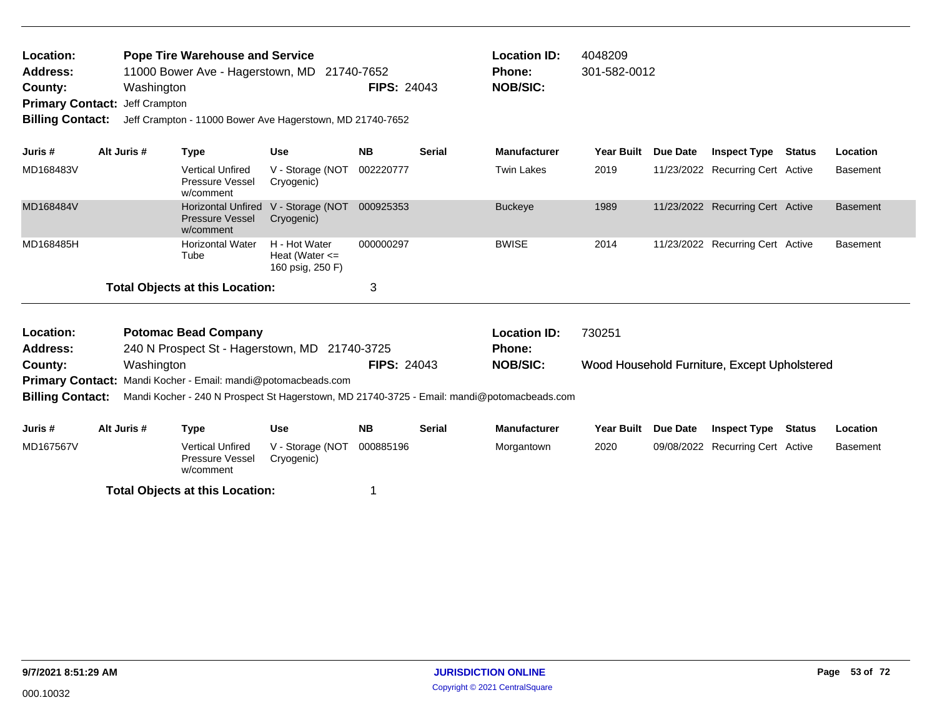| Location:<br><b>Pope Tire Warehouse and Service</b><br><b>Address:</b><br>11000 Bower Ave - Hagerstown, MD 21740-7652<br>County:<br>Washington<br><b>Primary Contact:</b><br>Jeff Crampton<br><b>Billing Contact:</b><br>Jeff Crampton - 11000 Bower Ave Hagerstown, MD 21740-7652<br>Alt Juris #<br>Juris #<br><b>Type</b><br>MD168483V |             |            |                                                                  |                                                         | <b>FIPS: 24043</b> |               | <b>Location ID:</b><br><b>Phone:</b><br><b>NOB/SIC:</b>                                    | 4048209<br>301-582-0012 |                                              |               |                 |
|------------------------------------------------------------------------------------------------------------------------------------------------------------------------------------------------------------------------------------------------------------------------------------------------------------------------------------------|-------------|------------|------------------------------------------------------------------|---------------------------------------------------------|--------------------|---------------|--------------------------------------------------------------------------------------------|-------------------------|----------------------------------------------|---------------|-----------------|
|                                                                                                                                                                                                                                                                                                                                          |             |            |                                                                  | <b>Use</b>                                              | <b>NB</b>          | <b>Serial</b> | <b>Manufacturer</b>                                                                        | Year Built Due Date     | <b>Inspect Type Status</b>                   |               | Location        |
|                                                                                                                                                                                                                                                                                                                                          |             |            | <b>Vertical Unfired</b><br><b>Pressure Vessel</b><br>w/comment   | V - Storage (NOT<br>Cryogenic)                          | 002220777          |               | <b>Twin Lakes</b>                                                                          | 2019                    | 11/23/2022 Recurring Cert Active             |               | <b>Basement</b> |
| MD168484V                                                                                                                                                                                                                                                                                                                                |             |            | <b>Horizontal Unfired</b><br><b>Pressure Vessel</b><br>w/comment | V - Storage (NOT<br>Cryogenic)                          | 000925353          |               | <b>Buckeye</b>                                                                             | 1989                    | 11/23/2022 Recurring Cert Active             |               | <b>Basement</b> |
| MD168485H                                                                                                                                                                                                                                                                                                                                |             |            | <b>Horizontal Water</b><br>Tube                                  | H - Hot Water<br>Heat (Water $\leq$<br>160 psig, 250 F) | 000000297          |               | <b>BWISE</b>                                                                               | 2014                    | 11/23/2022 Recurring Cert Active             |               | <b>Basement</b> |
|                                                                                                                                                                                                                                                                                                                                          |             |            | <b>Total Objects at this Location:</b>                           |                                                         | 3                  |               |                                                                                            |                         |                                              |               |                 |
| Location:<br><b>Address:</b>                                                                                                                                                                                                                                                                                                             |             |            | <b>Potomac Bead Company</b>                                      | 240 N Prospect St - Hagerstown, MD 21740-3725           |                    |               | <b>Location ID:</b><br><b>Phone:</b>                                                       | 730251                  |                                              |               |                 |
| County:                                                                                                                                                                                                                                                                                                                                  |             | Washington |                                                                  |                                                         | <b>FIPS: 24043</b> |               | <b>NOB/SIC:</b>                                                                            |                         | Wood Household Furniture, Except Upholstered |               |                 |
| <b>Billing Contact:</b>                                                                                                                                                                                                                                                                                                                  |             |            | Primary Contact: Mandi Kocher - Email: mandi@potomacbeads.com    |                                                         |                    |               | Mandi Kocher - 240 N Prospect St Hagerstown, MD 21740-3725 - Email: mandi@potomacbeads.com |                         |                                              |               |                 |
| Juris #                                                                                                                                                                                                                                                                                                                                  | Alt Juris # |            | <b>Type</b>                                                      | <b>Use</b>                                              | <b>NB</b>          | <b>Serial</b> | <b>Manufacturer</b>                                                                        | Year Built Due Date     | <b>Inspect Type</b>                          | <b>Status</b> | Location        |
| MD167567V                                                                                                                                                                                                                                                                                                                                |             |            | <b>Vertical Unfired</b><br><b>Pressure Vessel</b><br>w/comment   | V - Storage (NOT<br>Cryogenic)                          | 000885196          |               | Morgantown                                                                                 | 2020                    | 09/08/2022 Recurring Cert Active             |               | <b>Basement</b> |
|                                                                                                                                                                                                                                                                                                                                          |             |            |                                                                  |                                                         |                    |               |                                                                                            |                         |                                              |               |                 |

**Total Objects at this Location:** 1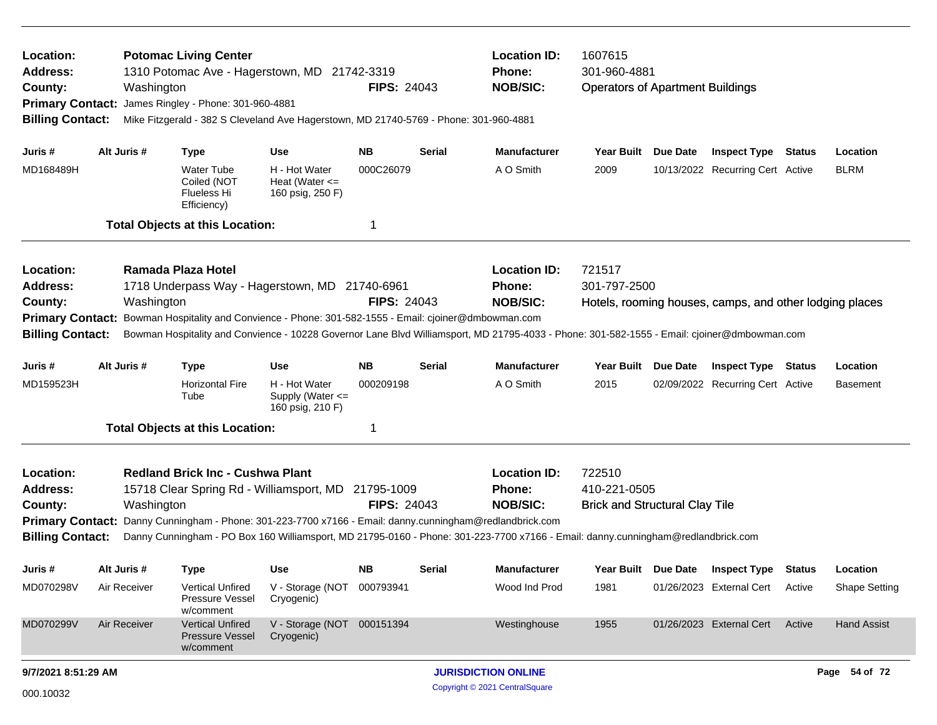| Location:<br><b>Address:</b><br>County:<br><b>Primary Contact:</b><br><b>Billing Contact:</b> | Washington   | <b>Potomac Living Center</b><br>1310 Potomac Ave - Hagerstown, MD 21742-3319<br>James Ringley - Phone: 301-960-4881<br>Mike Fitzgerald - 382 S Cleveland Ave Hagerstown, MD 21740-5769 - Phone: 301-960-4881 |                                                         | <b>FIPS: 24043</b>               |        | <b>Location ID:</b><br>Phone:<br><b>NOB/SIC:</b>                                                                                                                                                                                                                                | 1607615<br>301-960-4881<br><b>Operators of Apartment Buildings</b> |                                                         |        |                      |
|-----------------------------------------------------------------------------------------------|--------------|--------------------------------------------------------------------------------------------------------------------------------------------------------------------------------------------------------------|---------------------------------------------------------|----------------------------------|--------|---------------------------------------------------------------------------------------------------------------------------------------------------------------------------------------------------------------------------------------------------------------------------------|--------------------------------------------------------------------|---------------------------------------------------------|--------|----------------------|
| Juris #                                                                                       | Alt Juris #  | <b>Type</b>                                                                                                                                                                                                  | Use                                                     | NB.                              | Serial | <b>Manufacturer</b>                                                                                                                                                                                                                                                             | Year Built Due Date                                                | <b>Inspect Type Status</b>                              |        | Location             |
| MD168489H                                                                                     |              | <b>Water Tube</b><br>Coiled (NOT<br><b>Flueless Hi</b><br>Efficiency)                                                                                                                                        | H - Hot Water<br>Heat (Water $\leq$<br>160 psig, 250 F) | 000C26079                        |        | A O Smith                                                                                                                                                                                                                                                                       | 2009                                                               | 10/13/2022 Recurring Cert Active                        |        | <b>BLRM</b>          |
|                                                                                               |              | <b>Total Objects at this Location:</b>                                                                                                                                                                       |                                                         | -1                               |        |                                                                                                                                                                                                                                                                                 |                                                                    |                                                         |        |                      |
| Location:<br><b>Address:</b><br>County:<br><b>Billing Contact:</b>                            | Washington   | Ramada Plaza Hotel<br>1718 Underpass Way - Hagerstown, MD 21740-6961<br>Primary Contact: Bowman Hospitality and Convience - Phone: 301-582-1555 - Email: cjoiner@dmbowman.com                                |                                                         | <b>FIPS: 24043</b>               |        | <b>Location ID:</b><br>Phone:<br><b>NOB/SIC:</b><br>Bowman Hospitality and Convience - 10228 Governor Lane Blvd Williamsport, MD 21795-4033 - Phone: 301-582-1555 - Email: cjoiner@dmbowman.com                                                                                 | 721517<br>301-797-2500                                             | Hotels, rooming houses, camps, and other lodging places |        |                      |
| Juris #                                                                                       | Alt Juris #  | <b>Type</b>                                                                                                                                                                                                  | <b>Use</b>                                              | <b>NB</b>                        | Serial | <b>Manufacturer</b>                                                                                                                                                                                                                                                             | Year Built Due Date                                                | <b>Inspect Type Status</b>                              |        | Location             |
| MD159523H                                                                                     |              | <b>Horizontal Fire</b><br>Tube                                                                                                                                                                               | H - Hot Water<br>Supply (Water <=<br>160 psig, 210 F)   | 000209198                        |        | A O Smith                                                                                                                                                                                                                                                                       | 2015                                                               | 02/09/2022 Recurring Cert Active                        |        | <b>Basement</b>      |
|                                                                                               |              | <b>Total Objects at this Location:</b>                                                                                                                                                                       |                                                         | -1                               |        |                                                                                                                                                                                                                                                                                 |                                                                    |                                                         |        |                      |
| Location:<br><b>Address:</b><br>County:<br><b>Primary Contact:</b><br><b>Billing Contact:</b> | Washington   | <b>Redland Brick Inc - Cushwa Plant</b><br>15718 Clear Spring Rd - Williamsport, MD                                                                                                                          |                                                         | 21795-1009<br><b>FIPS: 24043</b> |        | <b>Location ID:</b><br>Phone:<br><b>NOB/SIC:</b><br>Danny Cunningham - Phone: 301-223-7700 x7166 - Email: danny.cunningham@redlandbrick.com<br>Danny Cunningham - PO Box 160 Williamsport, MD 21795-0160 - Phone: 301-223-7700 x7166 - Email: danny.cunningham@redlandbrick.com | 722510<br>410-221-0505<br><b>Brick and Structural Clay Tile</b>    |                                                         |        |                      |
| Juris #                                                                                       | Alt Juris #  | Type                                                                                                                                                                                                         | Use                                                     | NΒ                               | Serial | <b>Manufacturer</b>                                                                                                                                                                                                                                                             | Year Built Due Date                                                | <b>Inspect Type</b>                                     | Status | Location             |
| MD070298V                                                                                     | Air Receiver | Vertical Unfired<br>Pressure Vessel<br>w/comment                                                                                                                                                             | V - Storage (NOT 000793941<br>Cryogenic)                |                                  |        | Wood Ind Prod                                                                                                                                                                                                                                                                   | 1981                                                               | 01/26/2023 External Cert Active                         |        | <b>Shape Setting</b> |
| MD070299V                                                                                     | Air Receiver | <b>Vertical Unfired</b><br><b>Pressure Vessel</b><br>w/comment                                                                                                                                               | V - Storage (NOT 000151394<br>Cryogenic)                |                                  |        | Westinghouse                                                                                                                                                                                                                                                                    | 1955                                                               | 01/26/2023 External Cert Active                         |        | <b>Hand Assist</b>   |
| 9/7/2021 8:51:29 AM                                                                           |              |                                                                                                                                                                                                              |                                                         |                                  |        | <b>JURISDICTION ONLINE</b>                                                                                                                                                                                                                                                      |                                                                    |                                                         |        | Page 54 of 72        |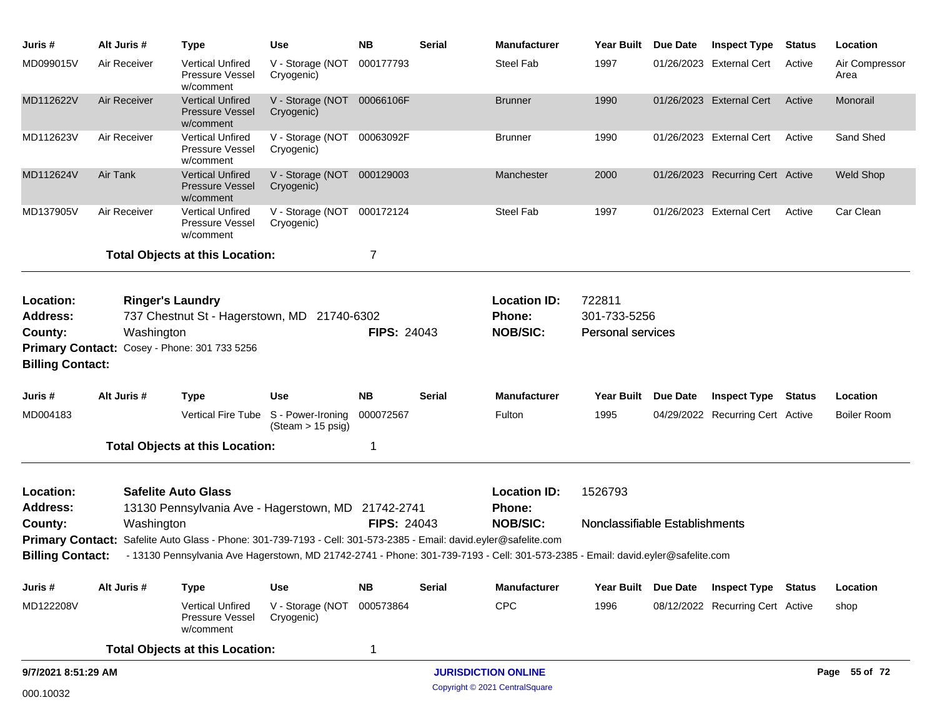| Juris #                                                            | Alt Juris #  | <b>Type</b>                                                                                                                     | <b>Use</b>                                                | <b>NB</b>          | <b>Serial</b> | <b>Manufacturer</b>                              | Year Built                                         | Due Date            | <b>Inspect Type</b>              | <b>Status</b> | Location               |
|--------------------------------------------------------------------|--------------|---------------------------------------------------------------------------------------------------------------------------------|-----------------------------------------------------------|--------------------|---------------|--------------------------------------------------|----------------------------------------------------|---------------------|----------------------------------|---------------|------------------------|
| MD099015V                                                          | Air Receiver | <b>Vertical Unfired</b><br><b>Pressure Vessel</b><br>w/comment                                                                  | V - Storage (NOT<br>Cryogenic)                            | 000177793          |               | <b>Steel Fab</b>                                 | 1997                                               |                     | 01/26/2023 External Cert         | Active        | Air Compressor<br>Area |
| MD112622V                                                          | Air Receiver | <b>Vertical Unfired</b><br><b>Pressure Vessel</b><br>w/comment                                                                  | V - Storage (NOT 00066106F<br>Cryogenic)                  |                    |               | <b>Brunner</b>                                   | 1990                                               |                     | 01/26/2023 External Cert         | Active        | Monorail               |
| MD112623V                                                          | Air Receiver | <b>Vertical Unfired</b><br><b>Pressure Vessel</b><br>w/comment                                                                  | V - Storage (NOT<br>Cryogenic)                            | 00063092F          |               | <b>Brunner</b>                                   | 1990                                               |                     | 01/26/2023 External Cert         | Active        | Sand Shed              |
| MD112624V                                                          | Air Tank     | <b>Vertical Unfired</b><br><b>Pressure Vessel</b><br>w/comment                                                                  | V - Storage (NOT 000129003<br>Cryogenic)                  |                    |               | Manchester                                       | 2000                                               |                     | 01/26/2023 Recurring Cert Active |               | <b>Weld Shop</b>       |
| MD137905V                                                          | Air Receiver | <b>Vertical Unfired</b><br><b>Pressure Vessel</b><br>w/comment                                                                  | V - Storage (NOT<br>Cryogenic)                            | 000172124          |               | <b>Steel Fab</b>                                 | 1997                                               |                     | 01/26/2023 External Cert         | Active        | Car Clean              |
|                                                                    |              | <b>Total Objects at this Location:</b>                                                                                          |                                                           | 7                  |               |                                                  |                                                    |                     |                                  |               |                        |
| Location:<br><b>Address:</b><br>County:<br><b>Billing Contact:</b> | Washington   | <b>Ringer's Laundry</b><br>737 Chestnut St - Hagerstown, MD 21740-6302<br>Primary Contact: Cosey - Phone: 301 733 5256          |                                                           | <b>FIPS: 24043</b> |               | <b>Location ID:</b><br>Phone:<br><b>NOB/SIC:</b> | 722811<br>301-733-5256<br><b>Personal services</b> |                     |                                  |               |                        |
| Juris #                                                            | Alt Juris #  | <b>Type</b>                                                                                                                     | <b>Use</b>                                                | <b>NB</b>          | <b>Serial</b> | <b>Manufacturer</b>                              | Year Built Due Date                                |                     | <b>Inspect Type Status</b>       |               | Location               |
| MD004183                                                           |              |                                                                                                                                 | Vertical Fire Tube S - Power-Ironing<br>(Steam > 15 psig) | 000072567          |               | Fulton                                           | 1995                                               |                     | 04/29/2022 Recurring Cert Active |               | <b>Boiler Room</b>     |
|                                                                    |              | <b>Total Objects at this Location:</b>                                                                                          |                                                           | 1                  |               |                                                  |                                                    |                     |                                  |               |                        |
| Location:<br><b>Address:</b>                                       |              | <b>Safelite Auto Glass</b><br>13130 Pennsylvania Ave - Hagerstown, MD 21742-2741                                                |                                                           |                    |               | <b>Location ID:</b><br>Phone:                    | 1526793                                            |                     |                                  |               |                        |
| County:                                                            | Washington   |                                                                                                                                 |                                                           | <b>FIPS: 24043</b> |               | <b>NOB/SIC:</b>                                  | Nonclassifiable Establishments                     |                     |                                  |               |                        |
|                                                                    |              | Primary Contact: Safelite Auto Glass - Phone: 301-739-7193 - Cell: 301-573-2385 - Email: david.eyler@safelite.com               |                                                           |                    |               |                                                  |                                                    |                     |                                  |               |                        |
| <b>Billing Contact:</b>                                            |              | - 13130 Pennsylvania Ave Hagerstown, MD 21742-2741 - Phone: 301-739-7193 - Cell: 301-573-2385 - Email: david.eyler@safelite.com |                                                           |                    |               |                                                  |                                                    |                     |                                  |               |                        |
| Juris #                                                            | Alt Juris #  | <b>Type</b>                                                                                                                     | <b>Use</b>                                                | <b>NB</b>          | <b>Serial</b> | <b>Manufacturer</b>                              |                                                    | Year Built Due Date | <b>Inspect Type Status</b>       |               | Location               |
| MD122208V                                                          |              | <b>Vertical Unfired</b><br><b>Pressure Vessel</b><br>w/comment                                                                  | V - Storage (NOT<br>Cryogenic)                            | 000573864          |               | <b>CPC</b>                                       | 1996                                               |                     | 08/12/2022 Recurring Cert Active |               | shop                   |
|                                                                    |              | <b>Total Objects at this Location:</b>                                                                                          |                                                           | $\mathbf 1$        |               |                                                  |                                                    |                     |                                  |               |                        |
| 9/7/2021 8:51:29 AM                                                |              |                                                                                                                                 |                                                           |                    |               | <b>JURISDICTION ONLINE</b>                       |                                                    |                     |                                  |               | Page 55 of 72          |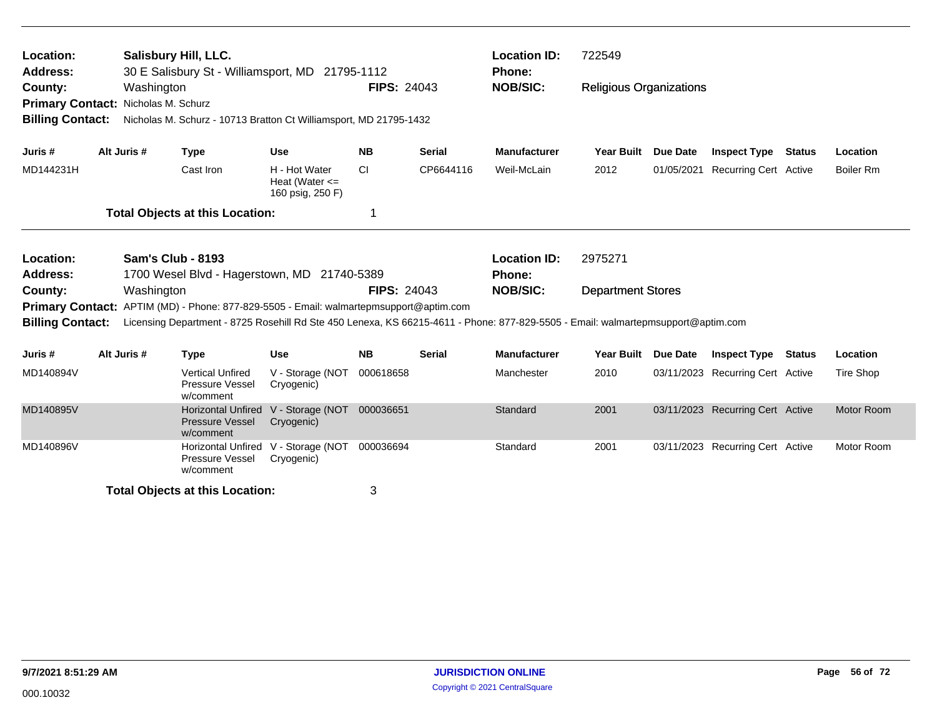| Location:<br><b>Address:</b><br>County:<br>Primary Contact: Nicholas M. Schurz<br><b>Billing Contact:</b> | Salisbury Hill, LLC.<br>Washington                                                                                              | 30 E Salisbury St - Williamsport, MD 21795-1112 |                                                                   | <b>FIPS: 24043</b>                                      |                    | <b>Location ID:</b><br><b>Phone:</b><br><b>NOB/SIC:</b> | 722549<br><b>Religious Organizations</b>                                                                                         |                          |                 |                                  |                   |
|-----------------------------------------------------------------------------------------------------------|---------------------------------------------------------------------------------------------------------------------------------|-------------------------------------------------|-------------------------------------------------------------------|---------------------------------------------------------|--------------------|---------------------------------------------------------|----------------------------------------------------------------------------------------------------------------------------------|--------------------------|-----------------|----------------------------------|-------------------|
|                                                                                                           |                                                                                                                                 |                                                 | Nicholas M. Schurz - 10713 Bratton Ct Williamsport, MD 21795-1432 |                                                         |                    |                                                         |                                                                                                                                  |                          |                 |                                  |                   |
| Juris #                                                                                                   |                                                                                                                                 | Alt Juris #                                     | <b>Type</b>                                                       | <b>Use</b>                                              | <b>NB</b>          | <b>Serial</b>                                           | <b>Manufacturer</b>                                                                                                              | <b>Year Built</b>        | Due Date        | <b>Inspect Type Status</b>       | Location          |
| MD144231H                                                                                                 |                                                                                                                                 |                                                 | Cast Iron                                                         | H - Hot Water<br>Heat (Water $\leq$<br>160 psig, 250 F) | <b>CI</b>          | CP6644116                                               | Weil-McLain                                                                                                                      | 2012                     | 01/05/2021      | <b>Recurring Cert Active</b>     | <b>Boiler Rm</b>  |
|                                                                                                           |                                                                                                                                 |                                                 |                                                                   |                                                         | 1                  |                                                         |                                                                                                                                  |                          |                 |                                  |                   |
| Location:<br><b>Address:</b>                                                                              | <b>Total Objects at this Location:</b><br><b>Sam's Club - 8193</b><br>1700 Wesel Blvd - Hagerstown, MD 21740-5389<br>Washington |                                                 |                                                                   |                                                         |                    | <b>Location ID:</b><br><b>Phone:</b>                    | 2975271                                                                                                                          |                          |                 |                                  |                   |
| County:                                                                                                   | Primary Contact: APTIM (MD) - Phone: 877-829-5505 - Email: walmartepmsupport@aptim.com                                          |                                                 |                                                                   |                                                         | <b>FIPS: 24043</b> |                                                         | <b>NOB/SIC:</b>                                                                                                                  | <b>Department Stores</b> |                 |                                  |                   |
| <b>Billing Contact:</b>                                                                                   |                                                                                                                                 |                                                 |                                                                   |                                                         |                    |                                                         | Licensing Department - 8725 Rosehill Rd Ste 450 Lenexa, KS 66215-4611 - Phone: 877-829-5505 - Email: walmartepmsupport@aptim.com |                          |                 |                                  |                   |
| Juris #                                                                                                   |                                                                                                                                 | Alt Juris #                                     | <b>Type</b>                                                       | <b>Use</b>                                              | <b>NB</b>          | <b>Serial</b>                                           | <b>Manufacturer</b>                                                                                                              | <b>Year Built</b>        | <b>Due Date</b> | <b>Inspect Type Status</b>       | Location          |
| MD140894V                                                                                                 |                                                                                                                                 |                                                 | <b>Vertical Unfired</b><br><b>Pressure Vessel</b><br>w/comment    | V - Storage (NOT<br>Cryogenic)                          | 000618658          |                                                         | Manchester                                                                                                                       | 2010                     |                 | 03/11/2023 Recurring Cert Active | Tire Shop         |
| MD140895V                                                                                                 |                                                                                                                                 |                                                 | <b>Horizontal Unfired</b><br><b>Pressure Vessel</b><br>w/comment  | V - Storage (NOT<br>Cryogenic)                          | 000036651          |                                                         | Standard                                                                                                                         | 2001                     |                 | 03/11/2023 Recurring Cert Active | <b>Motor Room</b> |
| MD140896V                                                                                                 |                                                                                                                                 |                                                 | <b>Horizontal Unfired</b><br>Pressure Vessel<br>w/comment         | V - Storage (NOT<br>Cryogenic)                          | 000036694          |                                                         | Standard                                                                                                                         | 2001                     |                 | 03/11/2023 Recurring Cert Active | Motor Room        |
|                                                                                                           |                                                                                                                                 |                                                 | <b>Total Objects at this Location:</b>                            |                                                         | 3                  |                                                         |                                                                                                                                  |                          |                 |                                  |                   |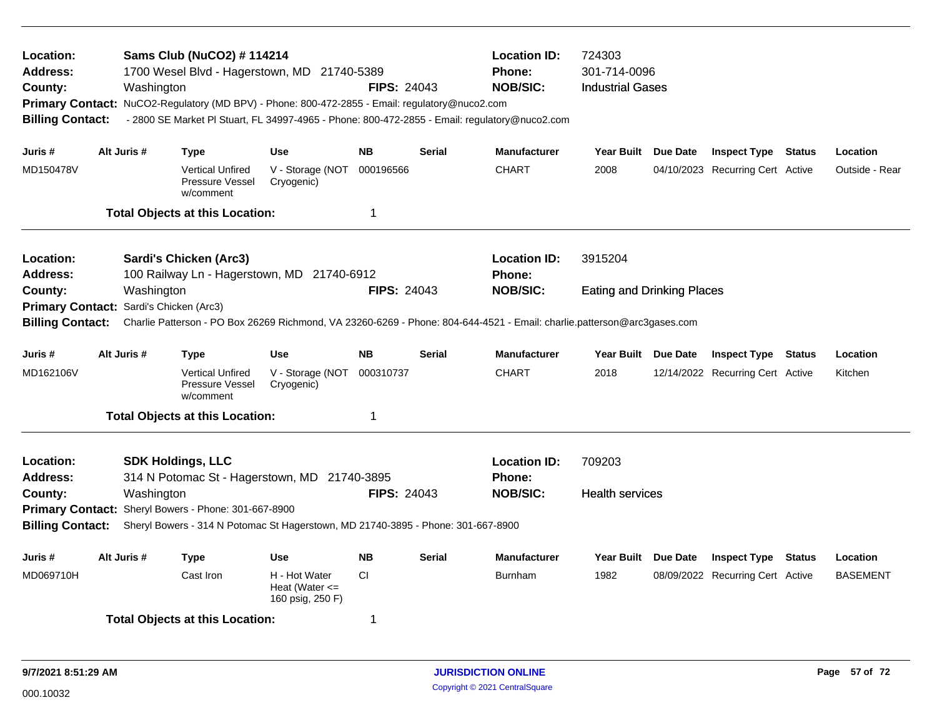| Location:<br><b>Address:</b><br>County:<br><b>Billing Contact:</b> | Washington  | Sams Club (NuCO2) # 114214<br>1700 Wesel Blvd - Hagerstown, MD 21740-5389<br>Primary Contact: NuCO2-Regulatory (MD BPV) - Phone: 800-472-2855 - Email: regulatory@nuco2.com<br>- 2800 SE Market PI Stuart, FL 34997-4965 - Phone: 800-472-2855 - Email: regulatory@nuco2.com |                                                         | <b>FIPS: 24043</b> |               | <b>Location ID:</b><br>Phone:<br><b>NOB/SIC:</b> | 724303<br>301-714-0096<br><b>Industrial Gases</b> |                 |                                  |               |                 |
|--------------------------------------------------------------------|-------------|------------------------------------------------------------------------------------------------------------------------------------------------------------------------------------------------------------------------------------------------------------------------------|---------------------------------------------------------|--------------------|---------------|--------------------------------------------------|---------------------------------------------------|-----------------|----------------------------------|---------------|-----------------|
| Juris #                                                            | Alt Juris # | <b>Type</b>                                                                                                                                                                                                                                                                  | <b>Use</b>                                              | <b>NB</b>          | <b>Serial</b> | <b>Manufacturer</b>                              | <b>Year Built</b>                                 | Due Date        | <b>Inspect Type Status</b>       |               | Location        |
| MD150478V                                                          |             | <b>Vertical Unfired</b><br>Pressure Vessel<br>w/comment                                                                                                                                                                                                                      | V - Storage (NOT 000196566<br>Cryogenic)                |                    |               | <b>CHART</b>                                     | 2008                                              |                 | 04/10/2023 Recurring Cert Active |               | Outside - Rear  |
|                                                                    |             | <b>Total Objects at this Location:</b>                                                                                                                                                                                                                                       |                                                         | $\mathbf{1}$       |               |                                                  |                                                   |                 |                                  |               |                 |
| Location:<br><b>Address:</b>                                       |             | <b>Sardi's Chicken (Arc3)</b><br>100 Railway Ln - Hagerstown, MD 21740-6912                                                                                                                                                                                                  |                                                         |                    |               | <b>Location ID:</b><br>Phone:                    | 3915204                                           |                 |                                  |               |                 |
| County:<br><b>Primary Contact:</b>                                 | Washington  | Sardi's Chicken (Arc3)                                                                                                                                                                                                                                                       |                                                         | <b>FIPS: 24043</b> |               | <b>NOB/SIC:</b>                                  | <b>Eating and Drinking Places</b>                 |                 |                                  |               |                 |
| <b>Billing Contact:</b>                                            |             | Charlie Patterson - PO Box 26269 Richmond, VA 23260-6269 - Phone: 804-644-4521 - Email: charlie.patterson@arc3gases.com                                                                                                                                                      |                                                         |                    |               |                                                  |                                                   |                 |                                  |               |                 |
| Juris #                                                            | Alt Juris # | <b>Type</b>                                                                                                                                                                                                                                                                  | <b>Use</b>                                              | <b>NB</b>          | <b>Serial</b> | <b>Manufacturer</b>                              | Year Built Due Date                               |                 | <b>Inspect Type</b>              | Status        | Location        |
| MD162106V                                                          |             | <b>Vertical Unfired</b><br><b>Pressure Vessel</b><br>w/comment                                                                                                                                                                                                               | V - Storage (NOT<br>Cryogenic)                          | 000310737          |               | <b>CHART</b>                                     | 2018                                              |                 | 12/14/2022 Recurring Cert Active |               | Kitchen         |
|                                                                    |             | <b>Total Objects at this Location:</b>                                                                                                                                                                                                                                       |                                                         | $\mathbf{1}$       |               |                                                  |                                                   |                 |                                  |               |                 |
| Location:<br><b>Address:</b>                                       |             | <b>SDK Holdings, LLC</b><br>314 N Potomac St - Hagerstown, MD 21740-3895                                                                                                                                                                                                     |                                                         |                    |               | <b>Location ID:</b><br><b>Phone:</b>             | 709203                                            |                 |                                  |               |                 |
| County:                                                            | Washington  | Primary Contact: Sheryl Bowers - Phone: 301-667-8900                                                                                                                                                                                                                         |                                                         | <b>FIPS: 24043</b> |               | <b>NOB/SIC:</b>                                  | <b>Health services</b>                            |                 |                                  |               |                 |
| <b>Billing Contact:</b>                                            |             | Sheryl Bowers - 314 N Potomac St Hagerstown, MD 21740-3895 - Phone: 301-667-8900                                                                                                                                                                                             |                                                         |                    |               |                                                  |                                                   |                 |                                  |               |                 |
| Juris #                                                            | Alt Juris # | <b>Type</b>                                                                                                                                                                                                                                                                  | Use                                                     | <b>NB</b>          | Serial        | <b>Manufacturer</b>                              | Year Built                                        | <b>Due Date</b> | <b>Inspect Type</b>              | <b>Status</b> | Location        |
| MD069710H                                                          |             | Cast Iron                                                                                                                                                                                                                                                                    | H - Hot Water<br>Heat (Water $\leq$<br>160 psig, 250 F) | CI.                |               | <b>Burnham</b>                                   | 1982                                              |                 | 08/09/2022 Recurring Cert Active |               | <b>BASEMENT</b> |
|                                                                    |             | <b>Total Objects at this Location:</b>                                                                                                                                                                                                                                       |                                                         | 1                  |               |                                                  |                                                   |                 |                                  |               |                 |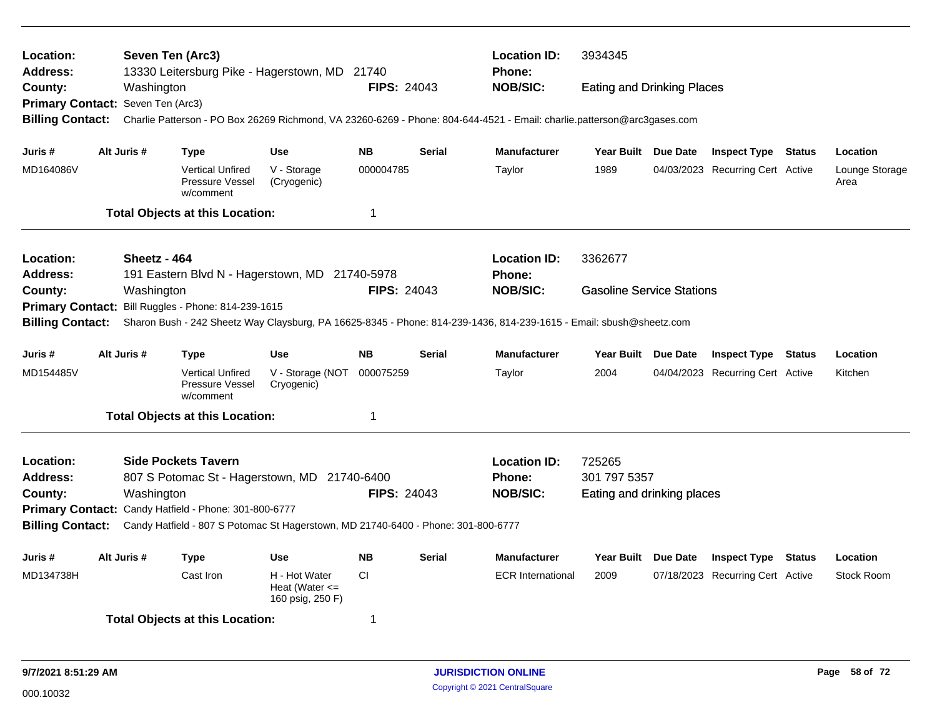| Location:<br>Address:             | Seven Ten (Arc3) |                                                                | 13330 Leitersburg Pike - Hagerstown, MD 21740                                     |                    |               | <b>Location ID:</b><br>Phone:                                                                                           | 3934345                           |                                  |        |                        |
|-----------------------------------|------------------|----------------------------------------------------------------|-----------------------------------------------------------------------------------|--------------------|---------------|-------------------------------------------------------------------------------------------------------------------------|-----------------------------------|----------------------------------|--------|------------------------|
| County:                           | Washington       |                                                                |                                                                                   | <b>FIPS: 24043</b> |               | <b>NOB/SIC:</b>                                                                                                         | <b>Eating and Drinking Places</b> |                                  |        |                        |
| Primary Contact: Seven Ten (Arc3) |                  |                                                                |                                                                                   |                    |               |                                                                                                                         |                                   |                                  |        |                        |
| <b>Billing Contact:</b>           |                  |                                                                |                                                                                   |                    |               | Charlie Patterson - PO Box 26269 Richmond, VA 23260-6269 - Phone: 804-644-4521 - Email: charlie.patterson@arc3gases.com |                                   |                                  |        |                        |
| Juris #                           | Alt Juris #      | <b>Type</b>                                                    | <b>Use</b>                                                                        | <b>NB</b>          | <b>Serial</b> | <b>Manufacturer</b>                                                                                                     | Year Built Due Date               | <b>Inspect Type Status</b>       |        | Location               |
| MD164086V                         |                  | <b>Vertical Unfired</b><br><b>Pressure Vessel</b><br>w/comment | V - Storage<br>(Cryogenic)                                                        | 000004785          |               | Taylor                                                                                                                  | 1989                              | 04/03/2023 Recurring Cert Active |        | Lounge Storage<br>Area |
|                                   |                  | <b>Total Objects at this Location:</b>                         |                                                                                   | 1                  |               |                                                                                                                         |                                   |                                  |        |                        |
| Location:                         | Sheetz - 464     |                                                                |                                                                                   |                    |               | <b>Location ID:</b>                                                                                                     | 3362677                           |                                  |        |                        |
| Address:                          |                  |                                                                | 191 Eastern Blvd N - Hagerstown, MD 21740-5978                                    |                    |               | Phone:                                                                                                                  |                                   |                                  |        |                        |
| County:                           | Washington       |                                                                |                                                                                   | <b>FIPS: 24043</b> |               | <b>NOB/SIC:</b>                                                                                                         | <b>Gasoline Service Stations</b>  |                                  |        |                        |
| <b>Primary Contact:</b>           |                  | Bill Ruggles - Phone: 814-239-1615                             |                                                                                   |                    |               |                                                                                                                         |                                   |                                  |        |                        |
| <b>Billing Contact:</b>           |                  |                                                                |                                                                                   |                    |               | Sharon Bush - 242 Sheetz Way Claysburg, PA 16625-8345 - Phone: 814-239-1436, 814-239-1615 - Email: sbush@sheetz.com     |                                   |                                  |        |                        |
| Juris #                           | Alt Juris #      | <b>Type</b>                                                    | <b>Use</b>                                                                        | <b>NB</b>          | <b>Serial</b> | <b>Manufacturer</b>                                                                                                     | Year Built Due Date               | <b>Inspect Type Status</b>       |        | Location               |
| MD154485V                         |                  | <b>Vertical Unfired</b><br>Pressure Vessel<br>w/comment        | V - Storage (NOT<br>Cryogenic)                                                    | 000075259          |               | Taylor                                                                                                                  | 2004                              | 04/04/2023 Recurring Cert Active |        | Kitchen                |
|                                   |                  | <b>Total Objects at this Location:</b>                         |                                                                                   | 1                  |               |                                                                                                                         |                                   |                                  |        |                        |
| Location:                         |                  | <b>Side Pockets Tavern</b>                                     |                                                                                   |                    |               | <b>Location ID:</b>                                                                                                     | 725265                            |                                  |        |                        |
| Address:                          |                  |                                                                | 807 S Potomac St - Hagerstown, MD 21740-6400                                      |                    |               | <b>Phone:</b>                                                                                                           | 301 797 5357                      |                                  |        |                        |
| County:                           | Washington       |                                                                |                                                                                   | <b>FIPS: 24043</b> |               | <b>NOB/SIC:</b>                                                                                                         | Eating and drinking places        |                                  |        |                        |
|                                   |                  | Primary Contact: Candy Hatfield - Phone: 301-800-6777          |                                                                                   |                    |               |                                                                                                                         |                                   |                                  |        |                        |
| <b>Billing Contact:</b>           |                  |                                                                | Candy Hatfield - 807 S Potomac St Hagerstown, MD 21740-6400 - Phone: 301-800-6777 |                    |               |                                                                                                                         |                                   |                                  |        |                        |
| Juris #                           | Alt Juris #      | <b>Type</b>                                                    | Use                                                                               | <b>NB</b>          | Serial        | <b>Manufacturer</b>                                                                                                     | Year Built Due Date               | <b>Inspect Type</b>              | Status | Location               |
| MD134738H                         |                  | Cast Iron                                                      | H - Hot Water<br>Heat (Water $\leq$<br>160 psig, 250 F)                           | <b>CI</b>          |               | <b>ECR International</b>                                                                                                | 2009                              | 07/18/2023 Recurring Cert Active |        | <b>Stock Room</b>      |
|                                   |                  | <b>Total Objects at this Location:</b>                         |                                                                                   | 1                  |               |                                                                                                                         |                                   |                                  |        |                        |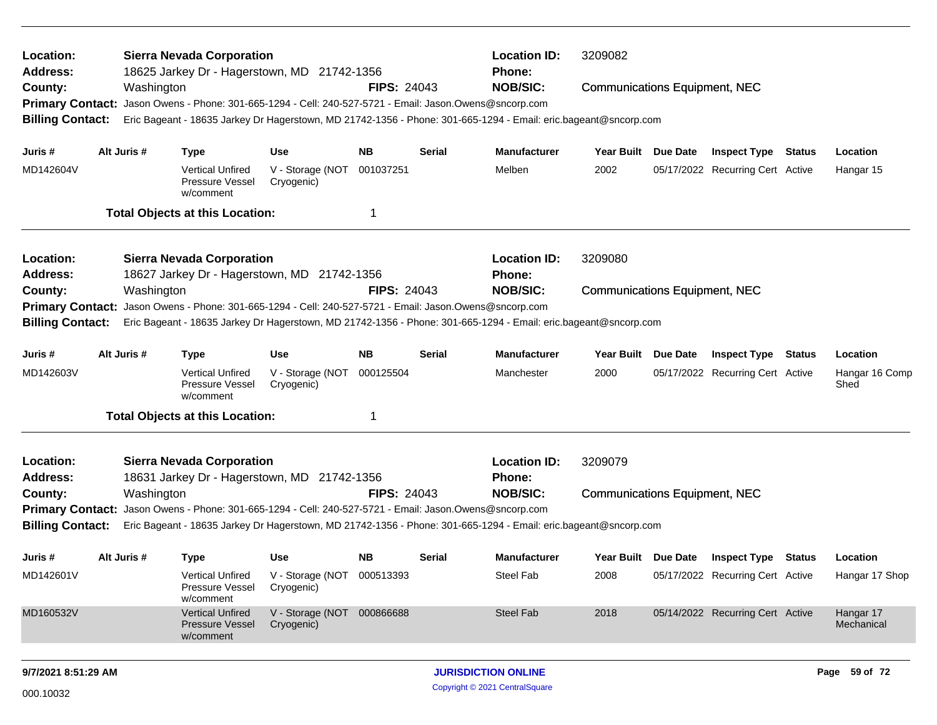| Location:<br>Address:        |             | <b>Sierra Nevada Corporation</b><br>18625 Jarkey Dr - Hagerstown, MD 21742-1356                         |                                          |                    |        | <b>Location ID:</b><br><b>Phone:</b>                                                                            | 3209082                              |                                  |               |                         |
|------------------------------|-------------|---------------------------------------------------------------------------------------------------------|------------------------------------------|--------------------|--------|-----------------------------------------------------------------------------------------------------------------|--------------------------------------|----------------------------------|---------------|-------------------------|
| County:                      | Washington  |                                                                                                         |                                          | <b>FIPS: 24043</b> |        | <b>NOB/SIC:</b>                                                                                                 | <b>Communications Equipment, NEC</b> |                                  |               |                         |
| <b>Primary Contact:</b>      |             | Jason Owens - Phone: 301-665-1294 - Cell: 240-527-5721 - Email: Jason.Owens@sncorp.com                  |                                          |                    |        |                                                                                                                 |                                      |                                  |               |                         |
| <b>Billing Contact:</b>      |             |                                                                                                         |                                          |                    |        | Eric Bageant - 18635 Jarkey Dr Hagerstown, MD 21742-1356 - Phone: 301-665-1294 - Email: eric.bageant@sncorp.com |                                      |                                  |               |                         |
| Juris #                      | Alt Juris # | <b>Type</b>                                                                                             | <b>Use</b>                               | <b>NB</b>          | Serial | <b>Manufacturer</b>                                                                                             | Year Built Due Date                  | <b>Inspect Type Status</b>       |               | Location                |
| MD142604V                    |             | <b>Vertical Unfired</b><br>Pressure Vessel<br>w/comment                                                 | V - Storage (NOT<br>Cryogenic)           | 001037251          |        | Melben                                                                                                          | 2002                                 | 05/17/2022 Recurring Cert Active |               | Hangar 15               |
|                              |             | <b>Total Objects at this Location:</b>                                                                  |                                          | 1                  |        |                                                                                                                 |                                      |                                  |               |                         |
| Location:                    |             | <b>Sierra Nevada Corporation</b>                                                                        |                                          |                    |        | <b>Location ID:</b>                                                                                             | 3209080                              |                                  |               |                         |
| Address:                     |             | 18627 Jarkey Dr - Hagerstown, MD 21742-1356                                                             |                                          |                    |        | <b>Phone:</b>                                                                                                   |                                      |                                  |               |                         |
| County:                      | Washington  |                                                                                                         |                                          | <b>FIPS: 24043</b> |        | <b>NOB/SIC:</b>                                                                                                 | <b>Communications Equipment, NEC</b> |                                  |               |                         |
| <b>Primary Contact:</b>      |             | Jason Owens - Phone: 301-665-1294 - Cell: 240-527-5721 - Email: Jason.Owens@sncorp.com                  |                                          |                    |        |                                                                                                                 |                                      |                                  |               |                         |
| <b>Billing Contact:</b>      |             |                                                                                                         |                                          |                    |        | Eric Bageant - 18635 Jarkey Dr Hagerstown, MD 21742-1356 - Phone: 301-665-1294 - Email: eric.bageant@sncorp.com |                                      |                                  |               |                         |
| Juris #                      | Alt Juris # | <b>Type</b>                                                                                             | <b>Use</b>                               | <b>NB</b>          | Serial | <b>Manufacturer</b>                                                                                             | Year Built Due Date                  | <b>Inspect Type</b>              | <b>Status</b> | Location                |
| MD142603V                    |             | <b>Vertical Unfired</b><br>Pressure Vessel<br>w/comment                                                 | V - Storage (NOT<br>Cryogenic)           | 000125504          |        | Manchester                                                                                                      | 2000                                 | 05/17/2022 Recurring Cert Active |               | Hangar 16 Comp<br>Shed  |
|                              |             | <b>Total Objects at this Location:</b>                                                                  |                                          | 1                  |        |                                                                                                                 |                                      |                                  |               |                         |
| Location:<br><b>Address:</b> |             | <b>Sierra Nevada Corporation</b><br>18631 Jarkey Dr - Hagerstown, MD 21742-1356                         |                                          |                    |        | <b>Location ID:</b><br><b>Phone:</b>                                                                            | 3209079                              |                                  |               |                         |
| County:                      | Washington  |                                                                                                         |                                          | <b>FIPS: 24043</b> |        | <b>NOB/SIC:</b>                                                                                                 | <b>Communications Equipment, NEC</b> |                                  |               |                         |
|                              |             | Primary Contact: Jason Owens - Phone: 301-665-1294 - Cell: 240-527-5721 - Email: Jason.Owens@sncorp.com |                                          |                    |        |                                                                                                                 |                                      |                                  |               |                         |
| <b>Billing Contact:</b>      |             |                                                                                                         |                                          |                    |        | Eric Bageant - 18635 Jarkey Dr Hagerstown, MD 21742-1356 - Phone: 301-665-1294 - Email: eric.bageant@sncorp.com |                                      |                                  |               |                         |
| Juris #                      | Alt Juris # | <b>Type</b>                                                                                             | Use                                      | <b>NB</b>          | Serial | <b>Manufacturer</b>                                                                                             | Year Built Due Date                  | <b>Inspect Type Status</b>       |               | Location                |
| MD142601V                    |             | <b>Vertical Unfired</b><br>Pressure Vessel<br>w/comment                                                 | V - Storage (NOT 000513393<br>Cryogenic) |                    |        | Steel Fab                                                                                                       | 2008                                 | 05/17/2022 Recurring Cert Active |               | Hangar 17 Shop          |
| MD160532V                    |             | <b>Vertical Unfired</b><br>Pressure Vessel<br>w/comment                                                 | V - Storage (NOT 000866688<br>Cryogenic) |                    |        | <b>Steel Fab</b>                                                                                                | 2018                                 | 05/14/2022 Recurring Cert Active |               | Hangar 17<br>Mechanical |
| 9/7/2021 8:51:29 AM          |             |                                                                                                         |                                          |                    |        | <b>JURISDICTION ONLINE</b>                                                                                      |                                      |                                  |               | Page 59 of 72           |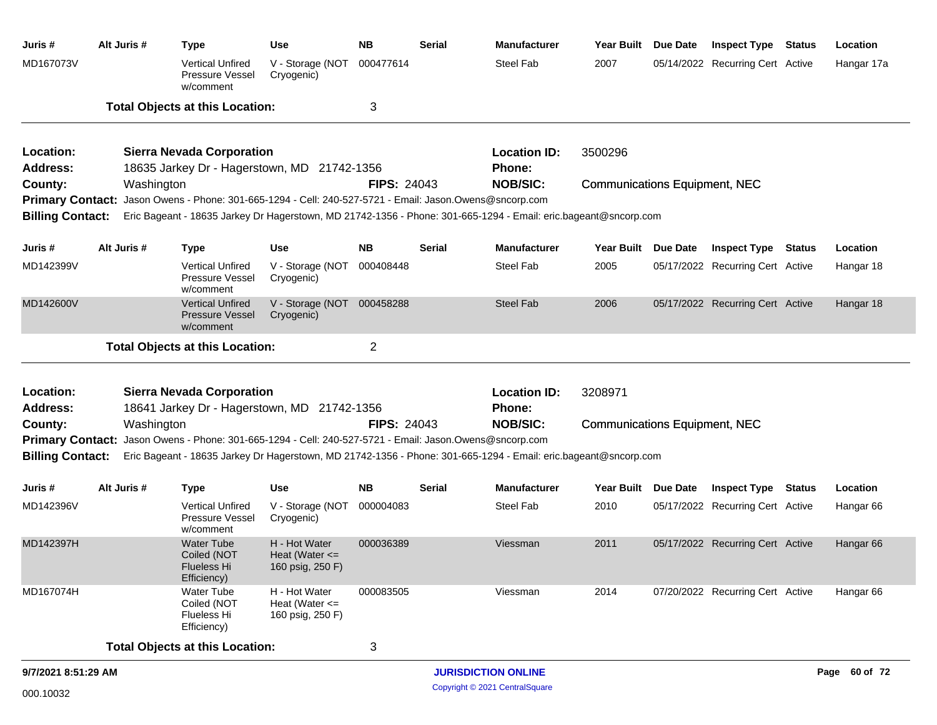| Juris #                      | Alt Juris # | <b>Type</b>                                                                                             | <b>Use</b>                                              | <b>NB</b>          | <b>Serial</b> | <b>Manufacturer</b>                                                                                             | Year Built Due Date                  | <b>Inspect Type Status</b>       | Location             |
|------------------------------|-------------|---------------------------------------------------------------------------------------------------------|---------------------------------------------------------|--------------------|---------------|-----------------------------------------------------------------------------------------------------------------|--------------------------------------|----------------------------------|----------------------|
| MD167073V                    |             | <b>Vertical Unfired</b><br><b>Pressure Vessel</b><br>w/comment                                          | V - Storage (NOT<br>Cryogenic)                          | 000477614          |               | Steel Fab                                                                                                       | 2007                                 | 05/14/2022 Recurring Cert Active | Hangar 17a           |
|                              |             | <b>Total Objects at this Location:</b>                                                                  |                                                         | 3                  |               |                                                                                                                 |                                      |                                  |                      |
| Location:<br><b>Address:</b> |             | <b>Sierra Nevada Corporation</b><br>18635 Jarkey Dr - Hagerstown, MD 21742-1356                         |                                                         |                    |               | <b>Location ID:</b><br>Phone:                                                                                   | 3500296                              |                                  |                      |
| County:                      | Washington  |                                                                                                         |                                                         | <b>FIPS: 24043</b> |               | <b>NOB/SIC:</b>                                                                                                 | <b>Communications Equipment, NEC</b> |                                  |                      |
| <b>Billing Contact:</b>      |             | Primary Contact: Jason Owens - Phone: 301-665-1294 - Cell: 240-527-5721 - Email: Jason.Owens@sncorp.com |                                                         |                    |               | Eric Bageant - 18635 Jarkey Dr Hagerstown, MD 21742-1356 - Phone: 301-665-1294 - Email: eric.bageant@sncorp.com |                                      |                                  |                      |
| Juris #                      | Alt Juris # | <b>Type</b>                                                                                             | <b>Use</b>                                              | <b>NB</b>          | Serial        | <b>Manufacturer</b>                                                                                             | Year Built Due Date                  | <b>Inspect Type Status</b>       | Location             |
| MD142399V                    |             | <b>Vertical Unfired</b><br><b>Pressure Vessel</b><br>w/comment                                          | V - Storage (NOT<br>Cryogenic)                          | 000408448          |               | Steel Fab                                                                                                       | 2005                                 | 05/17/2022 Recurring Cert Active | Hangar 18            |
| MD142600V                    |             | <b>Vertical Unfired</b><br><b>Pressure Vessel</b><br>w/comment                                          | V - Storage (NOT 000458288<br>Cryogenic)                |                    |               | Steel Fab                                                                                                       | 2006                                 | 05/17/2022 Recurring Cert Active | Hangar 18            |
|                              |             | <b>Total Objects at this Location:</b>                                                                  |                                                         | $\overline{2}$     |               |                                                                                                                 |                                      |                                  |                      |
| Location:                    |             | <b>Sierra Nevada Corporation</b>                                                                        |                                                         |                    |               | <b>Location ID:</b>                                                                                             | 3208971                              |                                  |                      |
| <b>Address:</b><br>County:   | Washington  | 18641 Jarkey Dr - Hagerstown, MD 21742-1356                                                             |                                                         | <b>FIPS: 24043</b> |               | <b>Phone:</b><br><b>NOB/SIC:</b>                                                                                | <b>Communications Equipment, NEC</b> |                                  |                      |
| <b>Primary Contact:</b>      |             | Jason Owens - Phone: 301-665-1294 - Cell: 240-527-5721 - Email: Jason.Owens@sncorp.com                  |                                                         |                    |               |                                                                                                                 |                                      |                                  |                      |
| <b>Billing Contact:</b>      |             |                                                                                                         |                                                         |                    |               | Eric Bageant - 18635 Jarkey Dr Hagerstown, MD 21742-1356 - Phone: 301-665-1294 - Email: eric.bageant@sncorp.com |                                      |                                  |                      |
| Juris #                      | Alt Juris # | <b>Type</b>                                                                                             | <b>Use</b>                                              | <b>NB</b>          | <b>Serial</b> | <b>Manufacturer</b>                                                                                             | Year Built Due Date                  | <b>Inspect Type Status</b>       | Location             |
| MD142396V                    |             | <b>Vertical Unfired</b><br><b>Pressure Vessel</b><br>w/comment                                          | V - Storage (NOT<br>Cryogenic)                          | 000004083          |               | Steel Fab                                                                                                       | 2010                                 | 05/17/2022 Recurring Cert Active | Hangar 66            |
| MD142397H                    |             | <b>Water Tube</b><br>Coiled (NOT<br>Flueless Hi<br>Efficiency)                                          | H - Hot Water<br>Heat (Water $\leq$<br>160 psig, 250 F) | 000036389          |               | Viessman                                                                                                        | 2011                                 | 05/17/2022 Recurring Cert Active | Hangar <sub>66</sub> |
| MD167074H                    |             | Water Tube<br>Coiled (NOT<br><b>Flueless Hi</b><br>Efficiency)                                          | H - Hot Water<br>Heat (Water $\leq$<br>160 psig, 250 F) | 000083505          |               | Viessman                                                                                                        | 2014                                 | 07/20/2022 Recurring Cert Active | Hangar <sub>66</sub> |
|                              |             | <b>Total Objects at this Location:</b>                                                                  |                                                         | 3                  |               |                                                                                                                 |                                      |                                  |                      |
| 9/7/2021 8:51:29 AM          |             |                                                                                                         |                                                         |                    |               | <b>JURISDICTION ONLINE</b>                                                                                      |                                      |                                  | Page 60 of 72        |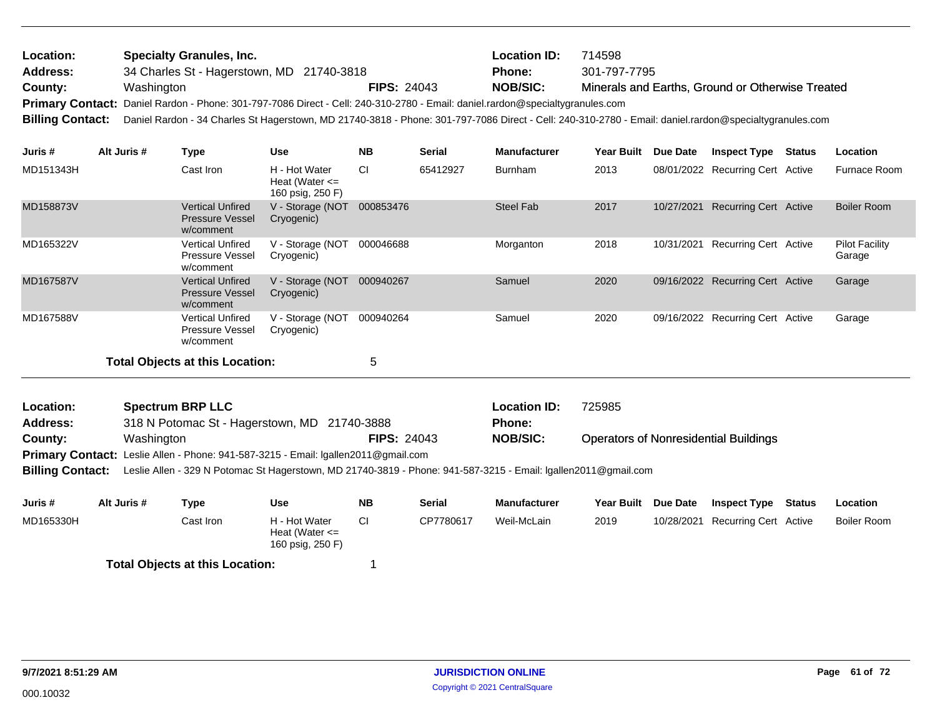| Location:<br><b>Address:</b><br>County: | Washington  | <b>Specialty Granules, Inc.</b>                         | 34 Charles St - Hagerstown, MD 21740-3818                                                                                                                                                                                                                                               |           | <b>FIPS: 24043</b> | <b>Location ID:</b><br><b>Phone:</b><br><b>NOB/SIC:</b> | 714598<br>301-797-7795 |                                  | Minerals and Earths, Ground or Otherwise Treated |                     |                 |
|-----------------------------------------|-------------|---------------------------------------------------------|-----------------------------------------------------------------------------------------------------------------------------------------------------------------------------------------------------------------------------------------------------------------------------------------|-----------|--------------------|---------------------------------------------------------|------------------------|----------------------------------|--------------------------------------------------|---------------------|-----------------|
| <b>Billing Contact:</b>                 |             |                                                         | Primary Contact: Daniel Rardon - Phone: 301-797-7086 Direct - Cell: 240-310-2780 - Email: daniel.rardon@specialtygranules.com<br>Daniel Rardon - 34 Charles St Hagerstown, MD 21740-3818 - Phone: 301-797-7086 Direct - Cell: 240-310-2780 - Email: daniel.rardon@specialtygranules.com |           |                    |                                                         |                        |                                  |                                                  |                     |                 |
| Juris #                                 | Alt Juris # | Type                                                    | Use                                                                                                                                                                                                                                                                                     | <b>NB</b> | <b>Serial</b>      | <b>Manufacturer</b>                                     | <b>Year Built</b>      | <b>Due Date</b>                  | <b>Inspect Type</b>                              | <b>Status</b>       | <b>Location</b> |
| MD151343H<br>Cast Iron                  |             | H - Hot Water<br>Heat (Water $\leq$<br>160 psig, 250 F) | <b>CI</b>                                                                                                                                                                                                                                                                               | 65412927  | <b>Burnham</b>     | 2013                                                    |                        | 08/01/2022 Recurring Cert Active |                                                  | <b>Furnace Room</b> |                 |

| MD158873V | <b>Vertical Unfired</b><br><b>Pressure Vessel</b><br>w/comment | V - Storage (NOT<br>Cryogenic) | 000853476 | Steel Fab | 2017 | 10/27/2021 | Recurring Cert Active            | Boiler Room                     |
|-----------|----------------------------------------------------------------|--------------------------------|-----------|-----------|------|------------|----------------------------------|---------------------------------|
| MD165322V | <b>Vertical Unfired</b><br><b>Pressure Vessel</b><br>w/comment | V - Storage (NOT<br>Cryogenic) | 000046688 | Morganton | 2018 | 10/31/2021 | Recurring Cert Active            | <b>Pilot Facility</b><br>Garage |
| MD167587V | <b>Vertical Unfired</b><br><b>Pressure Vessel</b><br>w/comment | V - Storage (NOT<br>Cryogenic) | 000940267 | Samuel    | 2020 |            | 09/16/2022 Recurring Cert Active | Garage                          |
| MD167588V | <b>Vertical Unfired</b><br><b>Pressure Vessel</b><br>w/comment | V - Storage (NOT<br>Cryogenic) | 000940264 | Samuel    | 2020 |            | 09/16/2022 Recurring Cert Active | Garage                          |
|           | <b>Total Objects at this Location:</b>                         |                                | 5         |           |      |            |                                  |                                 |

| Location:       | <b>Spectrum BRP LLC</b>                                                                   |                    | <b>Location ID:</b> | 725985                                       |
|-----------------|-------------------------------------------------------------------------------------------|--------------------|---------------------|----------------------------------------------|
| <b>Address:</b> | 318 N Potomac St - Hagerstown, MD 21740-3888                                              |                    | Phone:              |                                              |
| County:         | Washington                                                                                | <b>FIPS: 24043</b> | <b>NOB/SIC:</b>     | <b>Operators of Nonresidential Buildings</b> |
|                 | <b>Primary Contact:</b> Leslie Allen - Phone: 941-587-3215 - Email: Igallen2011@gmail.com |                    |                     |                                              |

**Billing Contact:** Leslie Allen - 329 N Potomac St Hagerstown, MD 21740-3819 - Phone: 941-587-3215 - Email: lgallen2011@gmail.com

| Juris #   | Alt Juris # | Type                                   | Use                                                     | <b>NB</b> | Serial    | Manufacturer | <b>Year Built</b> | <b>Due Date</b> | <b>Inspect Type</b>              | Status | Location    |
|-----------|-------------|----------------------------------------|---------------------------------------------------------|-----------|-----------|--------------|-------------------|-----------------|----------------------------------|--------|-------------|
| MD165330H |             | Cast Iron                              | H - Hot Water<br>Heat (Water $\leq$<br>160 psig, 250 F) |           | CP7780617 | Weil-McLain  | 2019              |                 | 10/28/2021 Recurring Cert Active |        | Boiler Room |
|           |             | <b>Total Objects at this Location:</b> |                                                         |           |           |              |                   |                 |                                  |        |             |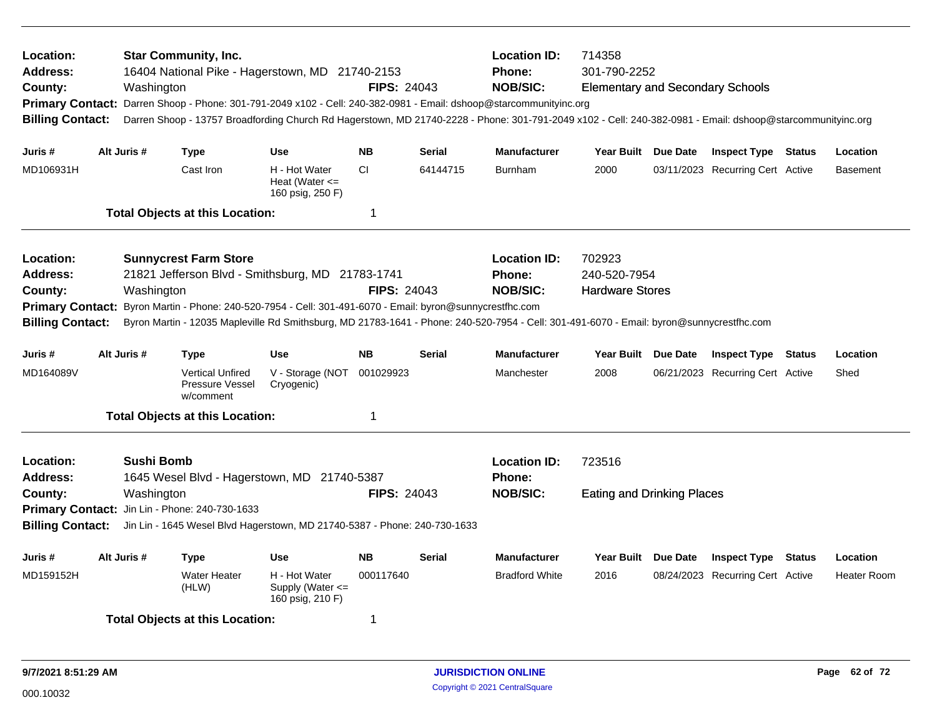| <b>Location:</b><br><b>Address:</b><br>County:<br><b>Billing Contact:</b>                            |             | Washington                      | <b>Star Community, Inc.</b>                                    | 16404 National Pike - Hagerstown, MD 21740-2153                                                                                              | <b>FIPS: 24043</b>                                                                                                                                                                                  |                                                  | <b>Location ID:</b><br>714358<br><b>Phone:</b><br>301-790-2252<br><b>NOB/SIC:</b><br><b>Elementary and Secondary Schools</b><br>Primary Contact: Darren Shoop - Phone: 301-791-2049 x102 - Cell: 240-382-0981 - Email: dshoop@starcommunityinc.org<br>Darren Shoop - 13757 Broadfording Church Rd Hagerstown, MD 21740-2228 - Phone: 301-791-2049 x102 - Cell: 240-382-0981 - Email: dshoop@starcommunityinc.org |                                             |                 |                                                         |               |                                |
|------------------------------------------------------------------------------------------------------|-------------|---------------------------------|----------------------------------------------------------------|----------------------------------------------------------------------------------------------------------------------------------------------|-----------------------------------------------------------------------------------------------------------------------------------------------------------------------------------------------------|--------------------------------------------------|------------------------------------------------------------------------------------------------------------------------------------------------------------------------------------------------------------------------------------------------------------------------------------------------------------------------------------------------------------------------------------------------------------------|---------------------------------------------|-----------------|---------------------------------------------------------|---------------|--------------------------------|
| Juris #                                                                                              | Alt Juris # |                                 | <b>Type</b>                                                    | <b>Use</b>                                                                                                                                   | <b>NB</b>                                                                                                                                                                                           | <b>Serial</b>                                    | Manufacturer                                                                                                                                                                                                                                                                                                                                                                                                     | Year Built Due Date                         |                 | <b>Inspect Type Status</b>                              |               | Location                       |
| MD106931H                                                                                            |             |                                 | Cast Iron                                                      | H - Hot Water<br>Heat (Water $\leq$<br>160 psig, 250 F)                                                                                      | <b>CI</b>                                                                                                                                                                                           | 64144715                                         | <b>Burnham</b>                                                                                                                                                                                                                                                                                                                                                                                                   | 2000                                        |                 | 03/11/2023 Recurring Cert Active                        |               | <b>Basement</b>                |
|                                                                                                      |             |                                 | <b>Total Objects at this Location:</b>                         |                                                                                                                                              | $\mathbf 1$                                                                                                                                                                                         |                                                  |                                                                                                                                                                                                                                                                                                                                                                                                                  |                                             |                 |                                                         |               |                                |
| <b>Location:</b><br><b>Address:</b><br>County:<br><b>Primary Contact:</b><br><b>Billing Contact:</b> |             | Washington                      | <b>Sunnycrest Farm Store</b>                                   | 21821 Jefferson Blvd - Smithsburg, MD 21783-1741<br>Byron Martin - Phone: 240-520-7954 - Cell: 301-491-6070 - Email: byron@sunnycrestfhc.com | <b>Location ID:</b><br><b>Phone:</b><br><b>NOB/SIC:</b><br>Byron Martin - 12035 Mapleville Rd Smithsburg, MD 21783-1641 - Phone: 240-520-7954 - Cell: 301-491-6070 - Email: byron@sunnycrestfhc.com | 702923<br>240-520-7954<br><b>Hardware Stores</b> |                                                                                                                                                                                                                                                                                                                                                                                                                  |                                             |                 |                                                         |               |                                |
| Juris #                                                                                              | Alt Juris # |                                 | <b>Type</b>                                                    | <b>Use</b>                                                                                                                                   | <b>NB</b>                                                                                                                                                                                           | <b>Serial</b>                                    | <b>Manufacturer</b>                                                                                                                                                                                                                                                                                                                                                                                              | Year Built Due Date                         |                 | <b>Inspect Type Status</b>                              |               | Location                       |
| MD164089V                                                                                            |             |                                 | <b>Vertical Unfired</b><br><b>Pressure Vessel</b><br>w/comment | V - Storage (NOT<br>Cryogenic)                                                                                                               | 001029923                                                                                                                                                                                           |                                                  | Manchester                                                                                                                                                                                                                                                                                                                                                                                                       | 2008                                        |                 | 06/21/2023 Recurring Cert Active                        |               | Shed                           |
|                                                                                                      |             |                                 | <b>Total Objects at this Location:</b>                         |                                                                                                                                              | $\mathbf 1$                                                                                                                                                                                         |                                                  |                                                                                                                                                                                                                                                                                                                                                                                                                  |                                             |                 |                                                         |               |                                |
| <b>Location:</b><br><b>Address:</b><br>County:<br><b>Billing Contact:</b>                            |             | <b>Sushi Bomb</b><br>Washington | Primary Contact: Jin Lin - Phone: 240-730-1633                 | 1645 Wesel Blvd - Hagerstown, MD 21740-5387<br>Jin Lin - 1645 Wesel Blvd Hagerstown, MD 21740-5387 - Phone: 240-730-1633                     | <b>FIPS: 24043</b>                                                                                                                                                                                  |                                                  | <b>Location ID:</b><br><b>Phone:</b><br><b>NOB/SIC:</b>                                                                                                                                                                                                                                                                                                                                                          | 723516<br><b>Eating and Drinking Places</b> |                 |                                                         |               |                                |
|                                                                                                      |             |                                 |                                                                |                                                                                                                                              |                                                                                                                                                                                                     |                                                  |                                                                                                                                                                                                                                                                                                                                                                                                                  |                                             |                 |                                                         |               |                                |
| Juris #<br>MD159152H                                                                                 | Alt Juris # |                                 | <b>Type</b><br><b>Water Heater</b><br>(HLW)                    | Use<br>H - Hot Water<br>Supply (Water $\leq$<br>160 psig, 210 F)                                                                             | <b>NB</b><br>000117640                                                                                                                                                                              | <b>Serial</b>                                    | <b>Manufacturer</b><br><b>Bradford White</b>                                                                                                                                                                                                                                                                                                                                                                     | <b>Year Built</b><br>2016                   | <b>Due Date</b> | <b>Inspect Type</b><br>08/24/2023 Recurring Cert Active | <b>Status</b> | Location<br><b>Heater Room</b> |
|                                                                                                      |             |                                 | <b>Total Objects at this Location:</b>                         |                                                                                                                                              | 1                                                                                                                                                                                                   |                                                  |                                                                                                                                                                                                                                                                                                                                                                                                                  |                                             |                 |                                                         |               |                                |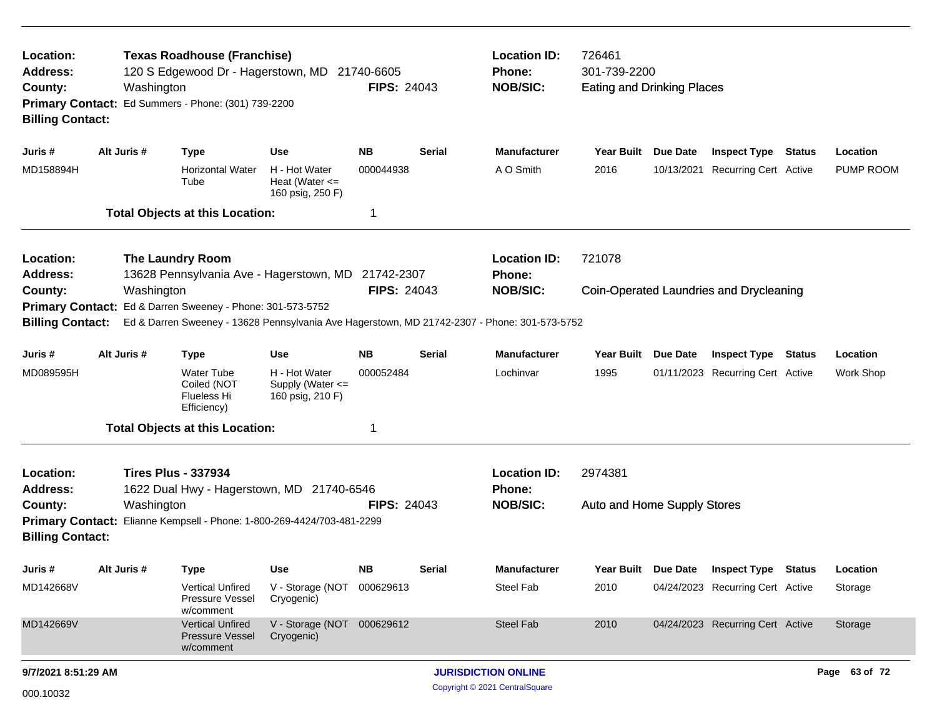| Location:<br><b>Address:</b><br>County:<br><b>Billing Contact:</b>                                                      | Washington  | <b>Texas Roadhouse (Franchise)</b><br>120 S Edgewood Dr - Hagerstown, MD 21740-6605<br>Primary Contact: Ed Summers - Phone: (301) 739-2200 | <b>FIPS: 24043</b>                                      | <b>Location ID:</b><br>Phone:<br><b>NOB/SIC:</b> | 726461<br>301-739-2200<br><b>Eating and Drinking Places</b> |                                                         |                                        |          |                                         |               |           |
|-------------------------------------------------------------------------------------------------------------------------|-------------|--------------------------------------------------------------------------------------------------------------------------------------------|---------------------------------------------------------|--------------------------------------------------|-------------------------------------------------------------|---------------------------------------------------------|----------------------------------------|----------|-----------------------------------------|---------------|-----------|
| Juris #                                                                                                                 | Alt Juris # | <b>Type</b>                                                                                                                                | <b>Use</b>                                              | NΒ                                               | <b>Serial</b>                                               | <b>Manufacturer</b>                                     | <b>Year Built</b>                      | Due Date | <b>Inspect Type</b>                     | <b>Status</b> | Location  |
| MD158894H                                                                                                               |             | <b>Horizontal Water</b><br>Tube                                                                                                            | H - Hot Water<br>Heat (Water $\leq$<br>160 psig, 250 F) | 000044938                                        |                                                             | A O Smith                                               | 2016                                   |          | 10/13/2021 Recurring Cert Active        |               | PUMP ROOM |
|                                                                                                                         |             | <b>Total Objects at this Location:</b>                                                                                                     |                                                         | 1                                                |                                                             |                                                         |                                        |          |                                         |               |           |
| Location:<br><b>Address:</b>                                                                                            |             | <b>The Laundry Room</b><br>13628 Pennsylvania Ave - Hagerstown, MD                                                                         |                                                         | 21742-2307                                       |                                                             | <b>Location ID:</b><br>Phone:                           | 721078                                 |          |                                         |               |           |
| County:                                                                                                                 | Washington  |                                                                                                                                            |                                                         | <b>FIPS: 24043</b>                               |                                                             | <b>NOB/SIC:</b>                                         |                                        |          | Coin-Operated Laundries and Drycleaning |               |           |
| <b>Primary Contact:</b>                                                                                                 |             | Ed & Darren Sweeney - Phone: 301-573-5752                                                                                                  |                                                         |                                                  |                                                             |                                                         |                                        |          |                                         |               |           |
| <b>Billing Contact:</b><br>Ed & Darren Sweeney - 13628 Pennsylvania Ave Hagerstown, MD 21742-2307 - Phone: 301-573-5752 |             |                                                                                                                                            |                                                         |                                                  |                                                             |                                                         |                                        |          |                                         |               |           |
| Juris #                                                                                                                 | Alt Juris # | <b>Type</b>                                                                                                                                | <b>Use</b>                                              | <b>NB</b>                                        | <b>Serial</b>                                               | <b>Manufacturer</b>                                     | <b>Year Built</b>                      | Due Date | <b>Inspect Type</b>                     | <b>Status</b> | Location  |
| MD089595H                                                                                                               |             | <b>Water Tube</b><br>Coiled (NOT<br>Flueless Hi<br>Efficiency)                                                                             | H - Hot Water<br>Supply (Water <=<br>160 psig, 210 F)   | 000052484                                        |                                                             | Lochinvar                                               | 1995                                   |          | 01/11/2023 Recurring Cert Active        |               | Work Shop |
|                                                                                                                         |             | <b>Total Objects at this Location:</b>                                                                                                     |                                                         | 1                                                |                                                             |                                                         |                                        |          |                                         |               |           |
| Location:<br><b>Address:</b><br>County:                                                                                 | Washington  | <b>Tires Plus - 337934</b><br>1622 Dual Hwy - Hagerstown, MD 21740-6546                                                                    |                                                         | <b>FIPS: 24043</b>                               |                                                             | <b>Location ID:</b><br><b>Phone:</b><br><b>NOB/SIC:</b> | 2974381<br>Auto and Home Supply Stores |          |                                         |               |           |
|                                                                                                                         |             |                                                                                                                                            |                                                         |                                                  |                                                             |                                                         |                                        |          |                                         |               |           |
| Primary Contact: Elianne Kempsell - Phone: 1-800-269-4424/703-481-2299<br><b>Billing Contact:</b>                       |             |                                                                                                                                            |                                                         |                                                  |                                                             |                                                         |                                        |          |                                         |               |           |
| Juris #                                                                                                                 | Alt Juris # | Type                                                                                                                                       | <b>Use</b>                                              | NΒ                                               | <b>Serial</b>                                               | <b>Manufacturer</b>                                     | Year Built                             | Due Date | <b>Inspect Type</b>                     | Status        | Location  |
| MD142668V                                                                                                               |             | <b>Vertical Unfired</b><br>Pressure Vessel<br>w/comment                                                                                    | V - Storage (NOT 000629613<br>Cryogenic)                |                                                  |                                                             | Steel Fab                                               | 2010                                   |          | 04/24/2023 Recurring Cert Active        |               | Storage   |
| MD142669V                                                                                                               |             | <b>Vertical Unfired</b><br><b>Pressure Vessel</b><br>w/comment                                                                             | V - Storage (NOT 000629612<br>Cryogenic)                |                                                  |                                                             | Steel Fab                                               | 2010                                   |          | 04/24/2023 Recurring Cert Active        |               | Storage   |
| 9/7/2021 8:51:29 AM                                                                                                     |             |                                                                                                                                            |                                                         |                                                  |                                                             | <b>JURISDICTION ONLINE</b>                              |                                        |          |                                         | Page 63 of 72 |           |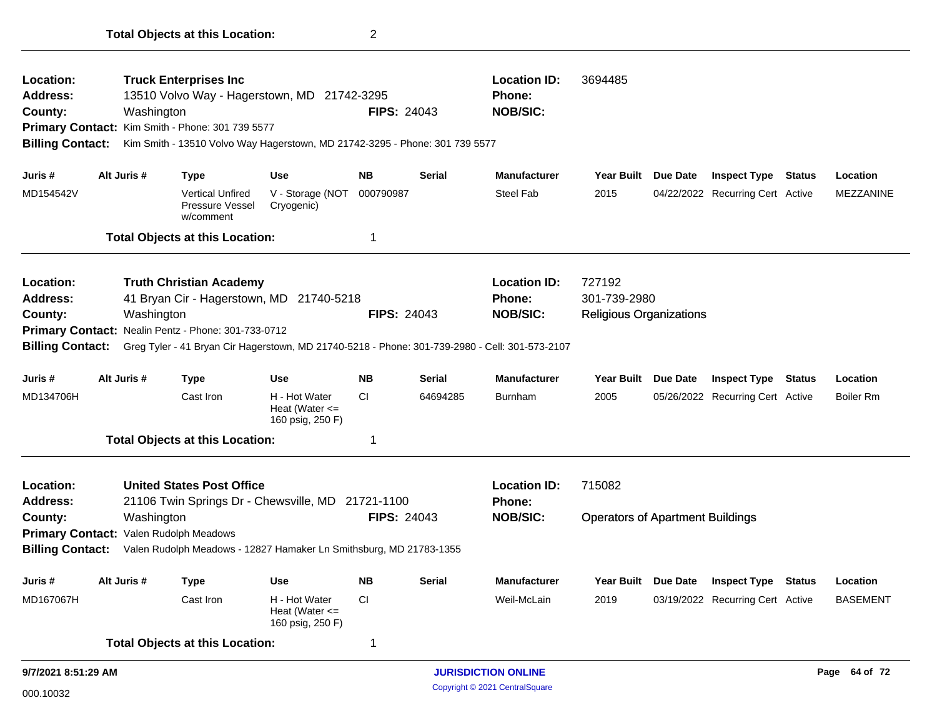| Location:<br><b>Address:</b><br>County:<br><b>Billing Contact:</b>                            |             | <b>Truck Enterprises Inc</b><br>13510 Volvo Way - Hagerstown, MD 21742-3295<br>Washington<br>Primary Contact: Kim Smith - Phone: 301 739 5577 |                                                         | <b>Location ID:</b><br><b>Phone:</b><br><b>NOB/SIC:</b><br><b>FIPS: 24043</b><br>Kim Smith - 13510 Volvo Way Hagerstown, MD 21742-3295 - Phone: 301 739 5577 |               |                            | 3694485                                 |                 |                                  |                  |
|-----------------------------------------------------------------------------------------------|-------------|-----------------------------------------------------------------------------------------------------------------------------------------------|---------------------------------------------------------|--------------------------------------------------------------------------------------------------------------------------------------------------------------|---------------|----------------------------|-----------------------------------------|-----------------|----------------------------------|------------------|
|                                                                                               |             |                                                                                                                                               |                                                         |                                                                                                                                                              |               |                            |                                         |                 |                                  |                  |
| Juris #                                                                                       | Alt Juris # | Type                                                                                                                                          | <b>Use</b>                                              | <b>NB</b>                                                                                                                                                    | <b>Serial</b> | <b>Manufacturer</b>        | Year Built Due Date                     |                 | <b>Inspect Type Status</b>       | Location         |
| MD154542V                                                                                     |             | <b>Vertical Unfired</b><br>Pressure Vessel<br>w/comment                                                                                       | V - Storage (NOT<br>Cryogenic)                          | 000790987                                                                                                                                                    |               | <b>Steel Fab</b>           | 2015                                    |                 | 04/22/2022 Recurring Cert Active | <b>MEZZANINE</b> |
|                                                                                               |             | <b>Total Objects at this Location:</b>                                                                                                        |                                                         | 1                                                                                                                                                            |               |                            |                                         |                 |                                  |                  |
| Location:                                                                                     |             | <b>Truth Christian Academy</b>                                                                                                                |                                                         |                                                                                                                                                              |               | <b>Location ID:</b>        | 727192                                  |                 |                                  |                  |
| <b>Address:</b>                                                                               |             | 41 Bryan Cir - Hagerstown, MD 21740-5218                                                                                                      |                                                         |                                                                                                                                                              |               | <b>Phone:</b>              | 301-739-2980                            |                 |                                  |                  |
| County:                                                                                       |             | Washington                                                                                                                                    |                                                         | <b>FIPS: 24043</b>                                                                                                                                           |               | <b>NOB/SIC:</b>            | <b>Religious Organizations</b>          |                 |                                  |                  |
|                                                                                               |             | Primary Contact: Nealin Pentz - Phone: 301-733-0712                                                                                           |                                                         |                                                                                                                                                              |               |                            |                                         |                 |                                  |                  |
| <b>Billing Contact:</b>                                                                       |             | Greg Tyler - 41 Bryan Cir Hagerstown, MD 21740-5218 - Phone: 301-739-2980 - Cell: 301-573-2107                                                |                                                         |                                                                                                                                                              |               |                            |                                         |                 |                                  |                  |
| Juris #                                                                                       | Alt Juris # | <b>Type</b>                                                                                                                                   | <b>Use</b>                                              | <b>NB</b>                                                                                                                                                    | Serial        | <b>Manufacturer</b>        | Year Built                              | <b>Due Date</b> | <b>Inspect Type Status</b>       | Location         |
| MD134706H                                                                                     |             | Cast Iron                                                                                                                                     | H - Hot Water<br>Heat (Water $\leq$<br>160 psig, 250 F) | <b>CI</b>                                                                                                                                                    | 64694285      | <b>Burnham</b>             | 2005                                    |                 | 05/26/2022 Recurring Cert Active | <b>Boiler Rm</b> |
|                                                                                               |             | <b>Total Objects at this Location:</b>                                                                                                        |                                                         | 1                                                                                                                                                            |               |                            |                                         |                 |                                  |                  |
| Location:                                                                                     |             | <b>United States Post Office</b>                                                                                                              |                                                         |                                                                                                                                                              |               | <b>Location ID:</b>        | 715082                                  |                 |                                  |                  |
| <b>Address:</b>                                                                               |             | 21106 Twin Springs Dr - Chewsville, MD 21721-1100                                                                                             |                                                         |                                                                                                                                                              |               | Phone:                     |                                         |                 |                                  |                  |
| County:                                                                                       |             | Washington                                                                                                                                    |                                                         | <b>FIPS: 24043</b>                                                                                                                                           |               | <b>NOB/SIC:</b>            | <b>Operators of Apartment Buildings</b> |                 |                                  |                  |
|                                                                                               |             | Primary Contact: Valen Rudolph Meadows                                                                                                        |                                                         |                                                                                                                                                              |               |                            |                                         |                 |                                  |                  |
| <b>Billing Contact:</b><br>Valen Rudolph Meadows - 12827 Hamaker Ln Smithsburg, MD 21783-1355 |             |                                                                                                                                               |                                                         |                                                                                                                                                              |               |                            |                                         |                 |                                  |                  |
| Juris #                                                                                       | Alt Juris # | Type                                                                                                                                          | <b>Use</b>                                              | <b>NB</b>                                                                                                                                                    | <b>Serial</b> | <b>Manufacturer</b>        | <b>Year Built</b>                       | <b>Due Date</b> | <b>Inspect Type Status</b>       | Location         |
| MD167067H                                                                                     |             | Cast Iron                                                                                                                                     | H - Hot Water<br>Heat (Water $\leq$<br>160 psig, 250 F) | <b>CI</b>                                                                                                                                                    |               | Weil-McLain                | 2019                                    |                 | 03/19/2022 Recurring Cert Active | <b>BASEMENT</b>  |
|                                                                                               |             | <b>Total Objects at this Location:</b>                                                                                                        |                                                         | 1                                                                                                                                                            |               |                            |                                         |                 |                                  |                  |
| 9/7/2021 8:51:29 AM                                                                           |             |                                                                                                                                               |                                                         |                                                                                                                                                              |               | <b>JURISDICTION ONLINE</b> |                                         |                 |                                  | Page 64 of 72    |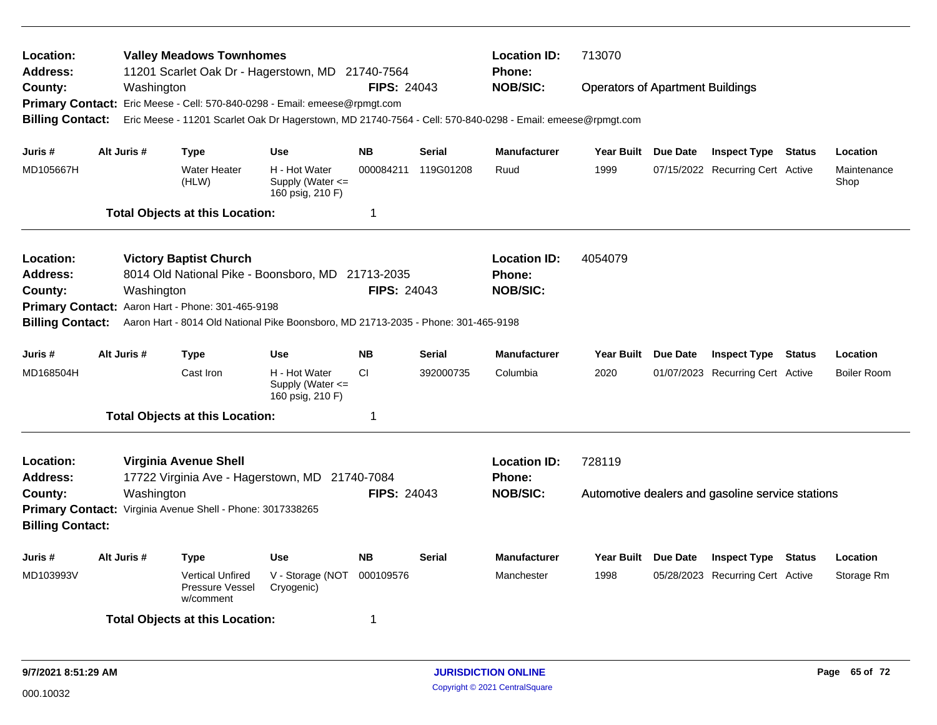| Location:<br>Address:<br>County:<br><b>Billing Contact:</b>                                                                                                                                                                                                                                                                                       |  | Washington  | <b>Valley Meadows Townhomes</b><br>11201 Scarlet Oak Dr - Hagerstown, MD 21740-7564<br>Primary Contact: Eric Meese - Cell: 570-840-0298 - Email: emeese@rpmgt.com |                                                           | <b>FIPS: 24043</b>                                      |               | <b>Location ID:</b><br><b>Phone:</b><br><b>NOB/SIC:</b> | 713070<br><b>Operators of Apartment Buildings</b><br>Eric Meese - 11201 Scarlet Oak Dr Hagerstown, MD 21740-7564 - Cell: 570-840-0298 - Email: emeese@rpmgt.com |  |                                  |               |                     |
|---------------------------------------------------------------------------------------------------------------------------------------------------------------------------------------------------------------------------------------------------------------------------------------------------------------------------------------------------|--|-------------|-------------------------------------------------------------------------------------------------------------------------------------------------------------------|-----------------------------------------------------------|---------------------------------------------------------|---------------|---------------------------------------------------------|-----------------------------------------------------------------------------------------------------------------------------------------------------------------|--|----------------------------------|---------------|---------------------|
| Juris #                                                                                                                                                                                                                                                                                                                                           |  | Alt Juris # | <b>Type</b>                                                                                                                                                       | <b>Use</b>                                                | <b>NB</b>                                               | <b>Serial</b> | <b>Manufacturer</b>                                     | Year Built Due Date                                                                                                                                             |  | <b>Inspect Type Status</b>       |               | Location            |
| MD105667H                                                                                                                                                                                                                                                                                                                                         |  |             | <b>Water Heater</b><br>(HLW)                                                                                                                                      | H - Hot Water<br>Supply (Water $\leq$<br>160 psig, 210 F) | 000084211                                               | 119G01208     | Ruud                                                    | 1999                                                                                                                                                            |  | 07/15/2022 Recurring Cert Active |               | Maintenance<br>Shop |
|                                                                                                                                                                                                                                                                                                                                                   |  |             | <b>Total Objects at this Location:</b>                                                                                                                            |                                                           | $\mathbf 1$                                             |               |                                                         |                                                                                                                                                                 |  |                                  |               |                     |
| <b>Location:</b><br><b>Victory Baptist Church</b><br>8014 Old National Pike - Boonsboro, MD 21713-2035<br>Address:<br><b>FIPS: 24043</b><br>County:<br>Washington<br><b>Primary Contact:</b><br>Aaron Hart - Phone: 301-465-9198<br>Aaron Hart - 8014 Old National Pike Boonsboro, MD 21713-2035 - Phone: 301-465-9198<br><b>Billing Contact:</b> |  |             |                                                                                                                                                                   |                                                           |                                                         |               | <b>Location ID:</b><br>Phone:<br><b>NOB/SIC:</b>        | 4054079                                                                                                                                                         |  |                                  |               |                     |
| Juris #                                                                                                                                                                                                                                                                                                                                           |  | Alt Juris # | Type                                                                                                                                                              | Use                                                       | <b>NB</b>                                               | <b>Serial</b> | Manufacturer                                            | Year Built Due Date                                                                                                                                             |  | <b>Inspect Type Status</b>       |               | Location            |
| MD168504H                                                                                                                                                                                                                                                                                                                                         |  |             | Cast Iron                                                                                                                                                         | H - Hot Water<br>Supply (Water $\leq$<br>160 psig, 210 F) | CI                                                      | 392000735     | Columbia                                                | 2020                                                                                                                                                            |  | 01/07/2023 Recurring Cert Active |               | <b>Boiler Room</b>  |
|                                                                                                                                                                                                                                                                                                                                                   |  |             | <b>Total Objects at this Location:</b>                                                                                                                            |                                                           | $\overline{1}$                                          |               |                                                         |                                                                                                                                                                 |  |                                  |               |                     |
| Location:<br>Virginia Avenue Shell<br>Address:<br>17722 Virginia Ave - Hagerstown, MD 21740-7084<br><b>FIPS: 24043</b><br>Washington<br>County:<br>Primary Contact: Virginia Avenue Shell - Phone: 3017338265<br><b>Billing Contact:</b>                                                                                                          |  |             |                                                                                                                                                                   |                                                           | <b>Location ID:</b><br><b>Phone:</b><br><b>NOB/SIC:</b> | 728119        |                                                         | Automotive dealers and gasoline service stations                                                                                                                |  |                                  |               |                     |
| Juris #                                                                                                                                                                                                                                                                                                                                           |  | Alt Juris # | <b>Type</b>                                                                                                                                                       | <b>Use</b>                                                | <b>NB</b>                                               | <b>Serial</b> | <b>Manufacturer</b>                                     | Year Built Due Date                                                                                                                                             |  | <b>Inspect Type</b>              | <b>Status</b> | Location            |
| MD103993V                                                                                                                                                                                                                                                                                                                                         |  |             | <b>Vertical Unfired</b><br>Pressure Vessel<br>w/comment                                                                                                           | V - Storage (NOT<br>Cryogenic)                            | 000109576                                               |               | Manchester                                              | 1998                                                                                                                                                            |  | 05/28/2023 Recurring Cert Active |               | Storage Rm          |
|                                                                                                                                                                                                                                                                                                                                                   |  |             | <b>Total Objects at this Location:</b>                                                                                                                            |                                                           |                                                         |               |                                                         |                                                                                                                                                                 |  |                                  |               |                     |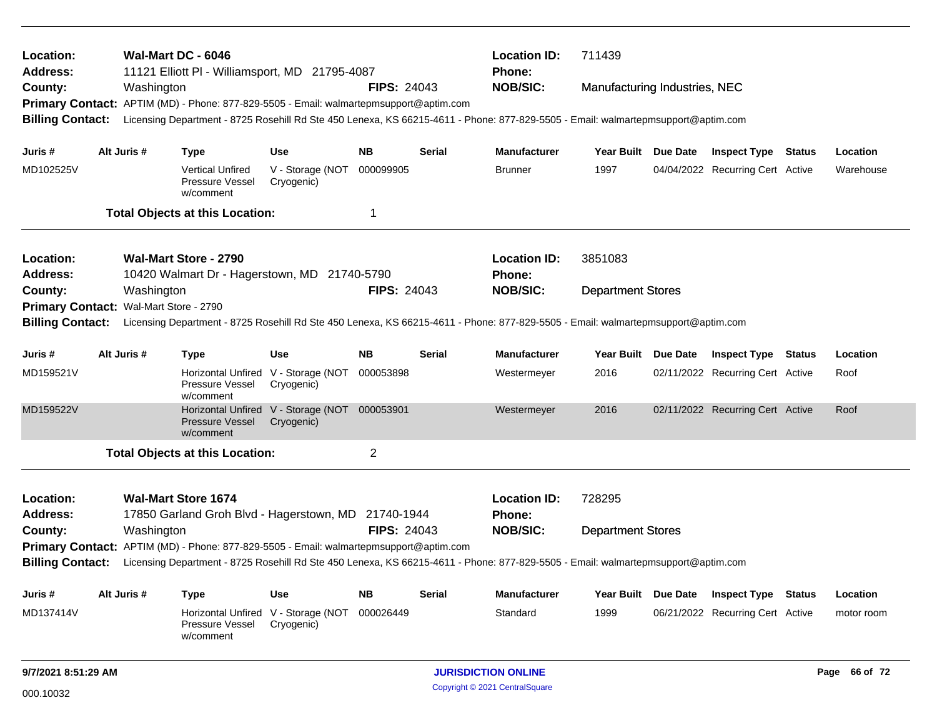| Location:<br>Address:                                                                                                                                       |             |            | Wal-Mart DC - 6046<br>11121 Elliott PI - Williamsport, MD 21795-4087                                                             |                                                   |                    |               | <b>Location ID:</b><br><b>Phone:</b> | 711439                        |          |                                         |        |               |
|-------------------------------------------------------------------------------------------------------------------------------------------------------------|-------------|------------|----------------------------------------------------------------------------------------------------------------------------------|---------------------------------------------------|--------------------|---------------|--------------------------------------|-------------------------------|----------|-----------------------------------------|--------|---------------|
| County:                                                                                                                                                     |             | Washington | Primary Contact: APTIM (MD) - Phone: 877-829-5505 - Email: walmartepmsupport@aptim.com                                           |                                                   | <b>FIPS: 24043</b> |               | <b>NOB/SIC:</b>                      | Manufacturing Industries, NEC |          |                                         |        |               |
| <b>Billing Contact:</b>                                                                                                                                     |             |            | Licensing Department - 8725 Rosehill Rd Ste 450 Lenexa, KS 66215-4611 - Phone: 877-829-5505 - Email: walmartepmsupport@aptim.com |                                                   |                    |               |                                      |                               |          |                                         |        |               |
| Juris #                                                                                                                                                     | Alt Juris # |            | <b>Type</b>                                                                                                                      | <b>Use</b>                                        | NB.                | Serial        | <b>Manufacturer</b>                  |                               |          | Year Built Due Date Inspect Type Status |        | Location      |
| MD102525V                                                                                                                                                   |             |            | <b>Vertical Unfired</b><br><b>Pressure Vessel</b><br>w/comment                                                                   | V - Storage (NOT<br>Cryogenic)                    | 000099905          |               | <b>Brunner</b>                       | 1997                          |          | 04/04/2022 Recurring Cert Active        |        | Warehouse     |
|                                                                                                                                                             |             |            | <b>Total Objects at this Location:</b>                                                                                           |                                                   | 1                  |               |                                      |                               |          |                                         |        |               |
| Location:                                                                                                                                                   |             |            | <b>Wal-Mart Store - 2790</b>                                                                                                     |                                                   |                    |               | <b>Location ID:</b>                  | 3851083                       |          |                                         |        |               |
| <b>Address:</b>                                                                                                                                             |             |            | 10420 Walmart Dr - Hagerstown, MD 21740-5790                                                                                     |                                                   |                    |               | <b>Phone:</b>                        |                               |          |                                         |        |               |
| County:                                                                                                                                                     |             | Washington |                                                                                                                                  |                                                   | <b>FIPS: 24043</b> |               | <b>NOB/SIC:</b>                      | <b>Department Stores</b>      |          |                                         |        |               |
| Wal-Mart Store - 2790<br><b>Primary Contact:</b><br><b>Billing Contact:</b>                                                                                 |             |            |                                                                                                                                  |                                                   |                    |               |                                      |                               |          |                                         |        |               |
| Licensing Department - 8725 Rosehill Rd Ste 450 Lenexa, KS 66215-4611 - Phone: 877-829-5505 - Email: walmartepmsupport@aptim.com                            |             |            |                                                                                                                                  |                                                   |                    |               |                                      |                               |          |                                         |        |               |
| Juris #                                                                                                                                                     | Alt Juris # |            | <b>Type</b>                                                                                                                      | <b>Use</b>                                        | <b>NB</b>          | <b>Serial</b> | <b>Manufacturer</b>                  | <b>Year Built</b>             | Due Date | <b>Inspect Type Status</b>              |        | Location      |
| MD159521V                                                                                                                                                   |             |            | Pressure Vessel<br>w/comment                                                                                                     | Horizontal Unfired V - Storage (NOT<br>Cryogenic) | 000053898          |               | Westermeyer                          | 2016                          |          | 02/11/2022 Recurring Cert Active        |        | Roof          |
| MD159522V                                                                                                                                                   |             |            | Pressure Vessel<br>w/comment                                                                                                     | Horizontal Unfired V - Storage (NOT<br>Cryogenic) | 000053901          |               | Westermeyer                          | 2016                          |          | 02/11/2022 Recurring Cert Active        |        | Roof          |
|                                                                                                                                                             |             |            | <b>Total Objects at this Location:</b>                                                                                           |                                                   | $\overline{2}$     |               |                                      |                               |          |                                         |        |               |
| Location:                                                                                                                                                   |             |            | <b>Wal-Mart Store 1674</b>                                                                                                       |                                                   |                    |               | <b>Location ID:</b>                  | 728295                        |          |                                         |        |               |
| <b>Address:</b>                                                                                                                                             |             |            | 17850 Garland Groh Blvd - Hagerstown, MD 21740-1944                                                                              |                                                   |                    |               | Phone:                               |                               |          |                                         |        |               |
| County:                                                                                                                                                     |             | Washington |                                                                                                                                  |                                                   | <b>FIPS: 24043</b> |               | <b>NOB/SIC:</b>                      | <b>Department Stores</b>      |          |                                         |        |               |
|                                                                                                                                                             |             |            | Primary Contact: APTIM (MD) - Phone: 877-829-5505 - Email: walmartepmsupport@aptim.com                                           |                                                   |                    |               |                                      |                               |          |                                         |        |               |
| <b>Billing Contact:</b><br>Licensing Department - 8725 Rosehill Rd Ste 450 Lenexa, KS 66215-4611 - Phone: 877-829-5505 - Email: walmartepmsupport@aptim.com |             |            |                                                                                                                                  |                                                   |                    |               |                                      |                               |          |                                         |        |               |
| Juris #                                                                                                                                                     | Alt Juris # |            | <b>Type</b>                                                                                                                      | Use                                               | <b>NB</b>          | Serial        | <b>Manufacturer</b>                  | <b>Year Built</b>             | Due Date | <b>Inspect Type</b>                     | Status | Location      |
| MD137414V                                                                                                                                                   |             |            | <b>Horizontal Unfired</b><br>Pressure Vessel<br>w/comment                                                                        | V - Storage (NOT<br>Cryogenic)                    | 000026449          |               | Standard                             | 1999                          |          | 06/21/2022 Recurring Cert Active        |        | motor room    |
| 9/7/2021 8:51:29 AM                                                                                                                                         |             |            |                                                                                                                                  |                                                   |                    |               | <b>JURISDICTION ONLINE</b>           |                               |          |                                         |        | Page 66 of 72 |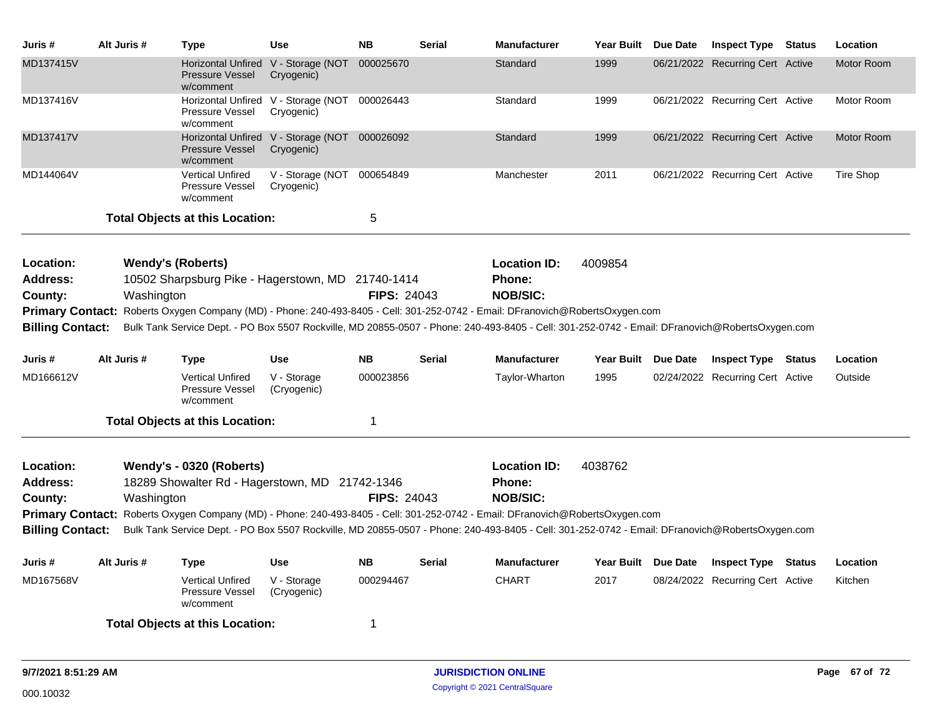| Juris #                                                                                                                                                                    | Alt Juris # | <b>Type</b>                                             | <b>Use</b>                                                  | <b>NB</b>          | <b>Serial</b> | <b>Manufacturer</b>                                                                                                                             | Year Built Due Date | <b>Inspect Type Status</b>       | Location          |
|----------------------------------------------------------------------------------------------------------------------------------------------------------------------------|-------------|---------------------------------------------------------|-------------------------------------------------------------|--------------------|---------------|-------------------------------------------------------------------------------------------------------------------------------------------------|---------------------|----------------------------------|-------------------|
| MD137415V                                                                                                                                                                  |             | <b>Pressure Vessel</b><br>w/comment                     | Horizontal Unfired V - Storage (NOT<br>Cryogenic)           | 000025670          |               | Standard                                                                                                                                        | 1999                | 06/21/2022 Recurring Cert Active | Motor Room        |
| MD137416V                                                                                                                                                                  |             | Pressure Vessel<br>w/comment                            | Horizontal Unfired V - Storage (NOT 000026443<br>Cryogenic) |                    |               | Standard                                                                                                                                        | 1999                | 06/21/2022 Recurring Cert Active | Motor Room        |
| MD137417V                                                                                                                                                                  |             | <b>Pressure Vessel</b><br>w/comment                     | Horizontal Unfired V - Storage (NOT<br>Cryogenic)           | 000026092          |               | Standard                                                                                                                                        | 1999                | 06/21/2022 Recurring Cert Active | <b>Motor Room</b> |
| MD144064V                                                                                                                                                                  |             | <b>Vertical Unfired</b><br>Pressure Vessel<br>w/comment | V - Storage (NOT<br>Cryogenic)                              | 000654849          |               | Manchester                                                                                                                                      | 2011                | 06/21/2022 Recurring Cert Active | Tire Shop         |
|                                                                                                                                                                            |             | <b>Total Objects at this Location:</b>                  |                                                             | 5                  |               |                                                                                                                                                 |                     |                                  |                   |
| Location:                                                                                                                                                                  |             | <b>Wendy's (Roberts)</b>                                |                                                             |                    |               | <b>Location ID:</b>                                                                                                                             | 4009854             |                                  |                   |
| Address:                                                                                                                                                                   |             | 10502 Sharpsburg Pike - Hagerstown, MD 21740-1414       |                                                             |                    |               | Phone:                                                                                                                                          |                     |                                  |                   |
| County:                                                                                                                                                                    | Washington  |                                                         |                                                             | <b>FIPS: 24043</b> |               | <b>NOB/SIC:</b>                                                                                                                                 |                     |                                  |                   |
|                                                                                                                                                                            |             |                                                         |                                                             |                    |               | Primary Contact: Roberts Oxygen Company (MD) - Phone: 240-493-8405 - Cell: 301-252-0742 - Email: DFranovich@RobertsOxygen.com                   |                     |                                  |                   |
| <b>Billing Contact:</b>                                                                                                                                                    |             |                                                         |                                                             |                    |               | Bulk Tank Service Dept. - PO Box 5507 Rockville, MD 20855-0507 - Phone: 240-493-8405 - Cell: 301-252-0742 - Email: DFranovich@RobertsOxygen.com |                     |                                  |                   |
| Juris #                                                                                                                                                                    | Alt Juris # | <b>Type</b>                                             | <b>Use</b>                                                  | <b>NB</b>          | <b>Serial</b> | <b>Manufacturer</b>                                                                                                                             | Year Built Due Date | <b>Inspect Type Status</b>       | Location          |
| MD166612V                                                                                                                                                                  |             | <b>Vertical Unfired</b><br>Pressure Vessel<br>w/comment | V - Storage<br>(Cryogenic)                                  | 000023856          |               | Taylor-Wharton                                                                                                                                  | 1995                | 02/24/2022 Recurring Cert Active | Outside           |
|                                                                                                                                                                            |             | <b>Total Objects at this Location:</b>                  |                                                             | $\mathbf 1$        |               |                                                                                                                                                 |                     |                                  |                   |
| Location:                                                                                                                                                                  |             | Wendy's - 0320 (Roberts)                                |                                                             |                    |               | <b>Location ID:</b>                                                                                                                             | 4038762             |                                  |                   |
| <b>Address:</b>                                                                                                                                                            |             | 18289 Showalter Rd - Hagerstown, MD 21742-1346          |                                                             |                    |               | <b>Phone:</b>                                                                                                                                   |                     |                                  |                   |
| County:                                                                                                                                                                    | Washington  |                                                         |                                                             | <b>FIPS: 24043</b> |               | <b>NOB/SIC:</b>                                                                                                                                 |                     |                                  |                   |
|                                                                                                                                                                            |             |                                                         |                                                             |                    |               | Primary Contact: Roberts Oxygen Company (MD) - Phone: 240-493-8405 - Cell: 301-252-0742 - Email: DFranovich@RobertsOxygen.com                   |                     |                                  |                   |
| Bulk Tank Service Dept. - PO Box 5507 Rockville, MD 20855-0507 - Phone: 240-493-8405 - Cell: 301-252-0742 - Email: DFranovich@RobertsOxygen.com<br><b>Billing Contact:</b> |             |                                                         |                                                             |                    |               |                                                                                                                                                 |                     |                                  |                   |
| Juris #                                                                                                                                                                    | Alt Juris # | Type                                                    | <b>Use</b>                                                  | <b>NB</b>          | <b>Serial</b> | <b>Manufacturer</b>                                                                                                                             | Year Built Due Date | <b>Inspect Type Status</b>       | Location          |
| MD167568V                                                                                                                                                                  |             | <b>Vertical Unfired</b><br>Pressure Vessel<br>w/comment | V - Storage<br>(Cryogenic)                                  | 000294467          |               | <b>CHART</b>                                                                                                                                    | 2017                | 08/24/2022 Recurring Cert Active | Kitchen           |
|                                                                                                                                                                            |             | <b>Total Objects at this Location:</b>                  |                                                             | -1                 |               |                                                                                                                                                 |                     |                                  |                   |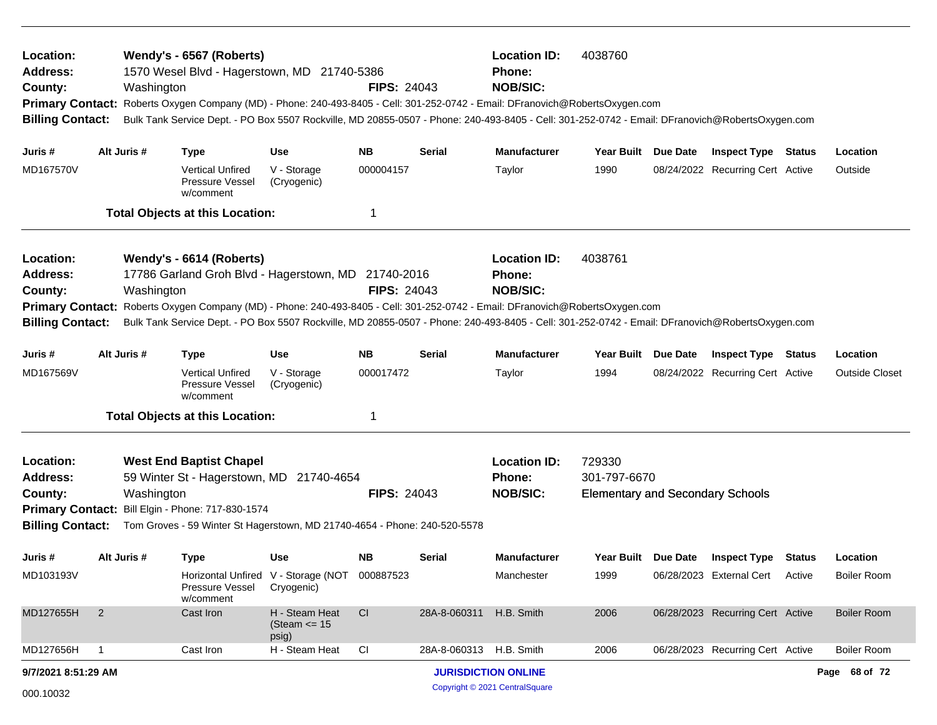| Location:<br><b>Address:</b><br>County:<br><b>Billing Contact:</b>                            |                | Wendy's - 6567 (Roberts)<br>Washington                                                                                                                                                                                                                                                                                                                           | 1570 Wesel Blvd - Hagerstown, MD 21740-5386<br><b>FIPS: 24043</b><br>Primary Contact: Roberts Oxygen Company (MD) - Phone: 240-493-8405 - Cell: 301-252-0742 - Email: DFranovich@RobertsOxygen.com<br>Bulk Tank Service Dept. - PO Box 5507 Rockville, MD 20855-0507 - Phone: 240-493-8405 - Cell: 301-252-0742 - Email: DFranovich@RobertsOxygen.com<br><b>NB</b><br><b>Use</b><br><b>Serial</b> |                    |                         | <b>Location ID:</b><br>Phone:<br><b>NOB/SIC:</b>        | 4038760                                                           |                                         |                       |
|-----------------------------------------------------------------------------------------------|----------------|------------------------------------------------------------------------------------------------------------------------------------------------------------------------------------------------------------------------------------------------------------------------------------------------------------------------------------------------------------------|---------------------------------------------------------------------------------------------------------------------------------------------------------------------------------------------------------------------------------------------------------------------------------------------------------------------------------------------------------------------------------------------------|--------------------|-------------------------|---------------------------------------------------------|-------------------------------------------------------------------|-----------------------------------------|-----------------------|
| Juris #                                                                                       | Alt Juris #    | <b>Type</b>                                                                                                                                                                                                                                                                                                                                                      |                                                                                                                                                                                                                                                                                                                                                                                                   |                    |                         | <b>Manufacturer</b>                                     | Year Built Due Date                                               | <b>Inspect Type Status</b>              | Location              |
| MD167570V                                                                                     |                | Vertical Unfired<br><b>Pressure Vessel</b><br>w/comment                                                                                                                                                                                                                                                                                                          | V - Storage<br>(Cryogenic)                                                                                                                                                                                                                                                                                                                                                                        | 000004157          |                         | Taylor                                                  | 1990                                                              | 08/24/2022 Recurring Cert Active        | Outside               |
|                                                                                               |                | <b>Total Objects at this Location:</b>                                                                                                                                                                                                                                                                                                                           |                                                                                                                                                                                                                                                                                                                                                                                                   | -1                 |                         |                                                         |                                                                   |                                         |                       |
| Location:<br><b>Address:</b><br>County:<br><b>Primary Contact:</b><br><b>Billing Contact:</b> |                | Wendy's - 6614 (Roberts)<br>17786 Garland Groh Blvd - Hagerstown, MD 21740-2016<br>Washington<br>Roberts Oxygen Company (MD) - Phone: 240-493-8405 - Cell: 301-252-0742 - Email: DFranovich@RobertsOxygen.com<br>Bulk Tank Service Dept. - PO Box 5507 Rockville, MD 20855-0507 - Phone: 240-493-8405 - Cell: 301-252-0742 - Email: DFranovich@RobertsOxygen.com |                                                                                                                                                                                                                                                                                                                                                                                                   | <b>FIPS: 24043</b> |                         | <b>Location ID:</b><br>Phone:<br><b>NOB/SIC:</b>        | 4038761                                                           |                                         |                       |
| Juris #                                                                                       | Alt Juris #    | <b>Type</b>                                                                                                                                                                                                                                                                                                                                                      | <b>Use</b>                                                                                                                                                                                                                                                                                                                                                                                        | <b>NB</b>          | <b>Serial</b>           | <b>Manufacturer</b>                                     | Year Built Due Date                                               | <b>Inspect Type Status</b>              | Location              |
| MD167569V                                                                                     |                | <b>Vertical Unfired</b><br><b>Pressure Vessel</b><br>w/comment                                                                                                                                                                                                                                                                                                   | V - Storage<br>(Cryogenic)                                                                                                                                                                                                                                                                                                                                                                        | 000017472          |                         | Taylor                                                  | 1994                                                              | 08/24/2022 Recurring Cert Active        | <b>Outside Closet</b> |
|                                                                                               |                | <b>Total Objects at this Location:</b>                                                                                                                                                                                                                                                                                                                           |                                                                                                                                                                                                                                                                                                                                                                                                   | -1                 |                         |                                                         |                                                                   |                                         |                       |
| Location:<br>Address:<br>County:                                                              |                | <b>West End Baptist Chapel</b><br>59 Winter St - Hagerstown, MD 21740-4654<br>Washington<br>Primary Contact: Bill Elgin - Phone: 717-830-1574<br>Billing Contact: Tom Groves - 59 Winter St Hagerstown, MD 21740-4654 - Phone: 240-520-5578                                                                                                                      |                                                                                                                                                                                                                                                                                                                                                                                                   | <b>FIPS: 24043</b> |                         | <b>Location ID:</b><br><b>Phone:</b><br><b>NOB/SIC:</b> | 729330<br>301-797-6670<br><b>Elementary and Secondary Schools</b> |                                         |                       |
| Juris #                                                                                       | Alt Juris #    | <b>Type</b>                                                                                                                                                                                                                                                                                                                                                      | <b>Use</b>                                                                                                                                                                                                                                                                                                                                                                                        | NB.                | Serial                  | <b>Manufacturer</b>                                     |                                                                   | Year Built Due Date Inspect Type Status | Location              |
| MD103193V                                                                                     |                | Pressure Vessel<br>w/comment                                                                                                                                                                                                                                                                                                                                     | Horizontal Unfired V - Storage (NOT 000887523<br>Cryogenic)                                                                                                                                                                                                                                                                                                                                       |                    |                         | Manchester                                              | 1999                                                              | 06/28/2023 External Cert Active         | <b>Boiler Room</b>    |
| MD127655H                                                                                     | $\overline{2}$ | Cast Iron                                                                                                                                                                                                                                                                                                                                                        | H - Steam Heat<br>(Steam $\le$ 15<br>psig)                                                                                                                                                                                                                                                                                                                                                        | CI                 | 28A-8-060311            | H.B. Smith                                              | 2006                                                              | 06/28/2023 Recurring Cert Active        | <b>Boiler Room</b>    |
| MD127656H                                                                                     | $\overline{1}$ | Cast Iron                                                                                                                                                                                                                                                                                                                                                        | H - Steam Heat                                                                                                                                                                                                                                                                                                                                                                                    | CI                 | 28A-8-060313 H.B. Smith |                                                         | 2006                                                              | 06/28/2023 Recurring Cert Active        | <b>Boiler Room</b>    |
| 9/7/2021 8:51:29 AM                                                                           |                |                                                                                                                                                                                                                                                                                                                                                                  |                                                                                                                                                                                                                                                                                                                                                                                                   |                    |                         | <b>JURISDICTION ONLINE</b>                              |                                                                   |                                         | Page 68 of 72         |
| 000.10032                                                                                     |                |                                                                                                                                                                                                                                                                                                                                                                  |                                                                                                                                                                                                                                                                                                                                                                                                   |                    |                         | Copyright © 2021 CentralSquare                          |                                                                   |                                         |                       |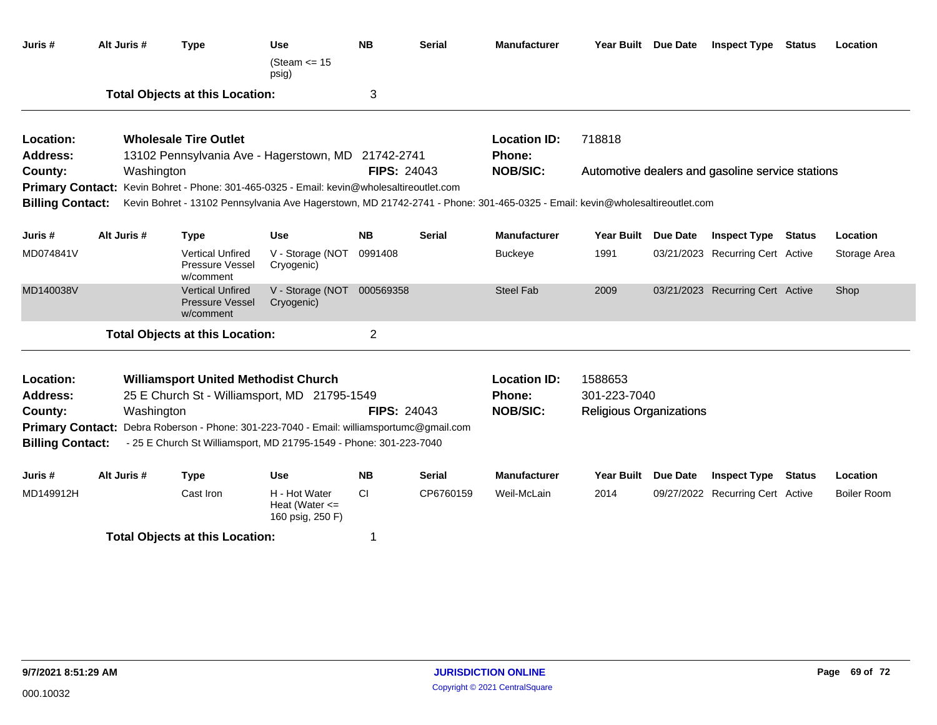| Juris #                                                     | Alt Juris #                                                                                                                                                                                                                                                                                                      | <b>Type</b>                                                                                                                                                                                                                                                                                                    | <b>Use</b><br>(Steam $\le$ 15<br>psig)                  | <b>NB</b>          | <b>Serial</b> | <b>Manufacturer</b>                                     | Year Built Due Date                                       |                 | <b>Inspect Type Status</b>                              |               | Location     |
|-------------------------------------------------------------|------------------------------------------------------------------------------------------------------------------------------------------------------------------------------------------------------------------------------------------------------------------------------------------------------------------|----------------------------------------------------------------------------------------------------------------------------------------------------------------------------------------------------------------------------------------------------------------------------------------------------------------|---------------------------------------------------------|--------------------|---------------|---------------------------------------------------------|-----------------------------------------------------------|-----------------|---------------------------------------------------------|---------------|--------------|
|                                                             |                                                                                                                                                                                                                                                                                                                  | <b>Total Objects at this Location:</b>                                                                                                                                                                                                                                                                         |                                                         | 3                  |               |                                                         |                                                           |                 |                                                         |               |              |
| Location:<br>Address:<br>County:<br><b>Billing Contact:</b> | Washington                                                                                                                                                                                                                                                                                                       | <b>Wholesale Tire Outlet</b><br>13102 Pennsylvania Ave - Hagerstown, MD 21742-2741<br>Primary Contact: Kevin Bohret - Phone: 301-465-0325 - Email: kevin@wholesaltireoutlet.com<br>Kevin Bohret - 13102 Pennsylvania Ave Hagerstown, MD 21742-2741 - Phone: 301-465-0325 - Email: kevin@wholesaltireoutlet.com |                                                         | <b>FIPS: 24043</b> |               | <b>Location ID:</b><br><b>Phone:</b><br><b>NOB/SIC:</b> | 718818                                                    |                 | Automotive dealers and gasoline service stations        |               |              |
|                                                             | Alt Juris #                                                                                                                                                                                                                                                                                                      |                                                                                                                                                                                                                                                                                                                | <b>Use</b>                                              | <b>NB</b>          | <b>Serial</b> | <b>Manufacturer</b>                                     | <b>Year Built</b>                                         |                 |                                                         |               | Location     |
| Juris #<br>MD074841V                                        |                                                                                                                                                                                                                                                                                                                  | <b>Type</b><br><b>Vertical Unfired</b><br>Pressure Vessel<br>w/comment                                                                                                                                                                                                                                         | V - Storage (NOT<br>Cryogenic)                          | 0991408            |               | <b>Buckeye</b>                                          | 1991                                                      | Due Date        | <b>Inspect Type</b><br>03/21/2023 Recurring Cert Active | <b>Status</b> | Storage Area |
| MD140038V                                                   |                                                                                                                                                                                                                                                                                                                  | <b>Vertical Unfired</b><br>Pressure Vessel<br>w/comment                                                                                                                                                                                                                                                        | V - Storage (NOT<br>Cryogenic)                          | 000569358          |               | <b>Steel Fab</b>                                        | 2009                                                      |                 | 03/21/2023 Recurring Cert Active                        |               | Shop         |
|                                                             |                                                                                                                                                                                                                                                                                                                  | <b>Total Objects at this Location:</b>                                                                                                                                                                                                                                                                         |                                                         | $\overline{2}$     |               |                                                         |                                                           |                 |                                                         |               |              |
| Location:<br><b>Address:</b><br>County:                     | <b>Williamsport United Methodist Church</b><br>25 E Church St - Williamsport, MD 21795-1549<br>Washington<br>Debra Roberson - Phone: 301-223-7040 - Email: williamsportumc@gmail.com<br><b>Primary Contact:</b><br><b>Billing Contact:</b><br>- 25 E Church St Williamsport, MD 21795-1549 - Phone: 301-223-7040 |                                                                                                                                                                                                                                                                                                                |                                                         | <b>FIPS: 24043</b> |               | <b>Location ID:</b><br><b>Phone:</b><br><b>NOB/SIC:</b> | 1588653<br>301-223-7040<br><b>Religious Organizations</b> |                 |                                                         |               |              |
| Juris #                                                     | Alt Juris #                                                                                                                                                                                                                                                                                                      | <b>Type</b>                                                                                                                                                                                                                                                                                                    | <b>Use</b>                                              | <b>NB</b>          | <b>Serial</b> | <b>Manufacturer</b>                                     | <b>Year Built</b>                                         | <b>Due Date</b> | <b>Inspect Type</b>                                     | <b>Status</b> | Location     |
| MD149912H                                                   |                                                                                                                                                                                                                                                                                                                  | Cast Iron                                                                                                                                                                                                                                                                                                      | H - Hot Water<br>Heat (Water $\leq$<br>160 psig, 250 F) | <b>CI</b>          | CP6760159     | Weil-McLain                                             | 2014                                                      |                 | 09/27/2022 Recurring Cert Active                        |               | Boiler Room  |
|                                                             |                                                                                                                                                                                                                                                                                                                  | <b>Total Objects at this Location:</b>                                                                                                                                                                                                                                                                         |                                                         | 1                  |               |                                                         |                                                           |                 |                                                         |               |              |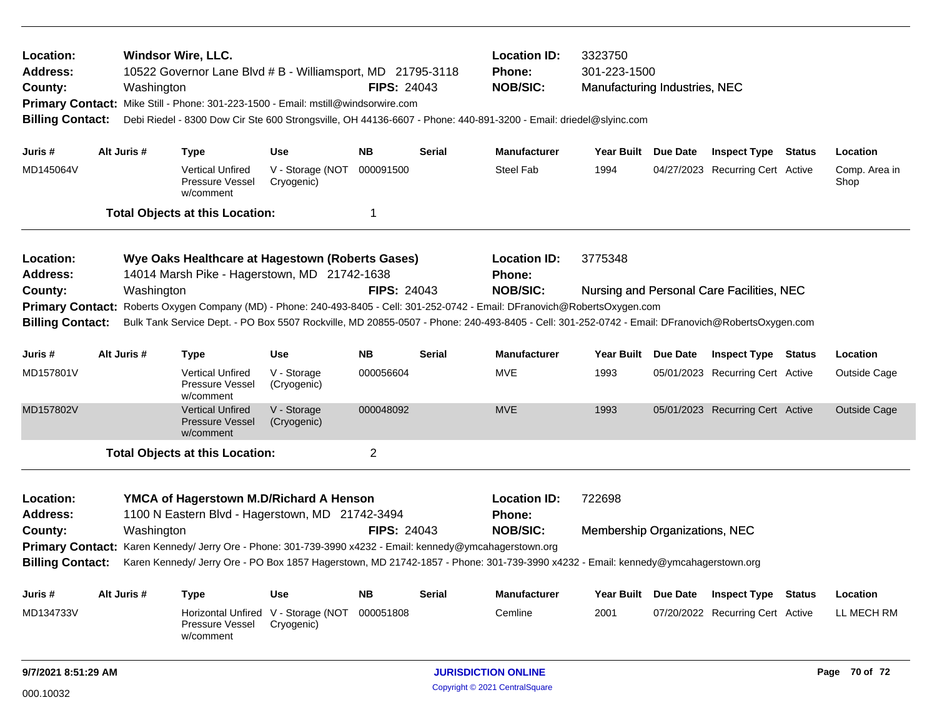| <b>Windsor Wire, LLC.</b><br>Location:<br><b>Address:</b><br>County:<br>Washington<br>Primary Contact: Mike Still - Phone: 301-223-1500 - Email: mstill@windsorwire.com<br><b>Billing Contact:</b> |                                                                                                                                                                                                                                                      |                                                                                                                                |                                                                                                           |                                | 10522 Governor Lane Blvd # B - Williamsport, MD 21795-3118<br><b>FIPS: 24043</b><br>Debi Riedel - 8300 Dow Cir Ste 600 Strongsville, OH 44136-6607 - Phone: 440-891-3200 - Email: driedel@slyinc.com |               |                                                                                                                                                 | 3323750<br>301-223-1500<br>Manufacturing Industries, NEC |          |                                           |               |                       |  |
|----------------------------------------------------------------------------------------------------------------------------------------------------------------------------------------------------|------------------------------------------------------------------------------------------------------------------------------------------------------------------------------------------------------------------------------------------------------|--------------------------------------------------------------------------------------------------------------------------------|-----------------------------------------------------------------------------------------------------------|--------------------------------|------------------------------------------------------------------------------------------------------------------------------------------------------------------------------------------------------|---------------|-------------------------------------------------------------------------------------------------------------------------------------------------|----------------------------------------------------------|----------|-------------------------------------------|---------------|-----------------------|--|
| Juris #                                                                                                                                                                                            |                                                                                                                                                                                                                                                      | Alt Juris #                                                                                                                    | <b>Type</b>                                                                                               | Use                            | <b>NB</b>                                                                                                                                                                                            | <b>Serial</b> | <b>Manufacturer</b>                                                                                                                             | Year Built Due Date                                      |          | <b>Inspect Type Status</b>                |               | Location              |  |
| MD145064V                                                                                                                                                                                          |                                                                                                                                                                                                                                                      |                                                                                                                                | <b>Vertical Unfired</b><br>Pressure Vessel<br>w/comment                                                   | V - Storage (NOT<br>Cryogenic) | 000091500                                                                                                                                                                                            |               | Steel Fab                                                                                                                                       | 1994                                                     |          | 04/27/2023 Recurring Cert Active          |               | Comp. Area in<br>Shop |  |
|                                                                                                                                                                                                    |                                                                                                                                                                                                                                                      |                                                                                                                                | <b>Total Objects at this Location:</b>                                                                    |                                | 1                                                                                                                                                                                                    |               |                                                                                                                                                 |                                                          |          |                                           |               |                       |  |
| Location:<br>Address:<br>County:<br><b>Primary Contact:</b>                                                                                                                                        | Wye Oaks Healthcare at Hagestown (Roberts Gases)<br>14014 Marsh Pike - Hagerstown, MD 21742-1638<br><b>FIPS: 24043</b><br>Washington<br>Roberts Oxygen Company (MD) - Phone: 240-493-8405 - Cell: 301-252-0742 - Email: DFranovich@RobertsOxygen.com |                                                                                                                                |                                                                                                           |                                |                                                                                                                                                                                                      |               | <b>Location ID:</b><br><b>Phone:</b><br><b>NOB/SIC:</b>                                                                                         | 3775348                                                  |          | Nursing and Personal Care Facilities, NEC |               |                       |  |
| <b>Billing Contact:</b>                                                                                                                                                                            |                                                                                                                                                                                                                                                      |                                                                                                                                |                                                                                                           |                                |                                                                                                                                                                                                      |               | Bulk Tank Service Dept. - PO Box 5507 Rockville, MD 20855-0507 - Phone: 240-493-8405 - Cell: 301-252-0742 - Email: DFranovich@RobertsOxygen.com |                                                          |          |                                           |               |                       |  |
| Juris #                                                                                                                                                                                            |                                                                                                                                                                                                                                                      | Alt Juris #                                                                                                                    | <b>Type</b>                                                                                               | Use                            | <b>NB</b>                                                                                                                                                                                            | <b>Serial</b> | <b>Manufacturer</b>                                                                                                                             | Year Built                                               | Due Date | <b>Inspect Type Status</b>                |               | Location              |  |
| MD157801V                                                                                                                                                                                          |                                                                                                                                                                                                                                                      |                                                                                                                                | <b>Vertical Unfired</b><br>Pressure Vessel<br>w/comment                                                   | V - Storage<br>(Cryogenic)     | 000056604                                                                                                                                                                                            |               | <b>MVE</b>                                                                                                                                      | 1993                                                     |          | 05/01/2023 Recurring Cert Active          |               | Outside Cage          |  |
| MD157802V                                                                                                                                                                                          |                                                                                                                                                                                                                                                      |                                                                                                                                | <b>Vertical Unfired</b><br>Pressure Vessel<br>w/comment                                                   | V - Storage<br>(Cryogenic)     | 000048092                                                                                                                                                                                            |               | <b>MVE</b>                                                                                                                                      | 1993                                                     |          | 05/01/2023 Recurring Cert Active          |               | <b>Outside Cage</b>   |  |
|                                                                                                                                                                                                    |                                                                                                                                                                                                                                                      |                                                                                                                                | <b>Total Objects at this Location:</b>                                                                    |                                | $\overline{2}$                                                                                                                                                                                       |               |                                                                                                                                                 |                                                          |          |                                           |               |                       |  |
| Location:<br>Address:<br>County:                                                                                                                                                                   |                                                                                                                                                                                                                                                      | YMCA of Hagerstown M.D/Richard A Henson<br>1100 N Eastern Blvd - Hagerstown, MD 21742-3494<br><b>FIPS: 24043</b><br>Washington |                                                                                                           |                                |                                                                                                                                                                                                      |               | <b>Location ID:</b><br>Phone:<br><b>NOB/SIC:</b>                                                                                                | 722698<br>Membership Organizations, NEC                  |          |                                           |               |                       |  |
|                                                                                                                                                                                                    |                                                                                                                                                                                                                                                      |                                                                                                                                | Primary Contact: Karen Kennedy/ Jerry Ore - Phone: 301-739-3990 x4232 - Email: kennedy@ymcahagerstown.org |                                |                                                                                                                                                                                                      |               | Karen Kennedy/ Jerry Ore - PO Box 1857 Hagerstown, MD 21742-1857 - Phone: 301-739-3990 x4232 - Email: kennedy@ymcahagerstown.org                |                                                          |          |                                           |               |                       |  |
| <b>Billing Contact:</b>                                                                                                                                                                            |                                                                                                                                                                                                                                                      |                                                                                                                                |                                                                                                           |                                |                                                                                                                                                                                                      |               |                                                                                                                                                 |                                                          |          |                                           |               |                       |  |
| Juris #                                                                                                                                                                                            |                                                                                                                                                                                                                                                      | Alt Juris #                                                                                                                    | <b>Type</b>                                                                                               | Use                            | <b>NB</b>                                                                                                                                                                                            | <b>Serial</b> | Manufacturer                                                                                                                                    | Year Built Due Date                                      |          | <b>Inspect Type Status</b>                |               | Location              |  |
| MD134733V                                                                                                                                                                                          |                                                                                                                                                                                                                                                      |                                                                                                                                | Horizontal Unfired V - Storage (NOT<br>Pressure Vessel<br>w/comment                                       | Cryogenic)                     | 000051808                                                                                                                                                                                            |               | Cemline                                                                                                                                         | 2001                                                     |          | 07/20/2022 Recurring Cert Active          |               | LL MECH RM            |  |
| 9/7/2021 8:51:29 AM                                                                                                                                                                                |                                                                                                                                                                                                                                                      |                                                                                                                                |                                                                                                           |                                | <b>JURISDICTION ONLINE</b>                                                                                                                                                                           |               |                                                                                                                                                 |                                                          |          |                                           | Page 70 of 72 |                       |  |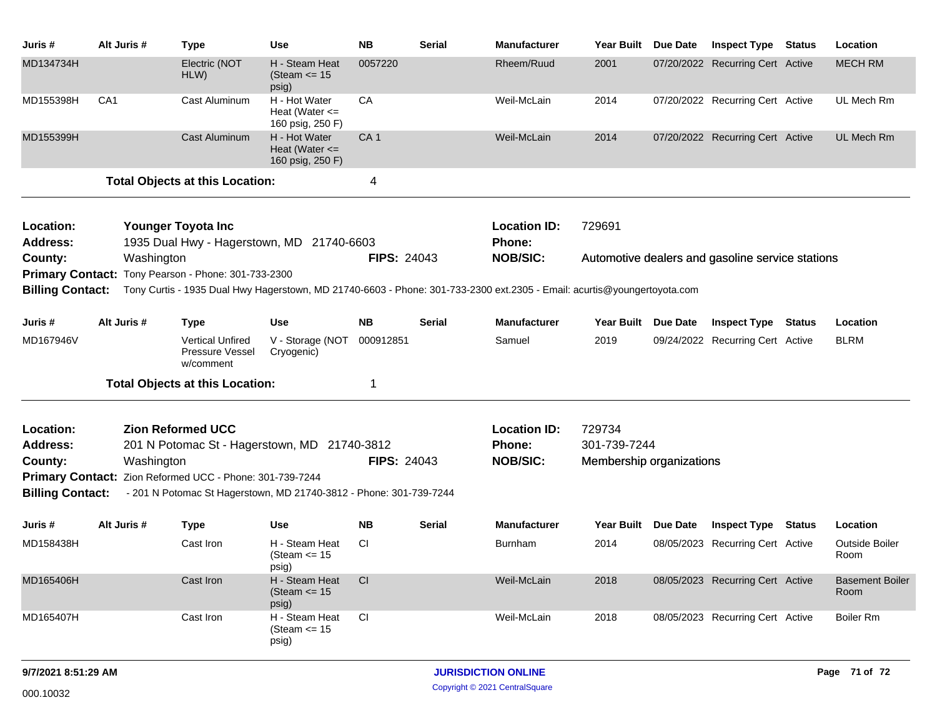| Juris #                                            | Alt Juris #                                                                             | <b>Type</b>                                                                                                   | Use                                                     | <b>NB</b>       | <b>Serial</b> | <b>Manufacturer</b>                                                                                                     | <b>Year Built</b>        | Due Date                                         | <b>Inspect Type Status</b>       |        | Location                       |  |  |
|----------------------------------------------------|-----------------------------------------------------------------------------------------|---------------------------------------------------------------------------------------------------------------|---------------------------------------------------------|-----------------|---------------|-------------------------------------------------------------------------------------------------------------------------|--------------------------|--------------------------------------------------|----------------------------------|--------|--------------------------------|--|--|
| MD134734H                                          |                                                                                         | Electric (NOT<br>HLW)                                                                                         | H - Steam Heat<br>(Steam $\le$ 15<br>psig)              | 0057220         |               | Rheem/Ruud                                                                                                              | 2001                     |                                                  | 07/20/2022 Recurring Cert Active |        | <b>MECH RM</b>                 |  |  |
| MD155398H                                          | CA <sub>1</sub>                                                                         | Cast Aluminum                                                                                                 | H - Hot Water<br>Heat (Water $\leq$<br>160 psig, 250 F) | CA              |               | Weil-McLain                                                                                                             | 2014                     |                                                  | 07/20/2022 Recurring Cert Active |        | UL Mech Rm                     |  |  |
| MD155399H                                          |                                                                                         | <b>Cast Aluminum</b>                                                                                          | H - Hot Water<br>Heat (Water $\leq$<br>160 psig, 250 F) | CA <sub>1</sub> |               | Weil-McLain                                                                                                             | 2014                     |                                                  | 07/20/2022 Recurring Cert Active |        | <b>UL Mech Rm</b>              |  |  |
|                                                    | <b>Total Objects at this Location:</b>                                                  |                                                                                                               |                                                         |                 |               |                                                                                                                         |                          |                                                  |                                  |        |                                |  |  |
| Location:                                          |                                                                                         | Younger Toyota Inc                                                                                            |                                                         |                 |               | <b>Location ID:</b>                                                                                                     | 729691                   |                                                  |                                  |        |                                |  |  |
| <b>Address:</b>                                    | 1935 Dual Hwy - Hagerstown, MD 21740-6603                                               |                                                                                                               |                                                         |                 |               | <b>Phone:</b><br><b>NOB/SIC:</b>                                                                                        |                          |                                                  |                                  |        |                                |  |  |
| County:                                            | <b>FIPS: 24043</b><br>Washington<br>Primary Contact: Tony Pearson - Phone: 301-733-2300 |                                                                                                               |                                                         |                 |               |                                                                                                                         |                          | Automotive dealers and gasoline service stations |                                  |        |                                |  |  |
| <b>Billing Contact:</b>                            |                                                                                         |                                                                                                               |                                                         |                 |               | Tony Curtis - 1935 Dual Hwy Hagerstown, MD 21740-6603 - Phone: 301-733-2300 ext.2305 - Email: acurtis@youngertoyota.com |                          |                                                  |                                  |        |                                |  |  |
| Juris #                                            | Alt Juris #                                                                             | <b>Type</b>                                                                                                   | <b>Use</b>                                              | <b>NB</b>       | Serial        | <b>Manufacturer</b>                                                                                                     | Year Built               | <b>Due Date</b>                                  | <b>Inspect Type</b>              | Status | Location                       |  |  |
| MD167946V                                          |                                                                                         | <b>Vertical Unfired</b><br>Pressure Vessel<br>w/comment                                                       | V - Storage (NOT<br>Cryogenic)                          | 000912851       |               | Samuel                                                                                                                  | 2019                     |                                                  | 09/24/2022 Recurring Cert Active |        | <b>BLRM</b>                    |  |  |
|                                                    |                                                                                         | <b>Total Objects at this Location:</b>                                                                        |                                                         | 1               |               |                                                                                                                         |                          |                                                  |                                  |        |                                |  |  |
| Location:                                          | <b>Zion Reformed UCC</b>                                                                |                                                                                                               |                                                         |                 |               | <b>Location ID:</b>                                                                                                     | 729734                   |                                                  |                                  |        |                                |  |  |
| <b>Address:</b>                                    | 201 N Potomac St - Hagerstown, MD 21740-3812                                            |                                                                                                               |                                                         |                 |               | <b>Phone:</b>                                                                                                           | 301-739-7244             |                                                  |                                  |        |                                |  |  |
| County:                                            | <b>FIPS: 24043</b><br>Washington                                                        |                                                                                                               |                                                         |                 |               | <b>NOB/SIC:</b>                                                                                                         | Membership organizations |                                                  |                                  |        |                                |  |  |
| <b>Primary Contact:</b><br><b>Billing Contact:</b> |                                                                                         | Zion Reformed UCC - Phone: 301-739-7244<br>- 201 N Potomac St Hagerstown, MD 21740-3812 - Phone: 301-739-7244 |                                                         |                 |               |                                                                                                                         |                          |                                                  |                                  |        |                                |  |  |
|                                                    |                                                                                         |                                                                                                               |                                                         |                 |               |                                                                                                                         |                          |                                                  |                                  |        |                                |  |  |
| Juris #                                            | Alt Juris #                                                                             | <b>Type</b>                                                                                                   | <b>Use</b>                                              | <b>NB</b>       | Serial        | <b>Manufacturer</b>                                                                                                     | <b>Year Built</b>        | Due Date                                         | <b>Inspect Type</b>              | Status | Location                       |  |  |
| MD158438H                                          |                                                                                         | Cast Iron                                                                                                     | H - Steam Heat<br>(Steam $\le$ 15<br>psig)              | СI              |               | Burnham                                                                                                                 | 2014                     |                                                  | 08/05/2023 Recurring Cert Active |        | Outside Boiler<br>Room         |  |  |
| MD165406H                                          |                                                                                         | Cast Iron                                                                                                     | H - Steam Heat<br>(Steam $\le$ 15<br>psig)              | CI              |               | Weil-McLain                                                                                                             | 2018                     |                                                  | 08/05/2023 Recurring Cert Active |        | <b>Basement Boiler</b><br>Room |  |  |
| MD165407H                                          |                                                                                         | Cast Iron                                                                                                     | H - Steam Heat<br>(Steam $\le$ 15<br>psig)              | <b>CI</b>       |               | Weil-McLain                                                                                                             | 2018                     |                                                  | 08/05/2023 Recurring Cert Active |        | <b>Boiler Rm</b>               |  |  |